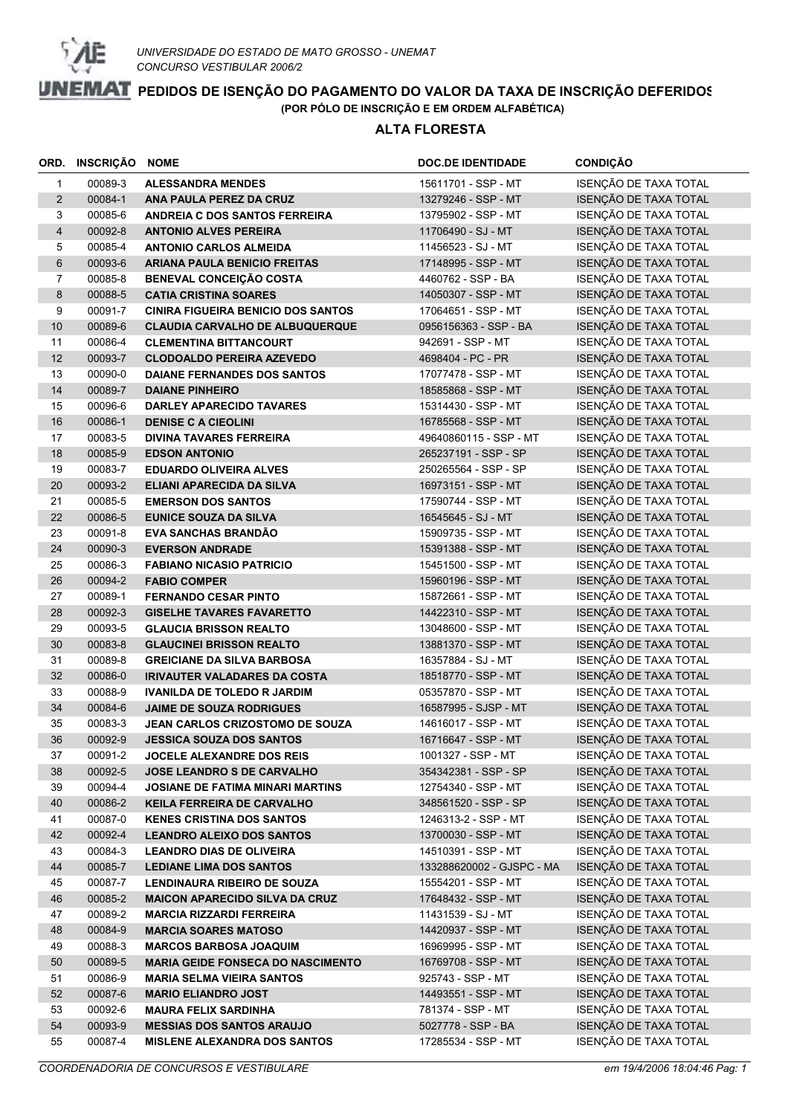

#### **ALTA FLORESTA**

|                | ORD. INSCRIÇÃO NOME |                                                                             | <b>DOC.DE IDENTIDADE</b>                         | <b>CONDIÇÃO</b>                                |
|----------------|---------------------|-----------------------------------------------------------------------------|--------------------------------------------------|------------------------------------------------|
| $\mathbf{1}$   | 00089-3             | <b>ALESSANDRA MENDES</b>                                                    | 15611701 - SSP - MT                              | ISENÇÃO DE TAXA TOTAL                          |
| $\overline{2}$ | 00084-1             | ANA PAULA PEREZ DA CRUZ                                                     | 13279246 - SSP - MT                              | ISENÇÃO DE TAXA TOTAL                          |
| 3              | 00085-6             | ANDREIA C DOS SANTOS FERREIRA                                               | 13795902 - SSP - MT                              | ISENÇÃO DE TAXA TOTAL                          |
| 4              | 00092-8             | <b>ANTONIO ALVES PEREIRA</b>                                                | 11706490 - SJ - MT                               | ISENÇÃO DE TAXA TOTAL                          |
| 5              | 00085-4             | <b>ANTONIO CARLOS ALMEIDA</b>                                               | 11456523 - SJ - MT                               | ISENÇÃO DE TAXA TOTAL                          |
| 6              | 00093-6             | <b>ARIANA PAULA BENICIO FREITAS</b>                                         | 17148995 - SSP - MT                              | ISENÇÃO DE TAXA TOTAL                          |
| $\overline{7}$ | 00085-8             | <b>BENEVAL CONCEIÇÃO COSTA</b>                                              | 4460762 - SSP - BA                               | ISENÇÃO DE TAXA TOTAL                          |
| 8              | 00088-5             | <b>CATIA CRISTINA SOARES</b>                                                | 14050307 - SSP - MT                              | ISENÇÃO DE TAXA TOTAL                          |
| 9              | 00091-7             | <b>CINIRA FIGUEIRA BENICIO DOS SANTOS</b>                                   | 17064651 - SSP - MT                              | ISENÇÃO DE TAXA TOTAL                          |
| 10             | 00089-6             | <b>CLAUDIA CARVALHO DE ALBUQUERQUE</b>                                      | 0956156363 - SSP - BA                            | ISENÇÃO DE TAXA TOTAL                          |
| 11             | 00086-4             | <b>CLEMENTINA BITTANCOURT</b>                                               | 942691 - SSP - MT                                | ISENÇÃO DE TAXA TOTAL                          |
| 12             | 00093-7             | <b>CLODOALDO PEREIRA AZEVEDO</b>                                            | 4698404 - PC - PR                                | ISENÇÃO DE TAXA TOTAL                          |
| 13             | 00090-0             | DAIANE FERNANDES DOS SANTOS                                                 | 17077478 - SSP - MT                              | ISENÇÃO DE TAXA TOTAL                          |
| 14             | 00089-7             | <b>DAIANE PINHEIRO</b>                                                      | 18585868 - SSP - MT                              | ISENÇÃO DE TAXA TOTAL                          |
| 15             | 00096-6             | <b>DARLEY APARECIDO TAVARES</b>                                             | 15314430 - SSP - MT                              | ISENÇÃO DE TAXA TOTAL                          |
| 16             | 00086-1             | <b>DENISE C A CIEOLINI</b>                                                  | 16785568 - SSP - MT                              | ISENÇÃO DE TAXA TOTAL                          |
| 17             | 00083-5             | <b>DIVINA TAVARES FERREIRA</b>                                              | 49640860115 - SSP - MT                           | ISENÇÃO DE TAXA TOTAL                          |
| 18             | 00085-9             | <b>EDSON ANTONIO</b>                                                        | 265237191 - SSP - SP                             | ISENÇÃO DE TAXA TOTAL                          |
| 19             | 00083-7             | <b>EDUARDO OLIVEIRA ALVES</b>                                               | 250265564 - SSP - SP                             | ISENÇÃO DE TAXA TOTAL                          |
| 20             | 00093-2             | <b>ELIANI APARECIDA DA SILVA</b>                                            | 16973151 - SSP - MT                              | ISENÇÃO DE TAXA TOTAL                          |
| 21             | 00085-5             | <b>EMERSON DOS SANTOS</b>                                                   | 17590744 - SSP - MT                              | ISENÇÃO DE TAXA TOTAL                          |
| 22             | 00086-5             | <b>EUNICE SOUZA DA SILVA</b>                                                | 16545645 - SJ - MT                               | ISENÇÃO DE TAXA TOTAL                          |
| 23             | 00091-8             | <b>EVA SANCHAS BRANDÃO</b>                                                  | 15909735 - SSP - MT                              | ISENÇÃO DE TAXA TOTAL                          |
| 24             | 00090-3             | <b>EVERSON ANDRADE</b>                                                      | 15391388 - SSP - MT                              | ISENÇÃO DE TAXA TOTAL                          |
| 25             | 00086-3             | <b>FABIANO NICASIO PATRICIO</b>                                             | 15451500 - SSP - MT                              | ISENÇÃO DE TAXA TOTAL                          |
| 26             | 00094-2             | <b>FABIO COMPER</b>                                                         | 15960196 - SSP - MT                              | ISENÇÃO DE TAXA TOTAL                          |
| 27             | 00089-1             | <b>FERNANDO CESAR PINTO</b>                                                 | 15872661 - SSP - MT                              | ISENÇÃO DE TAXA TOTAL                          |
| 28             | 00092-3             | <b>GISELHE TAVARES FAVARETTO</b>                                            | 14422310 - SSP - MT                              | ISENÇÃO DE TAXA TOTAL                          |
| 29             | 00093-5             | <b>GLAUCIA BRISSON REALTO</b>                                               | 13048600 - SSP - MT                              | ISENÇÃO DE TAXA TOTAL                          |
| 30             | 00083-8             | <b>GLAUCINEI BRISSON REALTO</b>                                             | 13881370 - SSP - MT                              | ISENÇÃO DE TAXA TOTAL                          |
| 31             | 00089-8             | <b>GREICIANE DA SILVA BARBOSA</b>                                           | 16357884 - SJ - MT                               | ISENÇÃO DE TAXA TOTAL                          |
| 32             | 00086-0             | <b>IRIVAUTER VALADARES DA COSTA</b>                                         | 18518770 - SSP - MT                              | ISENÇÃO DE TAXA TOTAL                          |
| 33             | 00088-9             | <b>IVANILDA DE TOLEDO R JARDIM</b>                                          | 05357870 - SSP - MT                              | ISENÇÃO DE TAXA TOTAL                          |
| 34             | 00084-6             | <b>JAIME DE SOUZA RODRIGUES</b>                                             | 16587995 - SJSP - MT                             | ISENÇÃO DE TAXA TOTAL                          |
| 35             | 00083-3             | JEAN CARLOS CRIZOSTOMO DE SOUZA                                             | 14616017 - SSP - MT                              | ISENÇÃO DE TAXA TOTAL                          |
| 36             | 00092-9             | <b>JESSICA SOUZA DOS SANTOS</b>                                             | 16716647 - SSP - MT                              | ISENÇÃO DE TAXA TOTAL                          |
| 37             | 00091-2             | <b>JOCELE ALEXANDRE DOS REIS</b>                                            | 1001327 - SSP - MT                               | ISENÇÃO DE TAXA TOTAL                          |
| 38             | 00092-5             | <b>JOSE LEANDRO S DE CARVALHO</b>                                           | 354342381 - SSP - SP                             | ISENÇÃO DE TAXA TOTAL                          |
| 39             | 00094-4             | <b>JOSIANE DE FATIMA MINARI MARTINS</b>                                     | 12754340 - SSP - MT                              | ISENÇÃO DE TAXA TOTAL                          |
| 40             | 00086-2             | KEILA FERREIRA DE CARVALHO                                                  | 348561520 - SSP - SP                             | ISENÇÃO DE TAXA TOTAL<br>ISENÇÃO DE TAXA TOTAL |
| 41             | 00087-0             | <b>KENES CRISTINA DOS SANTOS</b>                                            | 1246313-2 - SSP - MT                             | ISENÇÃO DE TAXA TOTAL                          |
| 42             | 00092-4             | <b>LEANDRO ALEIXO DOS SANTOS</b>                                            | 13700030 - SSP - MT                              | ISENÇÃO DE TAXA TOTAL                          |
| 43<br>44       | 00084-3<br>00085-7  | <b>LEANDRO DIAS DE OLIVEIRA</b>                                             | 14510391 - SSP - MT<br>133288620002 - GJSPC - MA | ISENÇÃO DE TAXA TOTAL                          |
|                | 00087-7             | <b>LEDIANE LIMA DOS SANTOS</b>                                              | 15554201 - SSP - MT                              | ISENÇÃO DE TAXA TOTAL                          |
| 45<br>46       | 00085-2             | <b>LENDINAURA RIBEIRO DE SOUZA</b><br><b>MAICON APARECIDO SILVA DA CRUZ</b> | 17648432 - SSP - MT                              | ISENÇÃO DE TAXA TOTAL                          |
| 47             | 00089-2             | <b>MARCIA RIZZARDI FERREIRA</b>                                             | 11431539 - SJ - MT                               | ISENÇÃO DE TAXA TOTAL                          |
| 48             | 00084-9             | <b>MARCIA SOARES MATOSO</b>                                                 | 14420937 - SSP - MT                              | ISENÇÃO DE TAXA TOTAL                          |
| 49             | 00088-3             | <b>MARCOS BARBOSA JOAQUIM</b>                                               | 16969995 - SSP - MT                              | ISENÇÃO DE TAXA TOTAL                          |
| 50             | 00089-5             | <b>MARIA GEIDE FONSECA DO NASCIMENTO</b>                                    | 16769708 - SSP - MT                              | ISENÇÃO DE TAXA TOTAL                          |
| 51             | 00086-9             | <b>MARIA SELMA VIEIRA SANTOS</b>                                            | 925743 - SSP - MT                                | ISENÇÃO DE TAXA TOTAL                          |
| 52             | 00087-6             | <b>MARIO ELIANDRO JOST</b>                                                  | 14493551 - SSP - MT                              | ISENÇÃO DE TAXA TOTAL                          |
| 53             | 00092-6             | <b>MAURA FELIX SARDINHA</b>                                                 | 781374 - SSP - MT                                | ISENÇÃO DE TAXA TOTAL                          |
| 54             | 00093-9             | <b>MESSIAS DOS SANTOS ARAUJO</b>                                            | 5027778 - SSP - BA                               | ISENÇÃO DE TAXA TOTAL                          |
| 55             | 00087-4             | <b>MISLENE ALEXANDRA DOS SANTOS</b>                                         | 17285534 - SSP - MT                              | ISENÇÃO DE TAXA TOTAL                          |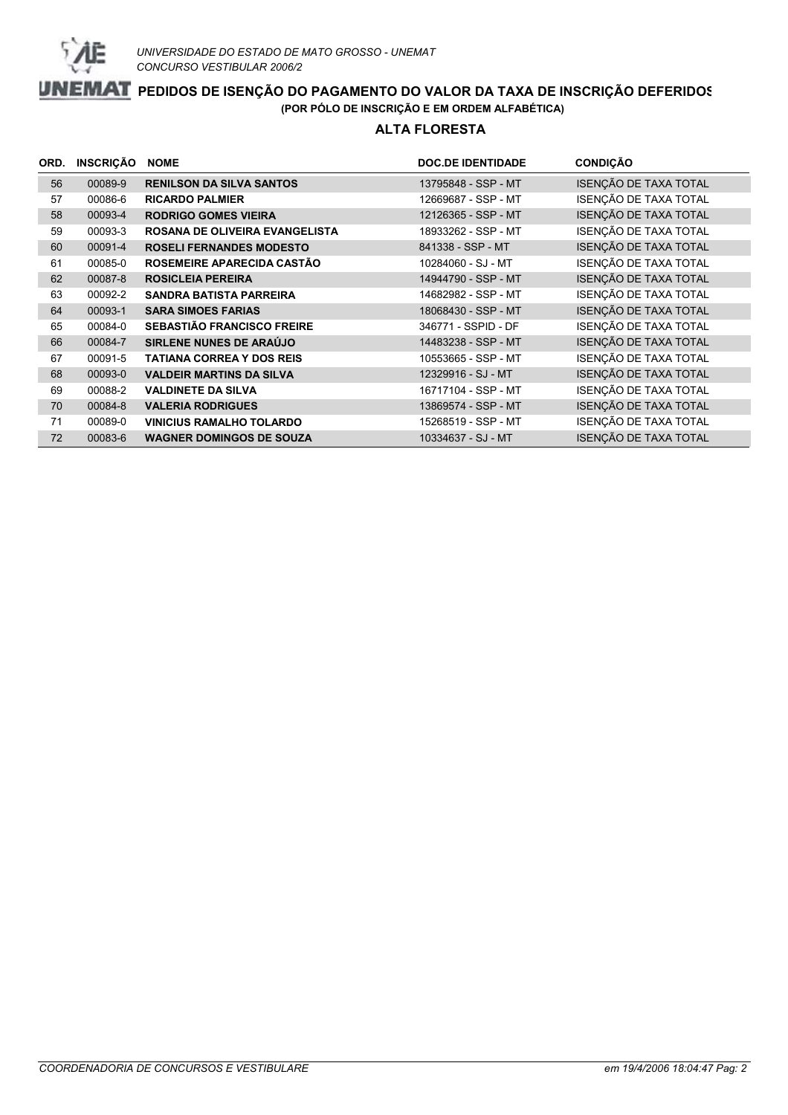

#### **ALTA FLORESTA**

| ORD. | <b>INSCRIÇÃO</b> | <b>NOME</b>                       | <b>DOC.DE IDENTIDADE</b> | <b>CONDIÇÃO</b>       |
|------|------------------|-----------------------------------|--------------------------|-----------------------|
| 56   | 00089-9          | <b>RENILSON DA SILVA SANTOS</b>   | 13795848 - SSP - MT      | ISENÇÃO DE TAXA TOTAL |
| 57   | 00086-6          | <b>RICARDO PALMIER</b>            | 12669687 - SSP - MT      | ISENÇÃO DE TAXA TOTAL |
| 58   | 00093-4          | <b>RODRIGO GOMES VIEIRA</b>       | 12126365 - SSP - MT      | ISENÇÃO DE TAXA TOTAL |
| 59   | 00093-3          | ROSANA DE OLIVEIRA EVANGELISTA    | 18933262 - SSP - MT      | ISENÇÃO DE TAXA TOTAL |
| 60   | 00091-4          | <b>ROSELI FERNANDES MODESTO</b>   | 841338 - SSP - MT        | ISENÇÃO DE TAXA TOTAL |
| 61   | 00085-0          | ROSEMEIRE APARECIDA CASTÃO        | 10284060 - SJ - MT       | ISENÇÃO DE TAXA TOTAL |
| 62   | 00087-8          | <b>ROSICLEIA PEREIRA</b>          | 14944790 - SSP - MT      | ISENÇÃO DE TAXA TOTAL |
| 63   | 00092-2          | <b>SANDRA BATISTA PARREIRA</b>    | 14682982 - SSP - MT      | ISENÇÃO DE TAXA TOTAL |
| 64   | 00093-1          | <b>SARA SIMOES FARIAS</b>         | 18068430 - SSP - MT      | ISENÇÃO DE TAXA TOTAL |
| 65   | 00084-0          | <b>SEBASTIÃO FRANCISCO FREIRE</b> | 346771 - SSPID - DF      | ISENÇÃO DE TAXA TOTAL |
| 66   | 00084-7          | SIRLENE NUNES DE ARAÚJO           | 14483238 - SSP - MT      | ISENÇÃO DE TAXA TOTAL |
| 67   | 00091-5          | <b>TATIANA CORREA Y DOS REIS</b>  | 10553665 - SSP - MT      | ISENÇÃO DE TAXA TOTAL |
| 68   | 00093-0          | <b>VALDEIR MARTINS DA SILVA</b>   | 12329916 - SJ - MT       | ISENÇÃO DE TAXA TOTAL |
| 69   | 00088-2          | <b>VALDINETE DA SILVA</b>         | 16717104 - SSP - MT      | ISENÇÃO DE TAXA TOTAL |
| 70   | 00084-8          | <b>VALERIA RODRIGUES</b>          | 13869574 - SSP - MT      | ISENÇÃO DE TAXA TOTAL |
| 71   | 00089-0          | <b>VINICIUS RAMALHO TOLARDO</b>   | 15268519 - SSP - MT      | ISENÇÃO DE TAXA TOTAL |
| 72   | 00083-6          | <b>WAGNER DOMINGOS DE SOUZA</b>   | 10334637 - SJ - MT       | ISENÇÃO DE TAXA TOTAL |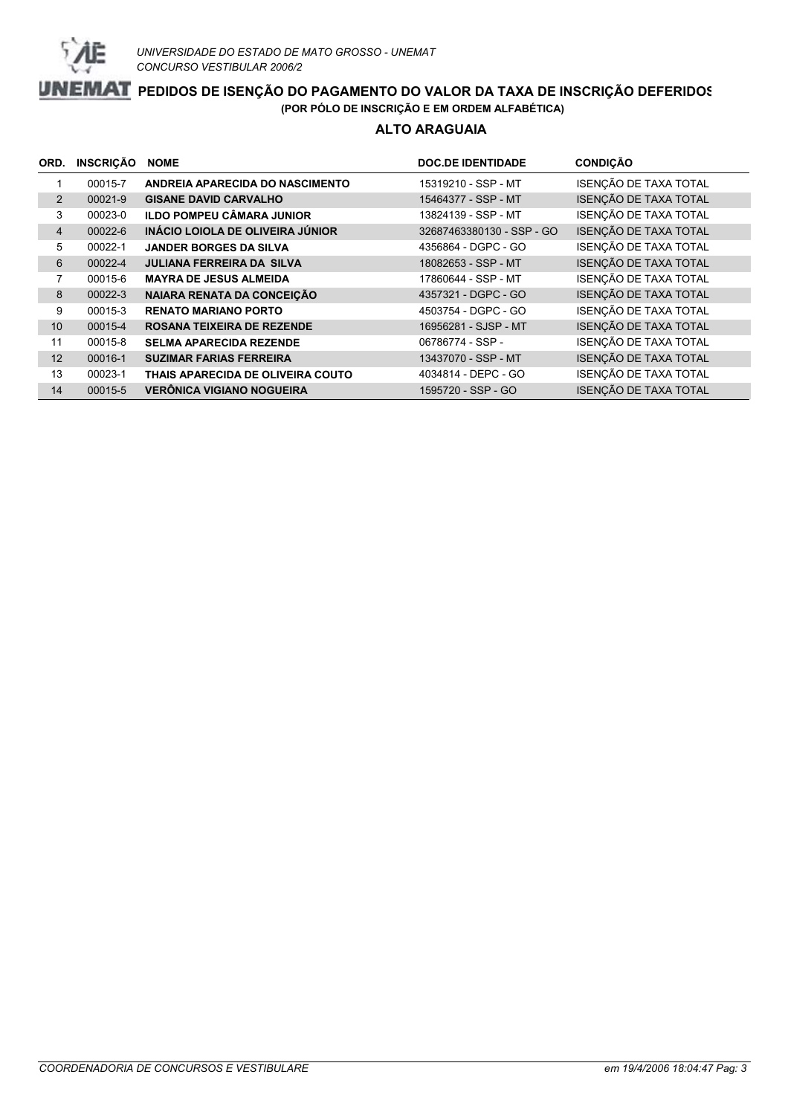

#### **ALTO ARAGUAIA**

| ORD.           | <b>INSCRIÇÃO</b> | <b>NOME</b>                       | <b>DOC.DE IDENTIDADE</b>  | <b>CONDIÇÃO</b>       |
|----------------|------------------|-----------------------------------|---------------------------|-----------------------|
|                | 00015-7          | ANDREIA APARECIDA DO NASCIMENTO   | 15319210 - SSP - MT       | ISENÇÃO DE TAXA TOTAL |
| $\overline{2}$ | 00021-9          | <b>GISANE DAVID CARVALHO</b>      | 15464377 - SSP - MT       | ISENÇÃO DE TAXA TOTAL |
| 3              | 00023-0          | <b>ILDO POMPEU CÂMARA JUNIOR</b>  | 13824139 - SSP - MT       | ISENÇÃO DE TAXA TOTAL |
| $\overline{4}$ | 00022-6          | INÁCIO LOIOLA DE OLIVEIRA JÚNIOR  | 32687463380130 - SSP - GO | ISENÇÃO DE TAXA TOTAL |
| 5              | 00022-1          | <b>JANDER BORGES DA SILVA</b>     | 4356864 - DGPC - GO       | ISENÇÃO DE TAXA TOTAL |
| 6              | 00022-4          | <b>JULIANA FERREIRA DA SILVA</b>  | 18082653 - SSP - MT       | ISENÇÃO DE TAXA TOTAL |
| 7              | 00015-6          | <b>MAYRA DE JESUS ALMEIDA</b>     | 17860644 - SSP - MT       | ISENÇÃO DE TAXA TOTAL |
| 8              | 00022-3          | NAIARA RENATA DA CONCEIÇÃO        | 4357321 - DGPC - GO       | ISENÇÃO DE TAXA TOTAL |
| 9              | 00015-3          | <b>RENATO MARIANO PORTO</b>       | 4503754 - DGPC - GO       | ISENÇÃO DE TAXA TOTAL |
| 10             | 00015-4          | <b>ROSANA TEIXEIRA DE REZENDE</b> | 16956281 - SJSP - MT      | ISENÇÃO DE TAXA TOTAL |
| 11             | 00015-8          | <b>SELMA APARECIDA REZENDE</b>    | 06786774 - SSP -          | ISENÇÃO DE TAXA TOTAL |
| 12             | 00016-1          | <b>SUZIMAR FARIAS FERREIRA</b>    | 13437070 - SSP - MT       | ISENÇÃO DE TAXA TOTAL |
| 13             | 00023-1          | THAIS APARECIDA DE OLIVEIRA COUTO | 4034814 - DEPC - GO       | ISENÇÃO DE TAXA TOTAL |
| 14             | 00015-5          | <b>VERÔNICA VIGIANO NOGUEIRA</b>  | 1595720 - SSP - GO        | ISENÇÃO DE TAXA TOTAL |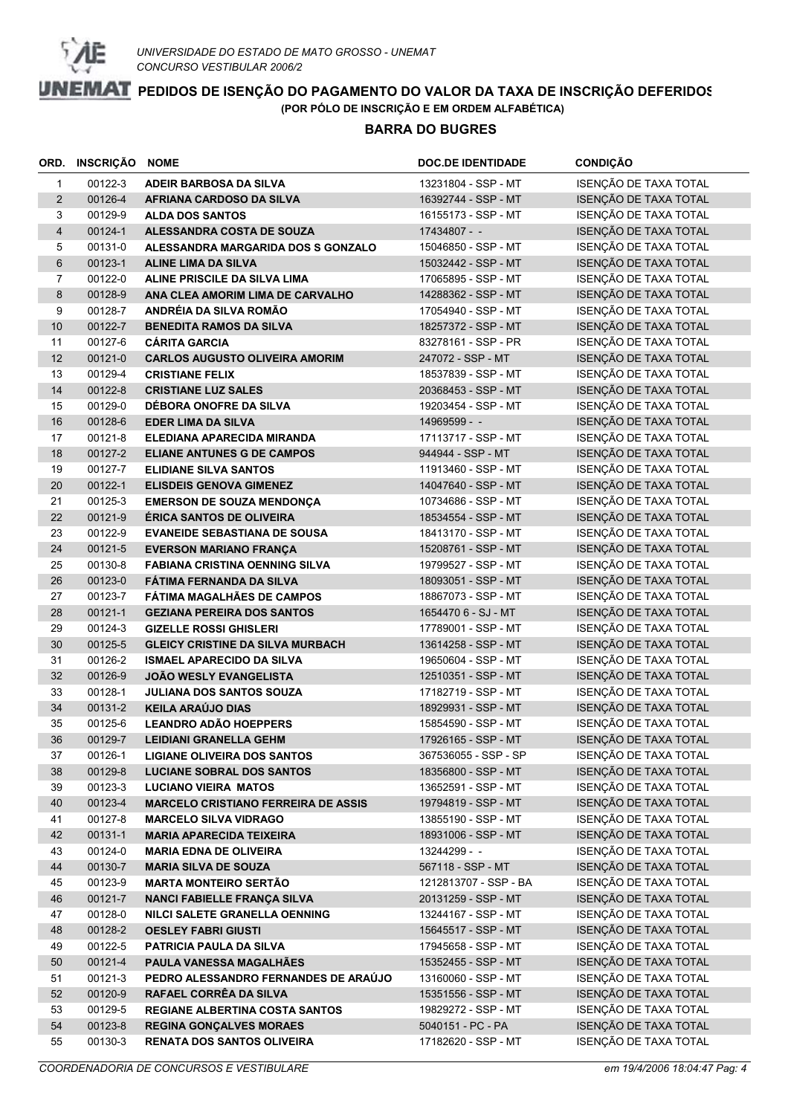

#### **BARRA DO BUGRES**

| ORD.           | <b>INSCRIÇÃO NOME</b> |                                            | <b>DOC.DE IDENTIDADE</b> | <b>CONDIÇÃO</b>       |
|----------------|-----------------------|--------------------------------------------|--------------------------|-----------------------|
| $\mathbf{1}$   | 00122-3               | ADEIR BARBOSA DA SILVA                     | 13231804 - SSP - MT      | ISENÇÃO DE TAXA TOTAL |
| $\overline{2}$ | 00126-4               | AFRIANA CARDOSO DA SILVA                   | 16392744 - SSP - MT      | ISENÇÃO DE TAXA TOTAL |
| 3              | 00129-9               | <b>ALDA DOS SANTOS</b>                     | 16155173 - SSP - MT      | ISENÇÃO DE TAXA TOTAL |
| $\overline{4}$ | 00124-1               | ALESSANDRA COSTA DE SOUZA                  | 17434807 - -             | ISENÇÃO DE TAXA TOTAL |
| 5              | 00131-0               | ALESSANDRA MARGARIDA DOS S GONZALO         | 15046850 - SSP - MT      | ISENÇÃO DE TAXA TOTAL |
| $6\phantom{1}$ | 00123-1               | <b>ALINE LIMA DA SILVA</b>                 | 15032442 - SSP - MT      | ISENÇÃO DE TAXA TOTAL |
| $\overline{7}$ | 00122-0               | ALINE PRISCILE DA SILVA LIMA               | 17065895 - SSP - MT      | ISENÇÃO DE TAXA TOTAL |
| 8              | 00128-9               | ANA CLEA AMORIM LIMA DE CARVALHO           | 14288362 - SSP - MT      | ISENÇÃO DE TAXA TOTAL |
| 9              | 00128-7               | ANDRÉIA DA SILVA ROMÃO                     | 17054940 - SSP - MT      | ISENÇÃO DE TAXA TOTAL |
| 10             | 00122-7               | <b>BENEDITA RAMOS DA SILVA</b>             | 18257372 - SSP - MT      | ISENÇÃO DE TAXA TOTAL |
| 11             | 00127-6               | <b>CÁRITA GARCIA</b>                       | 83278161 - SSP - PR      | ISENÇÃO DE TAXA TOTAL |
| 12             | 00121-0               | <b>CARLOS AUGUSTO OLIVEIRA AMORIM</b>      | 247072 - SSP - MT        | ISENÇÃO DE TAXA TOTAL |
| 13             | 00129-4               | <b>CRISTIANE FELIX</b>                     | 18537839 - SSP - MT      | ISENÇÃO DE TAXA TOTAL |
| 14             | 00122-8               | <b>CRISTIANE LUZ SALES</b>                 | 20368453 - SSP - MT      | ISENÇÃO DE TAXA TOTAL |
| 15             | 00129-0               | DÉBORA ONOFRE DA SILVA                     | 19203454 - SSP - MT      | ISENÇÃO DE TAXA TOTAL |
| 16             | 00128-6               | <b>EDER LIMA DA SILVA</b>                  | 14969599 - -             | ISENÇÃO DE TAXA TOTAL |
| 17             | 00121-8               | ELEDIANA APARECIDA MIRANDA                 | 17113717 - SSP - MT      | ISENÇÃO DE TAXA TOTAL |
| 18             | 00127-2               | <b>ELIANE ANTUNES G DE CAMPOS</b>          | 944944 - SSP - MT        | ISENÇÃO DE TAXA TOTAL |
| 19             | 00127-7               | <b>ELIDIANE SILVA SANTOS</b>               | 11913460 - SSP - MT      | ISENÇÃO DE TAXA TOTAL |
| 20             | 00122-1               | <b>ELISDEIS GENOVA GIMENEZ</b>             | 14047640 - SSP - MT      | ISENÇÃO DE TAXA TOTAL |
| 21             | 00125-3               | <b>EMERSON DE SOUZA MENDONÇA</b>           | 10734686 - SSP - MT      | ISENÇÃO DE TAXA TOTAL |
| 22             | 00121-9               | <b>ÉRICA SANTOS DE OLIVEIRA</b>            | 18534554 - SSP - MT      | ISENÇÃO DE TAXA TOTAL |
| 23             | 00122-9               | <b>EVANEIDE SEBASTIANA DE SOUSA</b>        | 18413170 - SSP - MT      | ISENÇÃO DE TAXA TOTAL |
| 24             | 00121-5               | <b>EVERSON MARIANO FRANÇA</b>              | 15208761 - SSP - MT      | ISENÇÃO DE TAXA TOTAL |
| 25             | 00130-8               | <b>FABIANA CRISTINA OENNING SILVA</b>      | 19799527 - SSP - MT      | ISENÇÃO DE TAXA TOTAL |
| 26             | 00123-0               | FÁTIMA FERNANDA DA SILVA                   | 18093051 - SSP - MT      | ISENÇÃO DE TAXA TOTAL |
| 27             | 00123-7               | FÁTIMA MAGALHÃES DE CAMPOS                 | 18867073 - SSP - MT      | ISENÇÃO DE TAXA TOTAL |
| 28             | 00121-1               | <b>GEZIANA PEREIRA DOS SANTOS</b>          | 1654470 6 - SJ - MT      | ISENÇÃO DE TAXA TOTAL |
| 29             | 00124-3               | <b>GIZELLE ROSSI GHISLERI</b>              | 17789001 - SSP - MT      | ISENÇÃO DE TAXA TOTAL |
| 30             | 00125-5               | <b>GLEICY CRISTINE DA SILVA MURBACH</b>    | 13614258 - SSP - MT      | ISENÇÃO DE TAXA TOTAL |
| 31             | 00126-2               | <b>ISMAEL APARECIDO DA SILVA</b>           | 19650604 - SSP - MT      | ISENÇÃO DE TAXA TOTAL |
| 32             | 00126-9               | <b>JOÃO WESLY EVANGELISTA</b>              | 12510351 - SSP - MT      | ISENÇÃO DE TAXA TOTAL |
| 33             | 00128-1               | <b>JULIANA DOS SANTOS SOUZA</b>            | 17182719 - SSP - MT      | ISENÇÃO DE TAXA TOTAL |
| 34             | 00131-2               | <b>KEILA ARAÚJO DIAS</b>                   | 18929931 - SSP - MT      | ISENÇÃO DE TAXA TOTAL |
| 35             | 00125-6               | <b>LEANDRO ADÃO HOEPPERS</b>               | 15854590 - SSP - MT      | ISENÇÃO DE TAXA TOTAL |
| 36             | 00129-7               | <b>LEIDIANI GRANELLA GEHM</b>              | 17926165 - SSP - MT      | ISENÇÃO DE TAXA TOTAL |
| 37             | 00126-1               | <b>LIGIANE OLIVEIRA DOS SANTOS</b>         | 367536055 - SSP - SP     | ISENÇÃO DE TAXA TOTAL |
| 38             | 00129-8               | <b>LUCIANE SOBRAL DOS SANTOS</b>           | 18356800 - SSP - MT      | ISENÇÃO DE TAXA TOTAL |
| 39             | 00123-3               | <b>LUCIANO VIEIRA MATOS</b>                | 13652591 - SSP - MT      | ISENÇÃO DE TAXA TOTAL |
| 40             | 00123-4               | <b>MARCELO CRISTIANO FERREIRA DE ASSIS</b> | 19794819 - SSP - MT      | ISENÇÃO DE TAXA TOTAL |
| 41             | 00127-8               | <b>MARCELO SILVA VIDRAGO</b>               | 13855190 - SSP - MT      | ISENÇÃO DE TAXA TOTAL |
| 42             | 00131-1               | <b>MARIA APARECIDA TEIXEIRA</b>            | 18931006 - SSP - MT      | ISENÇÃO DE TAXA TOTAL |
| 43             | 00124-0               | <b>MARIA EDNA DE OLIVEIRA</b>              | 13244299 - -             | ISENÇÃO DE TAXA TOTAL |
| 44             | 00130-7               | <b>MARIA SILVA DE SOUZA</b>                | 567118 - SSP - MT        | ISENÇÃO DE TAXA TOTAL |
| 45             | 00123-9               | <b>MARTA MONTEIRO SERTÃO</b>               | 1212813707 - SSP - BA    | ISENÇÃO DE TAXA TOTAL |
| 46             | 00121-7               | NANCI FABIELLE FRANÇA SILVA                | 20131259 - SSP - MT      | ISENÇÃO DE TAXA TOTAL |
| 47             | 00128-0               | NILCI SALETE GRANELLA OENNING              | 13244167 - SSP - MT      | ISENÇÃO DE TAXA TOTAL |
| 48             | 00128-2               | <b>OESLEY FABRI GIUSTI</b>                 | 15645517 - SSP - MT      | ISENÇÃO DE TAXA TOTAL |
| 49             | 00122-5               | PATRICIA PAULA DA SILVA                    | 17945658 - SSP - MT      | ISENÇÃO DE TAXA TOTAL |
| 50             | 00121-4               | PAULA VANESSA MAGALHÃES                    | 15352455 - SSP - MT      | ISENÇÃO DE TAXA TOTAL |
| 51             | 00121-3               | PEDRO ALESSANDRO FERNANDES DE ARAÚJO       | 13160060 - SSP - MT      | ISENÇÃO DE TAXA TOTAL |
| 52             | 00120-9               | RAFAEL CORRÊA DA SILVA                     | 15351556 - SSP - MT      | ISENÇÃO DE TAXA TOTAL |
| 53             | 00129-5               | <b>REGIANE ALBERTINA COSTA SANTOS</b>      | 19829272 - SSP - MT      | ISENÇÃO DE TAXA TOTAL |
| 54             | 00123-8               | <b>REGINA GONÇALVES MORAES</b>             | 5040151 - PC - PA        | ISENÇÃO DE TAXA TOTAL |
| 55             | 00130-3               | <b>RENATA DOS SANTOS OLIVEIRA</b>          | 17182620 - SSP - MT      | ISENÇÃO DE TAXA TOTAL |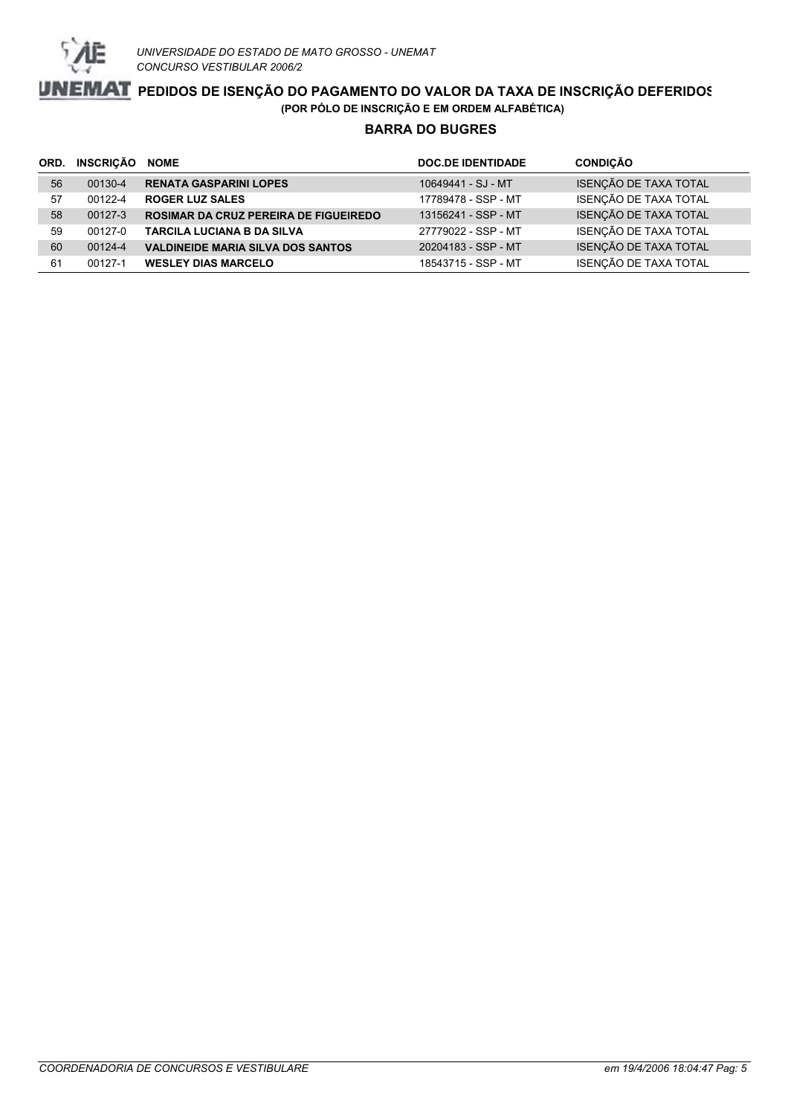

### **BARRA DO BUGRES**

| ORD. | INSCRIÇÃO | <b>NOME</b>                                  | <b>DOC.DE IDENTIDADE</b> | <b>CONDIÇÃO</b>       |
|------|-----------|----------------------------------------------|--------------------------|-----------------------|
| 56   | 00130-4   | <b>RENATA GASPARINI LOPES</b>                | 10649441 - SJ - MT       | ISENÇÃO DE TAXA TOTAL |
| 57   | 00122-4   | <b>ROGER LUZ SALES</b>                       | 17789478 - SSP - MT      | ISENÇÃO DE TAXA TOTAL |
| 58   | 00127-3   | <b>ROSIMAR DA CRUZ PEREIRA DE FIGUEIREDO</b> | 13156241 - SSP - MT      | ISENÇÃO DE TAXA TOTAL |
| 59   | 00127-0   | <b>TARCILA LUCIANA B DA SILVA</b>            | 27779022 - SSP - MT      | ISENÇÃO DE TAXA TOTAL |
| 60   | 00124-4   | <b>VALDINEIDE MARIA SILVA DOS SANTOS</b>     | 20204183 - SSP - MT      | ISENÇÃO DE TAXA TOTAL |
| 61   | 00127-1   | <b>WESLEY DIAS MARCELO</b>                   | 18543715 - SSP - MT      | ISENÇÃO DE TAXA TOTAL |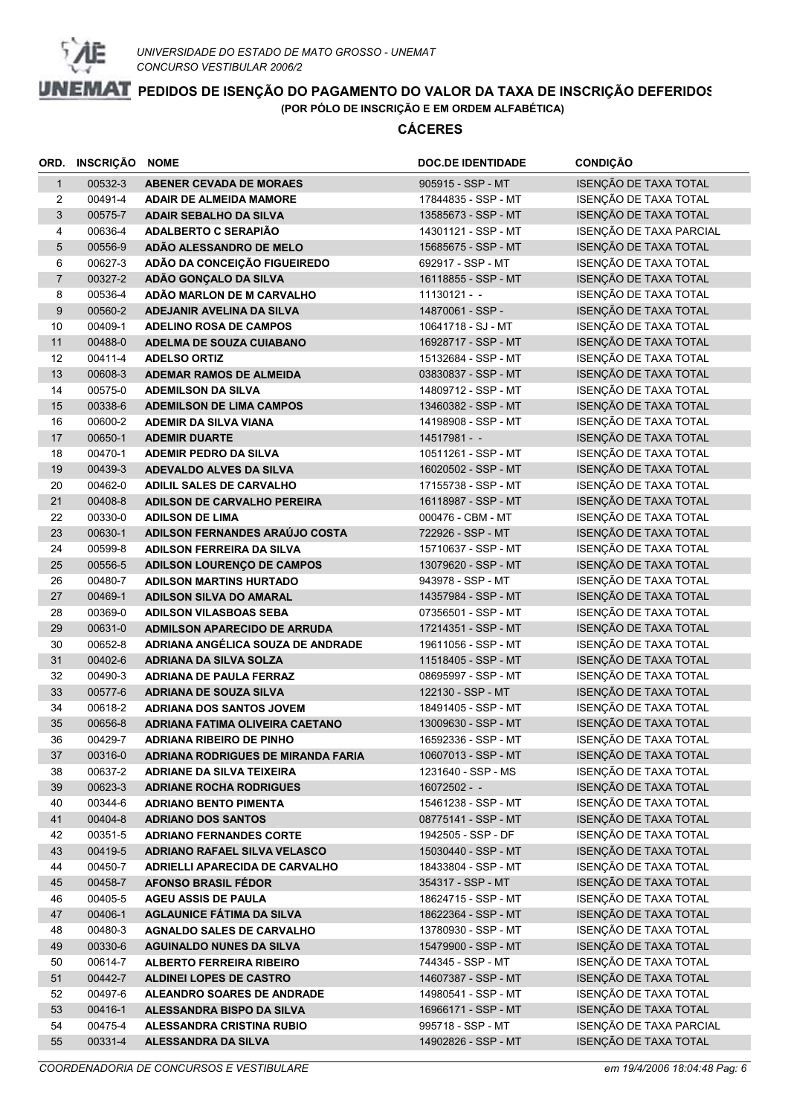

|                | ORD. INSCRIÇÃO NOME |                                                                              | <b>DOC.DE IDENTIDADE</b>                 | <b>CONDIÇÃO</b>                                |
|----------------|---------------------|------------------------------------------------------------------------------|------------------------------------------|------------------------------------------------|
| $\mathbf{1}$   | 00532-3             | <b>ABENER CEVADA DE MORAES</b>                                               | 905915 - SSP - MT                        | ISENÇÃO DE TAXA TOTAL                          |
| $\overline{2}$ | 00491-4             | <b>ADAIR DE ALMEIDA MAMORE</b>                                               | 17844835 - SSP - MT                      | ISENÇÃO DE TAXA TOTAL                          |
| 3              | 00575-7             | <b>ADAIR SEBALHO DA SILVA</b>                                                | 13585673 - SSP - MT                      | ISENÇÃO DE TAXA TOTAL                          |
| 4              | 00636-4             | ADALBERTO C SERAPIÃO                                                         | 14301121 - SSP - MT                      | ISENÇÃO DE TAXA PARCIAL                        |
| 5              | 00556-9             | ADÃO ALESSANDRO DE MELO                                                      | 15685675 - SSP - MT                      | ISENÇÃO DE TAXA TOTAL                          |
| 6              | 00627-3             | ADÃO DA CONCEIÇÃO FIGUEIREDO                                                 | 692917 - SSP - MT                        | ISENÇÃO DE TAXA TOTAL                          |
| $\overline{7}$ | 00327-2             | ADÃO GONÇALO DA SILVA                                                        | 16118855 - SSP - MT                      | ISENÇÃO DE TAXA TOTAL                          |
| 8              | 00536-4             | ADÃO MARLON DE M CARVALHO                                                    | $11130121 -$                             | ISENÇÃO DE TAXA TOTAL                          |
| $9$            | 00560-2             | ADEJANIR AVELINA DA SILVA                                                    | 14870061 - SSP -                         | ISENÇÃO DE TAXA TOTAL                          |
| 10             | 00409-1             | <b>ADELINO ROSA DE CAMPOS</b>                                                | 10641718 - SJ - MT                       | ISENÇÃO DE TAXA TOTAL                          |
| 11             | 00488-0             | <b>ADELMA DE SOUZA CUIABANO</b>                                              | 16928717 - SSP - MT                      | ISENÇÃO DE TAXA TOTAL                          |
| 12             | 00411-4             | <b>ADELSO ORTIZ</b>                                                          | 15132684 - SSP - MT                      | ISENÇÃO DE TAXA TOTAL                          |
| 13             | 00608-3             | <b>ADEMAR RAMOS DE ALMEIDA</b>                                               | 03830837 - SSP - MT                      | ISENÇÃO DE TAXA TOTAL                          |
| 14             | 00575-0             | <b>ADEMILSON DA SILVA</b>                                                    | 14809712 - SSP - MT                      | ISENÇÃO DE TAXA TOTAL                          |
| 15             | 00338-6             | <b>ADEMILSON DE LIMA CAMPOS</b>                                              | 13460382 - SSP - MT                      | ISENÇÃO DE TAXA TOTAL                          |
| 16             | 00600-2             | <b>ADEMIR DA SILVA VIANA</b>                                                 | 14198908 - SSP - MT                      | ISENÇÃO DE TAXA TOTAL                          |
| 17             | 00650-1             | <b>ADEMIR DUARTE</b>                                                         | $14517981 -$                             | ISENÇÃO DE TAXA TOTAL                          |
| 18             | 00470-1             | <b>ADEMIR PEDRO DA SILVA</b>                                                 | 10511261 - SSP - MT                      | ISENÇÃO DE TAXA TOTAL                          |
| 19             | 00439-3             | <b>ADEVALDO ALVES DA SILVA</b>                                               | 16020502 - SSP - MT                      | ISENÇÃO DE TAXA TOTAL                          |
| 20             | 00462-0             | ADILIL SALES DE CARVALHO                                                     | 17155738 - SSP - MT                      | ISENÇÃO DE TAXA TOTAL                          |
| 21             | 00408-8             | ADILSON DE CARVALHO PEREIRA                                                  | 16118987 - SSP - MT                      | ISENÇÃO DE TAXA TOTAL                          |
| 22             | 00330-0             | <b>ADILSON DE LIMA</b>                                                       | 000476 - CBM - MT                        | ISENÇÃO DE TAXA TOTAL                          |
| 23             | 00630-1             | ADILSON FERNANDES ARAÚJO COSTA                                               | 722926 - SSP - MT                        | ISENÇÃO DE TAXA TOTAL                          |
| 24             | 00599-8             | <b>ADILSON FERREIRA DA SILVA</b>                                             | 15710637 - SSP - MT                      | ISENÇÃO DE TAXA TOTAL                          |
| 25             | 00556-5             | ADILSON LOURENÇO DE CAMPOS                                                   | 13079620 - SSP - MT                      | ISENÇÃO DE TAXA TOTAL                          |
| 26             | 00480-7             | <b>ADILSON MARTINS HURTADO</b>                                               | 943978 - SSP - MT                        | ISENÇÃO DE TAXA TOTAL                          |
| 27             | 00469-1             | <b>ADILSON SILVA DO AMARAL</b>                                               | 14357984 - SSP - MT                      | ISENÇÃO DE TAXA TOTAL                          |
| 28             | 00369-0             | <b>ADILSON VILASBOAS SEBA</b>                                                | 07356501 - SSP - MT                      | ISENÇÃO DE TAXA TOTAL                          |
| 29             | 00631-0             | <b>ADMILSON APARECIDO DE ARRUDA</b>                                          | 17214351 - SSP - MT                      | ISENÇÃO DE TAXA TOTAL                          |
| 30             | 00652-8             | ADRIANA ANGÉLICA SOUZA DE ANDRADE                                            | 19611056 - SSP - MT                      | ISENÇÃO DE TAXA TOTAL                          |
| 31             | 00402-6             | <b>ADRIANA DA SILVA SOLZA</b>                                                | 11518405 - SSP - MT                      | ISENÇÃO DE TAXA TOTAL                          |
| 32             | 00490-3             | <b>ADRIANA DE PAULA FERRAZ</b>                                               | 08695997 - SSP - MT                      | ISENÇÃO DE TAXA TOTAL                          |
| 33             | 00577-6<br>00618-2  | <b>ADRIANA DE SOUZA SILVA</b>                                                | 122130 - SSP - MT<br>18491405 - SSP - MT | ISENÇÃO DE TAXA TOTAL                          |
| 34<br>35       | 00656-8             | <b>ADRIANA DOS SANTOS JOVEM</b><br>ADRIANA FATIMA OLIVEIRA CAETANO           | 13009630 - SSP - MT                      | ISENÇÃO DE TAXA TOTAL<br>ISENÇÃO DE TAXA TOTAL |
| 36             | 00429-7             |                                                                              | 16592336 - SSP - MT                      | ISENÇÃO DE TAXA TOTAL                          |
| 37             | 00316-0             | <b>ADRIANA RIBEIRO DE PINHO</b><br><b>ADRIANA RODRIGUES DE MIRANDA FARIA</b> | 10607013 - SSP - MT                      | ISENÇÃO DE TAXA TOTAL                          |
| 38             | 00637-2             | <b>ADRIANE DA SILVA TEIXEIRA</b>                                             | 1231640 - SSP - MS                       | ISENÇÃO DE TAXA TOTAL                          |
| 39             | 00623-3             | <b>ADRIANE ROCHA RODRIGUES</b>                                               | $16072502 - -$                           | ISENÇÃO DE TAXA TOTAL                          |
| 40             | 00344-6             | <b>ADRIANO BENTO PIMENTA</b>                                                 | 15461238 - SSP - MT                      | ISENÇÃO DE TAXA TOTAL                          |
| 41             | 00404-8             | <b>ADRIANO DOS SANTOS</b>                                                    | 08775141 - SSP - MT                      | ISENÇÃO DE TAXA TOTAL                          |
| 42             | 00351-5             | <b>ADRIANO FERNANDES CORTE</b>                                               | 1942505 - SSP - DF                       | ISENÇÃO DE TAXA TOTAL                          |
| 43             | 00419-5             | <b>ADRIANO RAFAEL SILVA VELASCO</b>                                          | 15030440 - SSP - MT                      | ISENÇÃO DE TAXA TOTAL                          |
| 44             | 00450-7             | ADRIELLI APARECIDA DE CARVALHO                                               | 18433804 - SSP - MT                      | ISENÇÃO DE TAXA TOTAL                          |
| 45             | 00458-7             | <b>AFONSO BRASIL FÉDOR</b>                                                   | 354317 - SSP - MT                        | ISENÇÃO DE TAXA TOTAL                          |
| 46             | 00405-5             | <b>AGEU ASSIS DE PAULA</b>                                                   | 18624715 - SSP - MT                      | ISENÇÃO DE TAXA TOTAL                          |
| 47             | 00406-1             | <b>AGLAUNICE FÁTIMA DA SILVA</b>                                             | 18622364 - SSP - MT                      | ISENÇÃO DE TAXA TOTAL                          |
| 48             | 00480-3             | <b>AGNALDO SALES DE CARVALHO</b>                                             | 13780930 - SSP - MT                      | ISENÇÃO DE TAXA TOTAL                          |
| 49             | 00330-6             | <b>AGUINALDO NUNES DA SILVA</b>                                              | 15479900 - SSP - MT                      | ISENÇÃO DE TAXA TOTAL                          |
| 50             | 00614-7             | <b>ALBERTO FERREIRA RIBEIRO</b>                                              | 744345 - SSP - MT                        | ISENÇÃO DE TAXA TOTAL                          |
| 51             | 00442-7             | <b>ALDINEI LOPES DE CASTRO</b>                                               | 14607387 - SSP - MT                      | ISENÇÃO DE TAXA TOTAL                          |
| 52             | 00497-6             | <b>ALEANDRO SOARES DE ANDRADE</b>                                            | 14980541 - SSP - MT                      | ISENÇÃO DE TAXA TOTAL                          |
| 53             | 00416-1             | ALESSANDRA BISPO DA SILVA                                                    | 16966171 - SSP - MT                      | ISENÇÃO DE TAXA TOTAL                          |
| 54             | 00475-4             | ALESSANDRA CRISTINA RUBIO                                                    | 995718 - SSP - MT                        | ISENÇÃO DE TAXA PARCIAL                        |
| 55             | 00331-4             | ALESSANDRA DA SILVA                                                          | 14902826 - SSP - MT                      | ISENÇÃO DE TAXA TOTAL                          |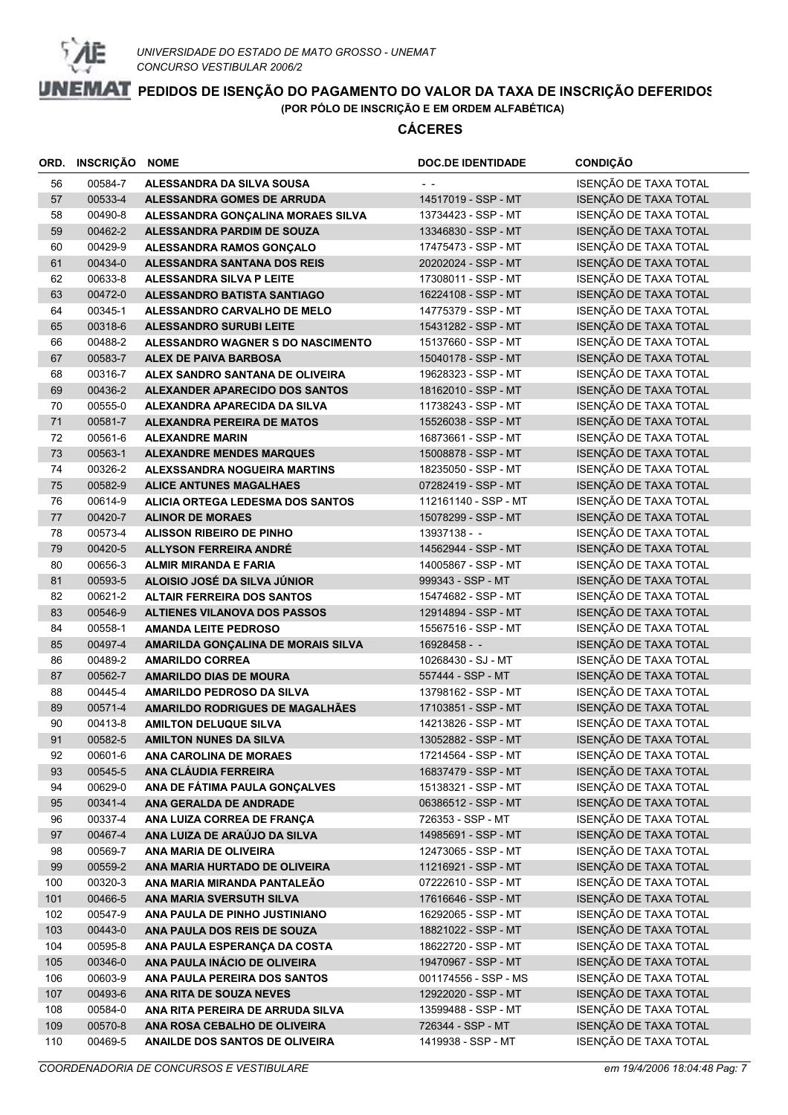

|          | ORD. INSCRIÇÃO     | <b>NOME</b>                                                  | <b>DOC.DE IDENTIDADE</b>                | <b>CONDIÇÃO</b>                                |
|----------|--------------------|--------------------------------------------------------------|-----------------------------------------|------------------------------------------------|
| 56       | 00584-7            | ALESSANDRA DA SILVA SOUSA                                    |                                         | ISENÇÃO DE TAXA TOTAL                          |
| 57       | 00533-4            | ALESSANDRA GOMES DE ARRUDA                                   | 14517019 - SSP - MT                     | ISENÇÃO DE TAXA TOTAL                          |
| 58       | 00490-8            | ALESSANDRA GONÇALINA MORAES SILVA                            | 13734423 - SSP - MT                     | ISENÇÃO DE TAXA TOTAL                          |
| 59       | 00462-2            | ALESSANDRA PARDIM DE SOUZA                                   | 13346830 - SSP - MT                     | ISENÇÃO DE TAXA TOTAL                          |
| 60       | 00429-9            | ALESSANDRA RAMOS GONÇALO                                     | 17475473 - SSP - MT                     | ISENÇÃO DE TAXA TOTAL                          |
| 61       | 00434-0            | ALESSANDRA SANTANA DOS REIS                                  | 20202024 - SSP - MT                     | ISENÇÃO DE TAXA TOTAL                          |
| 62       | 00633-8            | ALESSANDRA SILVA P LEITE                                     | 17308011 - SSP - MT                     | ISENÇÃO DE TAXA TOTAL                          |
| 63       | 00472-0            | ALESSANDRO BATISTA SANTIAGO                                  | 16224108 - SSP - MT                     | ISENÇÃO DE TAXA TOTAL                          |
| 64       | 00345-1            | ALESSANDRO CARVALHO DE MELO                                  | 14775379 - SSP - MT                     | ISENÇÃO DE TAXA TOTAL                          |
| 65       | 00318-6            | <b>ALESSANDRO SURUBI LEITE</b>                               | 15431282 - SSP - MT                     | ISENÇÃO DE TAXA TOTAL                          |
| 66       | 00488-2            | ALESSANDRO WAGNER S DO NASCIMENTO                            | 15137660 - SSP - MT                     | ISENÇÃO DE TAXA TOTAL                          |
| 67       | 00583-7            | <b>ALEX DE PAIVA BARBOSA</b>                                 | 15040178 - SSP - MT                     | ISENÇÃO DE TAXA TOTAL                          |
| 68       | 00316-7            | ALEX SANDRO SANTANA DE OLIVEIRA                              | 19628323 - SSP - MT                     | ISENÇÃO DE TAXA TOTAL                          |
| 69       | 00436-2            | ALEXANDER APARECIDO DOS SANTOS                               | 18162010 - SSP - MT                     | ISENÇÃO DE TAXA TOTAL                          |
| 70       | 00555-0            | ALEXANDRA APARECIDA DA SILVA                                 | 11738243 - SSP - MT                     | ISENÇÃO DE TAXA TOTAL                          |
| 71       | 00581-7            | <b>ALEXANDRA PEREIRA DE MATOS</b>                            | 15526038 - SSP - MT                     | ISENÇÃO DE TAXA TOTAL                          |
| 72       | 00561-6            | <b>ALEXANDRE MARIN</b>                                       | 16873661 - SSP - MT                     | ISENÇÃO DE TAXA TOTAL                          |
| 73       | 00563-1            | <b>ALEXANDRE MENDES MARQUES</b>                              | 15008878 - SSP - MT                     | ISENÇÃO DE TAXA TOTAL                          |
| 74       | 00326-2            | ALEXSSANDRA NOGUEIRA MARTINS                                 | 18235050 - SSP - MT                     | ISENÇÃO DE TAXA TOTAL                          |
| 75       | 00582-9            | <b>ALICE ANTUNES MAGALHAES</b>                               | 07282419 - SSP - MT                     | ISENÇÃO DE TAXA TOTAL                          |
| 76       | 00614-9            | <b>ALICIA ORTEGA LEDESMA DOS SANTOS</b>                      | 112161140 - SSP - MT                    | ISENÇÃO DE TAXA TOTAL                          |
| 77       | 00420-7            | <b>ALINOR DE MORAES</b>                                      | 15078299 - SSP - MT                     | ISENÇÃO DE TAXA TOTAL                          |
| 78       | 00573-4            | <b>ALISSON RIBEIRO DE PINHO</b>                              | 13937138 - -                            | ISENÇÃO DE TAXA TOTAL                          |
| 79       | 00420-5            | <b>ALLYSON FERREIRA ANDRÉ</b>                                | 14562944 - SSP - MT                     | ISENÇÃO DE TAXA TOTAL                          |
| 80       | 00656-3            | <b>ALMIR MIRANDA E FARIA</b>                                 | 14005867 - SSP - MT                     | ISENÇÃO DE TAXA TOTAL                          |
| 81       | 00593-5            | ALOISIO JOSÉ DA SILVA JÚNIOR                                 | 999343 - SSP - MT                       | ISENÇÃO DE TAXA TOTAL                          |
| 82       | 00621-2            | <b>ALTAIR FERREIRA DOS SANTOS</b>                            | 15474682 - SSP - MT                     | ISENÇÃO DE TAXA TOTAL                          |
| 83       | 00546-9            | <b>ALTIENES VILANOVA DOS PASSOS</b>                          | 12914894 - SSP - MT                     | ISENÇÃO DE TAXA TOTAL                          |
| 84       | 00558-1            | <b>AMANDA LEITE PEDROSO</b>                                  | 15567516 - SSP - MT                     | ISENÇÃO DE TAXA TOTAL                          |
| 85       | 00497-4<br>00489-2 | AMARILDA GONÇALINA DE MORAIS SILVA<br><b>AMARILDO CORREA</b> | 16928458 - -                            | ISENÇÃO DE TAXA TOTAL<br>ISENÇÃO DE TAXA TOTAL |
| 86<br>87 | 00562-7            | <b>AMARILDO DIAS DE MOURA</b>                                | 10268430 - SJ - MT<br>557444 - SSP - MT | ISENÇÃO DE TAXA TOTAL                          |
| 88       | 00445-4            | AMARILDO PEDROSO DA SILVA                                    | 13798162 - SSP - MT                     | ISENÇÃO DE TAXA TOTAL                          |
| 89       | 00571-4            | AMARILDO RODRIGUES DE MAGALHÃES                              | 17103851 - SSP - MT                     | ISENÇÃO DE TAXA TOTAL                          |
| 90       | 00413-8            | <b>AMILTON DELUQUE SILVA</b>                                 | 14213826 - SSP - MT                     | ISENÇÃO DE TAXA TOTAL                          |
| 91       | 00582-5            | <b>AMILTON NUNES DA SILVA</b>                                | 13052882 - SSP - MT                     | ISENÇÃO DE TAXA TOTAL                          |
| 92       | 00601-6            | ANA CAROLINA DE MORAES                                       | 17214564 - SSP - MT                     | ISENÇÃO DE TAXA TOTAL                          |
| 93       | 00545-5            | ANA CLÁUDIA FERREIRA                                         | 16837479 - SSP - MT                     | ISENÇÃO DE TAXA TOTAL                          |
| 94       | 00629-0            | ANA DE FÁTIMA PAULA GONÇALVES                                | 15138321 - SSP - MT                     | ISENÇÃO DE TAXA TOTAL                          |
| 95       | 00341-4            | ANA GERALDA DE ANDRADE                                       | 06386512 - SSP - MT                     | ISENÇÃO DE TAXA TOTAL                          |
| 96       | 00337-4            | ANA LUIZA CORREA DE FRANÇA                                   | 726353 - SSP - MT                       | ISENÇÃO DE TAXA TOTAL                          |
| 97       | 00467-4            | ANA LUIZA DE ARAÚJO DA SILVA                                 | 14985691 - SSP - MT                     | ISENÇÃO DE TAXA TOTAL                          |
| 98       | 00569-7            | ANA MARIA DE OLIVEIRA                                        | 12473065 - SSP - MT                     | ISENÇÃO DE TAXA TOTAL                          |
| 99       | 00559-2            | ANA MARIA HURTADO DE OLIVEIRA                                | 11216921 - SSP - MT                     | ISENÇÃO DE TAXA TOTAL                          |
| 100      | 00320-3            | ANA MARIA MIRANDA PANTALEÃO                                  | 07222610 - SSP - MT                     | ISENÇÃO DE TAXA TOTAL                          |
| 101      | 00466-5            | ANA MARIA SVERSUTH SILVA                                     | 17616646 - SSP - MT                     | ISENÇÃO DE TAXA TOTAL                          |
| 102      | 00547-9            | ANA PAULA DE PINHO JUSTINIANO                                | 16292065 - SSP - MT                     | ISENÇÃO DE TAXA TOTAL                          |
| 103      | 00443-0            | ANA PAULA DOS REIS DE SOUZA                                  | 18821022 - SSP - MT                     | ISENÇÃO DE TAXA TOTAL                          |
| 104      | 00595-8            | ANA PAULA ESPERANÇA DA COSTA                                 | 18622720 - SSP - MT                     | ISENÇÃO DE TAXA TOTAL                          |
| 105      | 00346-0            | ANA PAULA INÁCIO DE OLIVEIRA                                 | 19470967 - SSP - MT                     | ISENÇÃO DE TAXA TOTAL                          |
| 106      | 00603-9            | ANA PAULA PEREIRA DOS SANTOS                                 | 001174556 - SSP - MS                    | ISENÇÃO DE TAXA TOTAL                          |
| 107      | 00493-6            | ANA RITA DE SOUZA NEVES                                      | 12922020 - SSP - MT                     | ISENÇÃO DE TAXA TOTAL                          |
| 108      | 00584-0            | ANA RITA PEREIRA DE ARRUDA SILVA                             | 13599488 - SSP - MT                     | ISENÇÃO DE TAXA TOTAL                          |
| 109      | 00570-8            | ANA ROSA CEBALHO DE OLIVEIRA                                 | 726344 - SSP - MT                       | ISENÇÃO DE TAXA TOTAL                          |
| 110      | 00469-5            | ANAILDE DOS SANTOS DE OLIVEIRA                               | 1419938 - SSP - MT                      | ISENÇÃO DE TAXA TOTAL                          |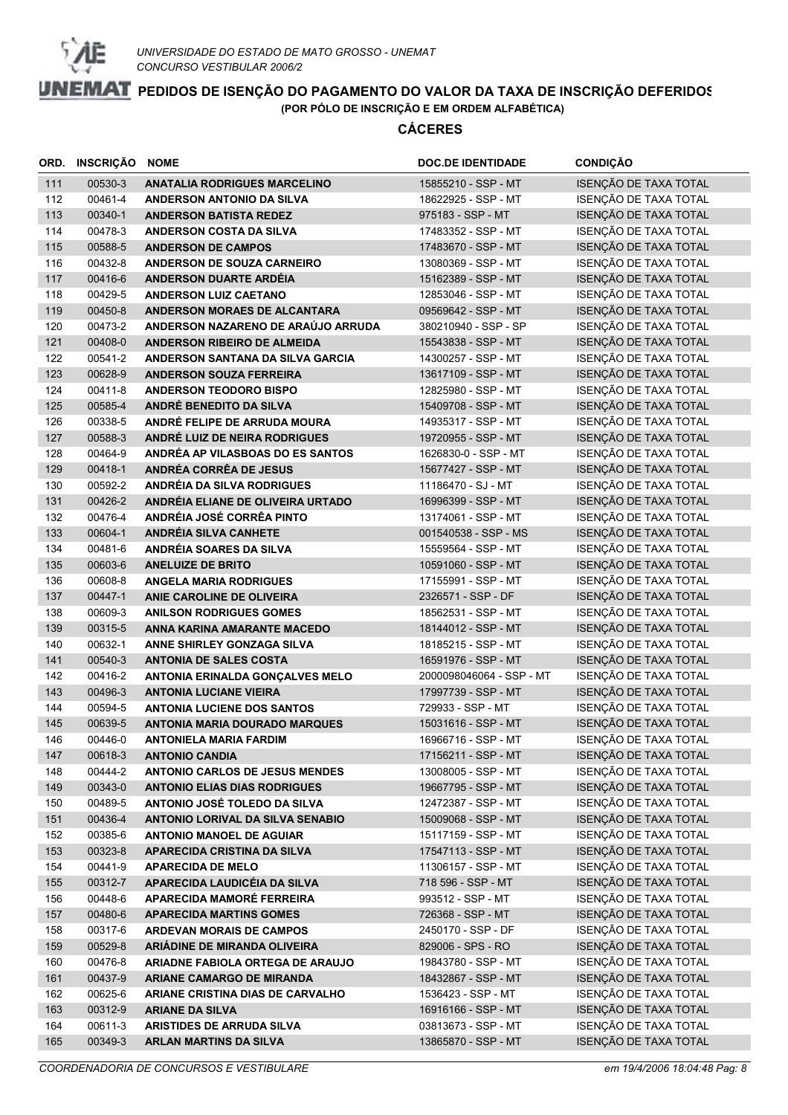

| ORD.       | INSCRIÇÃO          | <b>NOME</b>                                                                  | <b>DOC.DE IDENTIDADE</b>                   | <b>CONDIÇÃO</b>                                |
|------------|--------------------|------------------------------------------------------------------------------|--------------------------------------------|------------------------------------------------|
| 111        | 00530-3            | <b>ANATALIA RODRIGUES MARCELINO</b>                                          | 15855210 - SSP - MT                        | ISENÇÃO DE TAXA TOTAL                          |
| 112        | 00461-4            | ANDERSON ANTONIO DA SILVA                                                    | 18622925 - SSP - MT                        | ISENÇÃO DE TAXA TOTAL                          |
| 113        | 00340-1            | <b>ANDERSON BATISTA REDEZ</b>                                                | 975183 - SSP - MT                          | ISENÇÃO DE TAXA TOTAL                          |
| 114        | 00478-3            | ANDERSON COSTA DA SILVA                                                      | 17483352 - SSP - MT                        | ISENÇÃO DE TAXA TOTAL                          |
| 115        | 00588-5            | <b>ANDERSON DE CAMPOS</b>                                                    | 17483670 - SSP - MT                        | ISENÇÃO DE TAXA TOTAL                          |
| 116        | 00432-8            | ANDERSON DE SOUZA CARNEIRO                                                   | 13080369 - SSP - MT                        | ISENÇÃO DE TAXA TOTAL                          |
| 117        | 00416-6            | ANDERSON DUARTE ARDÉIA                                                       | 15162389 - SSP - MT                        | ISENÇÃO DE TAXA TOTAL                          |
| 118        | 00429-5            | <b>ANDERSON LUIZ CAETANO</b>                                                 | 12853046 - SSP - MT                        | ISENÇÃO DE TAXA TOTAL                          |
| 119        | 00450-8            | ANDERSON MORAES DE ALCANTARA                                                 | 09569642 - SSP - MT                        | ISENÇÃO DE TAXA TOTAL                          |
| 120        | 00473-2            | ANDERSON NAZARENO DE ARAÚJO ARRUDA                                           | 380210940 - SSP - SP                       | ISENÇÃO DE TAXA TOTAL                          |
| 121        | 00408-0            | ANDERSON RIBEIRO DE ALMEIDA                                                  | 15543838 - SSP - MT                        | ISENÇÃO DE TAXA TOTAL                          |
| 122        | 00541-2            | ANDERSON SANTANA DA SILVA GARCIA                                             | 14300257 - SSP - MT                        | ISENÇÃO DE TAXA TOTAL                          |
| 123        | 00628-9            | <b>ANDERSON SOUZA FERREIRA</b>                                               | 13617109 - SSP - MT                        | ISENÇÃO DE TAXA TOTAL                          |
| 124        | 00411-8            | <b>ANDERSON TEODORO BISPO</b>                                                | 12825980 - SSP - MT                        | ISENÇÃO DE TAXA TOTAL                          |
| 125        | 00585-4            | ANDRÉ BENEDITO DA SILVA                                                      | 15409708 - SSP - MT                        | ISENÇÃO DE TAXA TOTAL                          |
| 126        | 00338-5            | ANDRÉ FELIPE DE ARRUDA MOURA                                                 | 14935317 - SSP - MT                        | ISENÇÃO DE TAXA TOTAL                          |
| 127        | 00588-3            | ANDRÉ LUIZ DE NEIRA RODRIGUES                                                | 19720955 - SSP - MT                        | ISENÇÃO DE TAXA TOTAL                          |
| 128        | 00464-9            | ANDRÉA AP VILASBOAS DO ES SANTOS                                             | 1626830-0 - SSP - MT                       | ISENÇÃO DE TAXA TOTAL                          |
| 129        | 00418-1            | <b>ANDRÉA CORRÊA DE JESUS</b>                                                | 15677427 - SSP - MT                        | ISENÇÃO DE TAXA TOTAL                          |
| 130        | 00592-2            | ANDRÉIA DA SILVA RODRIGUES                                                   | 11186470 - SJ - MT                         | ISENÇÃO DE TAXA TOTAL                          |
| 131        | 00426-2            | ANDRÉIA ELIANE DE OLIVEIRA URTADO                                            | 16996399 - SSP - MT                        | ISENÇÃO DE TAXA TOTAL                          |
| 132        | 00476-4            | ANDRÉIA JOSÉ CORRÊA PINTO                                                    | 13174061 - SSP - MT                        | ISENÇÃO DE TAXA TOTAL                          |
| 133        | 00604-1            | <b>ANDRÉIA SILVA CANHETE</b>                                                 | 001540538 - SSP - MS                       | ISENÇÃO DE TAXA TOTAL                          |
| 134        | 00481-6            | ANDRÉIA SOARES DA SILVA                                                      | 15559564 - SSP - MT                        | ISENÇÃO DE TAXA TOTAL                          |
| 135        | 00603-6            | <b>ANELUIZE DE BRITO</b>                                                     | 10591060 - SSP - MT                        | ISENÇÃO DE TAXA TOTAL                          |
| 136        | 00608-8            | <b>ANGELA MARIA RODRIGUES</b>                                                | 17155991 - SSP - MT                        | ISENÇÃO DE TAXA TOTAL                          |
| 137        | 00447-1            | ANIE CAROLINE DE OLIVEIRA                                                    | 2326571 - SSP - DF                         | ISENÇÃO DE TAXA TOTAL                          |
| 138        | 00609-3            | <b>ANILSON RODRIGUES GOMES</b>                                               | 18562531 - SSP - MT                        | ISENÇÃO DE TAXA TOTAL                          |
| 139        | 00315-5            | ANNA KARINA AMARANTE MACEDO                                                  | 18144012 - SSP - MT                        | ISENÇÃO DE TAXA TOTAL                          |
| 140        | 00632-1            | ANNE SHIRLEY GONZAGA SILVA                                                   | 18185215 - SSP - MT                        | ISENÇÃO DE TAXA TOTAL                          |
| 141        | 00540-3            | <b>ANTONIA DE SALES COSTA</b>                                                | 16591976 - SSP - MT                        | ISENÇÃO DE TAXA TOTAL                          |
| 142        | 00416-2            | ANTONIA ERINALDA GONÇALVES MELO                                              | 2000098046064 - SSP - MT                   | ISENÇÃO DE TAXA TOTAL                          |
| 143        | 00496-3            | <b>ANTONIA LUCIANE VIEIRA</b>                                                | 17997739 - SSP - MT                        | ISENÇÃO DE TAXA TOTAL                          |
| 144        | 00594-5            | <b>ANTONIA LUCIENE DOS SANTOS</b>                                            | 729933 - SSP - MT                          | ISENÇÃO DE TAXA TOTAL                          |
| 145        | 00639-5            | <b>ANTONIA MARIA DOURADO MARQUES</b>                                         | 15031616 - SSP - MT                        | ISENÇÃO DE TAXA TOTAL<br>ISENÇÃO DE TAXA TOTAL |
| 146        | 00446-0            | <b>ANTONIELA MARIA FARDIM</b>                                                | 16966716 - SSP - MT                        |                                                |
| 147        | 00618-3            | <b>ANTONIO CANDIA</b>                                                        | 17156211 - SSP - MT                        | ISENÇÃO DE TAXA TOTAL<br>ISENÇÃO DE TAXA TOTAL |
| 148<br>149 | 00444-2<br>00343-0 | <b>ANTONIO CARLOS DE JESUS MENDES</b><br><b>ANTONIO ELIAS DIAS RODRIGUES</b> | 13008005 - SSP - MT<br>19667795 - SSP - MT | ISENÇÃO DE TAXA TOTAL                          |
| 150        | 00489-5            | ANTONIO JOSÉ TOLEDO DA SILVA                                                 | 12472387 - SSP - MT                        | ISENÇÃO DE TAXA TOTAL                          |
| 151        | 00436-4            | <b>ANTONIO LORIVAL DA SILVA SENABIO</b>                                      | 15009068 - SSP - MT                        | ISENÇÃO DE TAXA TOTAL                          |
| 152        | 00385-6            | <b>ANTONIO MANOEL DE AGUIAR</b>                                              | 15117159 - SSP - MT                        | ISENÇÃO DE TAXA TOTAL                          |
| 153        | 00323-8            | <b>APARECIDA CRISTINA DA SILVA</b>                                           | 17547113 - SSP - MT                        | ISENÇÃO DE TAXA TOTAL                          |
| 154        | 00441-9            | <b>APARECIDA DE MELO</b>                                                     | 11306157 - SSP - MT                        | ISENÇÃO DE TAXA TOTAL                          |
| 155        | 00312-7            | APARECIDA LAUDICÉIA DA SILVA                                                 | 718 596 - SSP - MT                         | ISENÇÃO DE TAXA TOTAL                          |
| 156        | 00448-6            | APARECIDA MAMORÉ FERREIRA                                                    | 993512 - SSP - MT                          | ISENÇÃO DE TAXA TOTAL                          |
| 157        | 00480-6            | <b>APARECIDA MARTINS GOMES</b>                                               | 726368 - SSP - MT                          | ISENÇÃO DE TAXA TOTAL                          |
| 158        | 00317-6            | <b>ARDEVAN MORAIS DE CAMPOS</b>                                              | 2450170 - SSP - DF                         | ISENÇÃO DE TAXA TOTAL                          |
| 159        | 00529-8            | ARIÁDINE DE MIRANDA OLIVEIRA                                                 | 829006 - SPS - RO                          | ISENÇÃO DE TAXA TOTAL                          |
| 160        | 00476-8            | ARIADNE FABIOLA ORTEGA DE ARAUJO                                             | 19843780 - SSP - MT                        | ISENÇÃO DE TAXA TOTAL                          |
| 161        | 00437-9            | <b>ARIANE CAMARGO DE MIRANDA</b>                                             | 18432867 - SSP - MT                        | ISENÇÃO DE TAXA TOTAL                          |
| 162        | 00625-6            | ARIANE CRISTINA DIAS DE CARVALHO                                             | 1536423 - SSP - MT                         | ISENÇÃO DE TAXA TOTAL                          |
| 163        | 00312-9            | <b>ARIANE DA SILVA</b>                                                       | 16916166 - SSP - MT                        | ISENÇÃO DE TAXA TOTAL                          |
| 164        | 00611-3            | ARISTIDES DE ARRUDA SILVA                                                    | 03813673 - SSP - MT                        | ISENÇÃO DE TAXA TOTAL                          |
| 165        | 00349-3            | <b>ARLAN MARTINS DA SILVA</b>                                                | 13865870 - SSP - MT                        | ISENÇÃO DE TAXA TOTAL                          |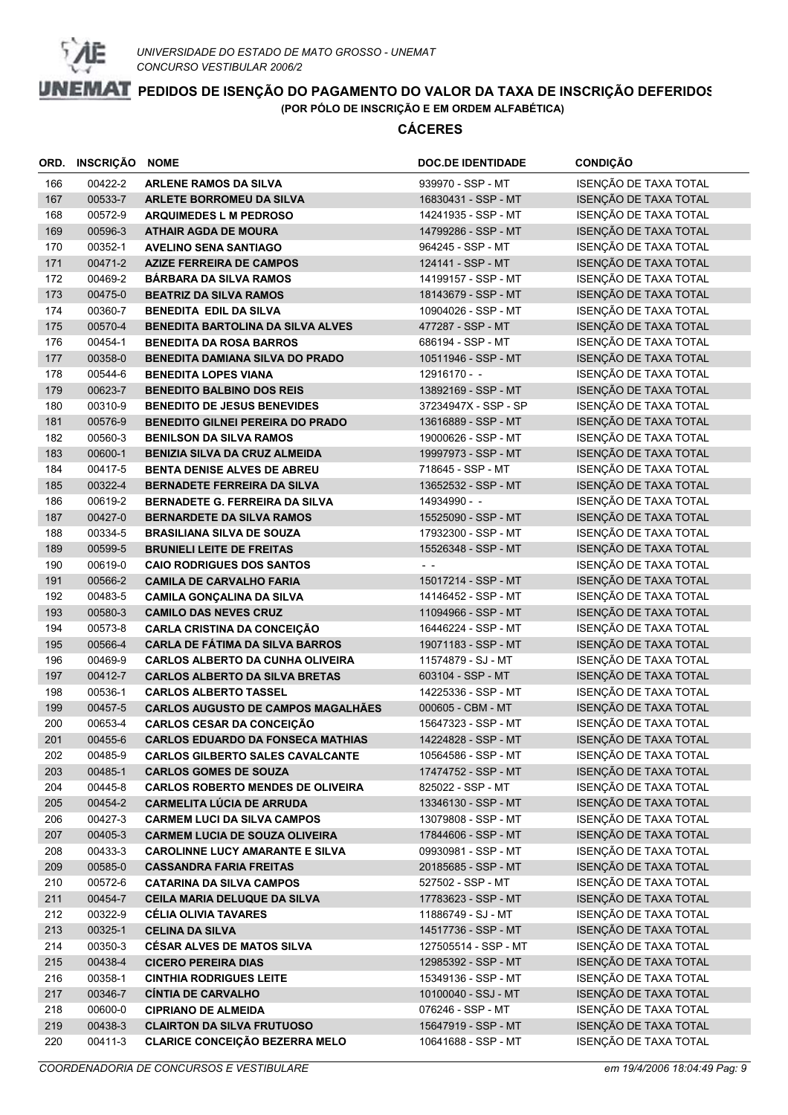

|     | ORD. INSCRIÇÃO | <b>NOME</b>                               | <b>DOC.DE IDENTIDADE</b> | <b>CONDIÇÃO</b>       |
|-----|----------------|-------------------------------------------|--------------------------|-----------------------|
| 166 | 00422-2        | <b>ARLENE RAMOS DA SILVA</b>              | 939970 - SSP - MT        | ISENÇÃO DE TAXA TOTAL |
| 167 | 00533-7        | <b>ARLETE BORROMEU DA SILVA</b>           | 16830431 - SSP - MT      | ISENÇÃO DE TAXA TOTAL |
| 168 | 00572-9        | <b>ARQUIMEDES L M PEDROSO</b>             | 14241935 - SSP - MT      | ISENÇÃO DE TAXA TOTAL |
| 169 | 00596-3        | <b>ATHAIR AGDA DE MOURA</b>               | 14799286 - SSP - MT      | ISENÇÃO DE TAXA TOTAL |
| 170 | 00352-1        | <b>AVELINO SENA SANTIAGO</b>              | 964245 - SSP - MT        | ISENÇÃO DE TAXA TOTAL |
| 171 | 00471-2        | <b>AZIZE FERREIRA DE CAMPOS</b>           | 124141 - SSP - MT        | ISENÇÃO DE TAXA TOTAL |
| 172 | 00469-2        | <b>BARBARA DA SILVA RAMOS</b>             | 14199157 - SSP - MT      | ISENÇÃO DE TAXA TOTAL |
| 173 | 00475-0        | <b>BEATRIZ DA SILVA RAMOS</b>             | 18143679 - SSP - MT      | ISENÇÃO DE TAXA TOTAL |
| 174 | 00360-7        | <b>BENEDITA EDIL DA SILVA</b>             | 10904026 - SSP - MT      | ISENÇÃO DE TAXA TOTAL |
| 175 | 00570-4        | <b>BENEDITA BARTOLINA DA SILVA ALVES</b>  | 477287 - SSP - MT        | ISENÇÃO DE TAXA TOTAL |
| 176 | 00454-1        | <b>BENEDITA DA ROSA BARROS</b>            | 686194 - SSP - MT        | ISENÇÃO DE TAXA TOTAL |
| 177 | 00358-0        | <b>BENEDITA DAMIANA SILVA DO PRADO</b>    | 10511946 - SSP - MT      | ISENÇÃO DE TAXA TOTAL |
| 178 | 00544-6        | <b>BENEDITA LOPES VIANA</b>               | 12916170 - -             | ISENÇÃO DE TAXA TOTAL |
| 179 | 00623-7        | <b>BENEDITO BALBINO DOS REIS</b>          | 13892169 - SSP - MT      | ISENÇÃO DE TAXA TOTAL |
| 180 | 00310-9        | <b>BENEDITO DE JESUS BENEVIDES</b>        | 37234947X - SSP - SP     | ISENÇÃO DE TAXA TOTAL |
| 181 | 00576-9        | <b>BENEDITO GILNEI PEREIRA DO PRADO</b>   | 13616889 - SSP - MT      | ISENÇÃO DE TAXA TOTAL |
| 182 | 00560-3        | <b>BENILSON DA SILVA RAMOS</b>            | 19000626 - SSP - MT      | ISENÇÃO DE TAXA TOTAL |
| 183 | 00600-1        | <b>BENIZIA SILVA DA CRUZ ALMEIDA</b>      | 19997973 - SSP - MT      | ISENÇÃO DE TAXA TOTAL |
| 184 | 00417-5        | <b>BENTA DENISE ALVES DE ABREU</b>        | 718645 - SSP - MT        | ISENÇÃO DE TAXA TOTAL |
| 185 | 00322-4        | <b>BERNADETE FERREIRA DA SILVA</b>        | 13652532 - SSP - MT      | ISENÇÃO DE TAXA TOTAL |
| 186 | 00619-2        | BERNADETE G. FERREIRA DA SILVA            | 14934990 - -             | ISENÇÃO DE TAXA TOTAL |
| 187 | 00427-0        | <b>BERNARDETE DA SILVA RAMOS</b>          | 15525090 - SSP - MT      | ISENÇÃO DE TAXA TOTAL |
| 188 | 00334-5        | <b>BRASILIANA SILVA DE SOUZA</b>          | 17932300 - SSP - MT      | ISENÇÃO DE TAXA TOTAL |
| 189 | 00599-5        | <b>BRUNIELI LEITE DE FREITAS</b>          | 15526348 - SSP - MT      | ISENÇÃO DE TAXA TOTAL |
| 190 | 00619-0        | <b>CAIO RODRIGUES DOS SANTOS</b>          | $\sim$ $\sim$            | ISENÇÃO DE TAXA TOTAL |
| 191 | 00566-2        | <b>CAMILA DE CARVALHO FARIA</b>           | 15017214 - SSP - MT      | ISENÇÃO DE TAXA TOTAL |
| 192 | 00483-5        | <b>CAMILA GONÇALINA DA SILVA</b>          | 14146452 - SSP - MT      | ISENÇÃO DE TAXA TOTAL |
| 193 | 00580-3        | <b>CAMILO DAS NEVES CRUZ</b>              | 11094966 - SSP - MT      | ISENÇÃO DE TAXA TOTAL |
| 194 | 00573-8        | <b>CARLA CRISTINA DA CONCEIÇÃO</b>        | 16446224 - SSP - MT      | ISENÇÃO DE TAXA TOTAL |
| 195 | 00566-4        | <b>CARLA DE FÁTIMA DA SILVA BARROS</b>    | 19071183 - SSP - MT      | ISENÇÃO DE TAXA TOTAL |
| 196 | 00469-9        | <b>CARLOS ALBERTO DA CUNHA OLIVEIRA</b>   | 11574879 - SJ - MT       | ISENÇÃO DE TAXA TOTAL |
| 197 | 00412-7        | <b>CARLOS ALBERTO DA SILVA BRETAS</b>     | 603104 - SSP - MT        | ISENÇÃO DE TAXA TOTAL |
| 198 | 00536-1        | <b>CARLOS ALBERTO TASSEL</b>              | 14225336 - SSP - MT      | ISENÇÃO DE TAXA TOTAL |
| 199 | 00457-5        | <b>CARLOS AUGUSTO DE CAMPOS MAGALHÃES</b> | 000605 - CBM - MT        | ISENÇÃO DE TAXA TOTAL |
| 200 | 00653-4        | <b>CARLOS CESAR DA CONCEIÇÃO</b>          | 15647323 - SSP - MT      | ISENÇÃO DE TAXA TOTAL |
| 201 | 00455-6        | <b>CARLOS EDUARDO DA FONSECA MATHIAS</b>  | 14224828 - SSP - MT      | ISENÇÃO DE TAXA TOTAL |
| 202 | 00485-9        | <b>CARLOS GILBERTO SALES CAVALCANTE</b>   | 10564586 - SSP - MT      | ISENÇÃO DE TAXA TOTAL |
| 203 | 00485-1        | <b>CARLOS GOMES DE SOUZA</b>              | 17474752 - SSP - MT      | ISENÇÃO DE TAXA TOTAL |
| 204 | 00445-8        | <b>CARLOS ROBERTO MENDES DE OLIVEIRA</b>  | 825022 - SSP - MT        | ISENÇÃO DE TAXA TOTAL |
| 205 | 00454-2        | <b>CARMELITA LÚCIA DE ARRUDA</b>          | 13346130 - SSP - MT      | ISENÇÃO DE TAXA TOTAL |
| 206 | 00427-3        | <b>CARMEM LUCI DA SILVA CAMPOS</b>        | 13079808 - SSP - MT      | ISENÇÃO DE TAXA TOTAL |
| 207 | 00405-3        | <b>CARMEM LUCIA DE SOUZA OLIVEIRA</b>     | 17844606 - SSP - MT      | ISENÇÃO DE TAXA TOTAL |
| 208 | 00433-3        | <b>CAROLINNE LUCY AMARANTE E SILVA</b>    | 09930981 - SSP - MT      | ISENÇÃO DE TAXA TOTAL |
| 209 | 00585-0        | <b>CASSANDRA FARIA FREITAS</b>            | 20185685 - SSP - MT      | ISENÇÃO DE TAXA TOTAL |
| 210 | 00572-6        | <b>CATARINA DA SILVA CAMPOS</b>           | 527502 - SSP - MT        | ISENÇÃO DE TAXA TOTAL |
| 211 | 00454-7        | CEILA MARIA DELUQUE DA SILVA              | 17783623 - SSP - MT      | ISENÇÃO DE TAXA TOTAL |
| 212 | 00322-9        | <b>CÉLIA OLIVIA TAVARES</b>               | 11886749 - SJ - MT       | ISENÇÃO DE TAXA TOTAL |
| 213 | 00325-1        | <b>CELINA DA SILVA</b>                    | 14517736 - SSP - MT      | ISENÇÃO DE TAXA TOTAL |
| 214 | 00350-3        | <b>CÉSAR ALVES DE MATOS SILVA</b>         | 127505514 - SSP - MT     | ISENÇÃO DE TAXA TOTAL |
| 215 | 00438-4        | <b>CICERO PEREIRA DIAS</b>                | 12985392 - SSP - MT      | ISENÇÃO DE TAXA TOTAL |
| 216 | 00358-1        | <b>CINTHIA RODRIGUES LEITE</b>            | 15349136 - SSP - MT      | ISENÇÃO DE TAXA TOTAL |
| 217 | 00346-7        | <b>CÍNTIA DE CARVALHO</b>                 | 10100040 - SSJ - MT      | ISENÇÃO DE TAXA TOTAL |
| 218 | 00600-0        | <b>CIPRIANO DE ALMEIDA</b>                | 076246 - SSP - MT        | ISENÇÃO DE TAXA TOTAL |
| 219 | 00438-3        | <b>CLAIRTON DA SILVA FRUTUOSO</b>         | 15647919 - SSP - MT      | ISENÇÃO DE TAXA TOTAL |
| 220 | 00411-3        | <b>CLARICE CONCEIÇÃO BEZERRA MELO</b>     | 10641688 - SSP - MT      | ISENÇÃO DE TAXA TOTAL |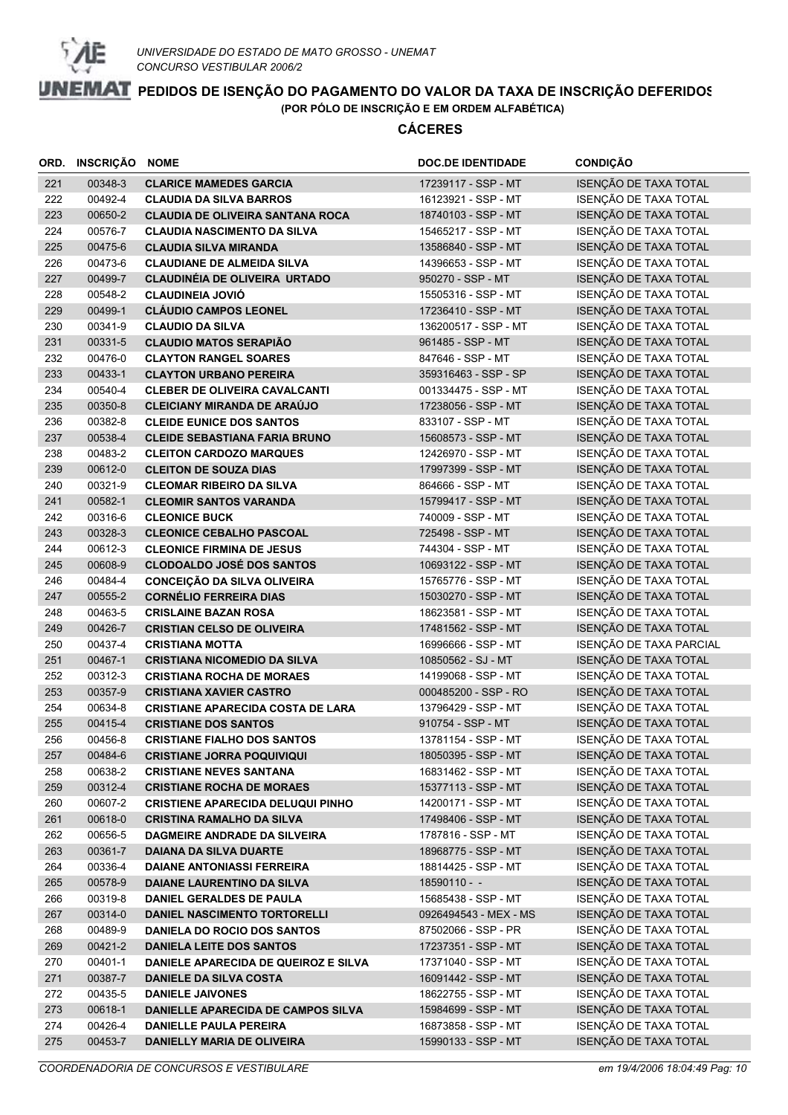

|            | ORD. INSCRIÇÃO     | <b>NOME</b>                                                             | <b>DOC.DE IDENTIDADE</b>                  | <b>CONDIÇÃO</b>                                |
|------------|--------------------|-------------------------------------------------------------------------|-------------------------------------------|------------------------------------------------|
| 221        | 00348-3            | <b>CLARICE MAMEDES GARCIA</b>                                           | 17239117 - SSP - MT                       | ISENÇÃO DE TAXA TOTAL                          |
| 222        | 00492-4            | <b>CLAUDIA DA SILVA BARROS</b>                                          | 16123921 - SSP - MT                       | ISENÇÃO DE TAXA TOTAL                          |
| 223        | 00650-2            | <b>CLAUDIA DE OLIVEIRA SANTANA ROCA</b>                                 | 18740103 - SSP - MT                       | ISENÇÃO DE TAXA TOTAL                          |
| 224        | 00576-7            | <b>CLAUDIA NASCIMENTO DA SILVA</b>                                      | 15465217 - SSP - MT                       | ISENÇÃO DE TAXA TOTAL                          |
| 225        | 00475-6            | <b>CLAUDIA SILVA MIRANDA</b>                                            | 13586840 - SSP - MT                       | ISENÇÃO DE TAXA TOTAL                          |
| 226        | 00473-6            | <b>CLAUDIANE DE ALMEIDA SILVA</b>                                       | 14396653 - SSP - MT                       | ISENÇÃO DE TAXA TOTAL                          |
| 227        | 00499-7            | <b>CLAUDINÉIA DE OLIVEIRA URTADO</b>                                    | 950270 - SSP - MT                         | ISENÇÃO DE TAXA TOTAL                          |
| 228        | 00548-2            | <b>CLAUDINEIA JOVIÓ</b>                                                 | 15505316 - SSP - MT                       | ISENÇÃO DE TAXA TOTAL                          |
| 229        | 00499-1            | <b>CLÁUDIO CAMPOS LEONEL</b>                                            | 17236410 - SSP - MT                       | ISENÇÃO DE TAXA TOTAL                          |
| 230        | 00341-9            | <b>CLAUDIO DA SILVA</b>                                                 | 136200517 - SSP - MT                      | ISENÇÃO DE TAXA TOTAL                          |
| 231        | 00331-5            | <b>CLAUDIO MATOS SERAPIÃO</b>                                           | 961485 - SSP - MT                         | ISENÇÃO DE TAXA TOTAL                          |
| 232        | 00476-0            | <b>CLAYTON RANGEL SOARES</b>                                            | 847646 - SSP - MT                         | ISENÇÃO DE TAXA TOTAL                          |
| 233        | 00433-1            | <b>CLAYTON URBANO PEREIRA</b>                                           | 359316463 - SSP - SP                      | ISENÇÃO DE TAXA TOTAL                          |
| 234        | 00540-4            | <b>CLEBER DE OLIVEIRA CAVALCANTI</b>                                    | 001334475 - SSP - MT                      | ISENÇÃO DE TAXA TOTAL                          |
| 235        | 00350-8            | <b>CLEICIANY MIRANDA DE ARAÚJO</b>                                      | 17238056 - SSP - MT                       | ISENÇÃO DE TAXA TOTAL                          |
| 236        | 00382-8            | <b>CLEIDE EUNICE DOS SANTOS</b>                                         | 833107 - SSP - MT                         | ISENÇÃO DE TAXA TOTAL                          |
| 237        | 00538-4            | <b>CLEIDE SEBASTIANA FARIA BRUNO</b>                                    | 15608573 - SSP - MT                       | ISENÇÃO DE TAXA TOTAL                          |
| 238        | 00483-2            | <b>CLEITON CARDOZO MARQUES</b>                                          | 12426970 - SSP - MT                       | ISENÇÃO DE TAXA TOTAL                          |
| 239        | 00612-0            | <b>CLEITON DE SOUZA DIAS</b>                                            | 17997399 - SSP - MT                       | ISENÇÃO DE TAXA TOTAL                          |
| 240        | 00321-9            | <b>CLEOMAR RIBEIRO DA SILVA</b>                                         | 864666 - SSP - MT                         | ISENÇÃO DE TAXA TOTAL                          |
| 241        | 00582-1            | <b>CLEOMIR SANTOS VARANDA</b>                                           | 15799417 - SSP - MT                       | ISENÇÃO DE TAXA TOTAL                          |
| 242        | 00316-6            | <b>CLEONICE BUCK</b>                                                    | 740009 - SSP - MT                         | ISENÇÃO DE TAXA TOTAL                          |
| 243        | 00328-3            | <b>CLEONICE CEBALHO PASCOAL</b>                                         | 725498 - SSP - MT                         | ISENÇÃO DE TAXA TOTAL                          |
| 244        | 00612-3            | <b>CLEONICE FIRMINA DE JESUS</b>                                        | 744304 - SSP - MT                         | ISENÇÃO DE TAXA TOTAL                          |
| 245        | 00608-9            | <b>CLODOALDO JOSÉ DOS SANTOS</b>                                        | 10693122 - SSP - MT                       | ISENÇÃO DE TAXA TOTAL                          |
| 246        | 00484-4            | <b>CONCEIÇÃO DA SILVA OLIVEIRA</b>                                      | 15765776 - SSP - MT                       | ISENÇÃO DE TAXA TOTAL                          |
| 247        | 00555-2            | <b>CORNÉLIO FERREIRA DIAS</b>                                           | 15030270 - SSP - MT                       | ISENÇÃO DE TAXA TOTAL                          |
| 248        | 00463-5            | <b>CRISLAINE BAZAN ROSA</b>                                             | 18623581 - SSP - MT                       | ISENÇÃO DE TAXA TOTAL                          |
| 249        | 00426-7            | <b>CRISTIAN CELSO DE OLIVEIRA</b>                                       | 17481562 - SSP - MT                       | ISENÇÃO DE TAXA TOTAL                          |
| 250        | 00437-4            | <b>CRISTIANA MOTTA</b>                                                  | 16996666 - SSP - MT                       | ISENÇÃO DE TAXA PARCIAL                        |
| 251<br>252 | 00467-1<br>00312-3 | <b>CRISTIANA NICOMEDIO DA SILVA</b><br><b>CRISTIANA ROCHA DE MORAES</b> | 10850562 - SJ - MT<br>14199068 - SSP - MT | ISENÇÃO DE TAXA TOTAL<br>ISENÇÃO DE TAXA TOTAL |
| 253        | 00357-9            | <b>CRISTIANA XAVIER CASTRO</b>                                          | 000485200 - SSP - RO                      | ISENÇÃO DE TAXA TOTAL                          |
| 254        | 00634-8            | <b>CRISTIANE APARECIDA COSTA DE LARA</b>                                | 13796429 - SSP - MT                       | ISENÇÃO DE TAXA TOTAL                          |
| 255        | 00415-4            | <b>CRISTIANE DOS SANTOS</b>                                             | 910754 - SSP - MT                         | ISENÇÃO DE TAXA TOTAL                          |
| 256        | 00456-8            | <b>CRISTIANE FIALHO DOS SANTOS</b>                                      | 13781154 - SSP - MT                       | ISENÇÃO DE TAXA TOTAL                          |
| 257        | 00484-6            | <b>CRISTIANE JORRA POQUIVIQUI</b>                                       | 18050395 - SSP - MT                       | ISENÇÃO DE TAXA TOTAL                          |
| 258        | 00638-2            | <b>CRISTIANE NEVES SANTANA</b>                                          | 16831462 - SSP - MT                       | ISENÇÃO DE TAXA TOTAL                          |
| 259        | 00312-4            | <b>CRISTIANE ROCHA DE MORAES</b>                                        | 15377113 - SSP - MT                       | ISENÇÃO DE TAXA TOTAL                          |
| 260        | 00607-2            | <b>CRISTIENE APARECIDA DELUQUI PINHO</b>                                | 14200171 - SSP - MT                       | ISENÇÃO DE TAXA TOTAL                          |
| 261        | 00618-0            | <b>CRISTINA RAMALHO DA SILVA</b>                                        | 17498406 - SSP - MT                       | ISENÇÃO DE TAXA TOTAL                          |
| 262        | 00656-5            | DAGMEIRE ANDRADE DA SILVEIRA                                            | 1787816 - SSP - MT                        | ISENÇÃO DE TAXA TOTAL                          |
| 263        | 00361-7            | <b>DAIANA DA SILVA DUARTE</b>                                           | 18968775 - SSP - MT                       | ISENÇÃO DE TAXA TOTAL                          |
| 264        | 00336-4            | <b>DAIANE ANTONIASSI FERREIRA</b>                                       | 18814425 - SSP - MT                       | ISENÇÃO DE TAXA TOTAL                          |
| 265        | 00578-9            | DAIANE LAURENTINO DA SILVA                                              | $18590110 -$                              | ISENÇÃO DE TAXA TOTAL                          |
| 266        | 00319-8            | DANIEL GERALDES DE PAULA                                                | 15685438 - SSP - MT                       | ISENÇÃO DE TAXA TOTAL                          |
| 267        | 00314-0            | DANIEL NASCIMENTO TORTORELLI                                            | 0926494543 - MEX - MS                     | ISENÇÃO DE TAXA TOTAL                          |
| 268        | 00489-9            | DANIELA DO ROCIO DOS SANTOS                                             | 87502066 - SSP - PR                       | ISENÇÃO DE TAXA TOTAL                          |
| 269        | 00421-2            | <b>DANIELA LEITE DOS SANTOS</b>                                         | 17237351 - SSP - MT                       | ISENÇÃO DE TAXA TOTAL                          |
| 270        | 00401-1            | DANIELE APARECIDA DE QUEIROZ E SILVA                                    | 17371040 - SSP - MT                       | ISENÇÃO DE TAXA TOTAL                          |
| 271        | 00387-7            | <b>DANIELE DA SILVA COSTA</b>                                           | 16091442 - SSP - MT                       | ISENÇÃO DE TAXA TOTAL                          |
| 272        | 00435-5            | <b>DANIELE JAIVONES</b>                                                 | 18622755 - SSP - MT                       | ISENÇÃO DE TAXA TOTAL                          |
| 273        | 00618-1            | DANIELLE APARECIDA DE CAMPOS SILVA                                      | 15984699 - SSP - MT                       | ISENÇÃO DE TAXA TOTAL                          |
| 274        | 00426-4            | <b>DANIELLE PAULA PEREIRA</b>                                           | 16873858 - SSP - MT                       | ISENÇÃO DE TAXA TOTAL                          |
| 275        | 00453-7            | <b>DANIELLY MARIA DE OLIVEIRA</b>                                       | 15990133 - SSP - MT                       | ISENÇÃO DE TAXA TOTAL                          |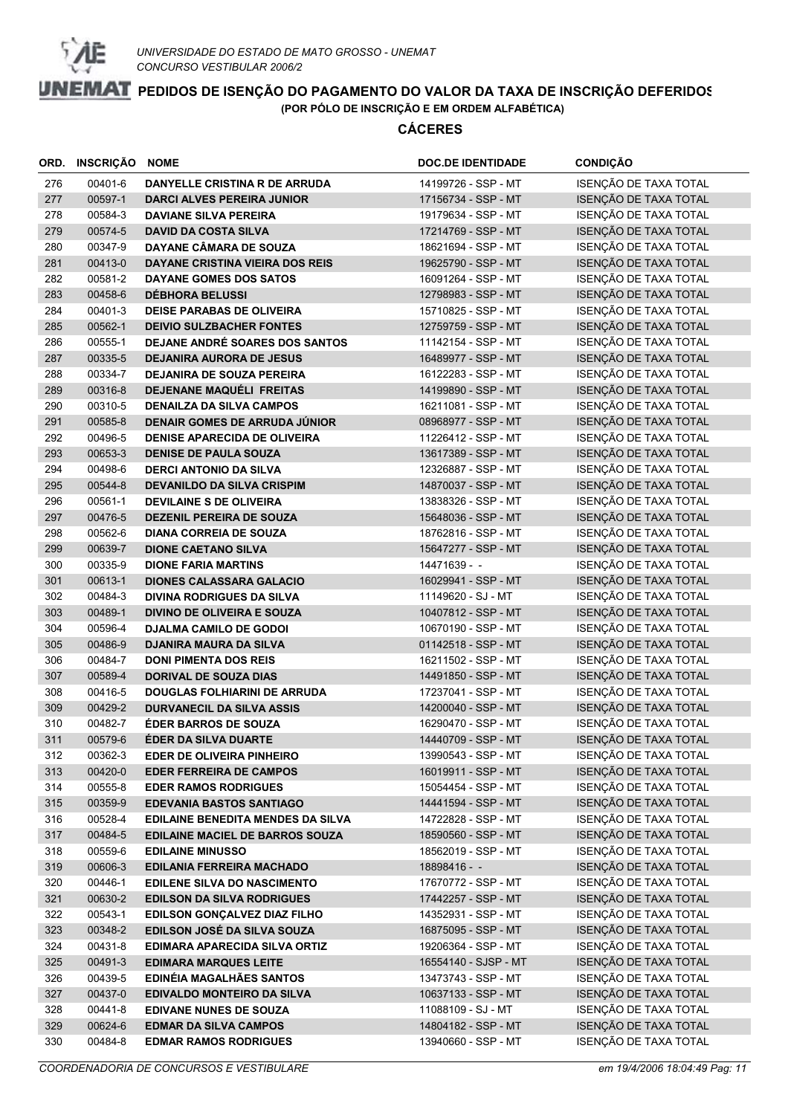

|            | ORD. INSCRIÇÃO NOME |                                                               | <b>DOC.DE IDENTIDADE</b>                   | <b>CONDIÇÃO</b>                                |
|------------|---------------------|---------------------------------------------------------------|--------------------------------------------|------------------------------------------------|
| 276        | 00401-6             | DANYELLE CRISTINA R DE ARRUDA                                 | 14199726 - SSP - MT                        | ISENÇÃO DE TAXA TOTAL                          |
| 277        | 00597-1             | <b>DARCI ALVES PEREIRA JUNIOR</b>                             | 17156734 - SSP - MT                        | ISENÇÃO DE TAXA TOTAL                          |
| 278        | 00584-3             | <b>DAVIANE SILVA PEREIRA</b>                                  | 19179634 - SSP - MT                        | ISENÇÃO DE TAXA TOTAL                          |
| 279        | 00574-5             | <b>DAVID DA COSTA SILVA</b>                                   | 17214769 - SSP - MT                        | ISENÇÃO DE TAXA TOTAL                          |
| 280        | 00347-9             | DAYANE CÂMARA DE SOUZA                                        | 18621694 - SSP - MT                        | ISENÇÃO DE TAXA TOTAL                          |
| 281        | 00413-0             | <b>DAYANE CRISTINA VIEIRA DOS REIS</b>                        | 19625790 - SSP - MT                        | ISENÇÃO DE TAXA TOTAL                          |
| 282        | 00581-2             | DAYANE GOMES DOS SATOS                                        | 16091264 - SSP - MT                        | ISENÇÃO DE TAXA TOTAL                          |
| 283        | 00458-6             | <b>DÉBHORA BELUSSI</b>                                        | 12798983 - SSP - MT                        | ISENÇÃO DE TAXA TOTAL                          |
| 284        | 00401-3             | <b>DEISE PARABAS DE OLIVEIRA</b>                              | 15710825 - SSP - MT                        | ISENÇÃO DE TAXA TOTAL                          |
| 285        | 00562-1             | <b>DEIVIO SULZBACHER FONTES</b>                               | 12759759 - SSP - MT                        | ISENÇÃO DE TAXA TOTAL                          |
| 286        | 00555-1             | DEJANE ANDRÉ SOARES DOS SANTOS                                | 11142154 - SSP - MT                        | ISENÇÃO DE TAXA TOTAL                          |
| 287        | 00335-5             | <b>DEJANIRA AURORA DE JESUS</b>                               | 16489977 - SSP - MT                        | ISENÇÃO DE TAXA TOTAL                          |
| 288        | 00334-7             | <b>DEJANIRA DE SOUZA PEREIRA</b>                              | 16122283 - SSP - MT                        | ISENÇÃO DE TAXA TOTAL                          |
| 289        | 00316-8             | DEJENANE MAQUÉLI FREITAS                                      | 14199890 - SSP - MT                        | ISENÇÃO DE TAXA TOTAL                          |
| 290        | 00310-5             | <b>DENAILZA DA SILVA CAMPOS</b>                               | 16211081 - SSP - MT                        | ISENÇÃO DE TAXA TOTAL                          |
| 291        | 00585-8             | DENAIR GOMES DE ARRUDA JÚNIOR                                 | 08968977 - SSP - MT                        | ISENÇÃO DE TAXA TOTAL                          |
| 292        | 00496-5             | <b>DENISE APARECIDA DE OLIVEIRA</b>                           | 11226412 - SSP - MT                        | ISENÇÃO DE TAXA TOTAL                          |
| 293        | 00653-3             | <b>DENISE DE PAULA SOUZA</b>                                  | 13617389 - SSP - MT                        | ISENÇÃO DE TAXA TOTAL                          |
| 294        | 00498-6             | <b>DERCI ANTONIO DA SILVA</b>                                 | 12326887 - SSP - MT                        | ISENÇÃO DE TAXA TOTAL                          |
| 295        | 00544-8             | <b>DEVANILDO DA SILVA CRISPIM</b>                             | 14870037 - SSP - MT                        | ISENÇÃO DE TAXA TOTAL                          |
| 296        | 00561-1             | <b>DEVILAINE S DE OLIVEIRA</b>                                | 13838326 - SSP - MT                        | ISENÇÃO DE TAXA TOTAL                          |
| 297        | 00476-5             | <b>DEZENIL PEREIRA DE SOUZA</b>                               | 15648036 - SSP - MT                        | ISENÇÃO DE TAXA TOTAL                          |
| 298        | 00562-6             | <b>DIANA CORREIA DE SOUZA</b>                                 | 18762816 - SSP - MT                        | ISENÇÃO DE TAXA TOTAL                          |
| 299        | 00639-7             | <b>DIONE CAETANO SILVA</b>                                    | 15647277 - SSP - MT                        | ISENÇÃO DE TAXA TOTAL                          |
| 300        | 00335-9             | <b>DIONE FARIA MARTINS</b>                                    | 14471639 - -                               | ISENÇÃO DE TAXA TOTAL                          |
| 301        | 00613-1             | <b>DIONES CALASSARA GALACIO</b>                               | 16029941 - SSP - MT                        | ISENÇÃO DE TAXA TOTAL                          |
| 302        | 00484-3             | <b>DIVINA RODRIGUES DA SILVA</b>                              | 11149620 - SJ - MT                         | ISENÇÃO DE TAXA TOTAL                          |
| 303        | 00489-1             | <b>DIVINO DE OLIVEIRA E SOUZA</b>                             | 10407812 - SSP - MT                        | ISENÇÃO DE TAXA TOTAL                          |
| 304        | 00596-4             | <b>DJALMA CAMILO DE GODOI</b>                                 | 10670190 - SSP - MT                        | ISENÇÃO DE TAXA TOTAL                          |
| 305        | 00486-9             | <b>DJANIRA MAURA DA SILVA</b>                                 | 01142518 - SSP - MT                        | ISENÇÃO DE TAXA TOTAL                          |
| 306        | 00484-7             | <b>DONI PIMENTA DOS REIS</b>                                  | 16211502 - SSP - MT                        | ISENÇÃO DE TAXA TOTAL                          |
| 307        | 00589-4             | <b>DORIVAL DE SOUZA DIAS</b>                                  | 14491850 - SSP - MT                        | ISENÇÃO DE TAXA TOTAL                          |
| 308        | 00416-5             | <b>DOUGLAS FOLHIARINI DE ARRUDA</b>                           | 17237041 - SSP - MT                        | ISENÇÃO DE TAXA TOTAL                          |
| 309        | 00429-2             | <b>DURVANECIL DA SILVA ASSIS</b>                              | 14200040 - SSP - MT                        | ISENÇÃO DE TAXA TOTAL                          |
| 310        | 00482-7             | <b>ÉDER BARROS DE SOUZA</b>                                   | 16290470 - SSP - MT                        | ISENÇÃO DE TAXA TOTAL                          |
| 311        | 00579-6             | ÉDER DA SILVA DUARTE                                          | 14440709 - SSP - MT                        | ISENÇÃO DE TAXA TOTAL                          |
| 312        | 00362-3<br>00420-0  | <b>EDER DE OLIVEIRA PINHEIRO</b>                              | 13990543 - SSP - MT<br>16019911 - SSP - MT | ISENÇÃO DE TAXA TOTAL<br>ISENÇÃO DE TAXA TOTAL |
| 313<br>314 | 00555-8             | <b>EDER FERREIRA DE CAMPOS</b><br><b>EDER RAMOS RODRIGUES</b> | 15054454 - SSP - MT                        | ISENÇÃO DE TAXA TOTAL                          |
| 315        | 00359-9             | <b>EDEVANIA BASTOS SANTIAGO</b>                               | 14441594 - SSP - MT                        | ISENÇÃO DE TAXA TOTAL                          |
| 316        | 00528-4             | <b>EDILAINE BENEDITA MENDES DA SILVA</b>                      | 14722828 - SSP - MT                        | ISENÇÃO DE TAXA TOTAL                          |
| 317        | 00484-5             | EDILAINE MACIEL DE BARROS SOUZA                               | 18590560 - SSP - MT                        | ISENÇÃO DE TAXA TOTAL                          |
| 318        | 00559-6             | <b>EDILAINE MINUSSO</b>                                       | 18562019 - SSP - MT                        | ISENÇÃO DE TAXA TOTAL                          |
| 319        | 00606-3             | <b>EDILANIA FERREIRA MACHADO</b>                              | 18898416 - -                               | ISENÇÃO DE TAXA TOTAL                          |
| 320        | 00446-1             | <b>EDILENE SILVA DO NASCIMENTO</b>                            | 17670772 - SSP - MT                        | ISENÇÃO DE TAXA TOTAL                          |
| 321        | 00630-2             | <b>EDILSON DA SILVA RODRIGUES</b>                             | 17442257 - SSP - MT                        | ISENÇÃO DE TAXA TOTAL                          |
| 322        | 00543-1             | EDILSON GONÇALVEZ DIAZ FILHO                                  | 14352931 - SSP - MT                        | ISENÇÃO DE TAXA TOTAL                          |
| 323        | 00348-2             | EDILSON JOSÉ DA SILVA SOUZA                                   | 16875095 - SSP - MT                        | ISENÇÃO DE TAXA TOTAL                          |
| 324        | 00431-8             | EDIMARA APARECIDA SILVA ORTIZ                                 | 19206364 - SSP - MT                        | ISENÇÃO DE TAXA TOTAL                          |
| 325        | 00491-3             | <b>EDIMARA MARQUES LEITE</b>                                  | 16554140 - SJSP - MT                       | ISENÇÃO DE TAXA TOTAL                          |
| 326        | 00439-5             | EDINÉIA MAGALHÃES SANTOS                                      | 13473743 - SSP - MT                        | ISENÇÃO DE TAXA TOTAL                          |
| 327        | 00437-0             | EDIVALDO MONTEIRO DA SILVA                                    | 10637133 - SSP - MT                        | ISENÇÃO DE TAXA TOTAL                          |
| 328        | 00441-8             | <b>EDIVANE NUNES DE SOUZA</b>                                 | 11088109 - SJ - MT                         | ISENÇÃO DE TAXA TOTAL                          |
| 329        | 00624-6             | <b>EDMAR DA SILVA CAMPOS</b>                                  | 14804182 - SSP - MT                        | ISENÇÃO DE TAXA TOTAL                          |
| 330        | 00484-8             | <b>EDMAR RAMOS RODRIGUES</b>                                  | 13940660 - SSP - MT                        | ISENÇÃO DE TAXA TOTAL                          |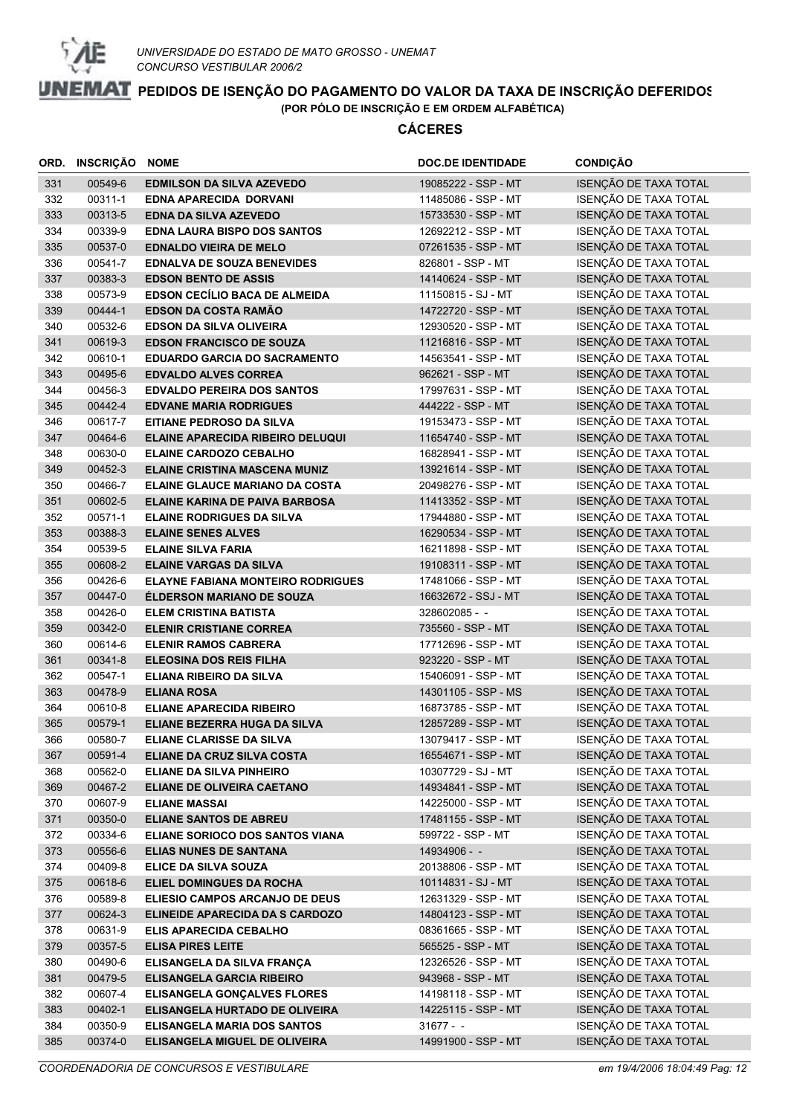

|            | ORD. INSCRIÇÃO     | <b>NOME</b>                                                      | <b>DOC.DE IDENTIDADE</b>                   | <b>CONDIÇÃO</b>                                |
|------------|--------------------|------------------------------------------------------------------|--------------------------------------------|------------------------------------------------|
| 331        | 00549-6            | <b>EDMILSON DA SILVA AZEVEDO</b>                                 | 19085222 - SSP - MT                        | ISENÇÃO DE TAXA TOTAL                          |
| 332        | 00311-1            | EDNA APARECIDA DORVANI                                           | 11485086 - SSP - MT                        | ISENÇÃO DE TAXA TOTAL                          |
| 333        | 00313-5            | <b>EDNA DA SILVA AZEVEDO</b>                                     | 15733530 - SSP - MT                        | ISENÇÃO DE TAXA TOTAL                          |
| 334        | 00339-9            | <b>EDNA LAURA BISPO DOS SANTOS</b>                               | 12692212 - SSP - MT                        | ISENÇÃO DE TAXA TOTAL                          |
| 335        | 00537-0            | <b>EDNALDO VIEIRA DE MELO</b>                                    | 07261535 - SSP - MT                        | ISENÇÃO DE TAXA TOTAL                          |
| 336        | 00541-7            | <b>EDNALVA DE SOUZA BENEVIDES</b>                                | 826801 - SSP - MT                          | ISENÇÃO DE TAXA TOTAL                          |
| 337        | 00383-3            | <b>EDSON BENTO DE ASSIS</b>                                      | 14140624 - SSP - MT                        | ISENÇÃO DE TAXA TOTAL                          |
| 338        | 00573-9            | <b>EDSON CECÍLIO BACA DE ALMEIDA</b>                             | 11150815 - SJ - MT                         | ISENÇÃO DE TAXA TOTAL                          |
| 339        | 00444-1            | <b>EDSON DA COSTA RAMÃO</b>                                      | 14722720 - SSP - MT                        | ISENÇÃO DE TAXA TOTAL                          |
| 340        | 00532-6            | <b>EDSON DA SILVA OLIVEIRA</b>                                   | 12930520 - SSP - MT                        | ISENÇÃO DE TAXA TOTAL                          |
| 341        | 00619-3            | <b>EDSON FRANCISCO DE SOUZA</b>                                  | 11216816 - SSP - MT                        | ISENÇÃO DE TAXA TOTAL                          |
| 342        | 00610-1            | <b>EDUARDO GARCIA DO SACRAMENTO</b>                              | 14563541 - SSP - MT                        | ISENÇÃO DE TAXA TOTAL                          |
| 343        | 00495-6            | <b>EDVALDO ALVES CORREA</b>                                      | 962621 - SSP - MT                          | ISENÇÃO DE TAXA TOTAL                          |
| 344        | 00456-3            | <b>EDVALDO PEREIRA DOS SANTOS</b>                                | 17997631 - SSP - MT                        | ISENÇÃO DE TAXA TOTAL                          |
| 345        | 00442-4            | <b>EDVANE MARIA RODRIGUES</b>                                    | 444222 - SSP - MT                          | ISENÇÃO DE TAXA TOTAL                          |
| 346        | 00617-7            | EITIANE PEDROSO DA SILVA                                         | 19153473 - SSP - MT                        | ISENÇÃO DE TAXA TOTAL                          |
| 347        | 00464-6            | ELAINE APARECIDA RIBEIRO DELUQUI                                 | 11654740 - SSP - MT                        | ISENÇÃO DE TAXA TOTAL                          |
| 348        | 00630-0            | <b>ELAINE CARDOZO CEBALHO</b>                                    | 16828941 - SSP - MT                        | ISENÇÃO DE TAXA TOTAL                          |
| 349        | 00452-3            | <b>ELAINE CRISTINA MASCENA MUNIZ</b>                             | 13921614 - SSP - MT                        | ISENÇÃO DE TAXA TOTAL                          |
| 350        | 00466-7            | <b>ELAINE GLAUCE MARIANO DA COSTA</b>                            | 20498276 - SSP - MT                        | ISENÇÃO DE TAXA TOTAL                          |
| 351        | 00602-5            | <b>ELAINE KARINA DE PAIVA BARBOSA</b>                            | 11413352 - SSP - MT                        | ISENÇÃO DE TAXA TOTAL                          |
| 352        | 00571-1            | <b>ELAINE RODRIGUES DA SILVA</b>                                 | 17944880 - SSP - MT                        | ISENÇÃO DE TAXA TOTAL                          |
| 353        | 00388-3            | <b>ELAINE SENES ALVES</b>                                        | 16290534 - SSP - MT                        | ISENÇÃO DE TAXA TOTAL                          |
| 354        | 00539-5            | <b>ELAINE SILVA FARIA</b>                                        | 16211898 - SSP - MT                        | ISENÇÃO DE TAXA TOTAL                          |
| 355        | 00608-2            | <b>ELAINE VARGAS DA SILVA</b>                                    | 19108311 - SSP - MT                        | ISENÇÃO DE TAXA TOTAL                          |
| 356        | 00426-6            | <b>ELAYNE FABIANA MONTEIRO RODRIGUES</b>                         | 17481066 - SSP - MT                        | ISENÇÃO DE TAXA TOTAL                          |
| 357        | 00447-0            | <b>ÉLDERSON MARIANO DE SOUZA</b>                                 | 16632672 - SSJ - MT                        | ISENÇÃO DE TAXA TOTAL                          |
| 358        | 00426-0            | <b>ELEM CRISTINA BATISTA</b>                                     | 328602085 - -                              | ISENÇÃO DE TAXA TOTAL                          |
| 359        | 00342-0            | <b>ELENIR CRISTIANE CORREA</b>                                   | 735560 - SSP - MT                          | ISENÇÃO DE TAXA TOTAL                          |
| 360        | 00614-6            | <b>ELENIR RAMOS CABRERA</b>                                      | 17712696 - SSP - MT                        | ISENÇÃO DE TAXA TOTAL                          |
| 361        | 00341-8            | <b>ELEOSINA DOS REIS FILHA</b>                                   | 923220 - SSP - MT                          | ISENÇÃO DE TAXA TOTAL                          |
| 362        | 00547-1            | <b>ELIANA RIBEIRO DA SILVA</b>                                   | 15406091 - SSP - MT                        | ISENÇÃO DE TAXA TOTAL                          |
| 363        | 00478-9            | <b>ELIANA ROSA</b>                                               | 14301105 - SSP - MS                        | ISENÇÃO DE TAXA TOTAL                          |
| 364        | 00610-8            | <b>ELIANE APARECIDA RIBEIRO</b>                                  | 16873785 - SSP - MT                        | ISENÇÃO DE TAXA TOTAL                          |
| 365        | 00579-1            | ELIANE BEZERRA HUGA DA SILVA                                     | 12857289 - SSP - MT                        | ISENÇÃO DE TAXA TOTAL                          |
| 366        | 00580-7            | ELIANE CLARISSE DA SILVA                                         | 13079417 - SSP - MT                        | ISENÇÃO DE TAXA TOTAL                          |
| 367        | 00591-4            | ELIANE DA CRUZ SILVA COSTA                                       | 16554671 - SSP - MT                        | ISENÇÃO DE TAXA TOTAL                          |
| 368        | 00562-0            | ELIANE DA SILVA PINHEIRO                                         | 10307729 - SJ - MT                         | ISENÇÃO DE TAXA TOTAL                          |
| 369        | 00467-2            | <b>ELIANE DE OLIVEIRA CAETANO</b>                                | 14934841 - SSP - MT                        | ISENÇÃO DE TAXA TOTAL                          |
| 370        | 00607-9            | <b>ELIANE MASSAI</b>                                             | 14225000 - SSP - MT                        | ISENÇÃO DE TAXA TOTAL                          |
| 371        | 00350-0            | ELIANE SANTOS DE ABREU                                           | 17481155 - SSP - MT                        | ISENÇÃO DE TAXA TOTAL                          |
| 372        | 00334-6            | ELIANE SORIOCO DOS SANTOS VIANA                                  | 599722 - SSP - MT                          | ISENÇÃO DE TAXA TOTAL                          |
| 373        | 00556-6            | <b>ELIAS NUNES DE SANTANA</b>                                    | 14934906 - -                               | ISENÇÃO DE TAXA TOTAL                          |
| 374        | 00409-8<br>00618-6 | ELICE DA SILVA SOUZA                                             | 20138806 - SSP - MT<br>10114831 - SJ - MT  | ISENÇÃO DE TAXA TOTAL<br>ISENÇÃO DE TAXA TOTAL |
| 375        |                    | ELIEL DOMINGUES DA ROCHA                                         |                                            |                                                |
| 376        | 00589-8            | ELIESIO CAMPOS ARCANJO DE DEUS                                   | 12631329 - SSP - MT<br>14804123 - SSP - MT | ISENÇÃO DE TAXA TOTAL<br>ISENÇÃO DE TAXA TOTAL |
| 377<br>378 | 00624-3<br>00631-9 | ELINEIDE APARECIDA DA S CARDOZO<br><b>ELIS APARECIDA CEBALHO</b> | 08361665 - SSP - MT                        | ISENÇÃO DE TAXA TOTAL                          |
|            |                    |                                                                  |                                            |                                                |
| 379        | 00357-5            | <b>ELISA PIRES LEITE</b>                                         | 565525 - SSP - MT                          | ISENÇÃO DE TAXA TOTAL                          |
| 380        | 00490-6            | ELISANGELA DA SILVA FRANÇA                                       | 12326526 - SSP - MT                        | ISENÇÃO DE TAXA TOTAL<br>ISENÇÃO DE TAXA TOTAL |
| 381        | 00479-5            | ELISANGELA GARCIA RIBEIRO                                        | 943968 - SSP - MT                          |                                                |
| 382<br>383 | 00607-4<br>00402-1 | <b>ELISANGELA GONÇALVES FLORES</b>                               | 14198118 - SSP - MT<br>14225115 - SSP - MT | ISENÇÃO DE TAXA TOTAL<br>ISENÇÃO DE TAXA TOTAL |
| 384        | 00350-9            | ELISANGELA HURTADO DE OLIVEIRA<br>ELISANGELA MARIA DOS SANTOS    | $31677 - -$                                | ISENÇÃO DE TAXA TOTAL                          |
| 385        | 00374-0            | ELISANGELA MIGUEL DE OLIVEIRA                                    | 14991900 - SSP - MT                        | ISENÇÃO DE TAXA TOTAL                          |
|            |                    |                                                                  |                                            |                                                |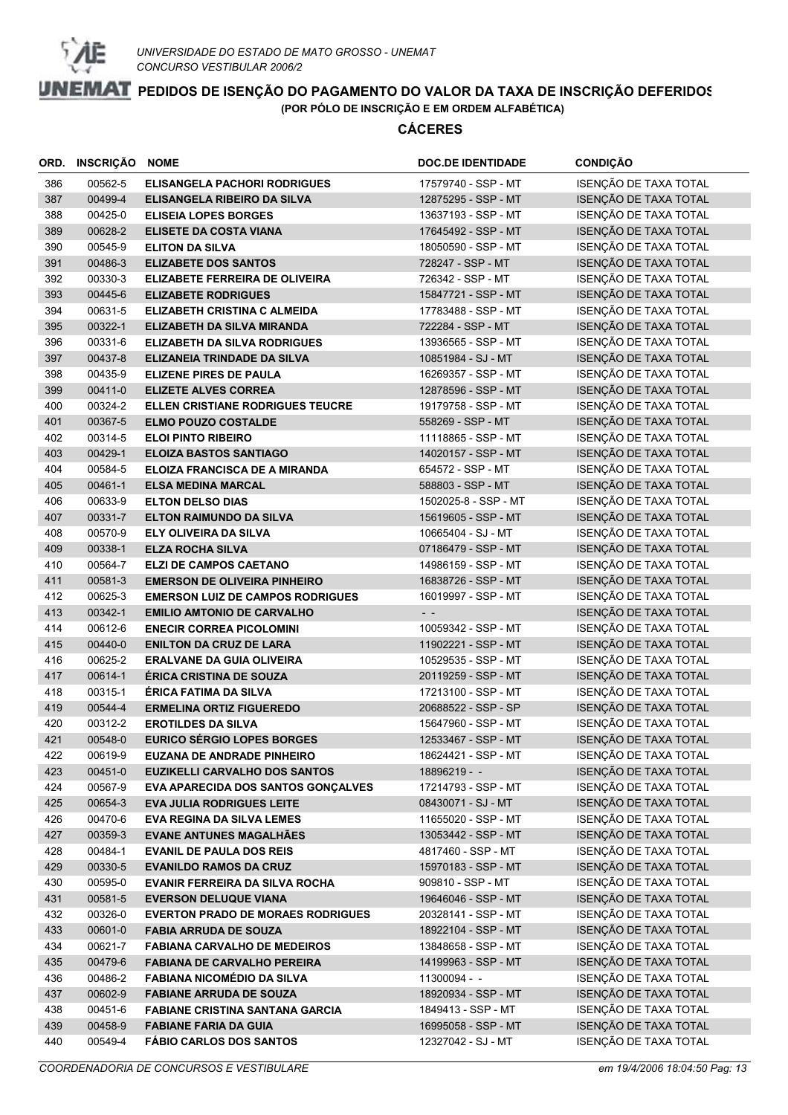

| ORD. | <b>INSCRIÇÃO NOME</b> |                                           | <b>DOC.DE IDENTIDADE</b> | <b>CONDIÇÃO</b>       |
|------|-----------------------|-------------------------------------------|--------------------------|-----------------------|
| 386  | 00562-5               | <b>ELISANGELA PACHORI RODRIGUES</b>       | 17579740 - SSP - MT      | ISENÇÃO DE TAXA TOTAL |
| 387  | 00499-4               | ELISANGELA RIBEIRO DA SILVA               | 12875295 - SSP - MT      | ISENÇÃO DE TAXA TOTAL |
| 388  | 00425-0               | <b>ELISEIA LOPES BORGES</b>               | 13637193 - SSP - MT      | ISENÇÃO DE TAXA TOTAL |
| 389  | 00628-2               | <b>ELISETE DA COSTA VIANA</b>             | 17645492 - SSP - MT      | ISENÇÃO DE TAXA TOTAL |
| 390  | 00545-9               | <b>ELITON DA SILVA</b>                    | 18050590 - SSP - MT      | ISENÇÃO DE TAXA TOTAL |
| 391  | 00486-3               | <b>ELIZABETE DOS SANTOS</b>               | 728247 - SSP - MT        | ISENÇÃO DE TAXA TOTAL |
| 392  | 00330-3               | ELIZABETE FERREIRA DE OLIVEIRA            | 726342 - SSP - MT        | ISENÇÃO DE TAXA TOTAL |
| 393  | 00445-6               | <b>ELIZABETE RODRIGUES</b>                | 15847721 - SSP - MT      | ISENÇÃO DE TAXA TOTAL |
| 394  | 00631-5               | ELIZABETH CRISTINA C ALMEIDA              | 17783488 - SSP - MT      | ISENÇÃO DE TAXA TOTAL |
| 395  | 00322-1               | ELIZABETH DA SILVA MIRANDA                | 722284 - SSP - MT        | ISENÇÃO DE TAXA TOTAL |
| 396  | 00331-6               | <b>ELIZABETH DA SILVA RODRIGUES</b>       | 13936565 - SSP - MT      | ISENÇÃO DE TAXA TOTAL |
| 397  | 00437-8               | ELIZANEIA TRINDADE DA SILVA               | 10851984 - SJ - MT       | ISENÇÃO DE TAXA TOTAL |
| 398  | 00435-9               | <b>ELIZENE PIRES DE PAULA</b>             | 16269357 - SSP - MT      | ISENÇÃO DE TAXA TOTAL |
| 399  | 00411-0               | <b>ELIZETE ALVES CORREA</b>               | 12878596 - SSP - MT      | ISENÇÃO DE TAXA TOTAL |
| 400  | 00324-2               | <b>ELLEN CRISTIANE RODRIGUES TEUCRE</b>   | 19179758 - SSP - MT      | ISENÇÃO DE TAXA TOTAL |
| 401  | 00367-5               | <b>ELMO POUZO COSTALDE</b>                | 558269 - SSP - MT        | ISENÇÃO DE TAXA TOTAL |
| 402  | 00314-5               | <b>ELOI PINTO RIBEIRO</b>                 | 11118865 - SSP - MT      | ISENÇÃO DE TAXA TOTAL |
| 403  | 00429-1               | <b>ELOIZA BASTOS SANTIAGO</b>             | 14020157 - SSP - MT      | ISENÇÃO DE TAXA TOTAL |
| 404  | 00584-5               | <b>ELOIZA FRANCISCA DE A MIRANDA</b>      | 654572 - SSP - MT        | ISENÇÃO DE TAXA TOTAL |
| 405  | 00461-1               | <b>ELSA MEDINA MARCAL</b>                 | 588803 - SSP - MT        | ISENÇÃO DE TAXA TOTAL |
| 406  | 00633-9               | <b>ELTON DELSO DIAS</b>                   | 1502025-8 - SSP - MT     | ISENÇÃO DE TAXA TOTAL |
| 407  | 00331-7               | <b>ELTON RAIMUNDO DA SILVA</b>            | 15619605 - SSP - MT      | ISENÇÃO DE TAXA TOTAL |
| 408  | 00570-9               | ELY OLIVEIRA DA SILVA                     | 10665404 - SJ - MT       | ISENÇÃO DE TAXA TOTAL |
| 409  | 00338-1               | <b>ELZA ROCHA SILVA</b>                   | 07186479 - SSP - MT      | ISENÇÃO DE TAXA TOTAL |
| 410  | 00564-7               | <b>ELZI DE CAMPOS CAETANO</b>             | 14986159 - SSP - MT      | ISENÇÃO DE TAXA TOTAL |
| 411  | 00581-3               | <b>EMERSON DE OLIVEIRA PINHEIRO</b>       | 16838726 - SSP - MT      | ISENÇÃO DE TAXA TOTAL |
| 412  | 00625-3               | <b>EMERSON LUIZ DE CAMPOS RODRIGUES</b>   | 16019997 - SSP - MT      | ISENÇÃO DE TAXA TOTAL |
| 413  | 00342-1               | <b>EMILIO AMTONIO DE CARVALHO</b>         | $ -$                     | ISENÇÃO DE TAXA TOTAL |
| 414  | 00612-6               | <b>ENECIR CORREA PICOLOMINI</b>           | 10059342 - SSP - MT      | ISENÇÃO DE TAXA TOTAL |
| 415  | 00440-0               | <b>ENILTON DA CRUZ DE LARA</b>            | 11902221 - SSP - MT      | ISENÇÃO DE TAXA TOTAL |
| 416  | 00625-2               | <b>ERALVANE DA GUIA OLIVEIRA</b>          | 10529535 - SSP - MT      | ISENÇÃO DE TAXA TOTAL |
| 417  | 00614-1               | <b>ÉRICA CRISTINA DE SOUZA</b>            | 20119259 - SSP - MT      | ISENÇÃO DE TAXA TOTAL |
| 418  | 00315-1               | <b>ÉRICA FATIMA DA SILVA</b>              | 17213100 - SSP - MT      | ISENÇÃO DE TAXA TOTAL |
| 419  | 00544-4               | <b>ERMELINA ORTIZ FIGUEREDO</b>           | 20688522 - SSP - SP      | ISENÇÃO DE TAXA TOTAL |
| 420  | 00312-2               | <b>EROTILDES DA SILVA</b>                 | 15647960 - SSP - MT      | ISENÇÃO DE TAXA TOTAL |
| 421  | 00548-0               | <b>EURICO SÉRGIO LOPES BORGES</b>         | 12533467 - SSP - MT      | ISENÇÃO DE TAXA TOTAL |
| 422  | 00619-9               | <b>EUZANA DE ANDRADE PINHEIRO</b>         | 18624421 - SSP - MT      | ISENÇÃO DE TAXA TOTAL |
| 423  | 00451-0               | <b>EUZIKELLI CARVALHO DOS SANTOS</b>      | 18896219 - -             | ISENÇÃO DE TAXA TOTAL |
| 424  | 00567-9               | <b>EVA APARECIDA DOS SANTOS GONÇALVES</b> | 17214793 - SSP - MT      | ISENÇÃO DE TAXA TOTAL |
| 425  | 00654-3               | <b>EVA JULIA RODRIGUES LEITE</b>          | 08430071 - SJ - MT       | ISENÇÃO DE TAXA TOTAL |
| 426  | 00470-6               | <b>EVA REGINA DA SILVA LEMES</b>          | 11655020 - SSP - MT      | ISENÇÃO DE TAXA TOTAL |
| 427  | 00359-3               | <b>EVANE ANTUNES MAGALHÃES</b>            | 13053442 - SSP - MT      | ISENÇÃO DE TAXA TOTAL |
| 428  | 00484-1               | <b>EVANIL DE PAULA DOS REIS</b>           | 4817460 - SSP - MT       | ISENÇÃO DE TAXA TOTAL |
| 429  | 00330-5               | <b>EVANILDO RAMOS DA CRUZ</b>             | 15970183 - SSP - MT      | ISENÇÃO DE TAXA TOTAL |
| 430  | 00595-0               | <b>EVANIR FERREIRA DA SILVA ROCHA</b>     | 909810 - SSP - MT        | ISENÇÃO DE TAXA TOTAL |
| 431  | 00581-5               | <b>EVERSON DELUQUE VIANA</b>              | 19646046 - SSP - MT      | ISENÇÃO DE TAXA TOTAL |
| 432  | 00326-0               | <b>EVERTON PRADO DE MORAES RODRIGUES</b>  | 20328141 - SSP - MT      | ISENÇÃO DE TAXA TOTAL |
| 433  | 00601-0               | <b>FABIA ARRUDA DE SOUZA</b>              | 18922104 - SSP - MT      | ISENÇÃO DE TAXA TOTAL |
| 434  | 00621-7               | <b>FABIANA CARVALHO DE MEDEIROS</b>       | 13848658 - SSP - MT      | ISENÇÃO DE TAXA TOTAL |
| 435  | 00479-6               | <b>FABIANA DE CARVALHO PEREIRA</b>        | 14199963 - SSP - MT      | ISENÇÃO DE TAXA TOTAL |
| 436  | 00486-2               | <b>FABIANA NICOMÉDIO DA SILVA</b>         | 11300094 - -             | ISENÇÃO DE TAXA TOTAL |
| 437  | 00602-9               | <b>FABIANE ARRUDA DE SOUZA</b>            | 18920934 - SSP - MT      | ISENÇÃO DE TAXA TOTAL |
| 438  | 00451-6               | <b>FABIANE CRISTINA SANTANA GARCIA</b>    | 1849413 - SSP - MT       | ISENÇÃO DE TAXA TOTAL |
| 439  | 00458-9               | <b>FABIANE FARIA DA GUIA</b>              | 16995058 - SSP - MT      | ISENÇÃO DE TAXA TOTAL |
| 440  | 00549-4               | <b>FÁBIO CARLOS DOS SANTOS</b>            | 12327042 - SJ - MT       | ISENÇÃO DE TAXA TOTAL |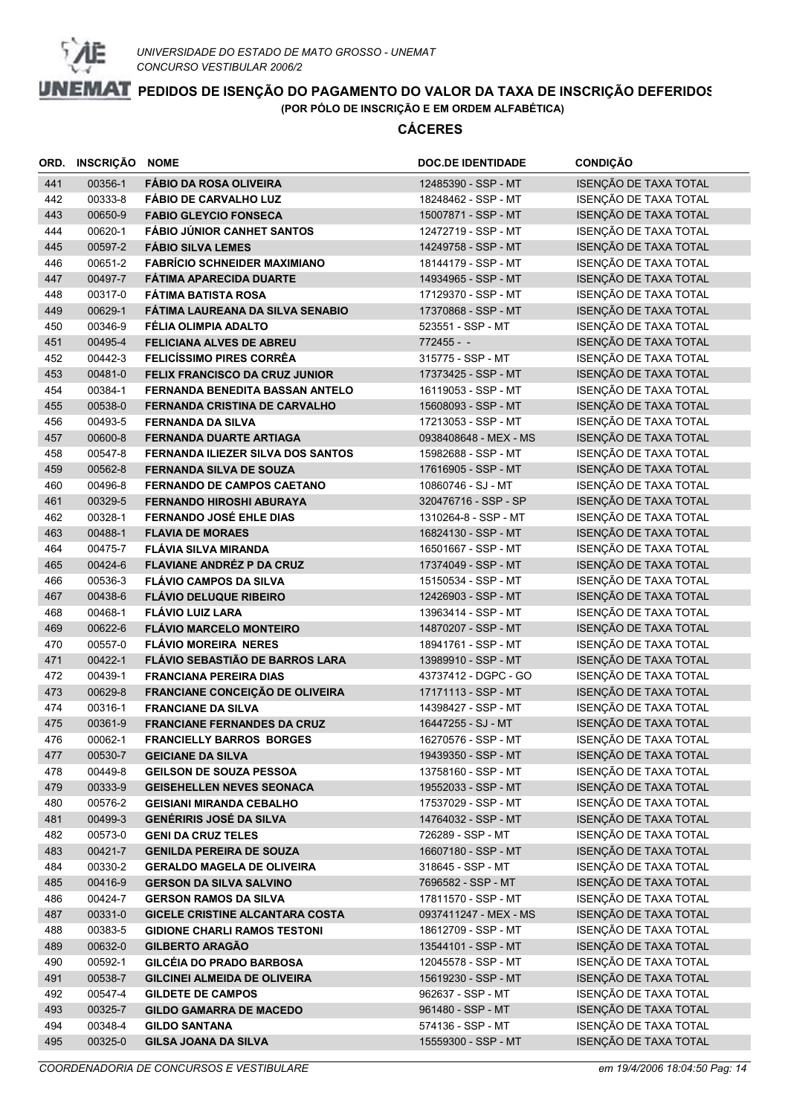

| ORD. | <b>INSCRIÇÃO NOME</b> |                                          | <b>DOC.DE IDENTIDADE</b> | <b>CONDIÇÃO</b>              |
|------|-----------------------|------------------------------------------|--------------------------|------------------------------|
| 441  | 00356-1               | <b>FÁBIO DA ROSA OLIVEIRA</b>            | 12485390 - SSP - MT      | ISENÇÃO DE TAXA TOTAL        |
| 442  | 00333-8               | <b>FÁBIO DE CARVALHO LUZ</b>             | 18248462 - SSP - MT      | ISENÇÃO DE TAXA TOTAL        |
| 443  | 00650-9               | <b>FABIO GLEYCIO FONSECA</b>             | 15007871 - SSP - MT      | ISENÇÃO DE TAXA TOTAL        |
| 444  | 00620-1               | <b>FÁBIO JÚNIOR CANHET SANTOS</b>        | 12472719 - SSP - MT      | ISENÇÃO DE TAXA TOTAL        |
| 445  | 00597-2               | <b>FÁBIO SILVA LEMES</b>                 | 14249758 - SSP - MT      | ISENÇÃO DE TAXA TOTAL        |
| 446  | 00651-2               | <b>FABRÍCIO SCHNEIDER MAXIMIANO</b>      | 18144179 - SSP - MT      | ISENÇÃO DE TAXA TOTAL        |
| 447  | 00497-7               | <b>FÁTIMA APARECIDA DUARTE</b>           | 14934965 - SSP - MT      | ISENÇÃO DE TAXA TOTAL        |
| 448  | 00317-0               | <b>FÁTIMA BATISTA ROSA</b>               | 17129370 - SSP - MT      | ISENÇÃO DE TAXA TOTAL        |
| 449  | 00629-1               | FÁTIMA LAUREANA DA SILVA SENABIO         | 17370868 - SSP - MT      | ISENÇÃO DE TAXA TOTAL        |
| 450  | 00346-9               | FÉLIA OLIMPIA ADALTO                     | 523551 - SSP - MT        | ISENÇÃO DE TAXA TOTAL        |
| 451  | 00495-4               | <b>FELICIANA ALVES DE ABREU</b>          | $772455 - -$             | ISENÇÃO DE TAXA TOTAL        |
| 452  | 00442-3               | <b>FELICÍSSIMO PIRES CORRÊA</b>          | 315775 - SSP - MT        | ISENÇÃO DE TAXA TOTAL        |
| 453  | 00481-0               | FELIX FRANCISCO DA CRUZ JUNIOR           | 17373425 - SSP - MT      | ISENÇÃO DE TAXA TOTAL        |
| 454  | 00384-1               | FERNANDA BENEDITA BASSAN ANTELO          | 16119053 - SSP - MT      | ISENÇÃO DE TAXA TOTAL        |
| 455  | 00538-0               | FERNANDA CRISTINA DE CARVALHO            | 15608093 - SSP - MT      | ISENÇÃO DE TAXA TOTAL        |
| 456  | 00493-5               | <b>FERNANDA DA SILVA</b>                 | 17213053 - SSP - MT      | ISENÇÃO DE TAXA TOTAL        |
| 457  | 00600-8               | <b>FERNANDA DUARTE ARTIAGA</b>           | 0938408648 - MEX - MS    | ISENÇÃO DE TAXA TOTAL        |
| 458  | 00547-8               | <b>FERNANDA ILIEZER SILVA DOS SANTOS</b> | 15982688 - SSP - MT      | ISENÇÃO DE TAXA TOTAL        |
| 459  | 00562-8               | <b>FERNANDA SILVA DE SOUZA</b>           | 17616905 - SSP - MT      | ISENÇÃO DE TAXA TOTAL        |
| 460  | 00496-8               | <b>FERNANDO DE CAMPOS CAETANO</b>        | 10860746 - SJ - MT       | ISENÇÃO DE TAXA TOTAL        |
| 461  | 00329-5               | <b>FERNANDO HIROSHI ABURAYA</b>          | 320476716 - SSP - SP     | ISENÇÃO DE TAXA TOTAL        |
| 462  | 00328-1               | <b>FERNANDO JOSÉ EHLE DIAS</b>           | 1310264-8 - SSP - MT     | ISENÇÃO DE TAXA TOTAL        |
| 463  | 00488-1               | <b>FLAVIA DE MORAES</b>                  | 16824130 - SSP - MT      | ISENÇÃO DE TAXA TOTAL        |
| 464  | 00475-7               | <b>FLÁVIA SILVA MIRANDA</b>              | 16501667 - SSP - MT      | ISENÇÃO DE TAXA TOTAL        |
| 465  | 00424-6               | <b>FLAVIANE ANDRÉZ P DA CRUZ</b>         | 17374049 - SSP - MT      | ISENÇÃO DE TAXA TOTAL        |
| 466  | 00536-3               | <b>FLÁVIO CAMPOS DA SILVA</b>            | 15150534 - SSP - MT      | <b>ISENÇÃO DE TAXA TOTAL</b> |
| 467  | 00438-6               | <b>FLÁVIO DELUQUE RIBEIRO</b>            | 12426903 - SSP - MT      | ISENÇÃO DE TAXA TOTAL        |
| 468  | 00468-1               | <b>FLÁVIO LUIZ LARA</b>                  | 13963414 - SSP - MT      | ISENÇÃO DE TAXA TOTAL        |
| 469  | 00622-6               | <b>FLÁVIO MARCELO MONTEIRO</b>           | 14870207 - SSP - MT      | ISENÇÃO DE TAXA TOTAL        |
| 470  | 00557-0               | <b>FLÁVIO MOREIRA NERES</b>              | 18941761 - SSP - MT      | ISENÇÃO DE TAXA TOTAL        |
| 471  | 00422-1               | FLÁVIO SEBASTIÃO DE BARROS LARA          | 13989910 - SSP - MT      | ISENÇÃO DE TAXA TOTAL        |
| 472  | 00439-1               | <b>FRANCIANA PEREIRA DIAS</b>            | 43737412 - DGPC - GO     | ISENÇÃO DE TAXA TOTAL        |
| 473  | 00629-8               | FRANCIANE CONCEIÇÃO DE OLIVEIRA          | 17171113 - SSP - MT      | ISENÇÃO DE TAXA TOTAL        |
| 474  | 00316-1               | <b>FRANCIANE DA SILVA</b>                | 14398427 - SSP - MT      | ISENÇÃO DE TAXA TOTAL        |
| 475  | 00361-9               | <b>FRANCIANE FERNANDES DA CRUZ</b>       | 16447255 - SJ - MT       | ISENÇÃO DE TAXA TOTAL        |
| 476  | 00062-1               | <b>FRANCIELLY BARROS BORGES</b>          | 16270576 - SSP - MT      | ISENÇÃO DE TAXA TOTAL        |
| 477  | 00530-7               | <b>GEICIANE DA SILVA</b>                 | 19439350 - SSP - MT      | ISENÇÃO DE TAXA TOTAL        |
| 478  | 00449-8               | <b>GEILSON DE SOUZA PESSOA</b>           | 13758160 - SSP - MT      | ISENÇÃO DE TAXA TOTAL        |
| 479  | 00333-9               | <b>GEISEHELLEN NEVES SEONACA</b>         | 19552033 - SSP - MT      | ISENÇÃO DE TAXA TOTAL        |
| 480  | 00576-2               | <b>GEISIANI MIRANDA CEBALHO</b>          | 17537029 - SSP - MT      | ISENÇÃO DE TAXA TOTAL        |
| 481  | 00499-3               | <b>GENÉRIRIS JOSÉ DA SILVA</b>           | 14764032 - SSP - MT      | ISENÇÃO DE TAXA TOTAL        |
| 482  | 00573-0               | <b>GENI DA CRUZ TELES</b>                | 726289 - SSP - MT        | ISENÇÃO DE TAXA TOTAL        |
| 483  | 00421-7               | <b>GENILDA PEREIRA DE SOUZA</b>          | 16607180 - SSP - MT      | ISENÇÃO DE TAXA TOTAL        |
| 484  | 00330-2               | <b>GERALDO MAGELA DE OLIVEIRA</b>        | 318645 - SSP - MT        | ISENÇÃO DE TAXA TOTAL        |
| 485  | 00416-9               | <b>GERSON DA SILVA SALVINO</b>           | 7696582 - SSP - MT       | ISENÇÃO DE TAXA TOTAL        |
| 486  | 00424-7               | <b>GERSON RAMOS DA SILVA</b>             | 17811570 - SSP - MT      | ISENÇÃO DE TAXA TOTAL        |
| 487  | 00331-0               | <b>GICELE CRISTINE ALCANTARA COSTA</b>   | 0937411247 - MEX - MS    | ISENÇÃO DE TAXA TOTAL        |
| 488  | 00383-5               | <b>GIDIONE CHARLI RAMOS TESTONI</b>      | 18612709 - SSP - MT      | ISENÇÃO DE TAXA TOTAL        |
| 489  | 00632-0               | <b>GILBERTO ARAGÃO</b>                   | 13544101 - SSP - MT      | ISENÇÃO DE TAXA TOTAL        |
| 490  | 00592-1               | <b>GILCÉIA DO PRADO BARBOSA</b>          | 12045578 - SSP - MT      | ISENÇÃO DE TAXA TOTAL        |
| 491  | 00538-7               | <b>GILCINEI ALMEIDA DE OLIVEIRA</b>      | 15619230 - SSP - MT      | ISENÇÃO DE TAXA TOTAL        |
| 492  | 00547-4               | <b>GILDETE DE CAMPOS</b>                 | 962637 - SSP - MT        | ISENÇÃO DE TAXA TOTAL        |
| 493  | 00325-7               | <b>GILDO GAMARRA DE MACEDO</b>           | 961480 - SSP - MT        | ISENÇÃO DE TAXA TOTAL        |
| 494  | 00348-4               | <b>GILDO SANTANA</b>                     | 574136 - SSP - MT        | ISENÇÃO DE TAXA TOTAL        |
| 495  | 00325-0               | <b>GILSA JOANA DA SILVA</b>              | 15559300 - SSP - MT      | ISENÇÃO DE TAXA TOTAL        |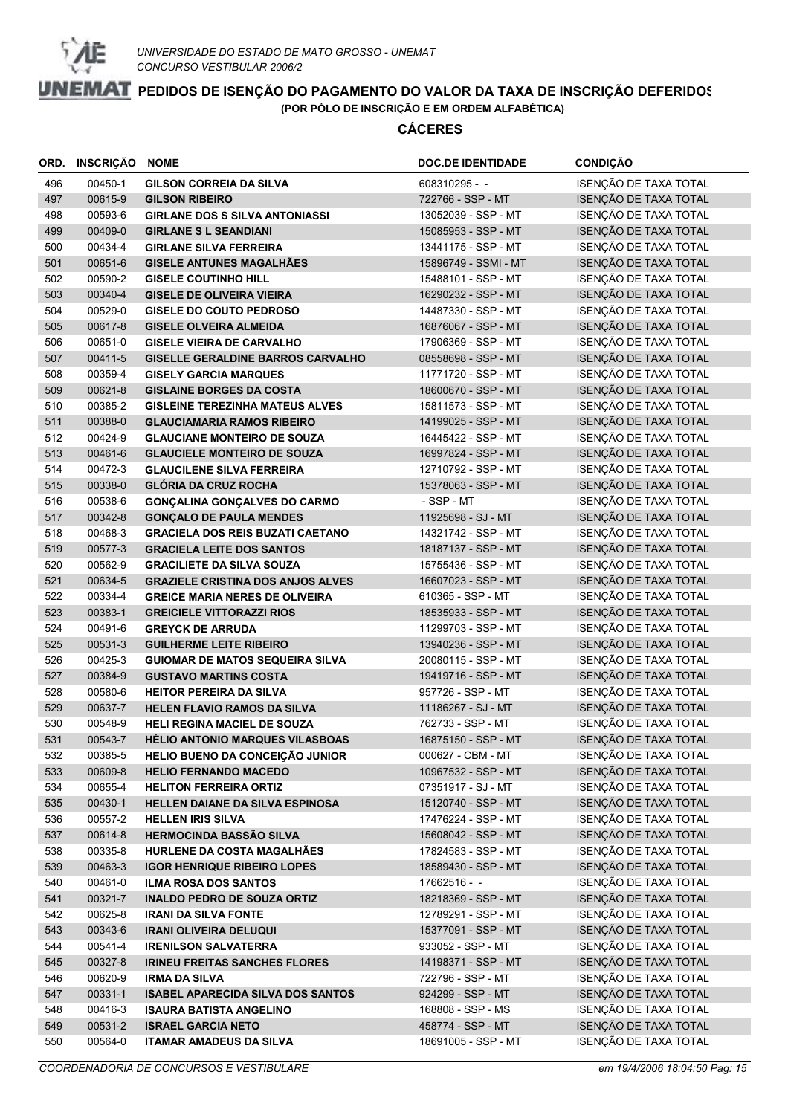

|     | ORD. INSCRIÇÃO | <b>NOME</b>                              | <b>DOC.DE IDENTIDADE</b> | <b>CONDIÇÃO</b>       |
|-----|----------------|------------------------------------------|--------------------------|-----------------------|
| 496 | 00450-1        | <b>GILSON CORREIA DA SILVA</b>           | 608310295 - -            | ISENÇÃO DE TAXA TOTAL |
| 497 | 00615-9        | <b>GILSON RIBEIRO</b>                    | 722766 - SSP - MT        | ISENÇÃO DE TAXA TOTAL |
| 498 | 00593-6        | <b>GIRLANE DOS S SILVA ANTONIASSI</b>    | 13052039 - SSP - MT      | ISENÇÃO DE TAXA TOTAL |
| 499 | 00409-0        | <b>GIRLANE S L SEANDIANI</b>             | 15085953 - SSP - MT      | ISENÇÃO DE TAXA TOTAL |
| 500 | 00434-4        | <b>GIRLANE SILVA FERREIRA</b>            | 13441175 - SSP - MT      | ISENÇÃO DE TAXA TOTAL |
| 501 | 00651-6        | <b>GISELE ANTUNES MAGALHAES</b>          | 15896749 - SSMI - MT     | ISENÇÃO DE TAXA TOTAL |
| 502 | 00590-2        | <b>GISELE COUTINHO HILL</b>              | 15488101 - SSP - MT      | ISENÇÃO DE TAXA TOTAL |
| 503 | 00340-4        | <b>GISELE DE OLIVEIRA VIEIRA</b>         | 16290232 - SSP - MT      | ISENÇÃO DE TAXA TOTAL |
| 504 | 00529-0        | <b>GISELE DO COUTO PEDROSO</b>           | 14487330 - SSP - MT      | ISENÇÃO DE TAXA TOTAL |
| 505 | 00617-8        | <b>GISELE OLVEIRA ALMEIDA</b>            | 16876067 - SSP - MT      | ISENÇÃO DE TAXA TOTAL |
| 506 | 00651-0        | <b>GISELE VIEIRA DE CARVALHO</b>         | 17906369 - SSP - MT      | ISENÇÃO DE TAXA TOTAL |
| 507 | 00411-5        | <b>GISELLE GERALDINE BARROS CARVALHO</b> | 08558698 - SSP - MT      | ISENÇÃO DE TAXA TOTAL |
| 508 | 00359-4        | <b>GISELY GARCIA MARQUES</b>             | 11771720 - SSP - MT      | ISENÇÃO DE TAXA TOTAL |
| 509 | 00621-8        | <b>GISLAINE BORGES DA COSTA</b>          | 18600670 - SSP - MT      | ISENÇÃO DE TAXA TOTAL |
| 510 | 00385-2        | <b>GISLEINE TEREZINHA MATEUS ALVES</b>   | 15811573 - SSP - MT      | ISENÇÃO DE TAXA TOTAL |
| 511 | 00388-0        | <b>GLAUCIAMARIA RAMOS RIBEIRO</b>        | 14199025 - SSP - MT      | ISENÇÃO DE TAXA TOTAL |
| 512 | 00424-9        | <b>GLAUCIANE MONTEIRO DE SOUZA</b>       | 16445422 - SSP - MT      | ISENÇÃO DE TAXA TOTAL |
| 513 | 00461-6        | <b>GLAUCIELE MONTEIRO DE SOUZA</b>       | 16997824 - SSP - MT      | ISENÇÃO DE TAXA TOTAL |
| 514 | 00472-3        | <b>GLAUCILENE SILVA FERREIRA</b>         | 12710792 - SSP - MT      | ISENÇÃO DE TAXA TOTAL |
| 515 | 00338-0        | <b>GLÓRIA DA CRUZ ROCHA</b>              | 15378063 - SSP - MT      | ISENÇÃO DE TAXA TOTAL |
| 516 | 00538-6        | <b>GONÇALINA GONÇALVES DO CARMO</b>      | - SSP - MT               | ISENÇÃO DE TAXA TOTAL |
| 517 | 00342-8        | <b>GONÇALO DE PAULA MENDES</b>           | 11925698 - SJ - MT       | ISENÇÃO DE TAXA TOTAL |
| 518 | 00468-3        | <b>GRACIELA DOS REIS BUZATI CAETANO</b>  | 14321742 - SSP - MT      | ISENÇÃO DE TAXA TOTAL |
| 519 | 00577-3        | <b>GRACIELA LEITE DOS SANTOS</b>         | 18187137 - SSP - MT      | ISENÇÃO DE TAXA TOTAL |
| 520 | 00562-9        | <b>GRACILIETE DA SILVA SOUZA</b>         | 15755436 - SSP - MT      | ISENÇÃO DE TAXA TOTAL |
| 521 | 00634-5        | <b>GRAZIELE CRISTINA DOS ANJOS ALVES</b> | 16607023 - SSP - MT      | ISENÇÃO DE TAXA TOTAL |
| 522 | 00334-4        | <b>GREICE MARIA NERES DE OLIVEIRA</b>    | 610365 - SSP - MT        | ISENÇÃO DE TAXA TOTAL |
| 523 | 00383-1        | <b>GREICIELE VITTORAZZI RIOS</b>         | 18535933 - SSP - MT      | ISENÇÃO DE TAXA TOTAL |
| 524 | 00491-6        | <b>GREYCK DE ARRUDA</b>                  | 11299703 - SSP - MT      | ISENÇÃO DE TAXA TOTAL |
| 525 | 00531-3        | <b>GUILHERME LEITE RIBEIRO</b>           | 13940236 - SSP - MT      | ISENÇÃO DE TAXA TOTAL |
| 526 | 00425-3        | <b>GUIOMAR DE MATOS SEQUEIRA SILVA</b>   | 20080115 - SSP - MT      | ISENÇÃO DE TAXA TOTAL |
| 527 | 00384-9        | <b>GUSTAVO MARTINS COSTA</b>             | 19419716 - SSP - MT      | ISENÇÃO DE TAXA TOTAL |
| 528 | 00580-6        | <b>HEITOR PEREIRA DA SILVA</b>           | 957726 - SSP - MT        | ISENÇÃO DE TAXA TOTAL |
| 529 | 00637-7        | <b>HELEN FLAVIO RAMOS DA SILVA</b>       | 11186267 - SJ - MT       | ISENÇÃO DE TAXA TOTAL |
| 530 | 00548-9        | HELI REGINA MACIEL DE SOUZA              | 762733 - SSP - MT        | ISENÇÃO DE TAXA TOTAL |
| 531 | 00543-7        | <b>HELIO ANTONIO MARQUES VILASBOAS</b>   | 16875150 - SSP - MT      | ISENÇÃO DE TAXA TOTAL |
| 532 | 00385-5        | HELIO BUENO DA CONCEIÇÃO JUNIOR          | 000627 - CBM - MT        | ISENÇÃO DE TAXA TOTAL |
| 533 | 00609-8        | <b>HELIO FERNANDO MACEDO</b>             | 10967532 - SSP - MT      | ISENÇÃO DE TAXA TOTAL |
| 534 | 00655-4        | <b>HELITON FERREIRA ORTIZ</b>            | 07351917 - SJ - MT       | ISENÇÃO DE TAXA TOTAL |
| 535 | 00430-1        | HELLEN DAIANE DA SILVA ESPINOSA          | 15120740 - SSP - MT      | ISENÇÃO DE TAXA TOTAL |
| 536 | 00557-2        | <b>HELLEN IRIS SILVA</b>                 | 17476224 - SSP - MT      | ISENÇÃO DE TAXA TOTAL |
| 537 | 00614-8        | <b>HERMOCINDA BASSÃO SILVA</b>           | 15608042 - SSP - MT      | ISENÇÃO DE TAXA TOTAL |
| 538 | 00335-8        | HURLENE DA COSTA MAGALHÃES               | 17824583 - SSP - MT      | ISENÇÃO DE TAXA TOTAL |
| 539 | 00463-3        | <b>IGOR HENRIQUE RIBEIRO LOPES</b>       | 18589430 - SSP - MT      | ISENÇÃO DE TAXA TOTAL |
| 540 | 00461-0        | <b>ILMA ROSA DOS SANTOS</b>              | $17662516 -$             | ISENÇÃO DE TAXA TOTAL |
| 541 | 00321-7        | <b>INALDO PEDRO DE SOUZA ORTIZ</b>       | 18218369 - SSP - MT      | ISENÇÃO DE TAXA TOTAL |
| 542 | 00625-8        | <b>IRANI DA SILVA FONTE</b>              | 12789291 - SSP - MT      | ISENÇÃO DE TAXA TOTAL |
| 543 | 00343-6        | <b>IRANI OLIVEIRA DELUQUI</b>            | 15377091 - SSP - MT      | ISENÇÃO DE TAXA TOTAL |
| 544 | 00541-4        | <b>IRENILSON SALVATERRA</b>              | 933052 - SSP - MT        | ISENÇÃO DE TAXA TOTAL |
| 545 | 00327-8        | <b>IRINEU FREITAS SANCHES FLORES</b>     | 14198371 - SSP - MT      | ISENÇÃO DE TAXA TOTAL |
| 546 | 00620-9        | <b>IRMA DA SILVA</b>                     | 722796 - SSP - MT        | ISENÇÃO DE TAXA TOTAL |
| 547 | 00331-1        | <b>ISABEL APARECIDA SILVA DOS SANTOS</b> | 924299 - SSP - MT        | ISENÇÃO DE TAXA TOTAL |
| 548 | 00416-3        | <b>ISAURA BATISTA ANGELINO</b>           | 168808 - SSP - MS        | ISENÇÃO DE TAXA TOTAL |
| 549 | 00531-2        | <b>ISRAEL GARCIA NETO</b>                | 458774 - SSP - MT        | ISENÇÃO DE TAXA TOTAL |
| 550 | 00564-0        | <b>ITAMAR AMADEUS DA SILVA</b>           | 18691005 - SSP - MT      | ISENÇÃO DE TAXA TOTAL |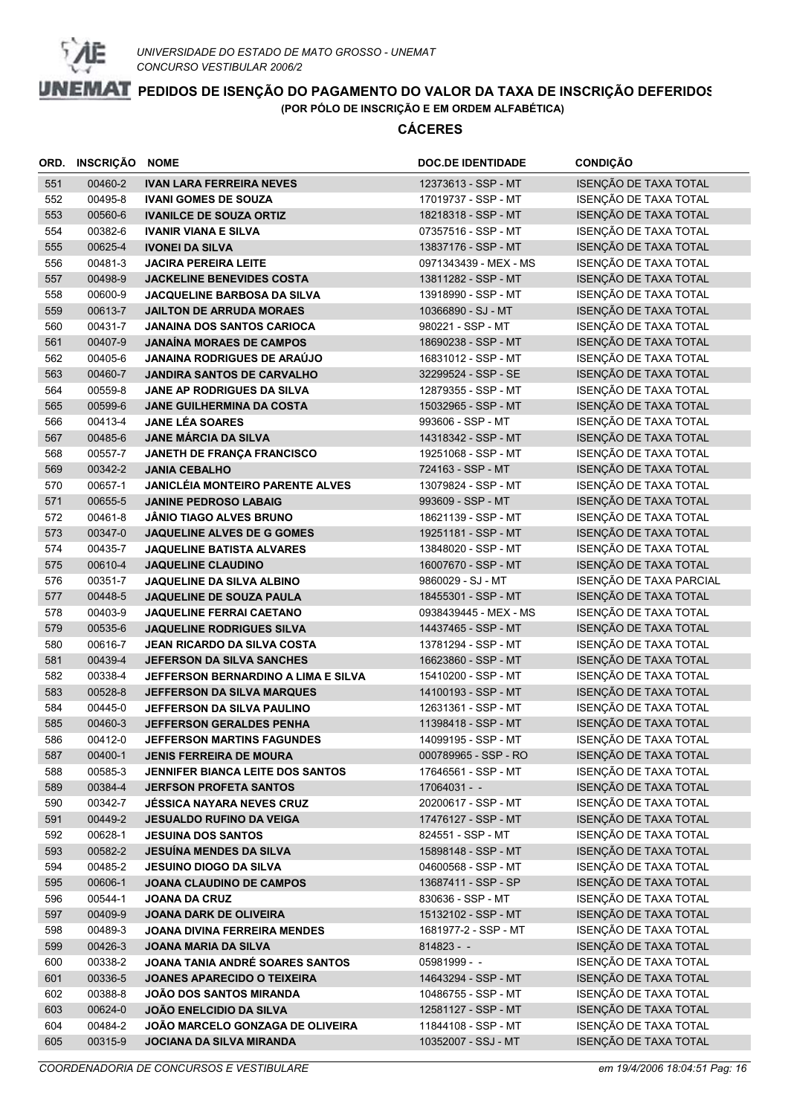

| ISENÇÃO DE TAXA TOTAL<br>551<br>00460-2<br><b>IVAN LARA FERREIRA NEVES</b><br>12373613 - SSP - MT<br>ISENÇÃO DE TAXA TOTAL<br>00495-8<br>552<br><b>IVANI GOMES DE SOUZA</b><br>17019737 - SSP - MT<br>ISENÇÃO DE TAXA TOTAL<br>00560-6<br>18218318 - SSP - MT<br>553<br><b>IVANILCE DE SOUZA ORTIZ</b><br>ISENÇÃO DE TAXA TOTAL<br>00382-6<br>554<br><b>IVANIR VIANA E SILVA</b><br>07357516 - SSP - MT<br>ISENÇÃO DE TAXA TOTAL<br>555<br>00625-4<br><b>IVONEI DA SILVA</b><br>13837176 - SSP - MT<br>ISENÇÃO DE TAXA TOTAL<br>556<br>00481-3<br><b>JACIRA PEREIRA LEITE</b><br>0971343439 - MEX - MS<br>ISENÇÃO DE TAXA TOTAL<br>00498-9<br><b>JACKELINE BENEVIDES COSTA</b><br>13811282 - SSP - MT<br>557<br>ISENÇÃO DE TAXA TOTAL<br>00600-9<br>558<br><b>JACQUELINE BARBOSA DA SILVA</b><br>13918990 - SSP - MT<br>ISENÇÃO DE TAXA TOTAL<br>559<br>00613-7<br><b>JAILTON DE ARRUDA MORAES</b><br>10366890 - SJ - MT<br>ISENÇÃO DE TAXA TOTAL<br>560<br>00431-7<br><b>JANAINA DOS SANTOS CARIOCA</b><br>980221 - SSP - MT<br>ISENÇÃO DE TAXA TOTAL<br>00407-9<br><b>JANAÍNA MORAES DE CAMPOS</b><br>561<br>18690238 - SSP - MT<br>ISENÇÃO DE TAXA TOTAL<br><b>JANAINA RODRIGUES DE ARAÚJO</b><br>562<br>00405-6<br>16831012 - SSP - MT<br>ISENÇÃO DE TAXA TOTAL<br>00460-7<br><b>JANDIRA SANTOS DE CARVALHO</b><br>32299524 - SSP - SE<br>563<br>ISENÇÃO DE TAXA TOTAL<br>00559-8<br>JANE AP RODRIGUES DA SILVA<br>564<br>12879355 - SSP - MT<br>ISENÇÃO DE TAXA TOTAL<br>00599-6<br><b>JANE GUILHERMINA DA COSTA</b><br>565<br>15032965 - SSP - MT<br>ISENÇÃO DE TAXA TOTAL<br>00413-4<br><b>JANE LÉA SOARES</b><br>566<br>993606 - SSP - MT<br>ISENÇÃO DE TAXA TOTAL<br>00485-6<br><b>JANE MÁRCIA DA SILVA</b><br>14318342 - SSP - MT<br>567<br>ISENÇÃO DE TAXA TOTAL<br>JANETH DE FRANÇA FRANCISCO<br>568<br>00557-7<br>19251068 - SSP - MT<br>ISENÇÃO DE TAXA TOTAL<br>569<br>00342-2<br><b>JANIA CEBALHO</b><br>724163 - SSP - MT<br>ISENÇÃO DE TAXA TOTAL<br><b>JANICLÉIA MONTEIRO PARENTE ALVES</b><br>570<br>00657-1<br>13079824 - SSP - MT<br>ISENÇÃO DE TAXA TOTAL<br>571<br>00655-5<br><b>JANINE PEDROSO LABAIG</b><br>993609 - SSP - MT<br>ISENÇÃO DE TAXA TOTAL<br>00461-8<br><b>JÂNIO TIAGO ALVES BRUNO</b><br>572<br>18621139 - SSP - MT<br>ISENÇÃO DE TAXA TOTAL<br>573<br>00347-0<br><b>JAQUELINE ALVES DE G GOMES</b><br>19251181 - SSP - MT<br>ISENÇÃO DE TAXA TOTAL<br>574<br>00435-7<br><b>JAQUELINE BATISTA ALVARES</b><br>13848020 - SSP - MT<br>ISENÇÃO DE TAXA TOTAL<br>575<br>00610-4<br>16007670 - SSP - MT<br><b>JAQUELINE CLAUDINO</b><br>ISENÇÃO DE TAXA PARCIAL<br>576<br>00351-7<br><b>JAQUELINE DA SILVA ALBINO</b><br>9860029 - SJ - MT<br>ISENÇÃO DE TAXA TOTAL<br>00448-5<br>JAQUELINE DE SOUZA PAULA<br>577<br>18455301 - SSP - MT<br>ISENÇÃO DE TAXA TOTAL<br>00403-9<br>578<br><b>JAQUELINE FERRAI CAETANO</b><br>0938439445 - MEX - MS<br>ISENÇÃO DE TAXA TOTAL<br>00535-6<br><b>JAQUELINE RODRIGUES SILVA</b><br>14437465 - SSP - MT<br>579<br>ISENÇÃO DE TAXA TOTAL<br>00616-7<br>580<br><b>JEAN RICARDO DA SILVA COSTA</b><br>13781294 - SSP - MT<br>ISENÇÃO DE TAXA TOTAL<br>581<br>00439-4<br><b>JEFERSON DA SILVA SANCHES</b><br>16623860 - SSP - MT<br>ISENÇÃO DE TAXA TOTAL<br>582<br>00338-4<br><b>JEFFERSON BERNARDINO A LIMA E SILVA</b><br>15410200 - SSP - MT<br>ISENÇÃO DE TAXA TOTAL<br>00528-8<br>583<br><b>JEFFERSON DA SILVA MARQUES</b><br>14100193 - SSP - MT<br>ISENÇÃO DE TAXA TOTAL<br>584<br>00445-0<br>JEFFERSON DA SILVA PAULINO<br>12631361 - SSP - MT<br>ISENÇÃO DE TAXA TOTAL<br>00460-3<br>585<br>JEFFERSON GERALDES PENHA<br>11398418 - SSP - MT<br>ISENÇÃO DE TAXA TOTAL<br>586<br>00412-0<br>14099195 - SSP - MT<br><b>JEFFERSON MARTINS FAGUNDES</b><br>ISENÇÃO DE TAXA TOTAL<br>00400-1<br>000789965 - SSP - RO<br>587<br><b>JENIS FERREIRA DE MOURA</b><br>ISENÇÃO DE TAXA TOTAL<br>00585-3<br>17646561 - SSP - MT<br>588<br><b>JENNIFER BIANCA LEITE DOS SANTOS</b><br>ISENÇÃO DE TAXA TOTAL<br>589<br>00384-4<br>$17064031 - -$<br><b>JERFSON PROFETA SANTOS</b><br>ISENÇÃO DE TAXA TOTAL<br>590<br>00342-7<br>20200617 - SSP - MT<br><b>JÉSSICA NAYARA NEVES CRUZ</b><br>ISENÇÃO DE TAXA TOTAL<br>591<br>00449-2<br>17476127 - SSP - MT<br><b>JESUALDO RUFINO DA VEIGA</b><br>ISENÇÃO DE TAXA TOTAL<br>592<br>00628-1<br>824551 - SSP - MT<br><b>JESUINA DOS SANTOS</b><br>ISENÇÃO DE TAXA TOTAL<br>15898148 - SSP - MT<br>593<br>00582-2<br><b>JESUÍNA MENDES DA SILVA</b><br>ISENÇÃO DE TAXA TOTAL<br>00485-2<br>04600568 - SSP - MT<br>594<br><b>JESUINO DIOGO DA SILVA</b><br>ISENÇÃO DE TAXA TOTAL<br>595<br>00606-1<br><b>JOANA CLAUDINO DE CAMPOS</b><br>13687411 - SSP - SP<br>ISENÇÃO DE TAXA TOTAL<br>00544-1<br>830636 - SSP - MT<br>596<br><b>JOANA DA CRUZ</b><br>ISENÇÃO DE TAXA TOTAL<br>15132102 - SSP - MT<br>597<br>00409-9<br>JOANA DARK DE OLIVEIRA<br>ISENÇÃO DE TAXA TOTAL<br>598<br>00489-3<br>1681977-2 - SSP - MT<br><b>JOANA DIVINA FERREIRA MENDES</b><br>ISENÇÃO DE TAXA TOTAL<br>599<br>00426-3<br>JOANA MARIA DA SILVA<br>$814823 - -$<br>ISENÇÃO DE TAXA TOTAL<br>00338-2<br>JOANA TANIA ANDRÉ SOARES SANTOS<br>05981999 - -<br>600<br>ISENÇÃO DE TAXA TOTAL<br>00336-5<br>601<br><b>JOANES APARECIDO O TEIXEIRA</b><br>14643294 - SSP - MT<br>ISENÇÃO DE TAXA TOTAL<br>00388-8<br>10486755 - SSP - MT<br>602<br><b>JOÃO DOS SANTOS MIRANDA</b><br>ISENÇÃO DE TAXA TOTAL<br>603<br>00624-0<br><b>JOÃO ENELCIDIO DA SILVA</b><br>12581127 - SSP - MT<br>ISENÇÃO DE TAXA TOTAL<br>604<br>00484-2<br>JOÃO MARCELO GONZAGA DE OLIVEIRA<br>11844108 - SSP - MT | ORD. | INSCRIÇÃO | <b>NOME</b>              | <b>DOC.DE IDENTIDADE</b> | <b>CONDIÇÃO</b>       |
|-----------------------------------------------------------------------------------------------------------------------------------------------------------------------------------------------------------------------------------------------------------------------------------------------------------------------------------------------------------------------------------------------------------------------------------------------------------------------------------------------------------------------------------------------------------------------------------------------------------------------------------------------------------------------------------------------------------------------------------------------------------------------------------------------------------------------------------------------------------------------------------------------------------------------------------------------------------------------------------------------------------------------------------------------------------------------------------------------------------------------------------------------------------------------------------------------------------------------------------------------------------------------------------------------------------------------------------------------------------------------------------------------------------------------------------------------------------------------------------------------------------------------------------------------------------------------------------------------------------------------------------------------------------------------------------------------------------------------------------------------------------------------------------------------------------------------------------------------------------------------------------------------------------------------------------------------------------------------------------------------------------------------------------------------------------------------------------------------------------------------------------------------------------------------------------------------------------------------------------------------------------------------------------------------------------------------------------------------------------------------------------------------------------------------------------------------------------------------------------------------------------------------------------------------------------------------------------------------------------------------------------------------------------------------------------------------------------------------------------------------------------------------------------------------------------------------------------------------------------------------------------------------------------------------------------------------------------------------------------------------------------------------------------------------------------------------------------------------------------------------------------------------------------------------------------------------------------------------------------------------------------------------------------------------------------------------------------------------------------------------------------------------------------------------------------------------------------------------------------------------------------------------------------------------------------------------------------------------------------------------------------------------------------------------------------------------------------------------------------------------------------------------------------------------------------------------------------------------------------------------------------------------------------------------------------------------------------------------------------------------------------------------------------------------------------------------------------------------------------------------------------------------------------------------------------------------------------------------------------------------------------------------------------------------------------------------------------------------------------------------------------------------------------------------------------------------------------------------------------------------------------------------------------------------------------------------------------------------------------------------------------------------------------------------------------------------------------------------------------------------------------------------------------------------------------------------------------------------------------------------------------------------------------------------------------------------------------------------------------------------------------------------------------------------------------------------------------------------------------------------------------------------------------------------------------------------------------------------------------------------------------------------------------------------------------------------------------------------------------------------------------------------------------------------------------------------------------------------------------------------------------------------------------------------------------------------------|------|-----------|--------------------------|--------------------------|-----------------------|
|                                                                                                                                                                                                                                                                                                                                                                                                                                                                                                                                                                                                                                                                                                                                                                                                                                                                                                                                                                                                                                                                                                                                                                                                                                                                                                                                                                                                                                                                                                                                                                                                                                                                                                                                                                                                                                                                                                                                                                                                                                                                                                                                                                                                                                                                                                                                                                                                                                                                                                                                                                                                                                                                                                                                                                                                                                                                                                                                                                                                                                                                                                                                                                                                                                                                                                                                                                                                                                                                                                                                                                                                                                                                                                                                                                                                                                                                                                                                                                                                                                                                                                                                                                                                                                                                                                                                                                                                                                                                                                                                                                                                                                                                                                                                                                                                                                                                                                                                                                                                                                                                                                                                                                                                                                                                                                                                                                                                                                                                                                                                                                             |      |           |                          |                          |                       |
|                                                                                                                                                                                                                                                                                                                                                                                                                                                                                                                                                                                                                                                                                                                                                                                                                                                                                                                                                                                                                                                                                                                                                                                                                                                                                                                                                                                                                                                                                                                                                                                                                                                                                                                                                                                                                                                                                                                                                                                                                                                                                                                                                                                                                                                                                                                                                                                                                                                                                                                                                                                                                                                                                                                                                                                                                                                                                                                                                                                                                                                                                                                                                                                                                                                                                                                                                                                                                                                                                                                                                                                                                                                                                                                                                                                                                                                                                                                                                                                                                                                                                                                                                                                                                                                                                                                                                                                                                                                                                                                                                                                                                                                                                                                                                                                                                                                                                                                                                                                                                                                                                                                                                                                                                                                                                                                                                                                                                                                                                                                                                                             |      |           |                          |                          |                       |
|                                                                                                                                                                                                                                                                                                                                                                                                                                                                                                                                                                                                                                                                                                                                                                                                                                                                                                                                                                                                                                                                                                                                                                                                                                                                                                                                                                                                                                                                                                                                                                                                                                                                                                                                                                                                                                                                                                                                                                                                                                                                                                                                                                                                                                                                                                                                                                                                                                                                                                                                                                                                                                                                                                                                                                                                                                                                                                                                                                                                                                                                                                                                                                                                                                                                                                                                                                                                                                                                                                                                                                                                                                                                                                                                                                                                                                                                                                                                                                                                                                                                                                                                                                                                                                                                                                                                                                                                                                                                                                                                                                                                                                                                                                                                                                                                                                                                                                                                                                                                                                                                                                                                                                                                                                                                                                                                                                                                                                                                                                                                                                             |      |           |                          |                          |                       |
|                                                                                                                                                                                                                                                                                                                                                                                                                                                                                                                                                                                                                                                                                                                                                                                                                                                                                                                                                                                                                                                                                                                                                                                                                                                                                                                                                                                                                                                                                                                                                                                                                                                                                                                                                                                                                                                                                                                                                                                                                                                                                                                                                                                                                                                                                                                                                                                                                                                                                                                                                                                                                                                                                                                                                                                                                                                                                                                                                                                                                                                                                                                                                                                                                                                                                                                                                                                                                                                                                                                                                                                                                                                                                                                                                                                                                                                                                                                                                                                                                                                                                                                                                                                                                                                                                                                                                                                                                                                                                                                                                                                                                                                                                                                                                                                                                                                                                                                                                                                                                                                                                                                                                                                                                                                                                                                                                                                                                                                                                                                                                                             |      |           |                          |                          |                       |
|                                                                                                                                                                                                                                                                                                                                                                                                                                                                                                                                                                                                                                                                                                                                                                                                                                                                                                                                                                                                                                                                                                                                                                                                                                                                                                                                                                                                                                                                                                                                                                                                                                                                                                                                                                                                                                                                                                                                                                                                                                                                                                                                                                                                                                                                                                                                                                                                                                                                                                                                                                                                                                                                                                                                                                                                                                                                                                                                                                                                                                                                                                                                                                                                                                                                                                                                                                                                                                                                                                                                                                                                                                                                                                                                                                                                                                                                                                                                                                                                                                                                                                                                                                                                                                                                                                                                                                                                                                                                                                                                                                                                                                                                                                                                                                                                                                                                                                                                                                                                                                                                                                                                                                                                                                                                                                                                                                                                                                                                                                                                                                             |      |           |                          |                          |                       |
|                                                                                                                                                                                                                                                                                                                                                                                                                                                                                                                                                                                                                                                                                                                                                                                                                                                                                                                                                                                                                                                                                                                                                                                                                                                                                                                                                                                                                                                                                                                                                                                                                                                                                                                                                                                                                                                                                                                                                                                                                                                                                                                                                                                                                                                                                                                                                                                                                                                                                                                                                                                                                                                                                                                                                                                                                                                                                                                                                                                                                                                                                                                                                                                                                                                                                                                                                                                                                                                                                                                                                                                                                                                                                                                                                                                                                                                                                                                                                                                                                                                                                                                                                                                                                                                                                                                                                                                                                                                                                                                                                                                                                                                                                                                                                                                                                                                                                                                                                                                                                                                                                                                                                                                                                                                                                                                                                                                                                                                                                                                                                                             |      |           |                          |                          |                       |
|                                                                                                                                                                                                                                                                                                                                                                                                                                                                                                                                                                                                                                                                                                                                                                                                                                                                                                                                                                                                                                                                                                                                                                                                                                                                                                                                                                                                                                                                                                                                                                                                                                                                                                                                                                                                                                                                                                                                                                                                                                                                                                                                                                                                                                                                                                                                                                                                                                                                                                                                                                                                                                                                                                                                                                                                                                                                                                                                                                                                                                                                                                                                                                                                                                                                                                                                                                                                                                                                                                                                                                                                                                                                                                                                                                                                                                                                                                                                                                                                                                                                                                                                                                                                                                                                                                                                                                                                                                                                                                                                                                                                                                                                                                                                                                                                                                                                                                                                                                                                                                                                                                                                                                                                                                                                                                                                                                                                                                                                                                                                                                             |      |           |                          |                          |                       |
|                                                                                                                                                                                                                                                                                                                                                                                                                                                                                                                                                                                                                                                                                                                                                                                                                                                                                                                                                                                                                                                                                                                                                                                                                                                                                                                                                                                                                                                                                                                                                                                                                                                                                                                                                                                                                                                                                                                                                                                                                                                                                                                                                                                                                                                                                                                                                                                                                                                                                                                                                                                                                                                                                                                                                                                                                                                                                                                                                                                                                                                                                                                                                                                                                                                                                                                                                                                                                                                                                                                                                                                                                                                                                                                                                                                                                                                                                                                                                                                                                                                                                                                                                                                                                                                                                                                                                                                                                                                                                                                                                                                                                                                                                                                                                                                                                                                                                                                                                                                                                                                                                                                                                                                                                                                                                                                                                                                                                                                                                                                                                                             |      |           |                          |                          |                       |
|                                                                                                                                                                                                                                                                                                                                                                                                                                                                                                                                                                                                                                                                                                                                                                                                                                                                                                                                                                                                                                                                                                                                                                                                                                                                                                                                                                                                                                                                                                                                                                                                                                                                                                                                                                                                                                                                                                                                                                                                                                                                                                                                                                                                                                                                                                                                                                                                                                                                                                                                                                                                                                                                                                                                                                                                                                                                                                                                                                                                                                                                                                                                                                                                                                                                                                                                                                                                                                                                                                                                                                                                                                                                                                                                                                                                                                                                                                                                                                                                                                                                                                                                                                                                                                                                                                                                                                                                                                                                                                                                                                                                                                                                                                                                                                                                                                                                                                                                                                                                                                                                                                                                                                                                                                                                                                                                                                                                                                                                                                                                                                             |      |           |                          |                          |                       |
|                                                                                                                                                                                                                                                                                                                                                                                                                                                                                                                                                                                                                                                                                                                                                                                                                                                                                                                                                                                                                                                                                                                                                                                                                                                                                                                                                                                                                                                                                                                                                                                                                                                                                                                                                                                                                                                                                                                                                                                                                                                                                                                                                                                                                                                                                                                                                                                                                                                                                                                                                                                                                                                                                                                                                                                                                                                                                                                                                                                                                                                                                                                                                                                                                                                                                                                                                                                                                                                                                                                                                                                                                                                                                                                                                                                                                                                                                                                                                                                                                                                                                                                                                                                                                                                                                                                                                                                                                                                                                                                                                                                                                                                                                                                                                                                                                                                                                                                                                                                                                                                                                                                                                                                                                                                                                                                                                                                                                                                                                                                                                                             |      |           |                          |                          |                       |
|                                                                                                                                                                                                                                                                                                                                                                                                                                                                                                                                                                                                                                                                                                                                                                                                                                                                                                                                                                                                                                                                                                                                                                                                                                                                                                                                                                                                                                                                                                                                                                                                                                                                                                                                                                                                                                                                                                                                                                                                                                                                                                                                                                                                                                                                                                                                                                                                                                                                                                                                                                                                                                                                                                                                                                                                                                                                                                                                                                                                                                                                                                                                                                                                                                                                                                                                                                                                                                                                                                                                                                                                                                                                                                                                                                                                                                                                                                                                                                                                                                                                                                                                                                                                                                                                                                                                                                                                                                                                                                                                                                                                                                                                                                                                                                                                                                                                                                                                                                                                                                                                                                                                                                                                                                                                                                                                                                                                                                                                                                                                                                             |      |           |                          |                          |                       |
|                                                                                                                                                                                                                                                                                                                                                                                                                                                                                                                                                                                                                                                                                                                                                                                                                                                                                                                                                                                                                                                                                                                                                                                                                                                                                                                                                                                                                                                                                                                                                                                                                                                                                                                                                                                                                                                                                                                                                                                                                                                                                                                                                                                                                                                                                                                                                                                                                                                                                                                                                                                                                                                                                                                                                                                                                                                                                                                                                                                                                                                                                                                                                                                                                                                                                                                                                                                                                                                                                                                                                                                                                                                                                                                                                                                                                                                                                                                                                                                                                                                                                                                                                                                                                                                                                                                                                                                                                                                                                                                                                                                                                                                                                                                                                                                                                                                                                                                                                                                                                                                                                                                                                                                                                                                                                                                                                                                                                                                                                                                                                                             |      |           |                          |                          |                       |
|                                                                                                                                                                                                                                                                                                                                                                                                                                                                                                                                                                                                                                                                                                                                                                                                                                                                                                                                                                                                                                                                                                                                                                                                                                                                                                                                                                                                                                                                                                                                                                                                                                                                                                                                                                                                                                                                                                                                                                                                                                                                                                                                                                                                                                                                                                                                                                                                                                                                                                                                                                                                                                                                                                                                                                                                                                                                                                                                                                                                                                                                                                                                                                                                                                                                                                                                                                                                                                                                                                                                                                                                                                                                                                                                                                                                                                                                                                                                                                                                                                                                                                                                                                                                                                                                                                                                                                                                                                                                                                                                                                                                                                                                                                                                                                                                                                                                                                                                                                                                                                                                                                                                                                                                                                                                                                                                                                                                                                                                                                                                                                             |      |           |                          |                          |                       |
|                                                                                                                                                                                                                                                                                                                                                                                                                                                                                                                                                                                                                                                                                                                                                                                                                                                                                                                                                                                                                                                                                                                                                                                                                                                                                                                                                                                                                                                                                                                                                                                                                                                                                                                                                                                                                                                                                                                                                                                                                                                                                                                                                                                                                                                                                                                                                                                                                                                                                                                                                                                                                                                                                                                                                                                                                                                                                                                                                                                                                                                                                                                                                                                                                                                                                                                                                                                                                                                                                                                                                                                                                                                                                                                                                                                                                                                                                                                                                                                                                                                                                                                                                                                                                                                                                                                                                                                                                                                                                                                                                                                                                                                                                                                                                                                                                                                                                                                                                                                                                                                                                                                                                                                                                                                                                                                                                                                                                                                                                                                                                                             |      |           |                          |                          |                       |
|                                                                                                                                                                                                                                                                                                                                                                                                                                                                                                                                                                                                                                                                                                                                                                                                                                                                                                                                                                                                                                                                                                                                                                                                                                                                                                                                                                                                                                                                                                                                                                                                                                                                                                                                                                                                                                                                                                                                                                                                                                                                                                                                                                                                                                                                                                                                                                                                                                                                                                                                                                                                                                                                                                                                                                                                                                                                                                                                                                                                                                                                                                                                                                                                                                                                                                                                                                                                                                                                                                                                                                                                                                                                                                                                                                                                                                                                                                                                                                                                                                                                                                                                                                                                                                                                                                                                                                                                                                                                                                                                                                                                                                                                                                                                                                                                                                                                                                                                                                                                                                                                                                                                                                                                                                                                                                                                                                                                                                                                                                                                                                             |      |           |                          |                          |                       |
|                                                                                                                                                                                                                                                                                                                                                                                                                                                                                                                                                                                                                                                                                                                                                                                                                                                                                                                                                                                                                                                                                                                                                                                                                                                                                                                                                                                                                                                                                                                                                                                                                                                                                                                                                                                                                                                                                                                                                                                                                                                                                                                                                                                                                                                                                                                                                                                                                                                                                                                                                                                                                                                                                                                                                                                                                                                                                                                                                                                                                                                                                                                                                                                                                                                                                                                                                                                                                                                                                                                                                                                                                                                                                                                                                                                                                                                                                                                                                                                                                                                                                                                                                                                                                                                                                                                                                                                                                                                                                                                                                                                                                                                                                                                                                                                                                                                                                                                                                                                                                                                                                                                                                                                                                                                                                                                                                                                                                                                                                                                                                                             |      |           |                          |                          |                       |
|                                                                                                                                                                                                                                                                                                                                                                                                                                                                                                                                                                                                                                                                                                                                                                                                                                                                                                                                                                                                                                                                                                                                                                                                                                                                                                                                                                                                                                                                                                                                                                                                                                                                                                                                                                                                                                                                                                                                                                                                                                                                                                                                                                                                                                                                                                                                                                                                                                                                                                                                                                                                                                                                                                                                                                                                                                                                                                                                                                                                                                                                                                                                                                                                                                                                                                                                                                                                                                                                                                                                                                                                                                                                                                                                                                                                                                                                                                                                                                                                                                                                                                                                                                                                                                                                                                                                                                                                                                                                                                                                                                                                                                                                                                                                                                                                                                                                                                                                                                                                                                                                                                                                                                                                                                                                                                                                                                                                                                                                                                                                                                             |      |           |                          |                          |                       |
|                                                                                                                                                                                                                                                                                                                                                                                                                                                                                                                                                                                                                                                                                                                                                                                                                                                                                                                                                                                                                                                                                                                                                                                                                                                                                                                                                                                                                                                                                                                                                                                                                                                                                                                                                                                                                                                                                                                                                                                                                                                                                                                                                                                                                                                                                                                                                                                                                                                                                                                                                                                                                                                                                                                                                                                                                                                                                                                                                                                                                                                                                                                                                                                                                                                                                                                                                                                                                                                                                                                                                                                                                                                                                                                                                                                                                                                                                                                                                                                                                                                                                                                                                                                                                                                                                                                                                                                                                                                                                                                                                                                                                                                                                                                                                                                                                                                                                                                                                                                                                                                                                                                                                                                                                                                                                                                                                                                                                                                                                                                                                                             |      |           |                          |                          |                       |
|                                                                                                                                                                                                                                                                                                                                                                                                                                                                                                                                                                                                                                                                                                                                                                                                                                                                                                                                                                                                                                                                                                                                                                                                                                                                                                                                                                                                                                                                                                                                                                                                                                                                                                                                                                                                                                                                                                                                                                                                                                                                                                                                                                                                                                                                                                                                                                                                                                                                                                                                                                                                                                                                                                                                                                                                                                                                                                                                                                                                                                                                                                                                                                                                                                                                                                                                                                                                                                                                                                                                                                                                                                                                                                                                                                                                                                                                                                                                                                                                                                                                                                                                                                                                                                                                                                                                                                                                                                                                                                                                                                                                                                                                                                                                                                                                                                                                                                                                                                                                                                                                                                                                                                                                                                                                                                                                                                                                                                                                                                                                                                             |      |           |                          |                          |                       |
|                                                                                                                                                                                                                                                                                                                                                                                                                                                                                                                                                                                                                                                                                                                                                                                                                                                                                                                                                                                                                                                                                                                                                                                                                                                                                                                                                                                                                                                                                                                                                                                                                                                                                                                                                                                                                                                                                                                                                                                                                                                                                                                                                                                                                                                                                                                                                                                                                                                                                                                                                                                                                                                                                                                                                                                                                                                                                                                                                                                                                                                                                                                                                                                                                                                                                                                                                                                                                                                                                                                                                                                                                                                                                                                                                                                                                                                                                                                                                                                                                                                                                                                                                                                                                                                                                                                                                                                                                                                                                                                                                                                                                                                                                                                                                                                                                                                                                                                                                                                                                                                                                                                                                                                                                                                                                                                                                                                                                                                                                                                                                                             |      |           |                          |                          |                       |
|                                                                                                                                                                                                                                                                                                                                                                                                                                                                                                                                                                                                                                                                                                                                                                                                                                                                                                                                                                                                                                                                                                                                                                                                                                                                                                                                                                                                                                                                                                                                                                                                                                                                                                                                                                                                                                                                                                                                                                                                                                                                                                                                                                                                                                                                                                                                                                                                                                                                                                                                                                                                                                                                                                                                                                                                                                                                                                                                                                                                                                                                                                                                                                                                                                                                                                                                                                                                                                                                                                                                                                                                                                                                                                                                                                                                                                                                                                                                                                                                                                                                                                                                                                                                                                                                                                                                                                                                                                                                                                                                                                                                                                                                                                                                                                                                                                                                                                                                                                                                                                                                                                                                                                                                                                                                                                                                                                                                                                                                                                                                                                             |      |           |                          |                          |                       |
|                                                                                                                                                                                                                                                                                                                                                                                                                                                                                                                                                                                                                                                                                                                                                                                                                                                                                                                                                                                                                                                                                                                                                                                                                                                                                                                                                                                                                                                                                                                                                                                                                                                                                                                                                                                                                                                                                                                                                                                                                                                                                                                                                                                                                                                                                                                                                                                                                                                                                                                                                                                                                                                                                                                                                                                                                                                                                                                                                                                                                                                                                                                                                                                                                                                                                                                                                                                                                                                                                                                                                                                                                                                                                                                                                                                                                                                                                                                                                                                                                                                                                                                                                                                                                                                                                                                                                                                                                                                                                                                                                                                                                                                                                                                                                                                                                                                                                                                                                                                                                                                                                                                                                                                                                                                                                                                                                                                                                                                                                                                                                                             |      |           |                          |                          |                       |
|                                                                                                                                                                                                                                                                                                                                                                                                                                                                                                                                                                                                                                                                                                                                                                                                                                                                                                                                                                                                                                                                                                                                                                                                                                                                                                                                                                                                                                                                                                                                                                                                                                                                                                                                                                                                                                                                                                                                                                                                                                                                                                                                                                                                                                                                                                                                                                                                                                                                                                                                                                                                                                                                                                                                                                                                                                                                                                                                                                                                                                                                                                                                                                                                                                                                                                                                                                                                                                                                                                                                                                                                                                                                                                                                                                                                                                                                                                                                                                                                                                                                                                                                                                                                                                                                                                                                                                                                                                                                                                                                                                                                                                                                                                                                                                                                                                                                                                                                                                                                                                                                                                                                                                                                                                                                                                                                                                                                                                                                                                                                                                             |      |           |                          |                          |                       |
|                                                                                                                                                                                                                                                                                                                                                                                                                                                                                                                                                                                                                                                                                                                                                                                                                                                                                                                                                                                                                                                                                                                                                                                                                                                                                                                                                                                                                                                                                                                                                                                                                                                                                                                                                                                                                                                                                                                                                                                                                                                                                                                                                                                                                                                                                                                                                                                                                                                                                                                                                                                                                                                                                                                                                                                                                                                                                                                                                                                                                                                                                                                                                                                                                                                                                                                                                                                                                                                                                                                                                                                                                                                                                                                                                                                                                                                                                                                                                                                                                                                                                                                                                                                                                                                                                                                                                                                                                                                                                                                                                                                                                                                                                                                                                                                                                                                                                                                                                                                                                                                                                                                                                                                                                                                                                                                                                                                                                                                                                                                                                                             |      |           |                          |                          |                       |
|                                                                                                                                                                                                                                                                                                                                                                                                                                                                                                                                                                                                                                                                                                                                                                                                                                                                                                                                                                                                                                                                                                                                                                                                                                                                                                                                                                                                                                                                                                                                                                                                                                                                                                                                                                                                                                                                                                                                                                                                                                                                                                                                                                                                                                                                                                                                                                                                                                                                                                                                                                                                                                                                                                                                                                                                                                                                                                                                                                                                                                                                                                                                                                                                                                                                                                                                                                                                                                                                                                                                                                                                                                                                                                                                                                                                                                                                                                                                                                                                                                                                                                                                                                                                                                                                                                                                                                                                                                                                                                                                                                                                                                                                                                                                                                                                                                                                                                                                                                                                                                                                                                                                                                                                                                                                                                                                                                                                                                                                                                                                                                             |      |           |                          |                          |                       |
|                                                                                                                                                                                                                                                                                                                                                                                                                                                                                                                                                                                                                                                                                                                                                                                                                                                                                                                                                                                                                                                                                                                                                                                                                                                                                                                                                                                                                                                                                                                                                                                                                                                                                                                                                                                                                                                                                                                                                                                                                                                                                                                                                                                                                                                                                                                                                                                                                                                                                                                                                                                                                                                                                                                                                                                                                                                                                                                                                                                                                                                                                                                                                                                                                                                                                                                                                                                                                                                                                                                                                                                                                                                                                                                                                                                                                                                                                                                                                                                                                                                                                                                                                                                                                                                                                                                                                                                                                                                                                                                                                                                                                                                                                                                                                                                                                                                                                                                                                                                                                                                                                                                                                                                                                                                                                                                                                                                                                                                                                                                                                                             |      |           |                          |                          |                       |
|                                                                                                                                                                                                                                                                                                                                                                                                                                                                                                                                                                                                                                                                                                                                                                                                                                                                                                                                                                                                                                                                                                                                                                                                                                                                                                                                                                                                                                                                                                                                                                                                                                                                                                                                                                                                                                                                                                                                                                                                                                                                                                                                                                                                                                                                                                                                                                                                                                                                                                                                                                                                                                                                                                                                                                                                                                                                                                                                                                                                                                                                                                                                                                                                                                                                                                                                                                                                                                                                                                                                                                                                                                                                                                                                                                                                                                                                                                                                                                                                                                                                                                                                                                                                                                                                                                                                                                                                                                                                                                                                                                                                                                                                                                                                                                                                                                                                                                                                                                                                                                                                                                                                                                                                                                                                                                                                                                                                                                                                                                                                                                             |      |           |                          |                          |                       |
|                                                                                                                                                                                                                                                                                                                                                                                                                                                                                                                                                                                                                                                                                                                                                                                                                                                                                                                                                                                                                                                                                                                                                                                                                                                                                                                                                                                                                                                                                                                                                                                                                                                                                                                                                                                                                                                                                                                                                                                                                                                                                                                                                                                                                                                                                                                                                                                                                                                                                                                                                                                                                                                                                                                                                                                                                                                                                                                                                                                                                                                                                                                                                                                                                                                                                                                                                                                                                                                                                                                                                                                                                                                                                                                                                                                                                                                                                                                                                                                                                                                                                                                                                                                                                                                                                                                                                                                                                                                                                                                                                                                                                                                                                                                                                                                                                                                                                                                                                                                                                                                                                                                                                                                                                                                                                                                                                                                                                                                                                                                                                                             |      |           |                          |                          |                       |
|                                                                                                                                                                                                                                                                                                                                                                                                                                                                                                                                                                                                                                                                                                                                                                                                                                                                                                                                                                                                                                                                                                                                                                                                                                                                                                                                                                                                                                                                                                                                                                                                                                                                                                                                                                                                                                                                                                                                                                                                                                                                                                                                                                                                                                                                                                                                                                                                                                                                                                                                                                                                                                                                                                                                                                                                                                                                                                                                                                                                                                                                                                                                                                                                                                                                                                                                                                                                                                                                                                                                                                                                                                                                                                                                                                                                                                                                                                                                                                                                                                                                                                                                                                                                                                                                                                                                                                                                                                                                                                                                                                                                                                                                                                                                                                                                                                                                                                                                                                                                                                                                                                                                                                                                                                                                                                                                                                                                                                                                                                                                                                             |      |           |                          |                          |                       |
|                                                                                                                                                                                                                                                                                                                                                                                                                                                                                                                                                                                                                                                                                                                                                                                                                                                                                                                                                                                                                                                                                                                                                                                                                                                                                                                                                                                                                                                                                                                                                                                                                                                                                                                                                                                                                                                                                                                                                                                                                                                                                                                                                                                                                                                                                                                                                                                                                                                                                                                                                                                                                                                                                                                                                                                                                                                                                                                                                                                                                                                                                                                                                                                                                                                                                                                                                                                                                                                                                                                                                                                                                                                                                                                                                                                                                                                                                                                                                                                                                                                                                                                                                                                                                                                                                                                                                                                                                                                                                                                                                                                                                                                                                                                                                                                                                                                                                                                                                                                                                                                                                                                                                                                                                                                                                                                                                                                                                                                                                                                                                                             |      |           |                          |                          |                       |
|                                                                                                                                                                                                                                                                                                                                                                                                                                                                                                                                                                                                                                                                                                                                                                                                                                                                                                                                                                                                                                                                                                                                                                                                                                                                                                                                                                                                                                                                                                                                                                                                                                                                                                                                                                                                                                                                                                                                                                                                                                                                                                                                                                                                                                                                                                                                                                                                                                                                                                                                                                                                                                                                                                                                                                                                                                                                                                                                                                                                                                                                                                                                                                                                                                                                                                                                                                                                                                                                                                                                                                                                                                                                                                                                                                                                                                                                                                                                                                                                                                                                                                                                                                                                                                                                                                                                                                                                                                                                                                                                                                                                                                                                                                                                                                                                                                                                                                                                                                                                                                                                                                                                                                                                                                                                                                                                                                                                                                                                                                                                                                             |      |           |                          |                          |                       |
|                                                                                                                                                                                                                                                                                                                                                                                                                                                                                                                                                                                                                                                                                                                                                                                                                                                                                                                                                                                                                                                                                                                                                                                                                                                                                                                                                                                                                                                                                                                                                                                                                                                                                                                                                                                                                                                                                                                                                                                                                                                                                                                                                                                                                                                                                                                                                                                                                                                                                                                                                                                                                                                                                                                                                                                                                                                                                                                                                                                                                                                                                                                                                                                                                                                                                                                                                                                                                                                                                                                                                                                                                                                                                                                                                                                                                                                                                                                                                                                                                                                                                                                                                                                                                                                                                                                                                                                                                                                                                                                                                                                                                                                                                                                                                                                                                                                                                                                                                                                                                                                                                                                                                                                                                                                                                                                                                                                                                                                                                                                                                                             |      |           |                          |                          |                       |
|                                                                                                                                                                                                                                                                                                                                                                                                                                                                                                                                                                                                                                                                                                                                                                                                                                                                                                                                                                                                                                                                                                                                                                                                                                                                                                                                                                                                                                                                                                                                                                                                                                                                                                                                                                                                                                                                                                                                                                                                                                                                                                                                                                                                                                                                                                                                                                                                                                                                                                                                                                                                                                                                                                                                                                                                                                                                                                                                                                                                                                                                                                                                                                                                                                                                                                                                                                                                                                                                                                                                                                                                                                                                                                                                                                                                                                                                                                                                                                                                                                                                                                                                                                                                                                                                                                                                                                                                                                                                                                                                                                                                                                                                                                                                                                                                                                                                                                                                                                                                                                                                                                                                                                                                                                                                                                                                                                                                                                                                                                                                                                             |      |           |                          |                          |                       |
|                                                                                                                                                                                                                                                                                                                                                                                                                                                                                                                                                                                                                                                                                                                                                                                                                                                                                                                                                                                                                                                                                                                                                                                                                                                                                                                                                                                                                                                                                                                                                                                                                                                                                                                                                                                                                                                                                                                                                                                                                                                                                                                                                                                                                                                                                                                                                                                                                                                                                                                                                                                                                                                                                                                                                                                                                                                                                                                                                                                                                                                                                                                                                                                                                                                                                                                                                                                                                                                                                                                                                                                                                                                                                                                                                                                                                                                                                                                                                                                                                                                                                                                                                                                                                                                                                                                                                                                                                                                                                                                                                                                                                                                                                                                                                                                                                                                                                                                                                                                                                                                                                                                                                                                                                                                                                                                                                                                                                                                                                                                                                                             |      |           |                          |                          |                       |
|                                                                                                                                                                                                                                                                                                                                                                                                                                                                                                                                                                                                                                                                                                                                                                                                                                                                                                                                                                                                                                                                                                                                                                                                                                                                                                                                                                                                                                                                                                                                                                                                                                                                                                                                                                                                                                                                                                                                                                                                                                                                                                                                                                                                                                                                                                                                                                                                                                                                                                                                                                                                                                                                                                                                                                                                                                                                                                                                                                                                                                                                                                                                                                                                                                                                                                                                                                                                                                                                                                                                                                                                                                                                                                                                                                                                                                                                                                                                                                                                                                                                                                                                                                                                                                                                                                                                                                                                                                                                                                                                                                                                                                                                                                                                                                                                                                                                                                                                                                                                                                                                                                                                                                                                                                                                                                                                                                                                                                                                                                                                                                             |      |           |                          |                          |                       |
|                                                                                                                                                                                                                                                                                                                                                                                                                                                                                                                                                                                                                                                                                                                                                                                                                                                                                                                                                                                                                                                                                                                                                                                                                                                                                                                                                                                                                                                                                                                                                                                                                                                                                                                                                                                                                                                                                                                                                                                                                                                                                                                                                                                                                                                                                                                                                                                                                                                                                                                                                                                                                                                                                                                                                                                                                                                                                                                                                                                                                                                                                                                                                                                                                                                                                                                                                                                                                                                                                                                                                                                                                                                                                                                                                                                                                                                                                                                                                                                                                                                                                                                                                                                                                                                                                                                                                                                                                                                                                                                                                                                                                                                                                                                                                                                                                                                                                                                                                                                                                                                                                                                                                                                                                                                                                                                                                                                                                                                                                                                                                                             |      |           |                          |                          |                       |
|                                                                                                                                                                                                                                                                                                                                                                                                                                                                                                                                                                                                                                                                                                                                                                                                                                                                                                                                                                                                                                                                                                                                                                                                                                                                                                                                                                                                                                                                                                                                                                                                                                                                                                                                                                                                                                                                                                                                                                                                                                                                                                                                                                                                                                                                                                                                                                                                                                                                                                                                                                                                                                                                                                                                                                                                                                                                                                                                                                                                                                                                                                                                                                                                                                                                                                                                                                                                                                                                                                                                                                                                                                                                                                                                                                                                                                                                                                                                                                                                                                                                                                                                                                                                                                                                                                                                                                                                                                                                                                                                                                                                                                                                                                                                                                                                                                                                                                                                                                                                                                                                                                                                                                                                                                                                                                                                                                                                                                                                                                                                                                             |      |           |                          |                          |                       |
|                                                                                                                                                                                                                                                                                                                                                                                                                                                                                                                                                                                                                                                                                                                                                                                                                                                                                                                                                                                                                                                                                                                                                                                                                                                                                                                                                                                                                                                                                                                                                                                                                                                                                                                                                                                                                                                                                                                                                                                                                                                                                                                                                                                                                                                                                                                                                                                                                                                                                                                                                                                                                                                                                                                                                                                                                                                                                                                                                                                                                                                                                                                                                                                                                                                                                                                                                                                                                                                                                                                                                                                                                                                                                                                                                                                                                                                                                                                                                                                                                                                                                                                                                                                                                                                                                                                                                                                                                                                                                                                                                                                                                                                                                                                                                                                                                                                                                                                                                                                                                                                                                                                                                                                                                                                                                                                                                                                                                                                                                                                                                                             |      |           |                          |                          |                       |
|                                                                                                                                                                                                                                                                                                                                                                                                                                                                                                                                                                                                                                                                                                                                                                                                                                                                                                                                                                                                                                                                                                                                                                                                                                                                                                                                                                                                                                                                                                                                                                                                                                                                                                                                                                                                                                                                                                                                                                                                                                                                                                                                                                                                                                                                                                                                                                                                                                                                                                                                                                                                                                                                                                                                                                                                                                                                                                                                                                                                                                                                                                                                                                                                                                                                                                                                                                                                                                                                                                                                                                                                                                                                                                                                                                                                                                                                                                                                                                                                                                                                                                                                                                                                                                                                                                                                                                                                                                                                                                                                                                                                                                                                                                                                                                                                                                                                                                                                                                                                                                                                                                                                                                                                                                                                                                                                                                                                                                                                                                                                                                             |      |           |                          |                          |                       |
|                                                                                                                                                                                                                                                                                                                                                                                                                                                                                                                                                                                                                                                                                                                                                                                                                                                                                                                                                                                                                                                                                                                                                                                                                                                                                                                                                                                                                                                                                                                                                                                                                                                                                                                                                                                                                                                                                                                                                                                                                                                                                                                                                                                                                                                                                                                                                                                                                                                                                                                                                                                                                                                                                                                                                                                                                                                                                                                                                                                                                                                                                                                                                                                                                                                                                                                                                                                                                                                                                                                                                                                                                                                                                                                                                                                                                                                                                                                                                                                                                                                                                                                                                                                                                                                                                                                                                                                                                                                                                                                                                                                                                                                                                                                                                                                                                                                                                                                                                                                                                                                                                                                                                                                                                                                                                                                                                                                                                                                                                                                                                                             |      |           |                          |                          |                       |
|                                                                                                                                                                                                                                                                                                                                                                                                                                                                                                                                                                                                                                                                                                                                                                                                                                                                                                                                                                                                                                                                                                                                                                                                                                                                                                                                                                                                                                                                                                                                                                                                                                                                                                                                                                                                                                                                                                                                                                                                                                                                                                                                                                                                                                                                                                                                                                                                                                                                                                                                                                                                                                                                                                                                                                                                                                                                                                                                                                                                                                                                                                                                                                                                                                                                                                                                                                                                                                                                                                                                                                                                                                                                                                                                                                                                                                                                                                                                                                                                                                                                                                                                                                                                                                                                                                                                                                                                                                                                                                                                                                                                                                                                                                                                                                                                                                                                                                                                                                                                                                                                                                                                                                                                                                                                                                                                                                                                                                                                                                                                                                             |      |           |                          |                          |                       |
|                                                                                                                                                                                                                                                                                                                                                                                                                                                                                                                                                                                                                                                                                                                                                                                                                                                                                                                                                                                                                                                                                                                                                                                                                                                                                                                                                                                                                                                                                                                                                                                                                                                                                                                                                                                                                                                                                                                                                                                                                                                                                                                                                                                                                                                                                                                                                                                                                                                                                                                                                                                                                                                                                                                                                                                                                                                                                                                                                                                                                                                                                                                                                                                                                                                                                                                                                                                                                                                                                                                                                                                                                                                                                                                                                                                                                                                                                                                                                                                                                                                                                                                                                                                                                                                                                                                                                                                                                                                                                                                                                                                                                                                                                                                                                                                                                                                                                                                                                                                                                                                                                                                                                                                                                                                                                                                                                                                                                                                                                                                                                                             |      |           |                          |                          |                       |
|                                                                                                                                                                                                                                                                                                                                                                                                                                                                                                                                                                                                                                                                                                                                                                                                                                                                                                                                                                                                                                                                                                                                                                                                                                                                                                                                                                                                                                                                                                                                                                                                                                                                                                                                                                                                                                                                                                                                                                                                                                                                                                                                                                                                                                                                                                                                                                                                                                                                                                                                                                                                                                                                                                                                                                                                                                                                                                                                                                                                                                                                                                                                                                                                                                                                                                                                                                                                                                                                                                                                                                                                                                                                                                                                                                                                                                                                                                                                                                                                                                                                                                                                                                                                                                                                                                                                                                                                                                                                                                                                                                                                                                                                                                                                                                                                                                                                                                                                                                                                                                                                                                                                                                                                                                                                                                                                                                                                                                                                                                                                                                             |      |           |                          |                          |                       |
|                                                                                                                                                                                                                                                                                                                                                                                                                                                                                                                                                                                                                                                                                                                                                                                                                                                                                                                                                                                                                                                                                                                                                                                                                                                                                                                                                                                                                                                                                                                                                                                                                                                                                                                                                                                                                                                                                                                                                                                                                                                                                                                                                                                                                                                                                                                                                                                                                                                                                                                                                                                                                                                                                                                                                                                                                                                                                                                                                                                                                                                                                                                                                                                                                                                                                                                                                                                                                                                                                                                                                                                                                                                                                                                                                                                                                                                                                                                                                                                                                                                                                                                                                                                                                                                                                                                                                                                                                                                                                                                                                                                                                                                                                                                                                                                                                                                                                                                                                                                                                                                                                                                                                                                                                                                                                                                                                                                                                                                                                                                                                                             |      |           |                          |                          |                       |
|                                                                                                                                                                                                                                                                                                                                                                                                                                                                                                                                                                                                                                                                                                                                                                                                                                                                                                                                                                                                                                                                                                                                                                                                                                                                                                                                                                                                                                                                                                                                                                                                                                                                                                                                                                                                                                                                                                                                                                                                                                                                                                                                                                                                                                                                                                                                                                                                                                                                                                                                                                                                                                                                                                                                                                                                                                                                                                                                                                                                                                                                                                                                                                                                                                                                                                                                                                                                                                                                                                                                                                                                                                                                                                                                                                                                                                                                                                                                                                                                                                                                                                                                                                                                                                                                                                                                                                                                                                                                                                                                                                                                                                                                                                                                                                                                                                                                                                                                                                                                                                                                                                                                                                                                                                                                                                                                                                                                                                                                                                                                                                             |      |           |                          |                          |                       |
|                                                                                                                                                                                                                                                                                                                                                                                                                                                                                                                                                                                                                                                                                                                                                                                                                                                                                                                                                                                                                                                                                                                                                                                                                                                                                                                                                                                                                                                                                                                                                                                                                                                                                                                                                                                                                                                                                                                                                                                                                                                                                                                                                                                                                                                                                                                                                                                                                                                                                                                                                                                                                                                                                                                                                                                                                                                                                                                                                                                                                                                                                                                                                                                                                                                                                                                                                                                                                                                                                                                                                                                                                                                                                                                                                                                                                                                                                                                                                                                                                                                                                                                                                                                                                                                                                                                                                                                                                                                                                                                                                                                                                                                                                                                                                                                                                                                                                                                                                                                                                                                                                                                                                                                                                                                                                                                                                                                                                                                                                                                                                                             |      |           |                          |                          |                       |
|                                                                                                                                                                                                                                                                                                                                                                                                                                                                                                                                                                                                                                                                                                                                                                                                                                                                                                                                                                                                                                                                                                                                                                                                                                                                                                                                                                                                                                                                                                                                                                                                                                                                                                                                                                                                                                                                                                                                                                                                                                                                                                                                                                                                                                                                                                                                                                                                                                                                                                                                                                                                                                                                                                                                                                                                                                                                                                                                                                                                                                                                                                                                                                                                                                                                                                                                                                                                                                                                                                                                                                                                                                                                                                                                                                                                                                                                                                                                                                                                                                                                                                                                                                                                                                                                                                                                                                                                                                                                                                                                                                                                                                                                                                                                                                                                                                                                                                                                                                                                                                                                                                                                                                                                                                                                                                                                                                                                                                                                                                                                                                             |      |           |                          |                          |                       |
|                                                                                                                                                                                                                                                                                                                                                                                                                                                                                                                                                                                                                                                                                                                                                                                                                                                                                                                                                                                                                                                                                                                                                                                                                                                                                                                                                                                                                                                                                                                                                                                                                                                                                                                                                                                                                                                                                                                                                                                                                                                                                                                                                                                                                                                                                                                                                                                                                                                                                                                                                                                                                                                                                                                                                                                                                                                                                                                                                                                                                                                                                                                                                                                                                                                                                                                                                                                                                                                                                                                                                                                                                                                                                                                                                                                                                                                                                                                                                                                                                                                                                                                                                                                                                                                                                                                                                                                                                                                                                                                                                                                                                                                                                                                                                                                                                                                                                                                                                                                                                                                                                                                                                                                                                                                                                                                                                                                                                                                                                                                                                                             |      |           |                          |                          |                       |
|                                                                                                                                                                                                                                                                                                                                                                                                                                                                                                                                                                                                                                                                                                                                                                                                                                                                                                                                                                                                                                                                                                                                                                                                                                                                                                                                                                                                                                                                                                                                                                                                                                                                                                                                                                                                                                                                                                                                                                                                                                                                                                                                                                                                                                                                                                                                                                                                                                                                                                                                                                                                                                                                                                                                                                                                                                                                                                                                                                                                                                                                                                                                                                                                                                                                                                                                                                                                                                                                                                                                                                                                                                                                                                                                                                                                                                                                                                                                                                                                                                                                                                                                                                                                                                                                                                                                                                                                                                                                                                                                                                                                                                                                                                                                                                                                                                                                                                                                                                                                                                                                                                                                                                                                                                                                                                                                                                                                                                                                                                                                                                             |      |           |                          |                          |                       |
|                                                                                                                                                                                                                                                                                                                                                                                                                                                                                                                                                                                                                                                                                                                                                                                                                                                                                                                                                                                                                                                                                                                                                                                                                                                                                                                                                                                                                                                                                                                                                                                                                                                                                                                                                                                                                                                                                                                                                                                                                                                                                                                                                                                                                                                                                                                                                                                                                                                                                                                                                                                                                                                                                                                                                                                                                                                                                                                                                                                                                                                                                                                                                                                                                                                                                                                                                                                                                                                                                                                                                                                                                                                                                                                                                                                                                                                                                                                                                                                                                                                                                                                                                                                                                                                                                                                                                                                                                                                                                                                                                                                                                                                                                                                                                                                                                                                                                                                                                                                                                                                                                                                                                                                                                                                                                                                                                                                                                                                                                                                                                                             |      |           |                          |                          |                       |
|                                                                                                                                                                                                                                                                                                                                                                                                                                                                                                                                                                                                                                                                                                                                                                                                                                                                                                                                                                                                                                                                                                                                                                                                                                                                                                                                                                                                                                                                                                                                                                                                                                                                                                                                                                                                                                                                                                                                                                                                                                                                                                                                                                                                                                                                                                                                                                                                                                                                                                                                                                                                                                                                                                                                                                                                                                                                                                                                                                                                                                                                                                                                                                                                                                                                                                                                                                                                                                                                                                                                                                                                                                                                                                                                                                                                                                                                                                                                                                                                                                                                                                                                                                                                                                                                                                                                                                                                                                                                                                                                                                                                                                                                                                                                                                                                                                                                                                                                                                                                                                                                                                                                                                                                                                                                                                                                                                                                                                                                                                                                                                             |      |           |                          |                          |                       |
|                                                                                                                                                                                                                                                                                                                                                                                                                                                                                                                                                                                                                                                                                                                                                                                                                                                                                                                                                                                                                                                                                                                                                                                                                                                                                                                                                                                                                                                                                                                                                                                                                                                                                                                                                                                                                                                                                                                                                                                                                                                                                                                                                                                                                                                                                                                                                                                                                                                                                                                                                                                                                                                                                                                                                                                                                                                                                                                                                                                                                                                                                                                                                                                                                                                                                                                                                                                                                                                                                                                                                                                                                                                                                                                                                                                                                                                                                                                                                                                                                                                                                                                                                                                                                                                                                                                                                                                                                                                                                                                                                                                                                                                                                                                                                                                                                                                                                                                                                                                                                                                                                                                                                                                                                                                                                                                                                                                                                                                                                                                                                                             |      |           |                          |                          |                       |
|                                                                                                                                                                                                                                                                                                                                                                                                                                                                                                                                                                                                                                                                                                                                                                                                                                                                                                                                                                                                                                                                                                                                                                                                                                                                                                                                                                                                                                                                                                                                                                                                                                                                                                                                                                                                                                                                                                                                                                                                                                                                                                                                                                                                                                                                                                                                                                                                                                                                                                                                                                                                                                                                                                                                                                                                                                                                                                                                                                                                                                                                                                                                                                                                                                                                                                                                                                                                                                                                                                                                                                                                                                                                                                                                                                                                                                                                                                                                                                                                                                                                                                                                                                                                                                                                                                                                                                                                                                                                                                                                                                                                                                                                                                                                                                                                                                                                                                                                                                                                                                                                                                                                                                                                                                                                                                                                                                                                                                                                                                                                                                             |      |           |                          |                          |                       |
|                                                                                                                                                                                                                                                                                                                                                                                                                                                                                                                                                                                                                                                                                                                                                                                                                                                                                                                                                                                                                                                                                                                                                                                                                                                                                                                                                                                                                                                                                                                                                                                                                                                                                                                                                                                                                                                                                                                                                                                                                                                                                                                                                                                                                                                                                                                                                                                                                                                                                                                                                                                                                                                                                                                                                                                                                                                                                                                                                                                                                                                                                                                                                                                                                                                                                                                                                                                                                                                                                                                                                                                                                                                                                                                                                                                                                                                                                                                                                                                                                                                                                                                                                                                                                                                                                                                                                                                                                                                                                                                                                                                                                                                                                                                                                                                                                                                                                                                                                                                                                                                                                                                                                                                                                                                                                                                                                                                                                                                                                                                                                                             | 605  | 00315-9   | JOCIANA DA SILVA MIRANDA | 10352007 - SSJ - MT      | ISENÇÃO DE TAXA TOTAL |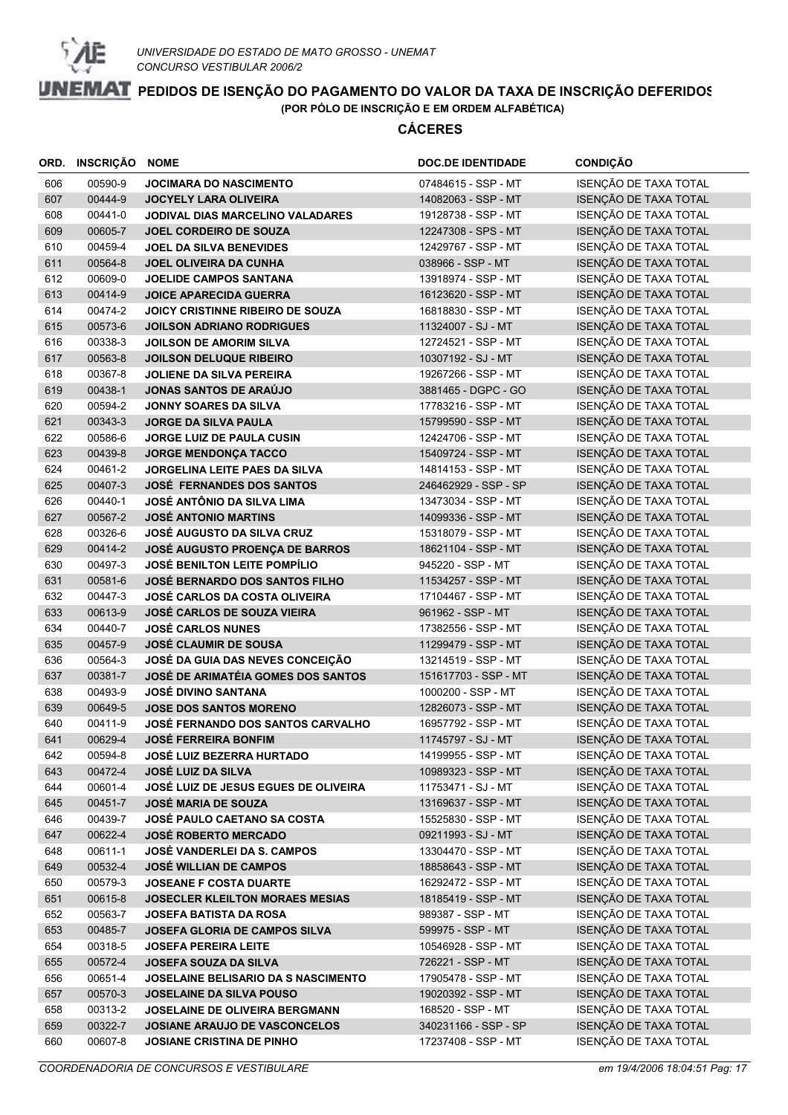

| ORD. | INSCRIÇÃO | <b>NOME</b>                                 | <b>DOC.DE IDENTIDADE</b> | <b>CONDIÇÃO</b>       |
|------|-----------|---------------------------------------------|--------------------------|-----------------------|
| 606  | 00590-9   | JOCIMARA DO NASCIMENTO                      | 07484615 - SSP - MT      | ISENÇÃO DE TAXA TOTAL |
| 607  | 00444-9   | <b>JOCYELY LARA OLIVEIRA</b>                | 14082063 - SSP - MT      | ISENÇÃO DE TAXA TOTAL |
| 608  | 00441-0   | JODIVAL DIAS MARCELINO VALADARES            | 19128738 - SSP - MT      | ISENÇÃO DE TAXA TOTAL |
| 609  | 00605-7   | <b>JOEL CORDEIRO DE SOUZA</b>               | 12247308 - SPS - MT      | ISENÇÃO DE TAXA TOTAL |
| 610  | 00459-4   | <b>JOEL DA SILVA BENEVIDES</b>              | 12429767 - SSP - MT      | ISENÇÃO DE TAXA TOTAL |
| 611  | 00564-8   | <b>JOEL OLIVEIRA DA CUNHA</b>               | 038966 - SSP - MT        | ISENÇÃO DE TAXA TOTAL |
| 612  | 00609-0   | <b>JOELIDE CAMPOS SANTANA</b>               | 13918974 - SSP - MT      | ISENÇÃO DE TAXA TOTAL |
| 613  | 00414-9   | <b>JOICE APARECIDA GUERRA</b>               | 16123620 - SSP - MT      | ISENÇÃO DE TAXA TOTAL |
| 614  | 00474-2   | <b>JOICY CRISTINNE RIBEIRO DE SOUZA</b>     | 16818830 - SSP - MT      | ISENÇÃO DE TAXA TOTAL |
| 615  | 00573-6   | <b>JOILSON ADRIANO RODRIGUES</b>            | 11324007 - SJ - MT       | ISENÇÃO DE TAXA TOTAL |
| 616  | 00338-3   | <b>JOILSON DE AMORIM SILVA</b>              | 12724521 - SSP - MT      | ISENÇÃO DE TAXA TOTAL |
| 617  | 00563-8   | <b>JOILSON DELUQUE RIBEIRO</b>              | 10307192 - SJ - MT       | ISENÇÃO DE TAXA TOTAL |
| 618  | 00367-8   | <b>JOLIENE DA SILVA PEREIRA</b>             | 19267266 - SSP - MT      | ISENÇÃO DE TAXA TOTAL |
| 619  | 00438-1   | <b>JONAS SANTOS DE ARAÚJO</b>               | 3881465 - DGPC - GO      | ISENÇÃO DE TAXA TOTAL |
| 620  | 00594-2   | <b>JONNY SOARES DA SILVA</b>                | 17783216 - SSP - MT      | ISENÇÃO DE TAXA TOTAL |
| 621  | 00343-3   | <b>JORGE DA SILVA PAULA</b>                 | 15799590 - SSP - MT      | ISENÇÃO DE TAXA TOTAL |
| 622  | 00586-6   | <b>JORGE LUIZ DE PAULA CUSIN</b>            | 12424706 - SSP - MT      | ISENÇÃO DE TAXA TOTAL |
| 623  | 00439-8   | <b>JORGE MENDONÇA TACCO</b>                 | 15409724 - SSP - MT      | ISENÇÃO DE TAXA TOTAL |
| 624  | 00461-2   | <b>JORGELINA LEITE PAES DA SILVA</b>        | 14814153 - SSP - MT      | ISENÇÃO DE TAXA TOTAL |
| 625  | 00407-3   | <b>JOSÉ FERNANDES DOS SANTOS</b>            | 246462929 - SSP - SP     | ISENÇÃO DE TAXA TOTAL |
| 626  | 00440-1   | JOSÉ ANTÔNIO DA SILVA LIMA                  | 13473034 - SSP - MT      | ISENÇÃO DE TAXA TOTAL |
| 627  | 00567-2   | <b>JOSÉ ANTONIO MARTINS</b>                 | 14099336 - SSP - MT      | ISENÇÃO DE TAXA TOTAL |
| 628  | 00326-6   | <b>JOSÉ AUGUSTO DA SILVA CRUZ</b>           | 15318079 - SSP - MT      | ISENÇÃO DE TAXA TOTAL |
| 629  | 00414-2   | <b>JOSÉ AUGUSTO PROENÇA DE BARROS</b>       | 18621104 - SSP - MT      | ISENÇÃO DE TAXA TOTAL |
| 630  | 00497-3   | <b>JOSÉ BENILTON LEITE POMPÍLIO</b>         | 945220 - SSP - MT        | ISENÇÃO DE TAXA TOTAL |
| 631  | 00581-6   | <b>JOSÉ BERNARDO DOS SANTOS FILHO</b>       | 11534257 - SSP - MT      | ISENÇÃO DE TAXA TOTAL |
| 632  | 00447-3   | <b>JOSÉ CARLOS DA COSTA OLIVEIRA</b>        | 17104467 - SSP - MT      | ISENÇÃO DE TAXA TOTAL |
| 633  | 00613-9   | <b>JOSÉ CARLOS DE SOUZA VIEIRA</b>          | 961962 - SSP - MT        | ISENÇÃO DE TAXA TOTAL |
| 634  | 00440-7   | <b>JOSÉ CARLOS NUNES</b>                    | 17382556 - SSP - MT      | ISENÇÃO DE TAXA TOTAL |
| 635  | 00457-9   | <b>JOSÉ CLAUMIR DE SOUSA</b>                | 11299479 - SSP - MT      | ISENÇÃO DE TAXA TOTAL |
| 636  | 00564-3   | JOSÉ DA GUIA DAS NEVES CONCEIÇÃO            | 13214519 - SSP - MT      | ISENÇÃO DE TAXA TOTAL |
| 637  | 00381-7   | <b>JOSÉ DE ARIMATÉIA GOMES DOS SANTOS</b>   | 151617703 - SSP - MT     | ISENÇÃO DE TAXA TOTAL |
| 638  | 00493-9   | <b>JOSÉ DIVINO SANTANA</b>                  | 1000200 - SSP - MT       | ISENÇÃO DE TAXA TOTAL |
| 639  | 00649-5   | <b>JOSE DOS SANTOS MORENO</b>               | 12826073 - SSP - MT      | ISENÇÃO DE TAXA TOTAL |
| 640  | 00411-9   | <b>JOSÉ FERNANDO DOS SANTOS CARVALHO</b>    | 16957792 - SSP - MT      | ISENÇÃO DE TAXA TOTAL |
| 641  | 00629-4   | <b>JOSÉ FERREIRA BONFIM</b>                 | 11745797 - SJ - MT       | ISENÇÃO DE TAXA TOTAL |
| 642  | 00594-8   | JOSÉ LUIZ BEZERRA HURTADO                   | 14199955 - SSP - MT      | ISENÇÃO DE TAXA TOTAL |
| 643  | 00472-4   | <b>JOSÉ LUIZ DA SILVA</b>                   | 10989323 - SSP - MT      | ISENÇÃO DE TAXA TOTAL |
| 644  | 00601-4   | <b>JOSÉ LUIZ DE JESUS EGUES DE OLIVEIRA</b> | 11753471 - SJ - MT       | ISENÇÃO DE TAXA TOTAL |
| 645  | 00451-7   | <b>JOSÉ MARIA DE SOUZA</b>                  | 13169637 - SSP - MT      | ISENÇÃO DE TAXA TOTAL |
| 646  | 00439-7   | <b>JOSÉ PAULO CAETANO SA COSTA</b>          | 15525830 - SSP - MT      | ISENÇÃO DE TAXA TOTAL |
| 647  | 00622-4   | <b>JOSÉ ROBERTO MERCADO</b>                 | 09211993 - SJ - MT       | ISENÇÃO DE TAXA TOTAL |
| 648  | 00611-1   | <b>JOSÉ VANDERLEI DA S. CAMPOS</b>          | 13304470 - SSP - MT      | ISENÇÃO DE TAXA TOTAL |
| 649  | 00532-4   | <b>JOSÉ WILLIAN DE CAMPOS</b>               | 18858643 - SSP - MT      | ISENÇÃO DE TAXA TOTAL |
| 650  | 00579-3   | <b>JOSEANE F COSTA DUARTE</b>               | 16292472 - SSP - MT      | ISENÇÃO DE TAXA TOTAL |
| 651  | 00615-8   | JOSECLER KLEILTON MORAES MESIAS             | 18185419 - SSP - MT      | ISENÇÃO DE TAXA TOTAL |
| 652  | 00563-7   | <b>JOSEFA BATISTA DA ROSA</b>               | 989387 - SSP - MT        | ISENÇÃO DE TAXA TOTAL |
| 653  | 00485-7   | JOSEFA GLORIA DE CAMPOS SILVA               | 599975 - SSP - MT        | ISENÇÃO DE TAXA TOTAL |
| 654  | 00318-5   | <b>JOSEFA PEREIRA LEITE</b>                 | 10546928 - SSP - MT      | ISENÇÃO DE TAXA TOTAL |
| 655  | 00572-4   | <b>JOSEFA SOUZA DA SILVA</b>                | 726221 - SSP - MT        | ISENÇÃO DE TAXA TOTAL |
| 656  | 00651-4   | JOSELAINE BELISARIO DA S NASCIMENTO         | 17905478 - SSP - MT      | ISENÇÃO DE TAXA TOTAL |
| 657  | 00570-3   | JOSELAINE DA SILVA POUSO                    | 19020392 - SSP - MT      | ISENÇÃO DE TAXA TOTAL |
| 658  | 00313-2   | JOSELAINE DE OLIVEIRA BERGMANN              | 168520 - SSP - MT        | ISENÇÃO DE TAXA TOTAL |
| 659  | 00322-7   | JOSIANE ARAUJO DE VASCONCELOS               | 340231166 - SSP - SP     | ISENÇÃO DE TAXA TOTAL |
| 660  | 00607-8   | JOSIANE CRISTINA DE PINHO                   | 17237408 - SSP - MT      | ISENÇÃO DE TAXA TOTAL |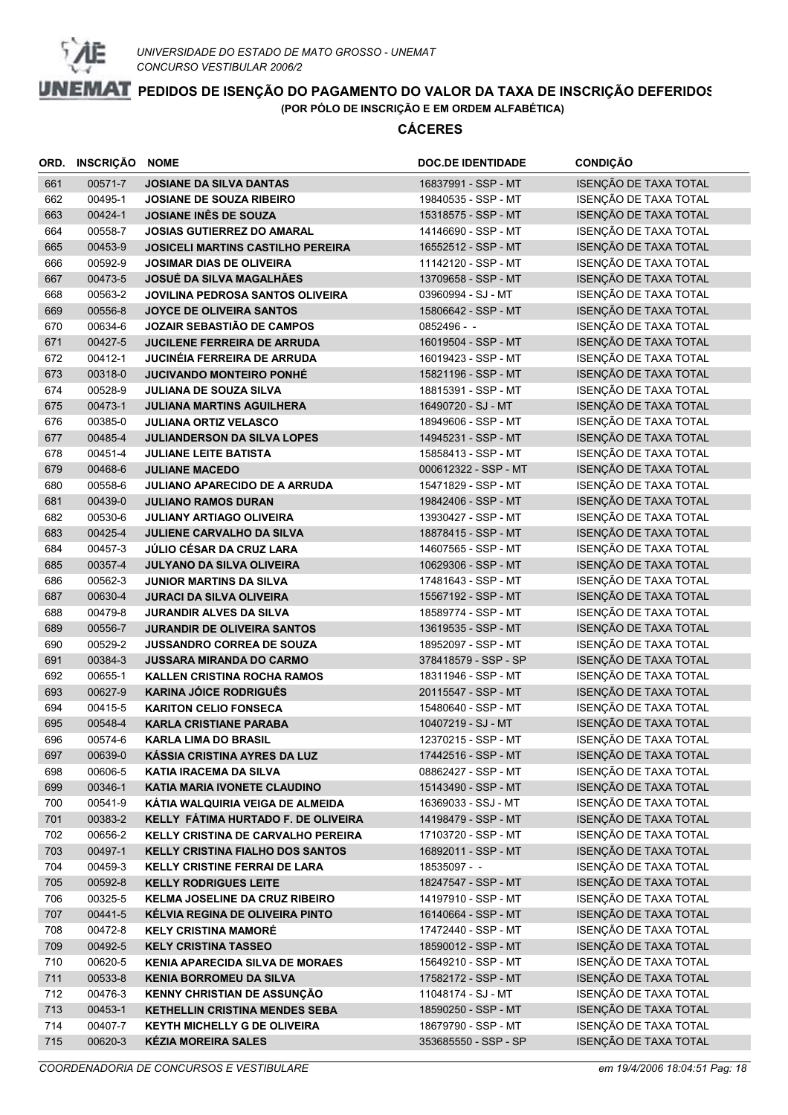

| ORD. | <b>INSCRIÇÃO</b> | <b>NOME</b>                              | <b>DOC.DE IDENTIDADE</b> | <b>CONDIÇÃO</b>       |
|------|------------------|------------------------------------------|--------------------------|-----------------------|
| 661  | 00571-7          | <b>JOSIANE DA SILVA DANTAS</b>           | 16837991 - SSP - MT      | ISENÇÃO DE TAXA TOTAL |
| 662  | 00495-1          | <b>JOSIANE DE SOUZA RIBEIRO</b>          | 19840535 - SSP - MT      | ISENÇÃO DE TAXA TOTAL |
| 663  | 00424-1          | JOSIANE INÊS DE SOUZA                    | 15318575 - SSP - MT      | ISENÇÃO DE TAXA TOTAL |
| 664  | 00558-7          | <b>JOSIAS GUTIERREZ DO AMARAL</b>        | 14146690 - SSP - MT      | ISENÇÃO DE TAXA TOTAL |
| 665  | 00453-9          | <b>JOSICELI MARTINS CASTILHO PEREIRA</b> | 16552512 - SSP - MT      | ISENÇÃO DE TAXA TOTAL |
| 666  | 00592-9          | <b>JOSIMAR DIAS DE OLIVEIRA</b>          | 11142120 - SSP - MT      | ISENÇÃO DE TAXA TOTAL |
| 667  | 00473-5          | <b>JOSUÉ DA SILVA MAGALHÃES</b>          | 13709658 - SSP - MT      | ISENÇÃO DE TAXA TOTAL |
| 668  | 00563-2          | <b>JOVILINA PEDROSA SANTOS OLIVEIRA</b>  | 03960994 - SJ - MT       | ISENÇÃO DE TAXA TOTAL |
| 669  | 00556-8          | JOYCE DE OLIVEIRA SANTOS                 | 15806642 - SSP - MT      | ISENÇÃO DE TAXA TOTAL |
| 670  | 00634-6          | <b>JOZAIR SEBASTIÃO DE CAMPOS</b>        | 0852496 - -              | ISENÇÃO DE TAXA TOTAL |
| 671  | 00427-5          | <b>JUCILENE FERREIRA DE ARRUDA</b>       | 16019504 - SSP - MT      | ISENÇÃO DE TAXA TOTAL |
| 672  | 00412-1          | JUCINÉIA FERREIRA DE ARRUDA              | 16019423 - SSP - MT      | ISENÇÃO DE TAXA TOTAL |
| 673  | 00318-0          | <b>JUCIVANDO MONTEIRO PONHÉ</b>          | 15821196 - SSP - MT      | ISENÇÃO DE TAXA TOTAL |
| 674  | 00528-9          | <b>JULIANA DE SOUZA SILVA</b>            | 18815391 - SSP - MT      | ISENÇÃO DE TAXA TOTAL |
| 675  | 00473-1          | <b>JULIANA MARTINS AGUILHERA</b>         | 16490720 - SJ - MT       | ISENÇÃO DE TAXA TOTAL |
| 676  | 00385-0          | <b>JULIANA ORTIZ VELASCO</b>             | 18949606 - SSP - MT      | ISENÇÃO DE TAXA TOTAL |
| 677  | 00485-4          | <b>JULIANDERSON DA SILVA LOPES</b>       | 14945231 - SSP - MT      | ISENÇÃO DE TAXA TOTAL |
| 678  | 00451-4          | <b>JULIANE LEITE BATISTA</b>             | 15858413 - SSP - MT      | ISENÇÃO DE TAXA TOTAL |
| 679  | 00468-6          | <b>JULIANE MACEDO</b>                    | 000612322 - SSP - MT     | ISENÇÃO DE TAXA TOTAL |
| 680  | 00558-6          | <b>JULIANO APARECIDO DE A ARRUDA</b>     | 15471829 - SSP - MT      | ISENÇÃO DE TAXA TOTAL |
| 681  | 00439-0          | <b>JULIANO RAMOS DURAN</b>               | 19842406 - SSP - MT      | ISENÇÃO DE TAXA TOTAL |
| 682  | 00530-6          | <b>JULIANY ARTIAGO OLIVEIRA</b>          | 13930427 - SSP - MT      | ISENÇÃO DE TAXA TOTAL |
| 683  | 00425-4          | JULIENE CARVALHO DA SILVA                | 18878415 - SSP - MT      | ISENÇÃO DE TAXA TOTAL |
| 684  | 00457-3          | JÚLIO CÉSAR DA CRUZ LARA                 | 14607565 - SSP - MT      | ISENÇÃO DE TAXA TOTAL |
| 685  | 00357-4          | JULYANO DA SILVA OLIVEIRA                | 10629306 - SSP - MT      | ISENÇÃO DE TAXA TOTAL |
| 686  | 00562-3          | <b>JUNIOR MARTINS DA SILVA</b>           | 17481643 - SSP - MT      | ISENÇÃO DE TAXA TOTAL |
| 687  | 00630-4          | <b>JURACI DA SILVA OLIVEIRA</b>          | 15567192 - SSP - MT      | ISENÇÃO DE TAXA TOTAL |
| 688  | 00479-8          | <b>JURANDIR ALVES DA SILVA</b>           | 18589774 - SSP - MT      | ISENÇÃO DE TAXA TOTAL |
| 689  | 00556-7          | <b>JURANDIR DE OLIVEIRA SANTOS</b>       | 13619535 - SSP - MT      | ISENÇÃO DE TAXA TOTAL |
| 690  | 00529-2          | JUSSANDRO CORREA DE SOUZA                | 18952097 - SSP - MT      | ISENÇÃO DE TAXA TOTAL |
| 691  | 00384-3          | <b>JUSSARA MIRANDA DO CARMO</b>          | 378418579 - SSP - SP     | ISENÇÃO DE TAXA TOTAL |
| 692  | 00655-1          | <b>KALLEN CRISTINA ROCHA RAMOS</b>       | 18311946 - SSP - MT      | ISENÇÃO DE TAXA TOTAL |
| 693  | 00627-9          | <b>KARINA JÓICE RODRIGUÊS</b>            | 20115547 - SSP - MT      | ISENÇÃO DE TAXA TOTAL |
| 694  | 00415-5          | <b>KARITON CELIO FONSECA</b>             | 15480640 - SSP - MT      | ISENÇÃO DE TAXA TOTAL |
| 695  | 00548-4          | <b>KARLA CRISTIANE PARABA</b>            | 10407219 - SJ - MT       | ISENÇÃO DE TAXA TOTAL |
| 696  | 00574-6          | <b>KARLA LIMA DO BRASIL</b>              | 12370215 - SSP - MT      | ISENÇÃO DE TAXA TOTAL |
| 697  | 00639-0          | KÁSSIA CRISTINA AYRES DA LUZ             | 17442516 - SSP - MT      | ISENÇÃO DE TAXA TOTAL |
| 698  | 00606-5          | <b>KATIA IRACEMA DA SILVA</b>            | 08862427 - SSP - MT      | ISENÇÃO DE TAXA TOTAL |
| 699  | 00346-1          | KATIA MARIA IVONETE CLAUDINO             | 15143490 - SSP - MT      | ISENÇÃO DE TAXA TOTAL |
| 700  | 00541-9          | KÁTIA WALQUIRIA VEIGA DE ALMEIDA         | 16369033 - SSJ - MT      | ISENÇÃO DE TAXA TOTAL |
| 701  | 00383-2          | KELLY FÁTIMA HURTADO F. DE OLIVEIRA      | 14198479 - SSP - MT      | ISENÇÃO DE TAXA TOTAL |
| 702  | 00656-2          | KELLY CRISTINA DE CARVALHO PEREIRA       | 17103720 - SSP - MT      | ISENÇÃO DE TAXA TOTAL |
| 703  | 00497-1          | <b>KELLY CRISTINA FIALHO DOS SANTOS</b>  | 16892011 - SSP - MT      | ISENÇÃO DE TAXA TOTAL |
| 704  | 00459-3          | <b>KELLY CRISTINE FERRAI DE LARA</b>     | 18535097 - -             | ISENÇÃO DE TAXA TOTAL |
| 705  | 00592-8          | <b>KELLY RODRIGUES LEITE</b>             | 18247547 - SSP - MT      | ISENÇÃO DE TAXA TOTAL |
| 706  | 00325-5          | <b>KELMA JOSELINE DA CRUZ RIBEIRO</b>    | 14197910 - SSP - MT      | ISENÇÃO DE TAXA TOTAL |
| 707  | 00441-5          | KÉLVIA REGINA DE OLIVEIRA PINTO          | 16140664 - SSP - MT      | ISENÇÃO DE TAXA TOTAL |
| 708  | 00472-8          | <b>KELY CRISTINA MAMORÉ</b>              | 17472440 - SSP - MT      | ISENÇÃO DE TAXA TOTAL |
| 709  | 00492-5          | <b>KELY CRISTINA TASSEO</b>              | 18590012 - SSP - MT      | ISENÇÃO DE TAXA TOTAL |
| 710  | 00620-5          | <b>KENIA APARECIDA SILVA DE MORAES</b>   | 15649210 - SSP - MT      | ISENÇÃO DE TAXA TOTAL |
| 711  | 00533-8          | <b>KENIA BORROMEU DA SILVA</b>           | 17582172 - SSP - MT      | ISENÇÃO DE TAXA TOTAL |
| 712  | 00476-3          | KENNY CHRISTIAN DE ASSUNÇÃO              | 11048174 - SJ - MT       | ISENÇÃO DE TAXA TOTAL |
| 713  | 00453-1          | <b>KETHELLIN CRISTINA MENDES SEBA</b>    | 18590250 - SSP - MT      | ISENÇÃO DE TAXA TOTAL |
| 714  | 00407-7          | <b>KEYTH MICHELLY G DE OLIVEIRA</b>      | 18679790 - SSP - MT      | ISENÇÃO DE TAXA TOTAL |
| 715  | 00620-3          | <b>KÉZIA MOREIRA SALES</b>               | 353685550 - SSP - SP     | ISENÇÃO DE TAXA TOTAL |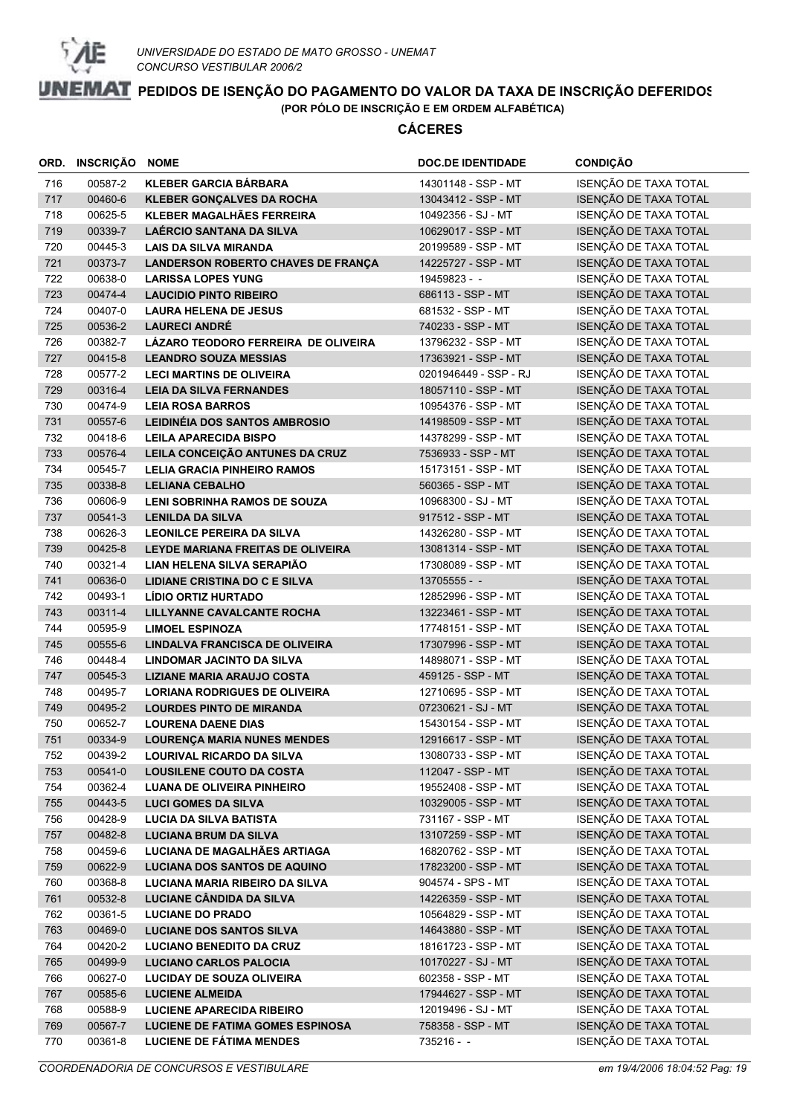

|            | ORD. INSCRIÇÃO     | <b>NOME</b>                                                  | <b>DOC.DE IDENTIDADE</b>                  | <b>CONDIÇÃO</b>                                |
|------------|--------------------|--------------------------------------------------------------|-------------------------------------------|------------------------------------------------|
| 716        | 00587-2            | <b>KLEBER GARCIA BÁRBARA</b>                                 | 14301148 - SSP - MT                       | ISENÇÃO DE TAXA TOTAL                          |
| 717        | 00460-6            | <b>KLEBER GONÇALVES DA ROCHA</b>                             | 13043412 - SSP - MT                       | ISENÇÃO DE TAXA TOTAL                          |
| 718        | 00625-5            | KLEBER MAGALHÃES FERREIRA                                    | 10492356 - SJ - MT                        | ISENÇÃO DE TAXA TOTAL                          |
| 719        | 00339-7            | LAÉRCIO SANTANA DA SILVA                                     | 10629017 - SSP - MT                       | ISENÇÃO DE TAXA TOTAL                          |
| 720        | 00445-3            | <b>LAIS DA SILVA MIRANDA</b>                                 | 20199589 - SSP - MT                       | ISENÇÃO DE TAXA TOTAL                          |
| 721        | 00373-7            | <b>LANDERSON ROBERTO CHAVES DE FRANÇA</b>                    | 14225727 - SSP - MT                       | ISENÇÃO DE TAXA TOTAL                          |
| 722        | 00638-0            | <b>LARISSA LOPES YUNG</b>                                    | 19459823 - -                              | ISENÇÃO DE TAXA TOTAL                          |
| 723        | 00474-4            | <b>LAUCIDIO PINTO RIBEIRO</b>                                | 686113 - SSP - MT                         | ISENÇÃO DE TAXA TOTAL                          |
| 724        | 00407-0            | <b>LAURA HELENA DE JESUS</b>                                 | 681532 - SSP - MT                         | ISENÇÃO DE TAXA TOTAL                          |
| 725        | 00536-2            | <b>LAURECI ANDRÉ</b>                                         | 740233 - SSP - MT                         | ISENÇÃO DE TAXA TOTAL                          |
| 726        | 00382-7            | LÁZARO TEODORO FERREIRA DE OLIVEIRA                          | 13796232 - SSP - MT                       | ISENÇÃO DE TAXA TOTAL                          |
| 727        | 00415-8            | <b>LEANDRO SOUZA MESSIAS</b>                                 | 17363921 - SSP - MT                       | ISENÇÃO DE TAXA TOTAL                          |
| 728        | 00577-2            | <b>LECI MARTINS DE OLIVEIRA</b>                              | 0201946449 - SSP - RJ                     | ISENÇÃO DE TAXA TOTAL                          |
| 729        | 00316-4            | <b>LEIA DA SILVA FERNANDES</b>                               | 18057110 - SSP - MT                       | ISENÇÃO DE TAXA TOTAL                          |
| 730        | 00474-9            | <b>LEIA ROSA BARROS</b>                                      | 10954376 - SSP - MT                       | ISENÇÃO DE TAXA TOTAL                          |
| 731        | 00557-6            | <b>LEIDINEIA DOS SANTOS AMBROSIO</b>                         | 14198509 - SSP - MT                       | ISENÇÃO DE TAXA TOTAL                          |
| 732        | 00418-6            | <b>LEILA APARECIDA BISPO</b>                                 | 14378299 - SSP - MT                       | ISENÇÃO DE TAXA TOTAL                          |
| 733        | 00576-4            | LEILA CONCEIÇÃO ANTUNES DA CRUZ                              | 7536933 - SSP - MT                        | ISENÇÃO DE TAXA TOTAL                          |
| 734        | 00545-7            | LELIA GRACIA PINHEIRO RAMOS                                  | 15173151 - SSP - MT                       | ISENÇÃO DE TAXA TOTAL                          |
| 735        | 00338-8            | <b>LELIANA CEBALHO</b>                                       | 560365 - SSP - MT                         | ISENÇÃO DE TAXA TOTAL                          |
| 736        | 00606-9            | LENI SOBRINHA RAMOS DE SOUZA                                 | 10968300 - SJ - MT                        | ISENÇÃO DE TAXA TOTAL                          |
| 737        | 00541-3            | <b>LENILDA DA SILVA</b>                                      | 917512 - SSP - MT                         | ISENÇÃO DE TAXA TOTAL                          |
| 738        | 00626-3            | <b>LEONILCE PEREIRA DA SILVA</b>                             | 14326280 - SSP - MT                       | ISENÇÃO DE TAXA TOTAL                          |
| 739        | 00425-8            | LEYDE MARIANA FREITAS DE OLIVEIRA                            | 13081314 - SSP - MT                       | ISENÇÃO DE TAXA TOTAL                          |
| 740        | 00321-4            | LIAN HELENA SILVA SERAPIÃO                                   | 17308089 - SSP - MT                       | ISENÇÃO DE TAXA TOTAL                          |
| 741        | 00636-0            | LIDIANE CRISTINA DO C E SILVA                                | $13705555 - -$                            | ISENÇÃO DE TAXA TOTAL                          |
| 742        | 00493-1            | LIDIO ORTIZ HURTADO                                          | 12852996 - SSP - MT                       | ISENÇÃO DE TAXA TOTAL                          |
| 743        | 00311-4            | LILLYANNE CAVALCANTE ROCHA                                   | 13223461 - SSP - MT                       | ISENÇÃO DE TAXA TOTAL                          |
| 744        | 00595-9            | <b>LIMOEL ESPINOZA</b>                                       | 17748151 - SSP - MT                       | ISENÇÃO DE TAXA TOTAL                          |
| 745        | 00555-6            | LINDALVA FRANCISCA DE OLIVEIRA                               | 17307996 - SSP - MT                       | ISENÇÃO DE TAXA TOTAL                          |
| 746        | 00448-4            | LINDOMAR JACINTO DA SILVA                                    | 14898071 - SSP - MT                       | ISENÇÃO DE TAXA TOTAL                          |
| 747        | 00545-3            | <b>LIZIANE MARIA ARAUJO COSTA</b>                            | 459125 - SSP - MT                         | ISENÇÃO DE TAXA TOTAL<br>ISENÇÃO DE TAXA TOTAL |
| 748<br>749 | 00495-7<br>00495-2 | <b>LORIANA RODRIGUES DE OLIVEIRA</b>                         | 12710695 - SSP - MT<br>07230621 - SJ - MT | ISENÇÃO DE TAXA TOTAL                          |
| 750        | 00652-7            | <b>LOURDES PINTO DE MIRANDA</b><br><b>LOURENA DAENE DIAS</b> | 15430154 - SSP - MT                       | ISENÇÃO DE TAXA TOTAL                          |
| 751        | 00334-9            | <b>LOURENÇA MARIA NUNES MENDES</b>                           | 12916617 - SSP - MT                       | ISENÇÃO DE TAXA TOTAL                          |
| 752        | 00439-2            | <b>LOURIVAL RICARDO DA SILVA</b>                             | 13080733 - SSP - MT                       | ISENÇÃO DE TAXA TOTAL                          |
| 753        | 00541-0            | <b>LOUSILENE COUTO DA COSTA</b>                              | 112047 - SSP - MT                         | ISENÇÃO DE TAXA TOTAL                          |
| 754        | 00362-4            | <b>LUANA DE OLIVEIRA PINHEIRO</b>                            | 19552408 - SSP - MT                       | ISENÇÃO DE TAXA TOTAL                          |
| 755        | 00443-5            | <b>LUCI GOMES DA SILVA</b>                                   | 10329005 - SSP - MT                       | ISENÇÃO DE TAXA TOTAL                          |
| 756        | 00428-9            | <b>LUCIA DA SILVA BATISTA</b>                                | 731167 - SSP - MT                         | ISENÇÃO DE TAXA TOTAL                          |
| 757        | 00482-8            | <b>LUCIANA BRUM DA SILVA</b>                                 | 13107259 - SSP - MT                       | ISENÇÃO DE TAXA TOTAL                          |
| 758        | 00459-6            | LUCIANA DE MAGALHÃES ARTIAGA                                 | 16820762 - SSP - MT                       | ISENÇÃO DE TAXA TOTAL                          |
| 759        | 00622-9            | LUCIANA DOS SANTOS DE AQUINO                                 | 17823200 - SSP - MT                       | ISENÇÃO DE TAXA TOTAL                          |
| 760        | 00368-8            | LUCIANA MARIA RIBEIRO DA SILVA                               | 904574 - SPS - MT                         | ISENÇÃO DE TAXA TOTAL                          |
| 761        | 00532-8            | LUCIANE CÂNDIDA DA SILVA                                     | 14226359 - SSP - MT                       | ISENÇÃO DE TAXA TOTAL                          |
| 762        | 00361-5            | <b>LUCIANE DO PRADO</b>                                      | 10564829 - SSP - MT                       | ISENÇÃO DE TAXA TOTAL                          |
| 763        | 00469-0            | <b>LUCIANE DOS SANTOS SILVA</b>                              | 14643880 - SSP - MT                       | ISENÇÃO DE TAXA TOTAL                          |
| 764        | 00420-2            | <b>LUCIANO BENEDITO DA CRUZ</b>                              | 18161723 - SSP - MT                       | ISENÇÃO DE TAXA TOTAL                          |
| 765        | 00499-9            | <b>LUCIANO CARLOS PALOCIA</b>                                | 10170227 - SJ - MT                        | ISENÇÃO DE TAXA TOTAL                          |
| 766        | 00627-0            | <b>LUCIDAY DE SOUZA OLIVEIRA</b>                             | 602358 - SSP - MT                         | ISENÇÃO DE TAXA TOTAL                          |
| 767        | 00585-6            | <b>LUCIENE ALMEIDA</b>                                       | 17944627 - SSP - MT                       | ISENÇÃO DE TAXA TOTAL                          |
| 768        | 00588-9            | <b>LUCIENE APARECIDA RIBEIRO</b>                             | 12019496 - SJ - MT                        | ISENÇÃO DE TAXA TOTAL                          |
| 769        | 00567-7            | <b>LUCIENE DE FATIMA GOMES ESPINOSA</b>                      | 758358 - SSP - MT                         | ISENÇÃO DE TAXA TOTAL                          |
| 770        | 00361-8            | <b>LUCIENE DE FÁTIMA MENDES</b>                              | 735216 - -                                | ISENÇÃO DE TAXA TOTAL                          |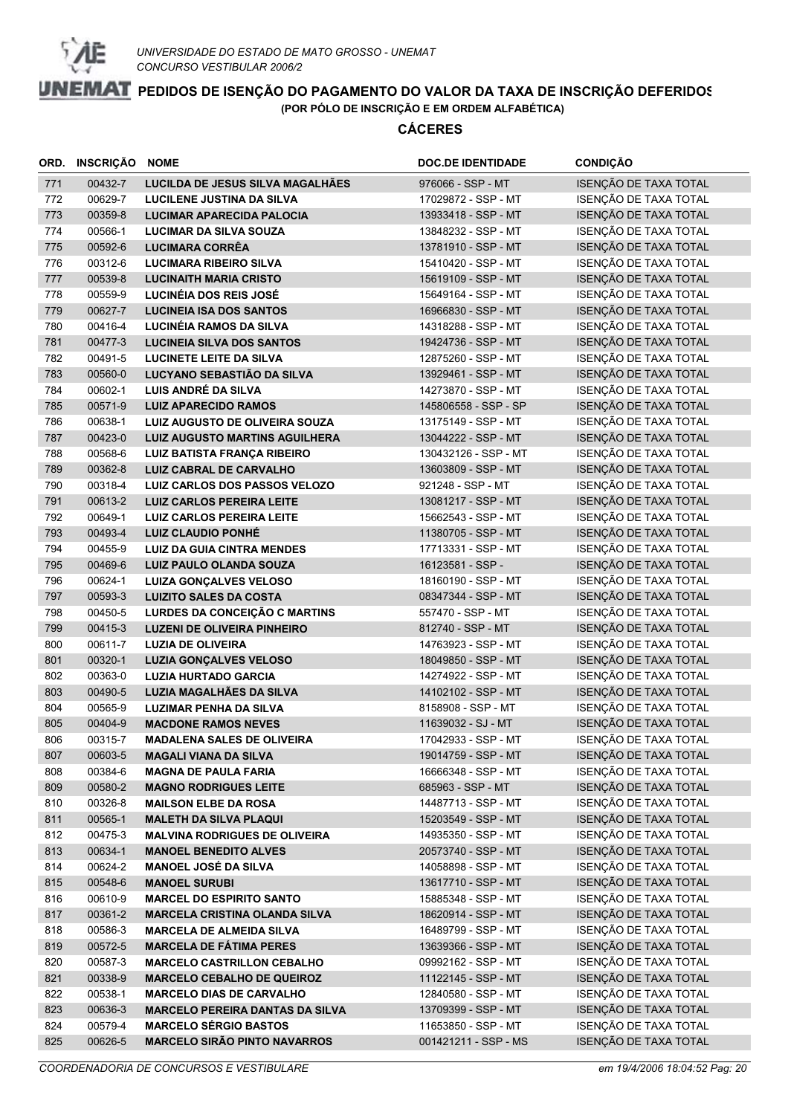

|            | ORD. INSCRIÇÃO NOME |                                                               | <b>DOC.DE IDENTIDADE</b>                | <b>CONDIÇÃO</b>                                |
|------------|---------------------|---------------------------------------------------------------|-----------------------------------------|------------------------------------------------|
| 771        | 00432-7             | LUCILDA DE JESUS SILVA MAGALHÃES                              | 976066 - SSP - MT                       | ISENÇÃO DE TAXA TOTAL                          |
| 772        | 00629-7             | LUCILENE JUSTINA DA SILVA                                     | 17029872 - SSP - MT                     | ISENÇÃO DE TAXA TOTAL                          |
| 773        | 00359-8             | <b>LUCIMAR APARECIDA PALOCIA</b>                              | 13933418 - SSP - MT                     | ISENÇÃO DE TAXA TOTAL                          |
| 774        | 00566-1             | <b>LUCIMAR DA SILVA SOUZA</b>                                 | 13848232 - SSP - MT                     | ISENÇÃO DE TAXA TOTAL                          |
| 775        | 00592-6             | <b>LUCIMARA CORRÊA</b>                                        | 13781910 - SSP - MT                     | ISENÇÃO DE TAXA TOTAL                          |
| 776        | 00312-6             | <b>LUCIMARA RIBEIRO SILVA</b>                                 | 15410420 - SSP - MT                     | ISENÇÃO DE TAXA TOTAL                          |
| 777        | 00539-8             | <b>LUCINAITH MARIA CRISTO</b>                                 | 15619109 - SSP - MT                     | ISENÇÃO DE TAXA TOTAL                          |
| 778        | 00559-9             | LUCINÉIA DOS REIS JOSÉ                                        | 15649164 - SSP - MT                     | ISENÇÃO DE TAXA TOTAL                          |
| 779        | 00627-7             | <b>LUCINEIA ISA DOS SANTOS</b>                                | 16966830 - SSP - MT                     | ISENÇÃO DE TAXA TOTAL                          |
| 780        | 00416-4             | LUCINÉIA RAMOS DA SILVA                                       | 14318288 - SSP - MT                     | ISENÇÃO DE TAXA TOTAL                          |
| 781        | 00477-3             | <b>LUCINEIA SILVA DOS SANTOS</b>                              | 19424736 - SSP - MT                     | ISENÇÃO DE TAXA TOTAL                          |
| 782        | 00491-5             | <b>LUCINETE LEITE DA SILVA</b>                                | 12875260 - SSP - MT                     | ISENÇÃO DE TAXA TOTAL                          |
| 783        | 00560-0             | LUCYANO SEBASTIÃO DA SILVA                                    | 13929461 - SSP - MT                     | ISENÇÃO DE TAXA TOTAL                          |
| 784        | 00602-1             | LUIS ANDRÉ DA SILVA                                           | 14273870 - SSP - MT                     | ISENÇÃO DE TAXA TOTAL                          |
| 785        | 00571-9             | <b>LUIZ APARECIDO RAMOS</b>                                   | 145806558 - SSP - SP                    | ISENÇÃO DE TAXA TOTAL                          |
| 786        | 00638-1             | LUIZ AUGUSTO DE OLIVEIRA SOUZA                                | 13175149 - SSP - MT                     | ISENÇÃO DE TAXA TOTAL                          |
| 787        | 00423-0             | <b>LUIZ AUGUSTO MARTINS AGUILHERA</b>                         | 13044222 - SSP - MT                     | ISENÇÃO DE TAXA TOTAL                          |
| 788        | 00568-6             | <b>LUIZ BATISTA FRANÇA RIBEIRO</b>                            | 130432126 - SSP - MT                    | ISENÇÃO DE TAXA TOTAL                          |
| 789        | 00362-8             | <b>LUIZ CABRAL DE CARVALHO</b>                                | 13603809 - SSP - MT                     | ISENÇÃO DE TAXA TOTAL                          |
| 790        | 00318-4             | LUIZ CARLOS DOS PASSOS VELOZO                                 | 921248 - SSP - MT                       | ISENÇÃO DE TAXA TOTAL                          |
| 791        | 00613-2             | <b>LUIZ CARLOS PEREIRA LEITE</b>                              | 13081217 - SSP - MT                     | ISENÇÃO DE TAXA TOTAL                          |
| 792        | 00649-1             | <b>LUIZ CARLOS PEREIRA LEITE</b><br><b>LUIZ CLAUDIO PONHÉ</b> | 15662543 - SSP - MT                     | ISENÇÃO DE TAXA TOTAL                          |
| 793        | 00493-4             |                                                               | 11380705 - SSP - MT                     | ISENÇÃO DE TAXA TOTAL<br>ISENÇÃO DE TAXA TOTAL |
| 794        | 00455-9<br>00469-6  | <b>LUIZ DA GUIA CINTRA MENDES</b>                             | 17713331 - SSP - MT                     | ISENÇÃO DE TAXA TOTAL                          |
| 795<br>796 | 00624-1             | LUIZ PAULO OLANDA SOUZA<br><b>LUIZA GONÇALVES VELOSO</b>      | 16123581 - SSP -<br>18160190 - SSP - MT | ISENÇÃO DE TAXA TOTAL                          |
| 797        | 00593-3             | <b>LUIZITO SALES DA COSTA</b>                                 | 08347344 - SSP - MT                     | ISENÇÃO DE TAXA TOTAL                          |
| 798        | 00450-5             | LURDES DA CONCEIÇÃO C MARTINS                                 | 557470 - SSP - MT                       | ISENÇÃO DE TAXA TOTAL                          |
| 799        | 00415-3             | <b>LUZENI DE OLIVEIRA PINHEIRO</b>                            | 812740 - SSP - MT                       | ISENÇÃO DE TAXA TOTAL                          |
| 800        | 00611-7             | <b>LUZIA DE OLIVEIRA</b>                                      | 14763923 - SSP - MT                     | ISENÇÃO DE TAXA TOTAL                          |
| 801        | 00320-1             | <b>LUZIA GONÇALVES VELOSO</b>                                 | 18049850 - SSP - MT                     | ISENÇÃO DE TAXA TOTAL                          |
| 802        | 00363-0             | <b>LUZIA HURTADO GARCIA</b>                                   | 14274922 - SSP - MT                     | ISENÇÃO DE TAXA TOTAL                          |
| 803        | 00490-5             | LUZIA MAGALHÃES DA SILVA                                      | 14102102 - SSP - MT                     | ISENÇÃO DE TAXA TOTAL                          |
| 804        | 00565-9             | <b>LUZIMAR PENHA DA SILVA</b>                                 | 8158908 - SSP - MT                      | ISENÇÃO DE TAXA TOTAL                          |
| 805        | 00404-9             | <b>MACDONE RAMOS NEVES</b>                                    | 11639032 - SJ - MT                      | ISENÇÃO DE TAXA TOTAL                          |
| 806        | 00315-7             | <b>MADALENA SALES DE OLIVEIRA</b>                             | 17042933 - SSP - MT                     | ISENÇÃO DE TAXA TOTAL                          |
| 807        | 00603-5             | <b>MAGALI VIANA DA SILVA</b>                                  | 19014759 - SSP - MT                     | ISENÇÃO DE TAXA TOTAL                          |
| 808        | 00384-6             | <b>MAGNA DE PAULA FARIA</b>                                   | 16666348 - SSP - MT                     | ISENÇÃO DE TAXA TOTAL                          |
| 809        | 00580-2             | <b>MAGNO RODRIGUES LEITE</b>                                  | 685963 - SSP - MT                       | ISENÇÃO DE TAXA TOTAL                          |
| 810        | 00326-8             | <b>MAILSON ELBE DA ROSA</b>                                   | 14487713 - SSP - MT                     | ISENÇÃO DE TAXA TOTAL                          |
| 811        | 00565-1             | <b>MALETH DA SILVA PLAQUI</b>                                 | 15203549 - SSP - MT                     | ISENÇÃO DE TAXA TOTAL                          |
| 812        | 00475-3             | <b>MALVINA RODRIGUES DE OLIVEIRA</b>                          | 14935350 - SSP - MT                     | ISENÇÃO DE TAXA TOTAL                          |
| 813        | 00634-1             | <b>MANOEL BENEDITO ALVES</b>                                  | 20573740 - SSP - MT                     | ISENÇÃO DE TAXA TOTAL                          |
| 814        | 00624-2             | <b>MANOEL JOSÉ DA SILVA</b>                                   | 14058898 - SSP - MT                     | ISENÇÃO DE TAXA TOTAL                          |
| 815        | 00548-6             | <b>MANOEL SURUBI</b>                                          | 13617710 - SSP - MT                     | ISENÇÃO DE TAXA TOTAL                          |
| 816        | 00610-9             | <b>MARCEL DO ESPIRITO SANTO</b>                               | 15885348 - SSP - MT                     | ISENÇÃO DE TAXA TOTAL                          |
| 817        | 00361-2             | <b>MARCELA CRISTINA OLANDA SILVA</b>                          | 18620914 - SSP - MT                     | ISENÇÃO DE TAXA TOTAL                          |
| 818        | 00586-3             | <b>MARCELA DE ALMEIDA SILVA</b>                               | 16489799 - SSP - MT                     | ISENÇÃO DE TAXA TOTAL                          |
| 819        | 00572-5             | <b>MARCELA DE FÁTIMA PERES</b>                                | 13639366 - SSP - MT                     | ISENÇÃO DE TAXA TOTAL                          |
| 820        | 00587-3             | <b>MARCELO CASTRILLON CEBALHO</b>                             | 09992162 - SSP - MT                     | ISENÇÃO DE TAXA TOTAL                          |
| 821        | 00338-9             | <b>MARCELO CEBALHO DE QUEIROZ</b>                             | 11122145 - SSP - MT                     | ISENÇÃO DE TAXA TOTAL                          |
| 822        | 00538-1             | <b>MARCELO DIAS DE CARVALHO</b>                               | 12840580 - SSP - MT                     | ISENÇÃO DE TAXA TOTAL                          |
| 823        | 00636-3             | <b>MARCELO PEREIRA DANTAS DA SILVA</b>                        | 13709399 - SSP - MT                     | ISENÇÃO DE TAXA TOTAL                          |
| 824        | 00579-4             | <b>MARCELO SÉRGIO BASTOS</b>                                  | 11653850 - SSP - MT                     | ISENÇÃO DE TAXA TOTAL                          |
| 825        | 00626-5             | <b>MARCELO SIRÃO PINTO NAVARROS</b>                           | 001421211 - SSP - MS                    | ISENÇÃO DE TAXA TOTAL                          |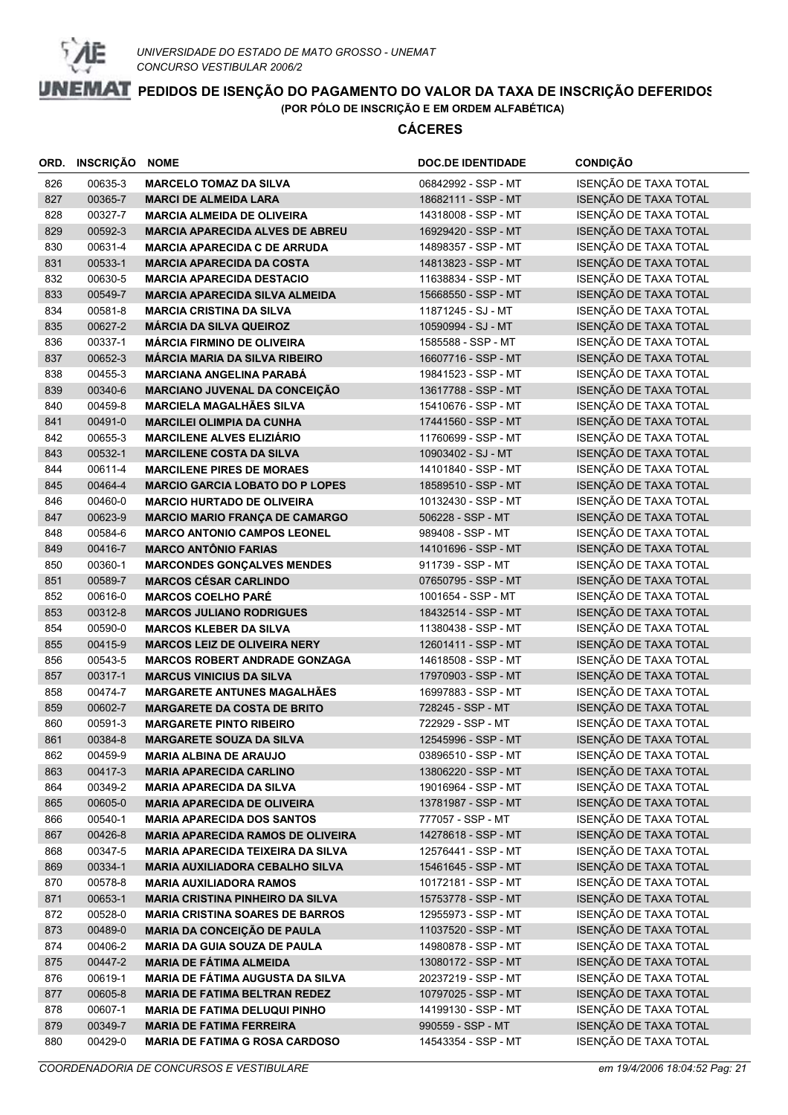

| ORD. | INSCRIÇÃO | <b>NOME</b>                              | <b>DOC.DE IDENTIDADE</b> | <b>CONDIÇÃO</b>       |
|------|-----------|------------------------------------------|--------------------------|-----------------------|
| 826  | 00635-3   | <b>MARCELO TOMAZ DA SILVA</b>            | 06842992 - SSP - MT      | ISENÇÃO DE TAXA TOTAL |
| 827  | 00365-7   | <b>MARCI DE ALMEIDA LARA</b>             | 18682111 - SSP - MT      | ISENÇÃO DE TAXA TOTAL |
| 828  | 00327-7   | <b>MARCIA ALMEIDA DE OLIVEIRA</b>        | 14318008 - SSP - MT      | ISENÇÃO DE TAXA TOTAL |
| 829  | 00592-3   | <b>MARCIA APARECIDA ALVES DE ABREU</b>   | 16929420 - SSP - MT      | ISENÇÃO DE TAXA TOTAL |
| 830  | 00631-4   | <b>MARCIA APARECIDA C DE ARRUDA</b>      | 14898357 - SSP - MT      | ISENÇÃO DE TAXA TOTAL |
| 831  | 00533-1   | <b>MARCIA APARECIDA DA COSTA</b>         | 14813823 - SSP - MT      | ISENÇÃO DE TAXA TOTAL |
| 832  | 00630-5   | <b>MARCIA APARECIDA DESTACIO</b>         | 11638834 - SSP - MT      | ISENÇÃO DE TAXA TOTAL |
| 833  | 00549-7   | <b>MARCIA APARECIDA SILVA ALMEIDA</b>    | 15668550 - SSP - MT      | ISENÇÃO DE TAXA TOTAL |
| 834  | 00581-8   | <b>MARCIA CRISTINA DA SILVA</b>          | 11871245 - SJ - MT       | ISENÇÃO DE TAXA TOTAL |
| 835  | 00627-2   | <b>MÁRCIA DA SILVA QUEIROZ</b>           | 10590994 - SJ - MT       | ISENÇÃO DE TAXA TOTAL |
| 836  | 00337-1   | <b>MÁRCIA FIRMINO DE OLIVEIRA</b>        | 1585588 - SSP - MT       | ISENÇÃO DE TAXA TOTAL |
| 837  | 00652-3   | <b>MÁRCIA MARIA DA SILVA RIBEIRO</b>     | 16607716 - SSP - MT      | ISENÇÃO DE TAXA TOTAL |
| 838  | 00455-3   | <b>MARCIANA ANGELINA PARABÁ</b>          | 19841523 - SSP - MT      | ISENÇÃO DE TAXA TOTAL |
| 839  | 00340-6   | MARCIANO JUVENAL DA CONCEIÇÃO            | 13617788 - SSP - MT      | ISENÇÃO DE TAXA TOTAL |
| 840  | 00459-8   | <b>MARCIELA MAGALHÃES SILVA</b>          | 15410676 - SSP - MT      | ISENÇÃO DE TAXA TOTAL |
| 841  | 00491-0   | <b>MARCILEI OLIMPIA DA CUNHA</b>         | 17441560 - SSP - MT      | ISENÇÃO DE TAXA TOTAL |
| 842  | 00655-3   | <b>MARCILENE ALVES ELIZIÁRIO</b>         | 11760699 - SSP - MT      | ISENÇÃO DE TAXA TOTAL |
| 843  | 00532-1   | <b>MARCILENE COSTA DA SILVA</b>          | 10903402 - SJ - MT       | ISENÇÃO DE TAXA TOTAL |
| 844  | 00611-4   | <b>MARCILENE PIRES DE MORAES</b>         | 14101840 - SSP - MT      | ISENÇÃO DE TAXA TOTAL |
| 845  | 00464-4   | <b>MARCIO GARCIA LOBATO DO P LOPES</b>   | 18589510 - SSP - MT      | ISENÇÃO DE TAXA TOTAL |
| 846  | 00460-0   | <b>MARCIO HURTADO DE OLIVEIRA</b>        | 10132430 - SSP - MT      | ISENÇÃO DE TAXA TOTAL |
| 847  | 00623-9   | <b>MARCIO MARIO FRANÇA DE CAMARGO</b>    | 506228 - SSP - MT        | ISENÇÃO DE TAXA TOTAL |
| 848  | 00584-6   | <b>MARCO ANTONIO CAMPOS LEONEL</b>       | 989408 - SSP - MT        | ISENÇÃO DE TAXA TOTAL |
| 849  | 00416-7   | <b>MARCO ANTÔNIO FARIAS</b>              | 14101696 - SSP - MT      | ISENÇÃO DE TAXA TOTAL |
| 850  | 00360-1   | <b>MARCONDES GONÇALVES MENDES</b>        | 911739 - SSP - MT        | ISENÇÃO DE TAXA TOTAL |
| 851  | 00589-7   | <b>MARCOS CÉSAR CARLINDO</b>             | 07650795 - SSP - MT      | ISENÇÃO DE TAXA TOTAL |
| 852  | 00616-0   | <b>MARCOS COELHO PARÉ</b>                | 1001654 - SSP - MT       | ISENÇÃO DE TAXA TOTAL |
| 853  | 00312-8   | <b>MARCOS JULIANO RODRIGUES</b>          | 18432514 - SSP - MT      | ISENÇÃO DE TAXA TOTAL |
| 854  | 00590-0   | <b>MARCOS KLEBER DA SILVA</b>            | 11380438 - SSP - MT      | ISENÇÃO DE TAXA TOTAL |
| 855  | 00415-9   | <b>MARCOS LEIZ DE OLIVEIRA NERY</b>      | 12601411 - SSP - MT      | ISENÇÃO DE TAXA TOTAL |
| 856  | 00543-5   | <b>MARCOS ROBERT ANDRADE GONZAGA</b>     | 14618508 - SSP - MT      | ISENÇÃO DE TAXA TOTAL |
| 857  | 00317-1   | <b>MARCUS VINICIUS DA SILVA</b>          | 17970903 - SSP - MT      | ISENÇÃO DE TAXA TOTAL |
| 858  | 00474-7   | <b>MARGARETE ANTUNES MAGALHÃES</b>       | 16997883 - SSP - MT      | ISENÇÃO DE TAXA TOTAL |
| 859  | 00602-7   | <b>MARGARETE DA COSTA DE BRITO</b>       | 728245 - SSP - MT        | ISENÇÃO DE TAXA TOTAL |
| 860  | 00591-3   | <b>MARGARETE PINTO RIBEIRO</b>           | 722929 - SSP - MT        | ISENÇÃO DE TAXA TOTAL |
| 861  | 00384-8   | <b>MARGARETE SOUZA DA SILVA</b>          | 12545996 - SSP - MT      | ISENÇÃO DE TAXA TOTAL |
| 862  | 00459-9   | <b>MARIA ALBINA DE ARAUJO</b>            | 03896510 - SSP - MT      | ISENÇÃO DE TAXA TOTAL |
| 863  | 00417-3   | <b>MARIA APARECIDA CARLINO</b>           | 13806220 - SSP - MT      | ISENÇÃO DE TAXA TOTAL |
| 864  | 00349-2   | <b>MARIA APARECIDA DA SILVA</b>          | 19016964 - SSP - MT      | ISENÇÃO DE TAXA TOTAL |
| 865  | 00605-0   | <b>MARIA APARECIDA DE OLIVEIRA</b>       | 13781987 - SSP - MT      | ISENÇÃO DE TAXA TOTAL |
| 866  | 00540-1   | <b>MARIA APARECIDA DOS SANTOS</b>        | 777057 - SSP - MT        | ISENÇÃO DE TAXA TOTAL |
| 867  | 00426-8   | <b>MARIA APARECIDA RAMOS DE OLIVEIRA</b> | 14278618 - SSP - MT      | ISENÇÃO DE TAXA TOTAL |
| 868  | 00347-5   | <b>MARIA APARECIDA TEIXEIRA DA SILVA</b> | 12576441 - SSP - MT      | ISENÇÃO DE TAXA TOTAL |
| 869  | 00334-1   | <b>MARIA AUXILIADORA CEBALHO SILVA</b>   | 15461645 - SSP - MT      | ISENÇÃO DE TAXA TOTAL |
| 870  | 00578-8   | <b>MARIA AUXILIADORA RAMOS</b>           | 10172181 - SSP - MT      | ISENÇÃO DE TAXA TOTAL |
| 871  | 00653-1   | <b>MARIA CRISTINA PINHEIRO DA SILVA</b>  | 15753778 - SSP - MT      | ISENÇÃO DE TAXA TOTAL |
| 872  | 00528-0   | <b>MARIA CRISTINA SOARES DE BARROS</b>   | 12955973 - SSP - MT      | ISENÇÃO DE TAXA TOTAL |
| 873  | 00489-0   | <b>MARIA DA CONCEIÇÃO DE PAULA</b>       | 11037520 - SSP - MT      | ISENÇÃO DE TAXA TOTAL |
| 874  | 00406-2   | <b>MARIA DA GUIA SOUZA DE PAULA</b>      | 14980878 - SSP - MT      | ISENÇÃO DE TAXA TOTAL |
| 875  | 00447-2   | <b>MARIA DE FÁTIMA ALMEIDA</b>           | 13080172 - SSP - MT      | ISENÇÃO DE TAXA TOTAL |
| 876  | 00619-1   | <b>MARIA DE FATIMA AUGUSTA DA SILVA</b>  | 20237219 - SSP - MT      | ISENÇÃO DE TAXA TOTAL |
| 877  | 00605-8   | <b>MARIA DE FATIMA BELTRAN REDEZ</b>     | 10797025 - SSP - MT      | ISENÇÃO DE TAXA TOTAL |
| 878  | 00607-1   | <b>MARIA DE FATIMA DELUQUI PINHO</b>     | 14199130 - SSP - MT      | ISENÇÃO DE TAXA TOTAL |
| 879  | 00349-7   | <b>MARIA DE FATIMA FERREIRA</b>          | 990559 - SSP - MT        | ISENÇÃO DE TAXA TOTAL |
| 880  | 00429-0   | <b>MARIA DE FATIMA G ROSA CARDOSO</b>    | 14543354 - SSP - MT      | ISENÇÃO DE TAXA TOTAL |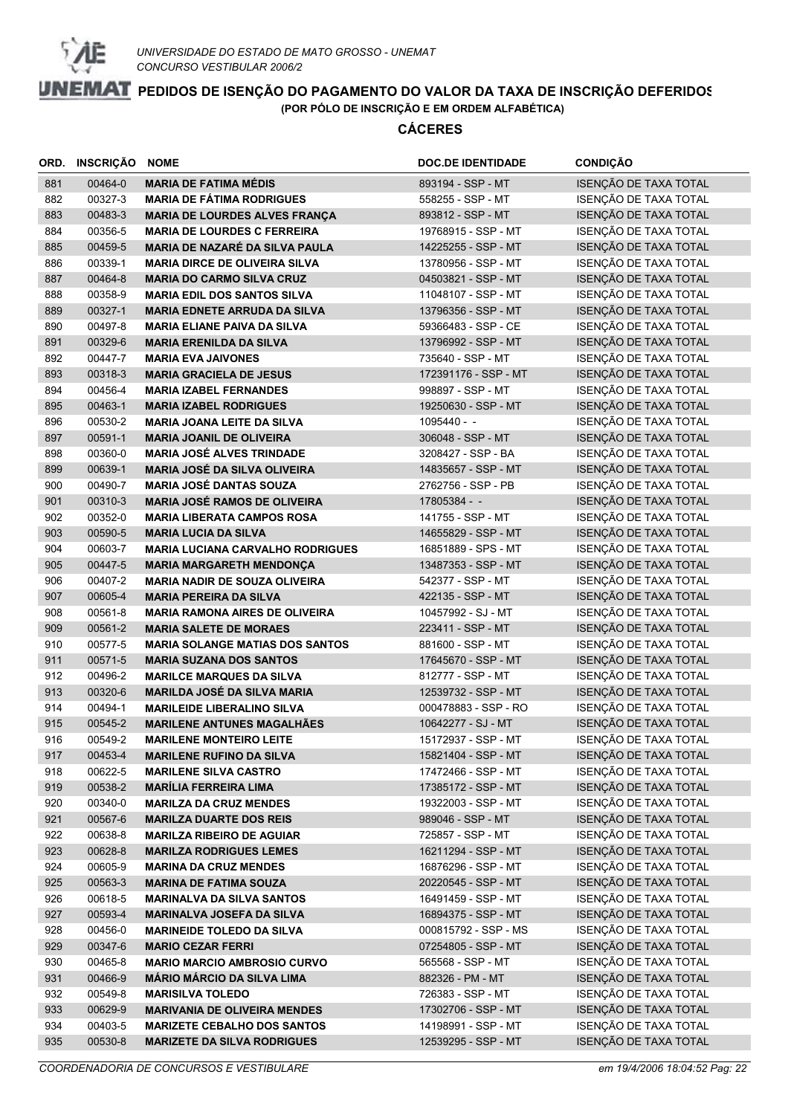

| ORD.       | <b>INSCRIÇÃO</b>   | <b>NOME</b>                                                   | <b>DOC.DE IDENTIDADE</b>                   | <b>CONDIÇÃO</b>                                |
|------------|--------------------|---------------------------------------------------------------|--------------------------------------------|------------------------------------------------|
| 881        | 00464-0            | <b>MARIA DE FATIMA MÉDIS</b>                                  | 893194 - SSP - MT                          | ISENÇÃO DE TAXA TOTAL                          |
| 882        | 00327-3            | <b>MARIA DE FÁTIMA RODRIGUES</b>                              | 558255 - SSP - MT                          | ISENÇÃO DE TAXA TOTAL                          |
| 883        | 00483-3            | MARIA DE LOURDES ALVES FRANÇA                                 | 893812 - SSP - MT                          | ISENÇÃO DE TAXA TOTAL                          |
| 884        | 00356-5            | <b>MARIA DE LOURDES C FERREIRA</b>                            | 19768915 - SSP - MT                        | ISENÇÃO DE TAXA TOTAL                          |
| 885        | 00459-5            | <b>MARIA DE NAZARÉ DA SILVA PAULA</b>                         | 14225255 - SSP - MT                        | ISENÇÃO DE TAXA TOTAL                          |
| 886        | 00339-1            | <b>MARIA DIRCE DE OLIVEIRA SILVA</b>                          | 13780956 - SSP - MT                        | ISENÇÃO DE TAXA TOTAL                          |
| 887        | 00464-8            | <b>MARIA DO CARMO SILVA CRUZ</b>                              | 04503821 - SSP - MT                        | ISENÇÃO DE TAXA TOTAL                          |
| 888        | 00358-9            | <b>MARIA EDIL DOS SANTOS SILVA</b>                            | 11048107 - SSP - MT                        | ISENÇÃO DE TAXA TOTAL                          |
| 889        | 00327-1            | <b>MARIA EDNETE ARRUDA DA SILVA</b>                           | 13796356 - SSP - MT                        | ISENÇÃO DE TAXA TOTAL                          |
| 890        | 00497-8            | <b>MARIA ELIANE PAIVA DA SILVA</b>                            | 59366483 - SSP - CE                        | ISENÇÃO DE TAXA TOTAL                          |
| 891        | 00329-6            | <b>MARIA ERENILDA DA SILVA</b>                                | 13796992 - SSP - MT                        | ISENÇÃO DE TAXA TOTAL                          |
| 892        | 00447-7            | <b>MARIA EVA JAIVONES</b>                                     | 735640 - SSP - MT                          | ISENÇÃO DE TAXA TOTAL                          |
| 893        | 00318-3            | <b>MARIA GRACIELA DE JESUS</b>                                | 172391176 - SSP - MT                       | ISENÇÃO DE TAXA TOTAL                          |
| 894        | 00456-4            | <b>MARIA IZABEL FERNANDES</b>                                 | 998897 - SSP - MT                          | ISENÇÃO DE TAXA TOTAL                          |
| 895        | 00463-1            | <b>MARIA IZABEL RODRIGUES</b>                                 | 19250630 - SSP - MT                        | ISENÇÃO DE TAXA TOTAL                          |
| 896        | 00530-2            | <b>MARIA JOANA LEITE DA SILVA</b>                             | $1095440 -$                                | ISENÇÃO DE TAXA TOTAL                          |
| 897        | 00591-1            | <b>MARIA JOANIL DE OLIVEIRA</b>                               | 306048 - SSP - MT                          | ISENÇÃO DE TAXA TOTAL                          |
| 898        | 00360-0            | <b>MARIA JOSÉ ALVES TRINDADE</b>                              | 3208427 - SSP - BA                         | ISENÇÃO DE TAXA TOTAL                          |
| 899        | 00639-1            | MARIA JOSÉ DA SILVA OLIVEIRA                                  | 14835657 - SSP - MT                        | ISENÇÃO DE TAXA TOTAL                          |
| 900        | 00490-7            | <b>MARIA JOSÉ DANTAS SOUZA</b>                                | 2762756 - SSP - PB                         | ISENÇÃO DE TAXA TOTAL                          |
| 901        | 00310-3            | <b>MARIA JOSÉ RAMOS DE OLIVEIRA</b>                           | 17805384 - -                               | ISENÇÃO DE TAXA TOTAL                          |
| 902        | 00352-0            | <b>MARIA LIBERATA CAMPOS ROSA</b>                             | 141755 - SSP - MT                          | ISENÇÃO DE TAXA TOTAL                          |
| 903        | 00590-5            | <b>MARIA LUCIA DA SILVA</b>                                   | 14655829 - SSP - MT                        | ISENÇÃO DE TAXA TOTAL                          |
| 904        | 00603-7            | <b>MARIA LUCIANA CARVALHO RODRIGUES</b>                       | 16851889 - SPS - MT                        | ISENÇÃO DE TAXA TOTAL                          |
| 905        | 00447-5            | <b>MARIA MARGARETH MENDONÇA</b>                               | 13487353 - SSP - MT                        | ISENÇÃO DE TAXA TOTAL                          |
| 906        | 00407-2            | <b>MARIA NADIR DE SOUZA OLIVEIRA</b>                          | 542377 - SSP - MT                          | ISENÇÃO DE TAXA TOTAL                          |
| 907        | 00605-4            | <b>MARIA PEREIRA DA SILVA</b>                                 | 422135 - SSP - MT                          | ISENÇÃO DE TAXA TOTAL                          |
| 908        | 00561-8            | <b>MARIA RAMONA AIRES DE OLIVEIRA</b>                         | 10457992 - SJ - MT                         | ISENÇÃO DE TAXA TOTAL                          |
| 909        | 00561-2            | <b>MARIA SALETE DE MORAES</b>                                 | 223411 - SSP - MT                          | ISENÇÃO DE TAXA TOTAL                          |
| 910        | 00577-5            | <b>MARIA SOLANGE MATIAS DOS SANTOS</b>                        | 881600 - SSP - MT                          | ISENÇÃO DE TAXA TOTAL                          |
| 911        | 00571-5            | <b>MARIA SUZANA DOS SANTOS</b>                                | 17645670 - SSP - MT                        | ISENÇÃO DE TAXA TOTAL                          |
| 912        | 00496-2            | <b>MARILCE MARQUES DA SILVA</b>                               | 812777 - SSP - MT                          | ISENÇÃO DE TAXA TOTAL                          |
| 913        | 00320-6            | <b>MARILDA JOSÉ DA SILVA MARIA</b>                            | 12539732 - SSP - MT                        | ISENÇÃO DE TAXA TOTAL                          |
| 914        | 00494-1            | <b>MARILEIDE LIBERALINO SILVA</b>                             | 000478883 - SSP - RO                       | ISENÇÃO DE TAXA TOTAL                          |
| 915        | 00545-2            | <b>MARILENE ANTUNES MAGALHÃES</b>                             | 10642277 - SJ - MT                         | ISENÇÃO DE TAXA TOTAL                          |
| 916        | 00549-2            | <b>MARILENE MONTEIRO LEITE</b>                                | 15172937 - SSP - MT                        | ISENÇÃO DE TAXA TOTAL                          |
| 917        | 00453-4            | <b>MARILENE RUFINO DA SILVA</b>                               | 15821404 - SSP - MT<br>17472466 - SSP - MT | ISENÇÃO DE TAXA TOTAL                          |
| 918<br>919 | 00622-5<br>00538-2 | <b>MARILENE SILVA CASTRO</b>                                  | 17385172 - SSP - MT                        | ISENÇÃO DE TAXA TOTAL<br>ISENÇÃO DE TAXA TOTAL |
| 920        | 00340-0            | <b>MARÍLIA FERREIRA LIMA</b><br><b>MARILZA DA CRUZ MENDES</b> | 19322003 - SSP - MT                        | ISENÇÃO DE TAXA TOTAL                          |
| 921        | 00567-6            | <b>MARILZA DUARTE DOS REIS</b>                                | 989046 - SSP - MT                          | ISENÇÃO DE TAXA TOTAL                          |
| 922        | 00638-8            | <b>MARILZA RIBEIRO DE AGUIAR</b>                              | 725857 - SSP - MT                          | ISENÇÃO DE TAXA TOTAL                          |
| 923        | 00628-8            | <b>MARILZA RODRIGUES LEMES</b>                                | 16211294 - SSP - MT                        | ISENÇÃO DE TAXA TOTAL                          |
| 924        | 00605-9            | <b>MARINA DA CRUZ MENDES</b>                                  | 16876296 - SSP - MT                        | ISENÇÃO DE TAXA TOTAL                          |
| 925        | 00563-3            | <b>MARINA DE FATIMA SOUZA</b>                                 | 20220545 - SSP - MT                        | ISENÇÃO DE TAXA TOTAL                          |
| 926        | 00618-5            | <b>MARINALVA DA SILVA SANTOS</b>                              | 16491459 - SSP - MT                        | ISENÇÃO DE TAXA TOTAL                          |
| 927        | 00593-4            | <b>MARINALVA JOSEFA DA SILVA</b>                              | 16894375 - SSP - MT                        | ISENÇÃO DE TAXA TOTAL                          |
| 928        | 00456-0            | <b>MARINEIDE TOLEDO DA SILVA</b>                              | 000815792 - SSP - MS                       | ISENÇÃO DE TAXA TOTAL                          |
| 929        | 00347-6            | <b>MARIO CEZAR FERRI</b>                                      | 07254805 - SSP - MT                        | ISENÇÃO DE TAXA TOTAL                          |
| 930        | 00465-8            | <b>MARIO MARCIO AMBROSIO CURVO</b>                            | 565568 - SSP - MT                          | ISENÇÃO DE TAXA TOTAL                          |
| 931        | 00466-9            | <b>MÁRIO MÁRCIO DA SILVA LIMA</b>                             | 882326 - PM - MT                           | ISENÇÃO DE TAXA TOTAL                          |
| 932        | 00549-8            | <b>MARISILVA TOLEDO</b>                                       | 726383 - SSP - MT                          | ISENÇÃO DE TAXA TOTAL                          |
| 933        | 00629-9            | <b>MARIVANIA DE OLIVEIRA MENDES</b>                           | 17302706 - SSP - MT                        | ISENÇÃO DE TAXA TOTAL                          |
| 934        | 00403-5            | <b>MARIZETE CEBALHO DOS SANTOS</b>                            | 14198991 - SSP - MT                        | ISENÇÃO DE TAXA TOTAL                          |
| 935        | 00530-8            | <b>MARIZETE DA SILVA RODRIGUES</b>                            | 12539295 - SSP - MT                        | ISENÇÃO DE TAXA TOTAL                          |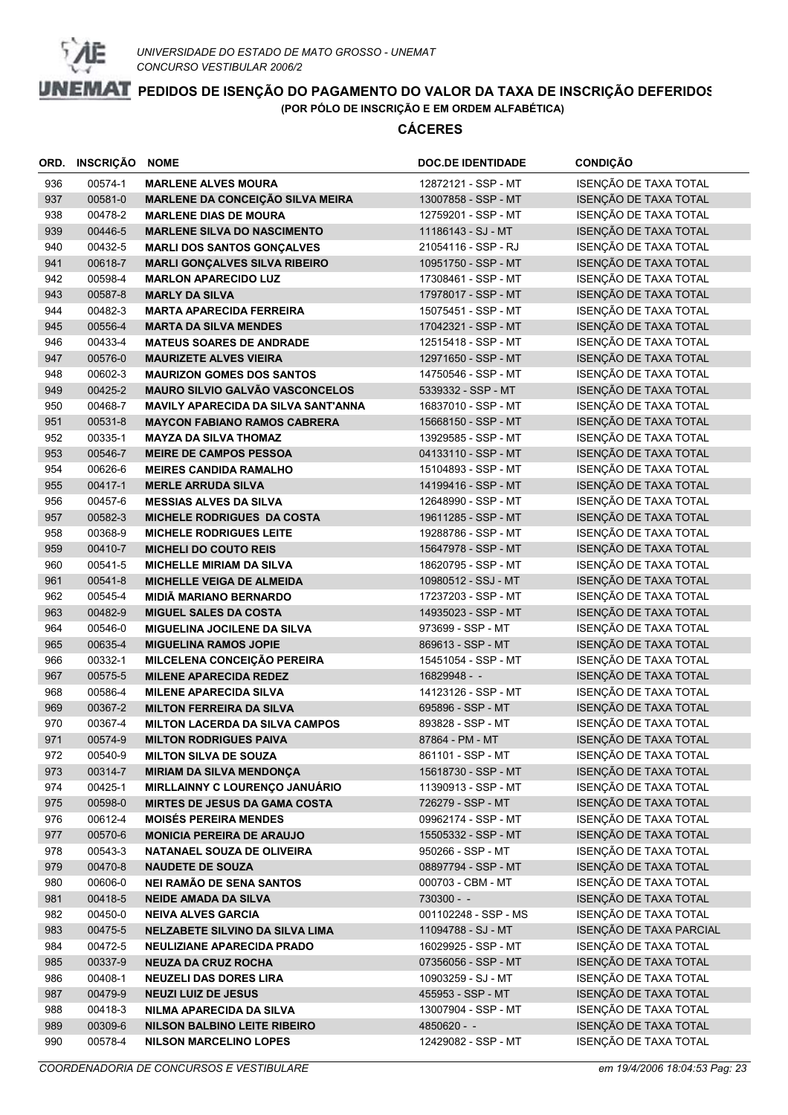

|            | ORD. INSCRIÇÃO     | <b>NOME</b>                                                 | <b>DOC.DE IDENTIDADE</b>                 | <b>CONDIÇÃO</b>                                |
|------------|--------------------|-------------------------------------------------------------|------------------------------------------|------------------------------------------------|
| 936        | 00574-1            | <b>MARLENE ALVES MOURA</b>                                  | 12872121 - SSP - MT                      | ISENÇÃO DE TAXA TOTAL                          |
| 937        | 00581-0            | <b>MARLENE DA CONCEIÇÃO SILVA MEIRA</b>                     | 13007858 - SSP - MT                      | ISENÇÃO DE TAXA TOTAL                          |
| 938        | 00478-2            | <b>MARLENE DIAS DE MOURA</b>                                | 12759201 - SSP - MT                      | ISENÇÃO DE TAXA TOTAL                          |
| 939        | 00446-5            | <b>MARLENE SILVA DO NASCIMENTO</b>                          | 11186143 - SJ - MT                       | ISENÇÃO DE TAXA TOTAL                          |
| 940        | 00432-5            | <b>MARLI DOS SANTOS GONÇALVES</b>                           | 21054116 - SSP - RJ                      | ISENÇÃO DE TAXA TOTAL                          |
| 941        | 00618-7            | <b>MARLI GONÇALVES SILVA RIBEIRO</b>                        | 10951750 - SSP - MT                      | ISENÇÃO DE TAXA TOTAL                          |
| 942        | 00598-4            | <b>MARLON APARECIDO LUZ</b>                                 | 17308461 - SSP - MT                      | ISENÇÃO DE TAXA TOTAL                          |
| 943        | 00587-8            | <b>MARLY DA SILVA</b>                                       | 17978017 - SSP - MT                      | ISENÇÃO DE TAXA TOTAL                          |
| 944        | 00482-3            | <b>MARTA APARECIDA FERREIRA</b>                             | 15075451 - SSP - MT                      | ISENÇÃO DE TAXA TOTAL                          |
| 945        | 00556-4            | <b>MARTA DA SILVA MENDES</b>                                | 17042321 - SSP - MT                      | ISENÇÃO DE TAXA TOTAL                          |
| 946        | 00433-4            | <b>MATEUS SOARES DE ANDRADE</b>                             | 12515418 - SSP - MT                      | ISENÇÃO DE TAXA TOTAL                          |
| 947        | 00576-0            | <b>MAURIZETE ALVES VIEIRA</b>                               | 12971650 - SSP - MT                      | ISENÇÃO DE TAXA TOTAL                          |
| 948        | 00602-3            | <b>MAURIZON GOMES DOS SANTOS</b>                            | 14750546 - SSP - MT                      | ISENÇÃO DE TAXA TOTAL                          |
| 949        | 00425-2            | <b>MAURO SILVIO GALVÃO VASCONCELOS</b>                      | 5339332 - SSP - MT                       | ISENÇÃO DE TAXA TOTAL                          |
| 950        | 00468-7            | <b>MAVILY APARECIDA DA SILVA SANT'ANNA</b>                  | 16837010 - SSP - MT                      | ISENÇÃO DE TAXA TOTAL                          |
| 951        | 00531-8            | <b>MAYCON FABIANO RAMOS CABRERA</b>                         | 15668150 - SSP - MT                      | ISENÇÃO DE TAXA TOTAL                          |
| 952        | 00335-1            | <b>MAYZA DA SILVA THOMAZ</b>                                | 13929585 - SSP - MT                      | ISENÇÃO DE TAXA TOTAL                          |
| 953        | 00546-7            | <b>MEIRE DE CAMPOS PESSOA</b>                               | 04133110 - SSP - MT                      | ISENÇÃO DE TAXA TOTAL                          |
| 954        | 00626-6            | <b>MEIRES CANDIDA RAMALHO</b>                               | 15104893 - SSP - MT                      | ISENÇÃO DE TAXA TOTAL                          |
| 955        | 00417-1            | <b>MERLE ARRUDA SILVA</b>                                   | 14199416 - SSP - MT                      | ISENÇÃO DE TAXA TOTAL                          |
| 956        | 00457-6            | <b>MESSIAS ALVES DA SILVA</b>                               | 12648990 - SSP - MT                      | ISENÇÃO DE TAXA TOTAL                          |
| 957        | 00582-3            | <b>MICHELE RODRIGUES DA COSTA</b>                           | 19611285 - SSP - MT                      | ISENÇÃO DE TAXA TOTAL                          |
| 958        | 00368-9            | <b>MICHELE RODRIGUES LEITE</b>                              | 19288786 - SSP - MT                      | ISENÇÃO DE TAXA TOTAL                          |
| 959        | 00410-7            | <b>MICHELI DO COUTO REIS</b>                                | 15647978 - SSP - MT                      | ISENÇÃO DE TAXA TOTAL                          |
| 960        | 00541-5            | <b>MICHELLE MIRIAM DA SILVA</b>                             | 18620795 - SSP - MT                      | ISENÇÃO DE TAXA TOTAL                          |
| 961        | 00541-8            | <b>MICHELLE VEIGA DE ALMEIDA</b>                            | 10980512 - SSJ - MT                      | ISENÇÃO DE TAXA TOTAL                          |
| 962        | 00545-4            | <b>MIDIÃ MARIANO BERNARDO</b>                               | 17237203 - SSP - MT                      | ISENÇÃO DE TAXA TOTAL                          |
| 963        | 00482-9            | <b>MIGUEL SALES DA COSTA</b>                                | 14935023 - SSP - MT                      | ISENÇÃO DE TAXA TOTAL                          |
| 964        | 00546-0            | <b>MIGUELINA JOCILENE DA SILVA</b>                          | 973699 - SSP - MT                        | ISENÇÃO DE TAXA TOTAL                          |
| 965        | 00635-4            | <b>MIGUELINA RAMOS JOPIE</b>                                | 869613 - SSP - MT                        | ISENÇÃO DE TAXA TOTAL                          |
| 966        | 00332-1            | MILCELENA CONCEIÇÃO PEREIRA                                 | 15451054 - SSP - MT                      | ISENÇÃO DE TAXA TOTAL                          |
| 967        | 00575-5            | <b>MILENE APARECIDA REDEZ</b>                               | 16829948 - -                             | ISENÇÃO DE TAXA TOTAL                          |
| 968        | 00586-4            | <b>MILENE APARECIDA SILVA</b>                               | 14123126 - SSP - MT                      | ISENÇÃO DE TAXA TOTAL                          |
| 969        | 00367-2            | <b>MILTON FERREIRA DA SILVA</b>                             | 695896 - SSP - MT                        | ISENÇÃO DE TAXA TOTAL                          |
| 970        | 00367-4            | <b>MILTON LACERDA DA SILVA CAMPOS</b>                       | 893828 - SSP - MT                        | ISENÇÃO DE TAXA TOTAL                          |
| 971        | 00574-9            | <b>MILTON RODRIGUES PAIVA</b>                               | 87864 - PM - MT                          | ISENÇÃO DE TAXA TOTAL                          |
| 972        | 00540-9            | <b>MILTON SILVA DE SOUZA</b>                                | 861101 - SSP - MT                        | ISENÇÃO DE TAXA TOTAL                          |
| 973        | 00314-7            | <b>MIRIAM DA SILVA MENDONÇA</b>                             | 15618730 - SSP - MT                      | ISENÇÃO DE TAXA TOTAL                          |
| 974        | 00425-1            | MIRLLAINNY C LOURENÇO JANUÁRIO                              | 11390913 - SSP - MT                      | ISENÇÃO DE TAXA TOTAL                          |
| 975        | 00598-0            | <b>MIRTES DE JESUS DA GAMA COSTA</b>                        | 726279 - SSP - MT                        | ISENÇÃO DE TAXA TOTAL                          |
| 976        | 00612-4            | <b>MOISÉS PEREIRA MENDES</b>                                | 09962174 - SSP - MT                      | ISENÇÃO DE TAXA TOTAL                          |
| 977        | 00570-6            | <b>MONICIA PEREIRA DE ARAUJO</b>                            | 15505332 - SSP - MT                      | ISENÇÃO DE TAXA TOTAL<br>ISENÇÃO DE TAXA TOTAL |
| 978        | 00543-3            | NATANAEL SOUZA DE OLIVEIRA                                  | 950266 - SSP - MT<br>08897794 - SSP - MT | ISENÇÃO DE TAXA TOTAL                          |
| 979        | 00470-8            | <b>NAUDETE DE SOUZA</b>                                     |                                          | ISENÇÃO DE TAXA TOTAL                          |
| 980        | 00606-0<br>00418-5 | <b>NEI RAMÃO DE SENA SANTOS</b>                             | 000703 - CBM - MT<br>$730300 - -$        | ISENÇÃO DE TAXA TOTAL                          |
| 981<br>982 | 00450-0            | <b>NEIDE AMADA DA SILVA</b><br><b>NEIVA ALVES GARCIA</b>    | 001102248 - SSP - MS                     | ISENÇÃO DE TAXA TOTAL                          |
| 983        | 00475-5            | <b>NELZABETE SILVINO DA SILVA LIMA</b>                      | 11094788 - SJ - MT                       | ISENÇÃO DE TAXA PARCIAL                        |
| 984        |                    |                                                             | 16029925 - SSP - MT                      | ISENÇÃO DE TAXA TOTAL                          |
| 985        | 00472-5<br>00337-9 | NEULIZIANE APARECIDA PRADO<br><b>NEUZA DA CRUZ ROCHA</b>    | 07356056 - SSP - MT                      | ISENÇÃO DE TAXA TOTAL                          |
| 986        |                    |                                                             | 10903259 - SJ - MT                       | ISENÇÃO DE TAXA TOTAL                          |
| 987        | 00408-1<br>00479-9 | <b>NEUZELI DAS DORES LIRA</b><br><b>NEUZI LUIZ DE JESUS</b> | 455953 - SSP - MT                        | ISENÇÃO DE TAXA TOTAL                          |
| 988        | 00418-3            | NILMA APARECIDA DA SILVA                                    | 13007904 - SSP - MT                      | ISENÇÃO DE TAXA TOTAL                          |
| 989        | 00309-6            | <b>NILSON BALBINO LEITE RIBEIRO</b>                         | 4850620 - -                              | ISENÇÃO DE TAXA TOTAL                          |
| 990        | 00578-4            | <b>NILSON MARCELINO LOPES</b>                               | 12429082 - SSP - MT                      | ISENÇÃO DE TAXA TOTAL                          |
|            |                    |                                                             |                                          |                                                |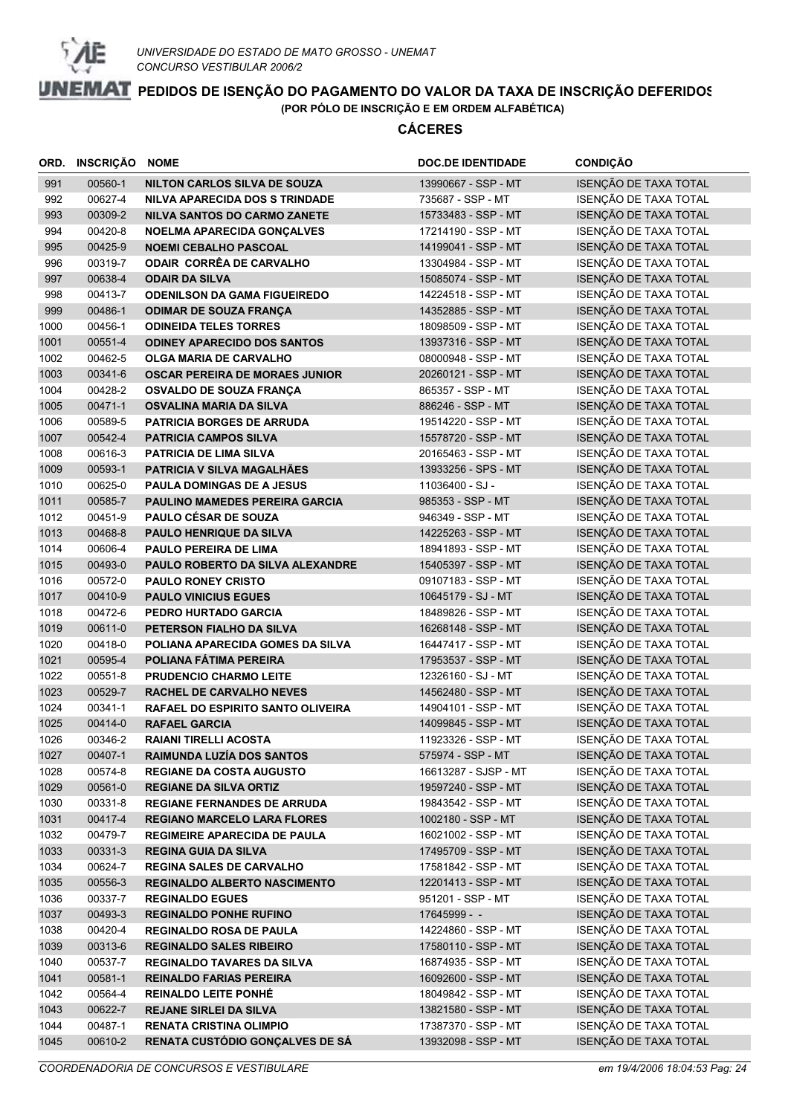

|              | ORD. INSCRIÇÃO NOME |                                                              | <b>DOC.DE IDENTIDADE</b>                   | <b>CONDIÇÃO</b>                                |
|--------------|---------------------|--------------------------------------------------------------|--------------------------------------------|------------------------------------------------|
| 991          | 00560-1             | <b>NILTON CARLOS SILVA DE SOUZA</b>                          | 13990667 - SSP - MT                        | ISENÇÃO DE TAXA TOTAL                          |
| 992          | 00627-4             | NILVA APARECIDA DOS S TRINDADE                               | 735687 - SSP - MT                          | ISENÇÃO DE TAXA TOTAL                          |
| 993          | 00309-2             | <b>NILVA SANTOS DO CARMO ZANETE</b>                          | 15733483 - SSP - MT                        | ISENÇÃO DE TAXA TOTAL                          |
| 994          | 00420-8             | <b>NOELMA APARECIDA GONÇALVES</b>                            | 17214190 - SSP - MT                        | ISENÇÃO DE TAXA TOTAL                          |
| 995          | 00425-9             | <b>NOEMI CEBALHO PASCOAL</b>                                 | 14199041 - SSP - MT                        | ISENÇÃO DE TAXA TOTAL                          |
| 996          | 00319-7             | <b>ODAIR CORRÊA DE CARVALHO</b>                              | 13304984 - SSP - MT                        | ISENÇÃO DE TAXA TOTAL                          |
| 997          | 00638-4             | <b>ODAIR DA SILVA</b>                                        | 15085074 - SSP - MT                        | ISENÇÃO DE TAXA TOTAL                          |
| 998          | 00413-7             | <b>ODENILSON DA GAMA FIGUEIREDO</b>                          | 14224518 - SSP - MT                        | ISENÇÃO DE TAXA TOTAL                          |
| 999          | 00486-1             | <b>ODIMAR DE SOUZA FRANÇA</b>                                | 14352885 - SSP - MT                        | ISENÇÃO DE TAXA TOTAL                          |
| 1000         | 00456-1             | <b>ODINEIDA TELES TORRES</b>                                 | 18098509 - SSP - MT                        | ISENÇÃO DE TAXA TOTAL                          |
| 1001         | 00551-4             | <b>ODINEY APARECIDO DOS SANTOS</b>                           | 13937316 - SSP - MT                        | ISENÇÃO DE TAXA TOTAL                          |
| 1002         | 00462-5             | <b>OLGA MARIA DE CARVALHO</b>                                | 08000948 - SSP - MT                        | ISENÇÃO DE TAXA TOTAL                          |
| 1003         | 00341-6             | <b>OSCAR PEREIRA DE MORAES JUNIOR</b>                        | 20260121 - SSP - MT                        | ISENÇÃO DE TAXA TOTAL                          |
| 1004         | 00428-2             | <b>OSVALDO DE SOUZA FRANÇA</b>                               | 865357 - SSP - MT                          | ISENÇÃO DE TAXA TOTAL                          |
| 1005         | 00471-1             | <b>OSVALINA MARIA DA SILVA</b>                               | 886246 - SSP - MT                          | ISENÇÃO DE TAXA TOTAL                          |
| 1006         | 00589-5             | PATRICIA BORGES DE ARRUDA                                    | 19514220 - SSP - MT                        | ISENÇÃO DE TAXA TOTAL                          |
| 1007         | 00542-4             | <b>PATRICIA CAMPOS SILVA</b>                                 | 15578720 - SSP - MT                        | ISENÇÃO DE TAXA TOTAL                          |
| 1008         | 00616-3             | <b>PATRICIA DE LIMA SILVA</b>                                | 20165463 - SSP - MT                        | ISENÇÃO DE TAXA TOTAL                          |
| 1009         | 00593-1             | PATRICIA V SILVA MAGALHÃES                                   | 13933256 - SPS - MT                        | ISENÇÃO DE TAXA TOTAL                          |
| 1010         | 00625-0             | <b>PAULA DOMINGAS DE A JESUS</b>                             | 11036400 - SJ -                            | ISENÇÃO DE TAXA TOTAL                          |
| 1011         | 00585-7             | <b>PAULINO MAMEDES PEREIRA GARCIA</b>                        | 985353 - SSP - MT                          | ISENÇÃO DE TAXA TOTAL                          |
| 1012         | 00451-9             | <b>PAULO CÉSAR DE SOUZA</b>                                  | 946349 - SSP - MT                          | ISENÇÃO DE TAXA TOTAL                          |
| 1013         | 00468-8             | PAULO HENRIQUE DA SILVA                                      | 14225263 - SSP - MT                        | ISENÇÃO DE TAXA TOTAL                          |
| 1014         | 00606-4             | <b>PAULO PEREIRA DE LIMA</b>                                 | 18941893 - SSP - MT                        | ISENÇÃO DE TAXA TOTAL                          |
| 1015         | 00493-0             | <b>PAULO ROBERTO DA SILVA ALEXANDRE</b>                      | 15405397 - SSP - MT                        | ISENÇÃO DE TAXA TOTAL                          |
| 1016         | 00572-0             | <b>PAULO RONEY CRISTO</b>                                    | 09107183 - SSP - MT                        | ISENÇÃO DE TAXA TOTAL                          |
| 1017         | 00410-9             | <b>PAULO VINICIUS EGUES</b>                                  | 10645179 - SJ - MT                         | ISENÇÃO DE TAXA TOTAL                          |
| 1018         | 00472-6<br>00611-0  | PEDRO HURTADO GARCIA                                         | 18489826 - SSP - MT                        | ISENÇÃO DE TAXA TOTAL<br>ISENÇÃO DE TAXA TOTAL |
| 1019<br>1020 | 00418-0             | PETERSON FIALHO DA SILVA<br>POLIANA APARECIDA GOMES DA SILVA | 16268148 - SSP - MT<br>16447417 - SSP - MT | ISENÇÃO DE TAXA TOTAL                          |
| 1021         | 00595-4             | POLIANA FÁTIMA PEREIRA                                       | 17953537 - SSP - MT                        | ISENÇÃO DE TAXA TOTAL                          |
| 1022         | 00551-8             | <b>PRUDENCIO CHARMO LEITE</b>                                | 12326160 - SJ - MT                         | ISENÇÃO DE TAXA TOTAL                          |
| 1023         | 00529-7             | <b>RACHEL DE CARVALHO NEVES</b>                              | 14562480 - SSP - MT                        | ISENÇÃO DE TAXA TOTAL                          |
| 1024         | 00341-1             | RAFAEL DO ESPIRITO SANTO OLIVEIRA                            | 14904101 - SSP - MT                        | ISENÇÃO DE TAXA TOTAL                          |
| 1025         | 00414-0             | <b>RAFAEL GARCIA</b>                                         | 14099845 - SSP - MT                        | ISENÇÃO DE TAXA TOTAL                          |
| 1026         | 00346-2             | <b>RAIANI TIRELLI ACOSTA</b>                                 | 11923326 - SSP - MT                        | ISENÇÃO DE TAXA TOTAL                          |
| 1027         | 00407-1             | RAIMUNDA LUZÍA DOS SANTOS                                    | 575974 - SSP - MT                          | ISENÇÃO DE TAXA TOTAL                          |
| 1028         | 00574-8             | REGIANE DA COSTA AUGUSTO                                     | 16613287 - SJSP - MT                       | ISENÇÃO DE TAXA TOTAL                          |
| 1029         | 00561-0             | <b>REGIANE DA SILVA ORTIZ</b>                                | 19597240 - SSP - MT                        | ISENÇÃO DE TAXA TOTAL                          |
| 1030         | 00331-8             | <b>REGIANE FERNANDES DE ARRUDA</b>                           | 19843542 - SSP - MT                        | ISENÇÃO DE TAXA TOTAL                          |
| 1031         | 00417-4             | <b>REGIANO MARCELO LARA FLORES</b>                           | 1002180 - SSP - MT                         | ISENÇÃO DE TAXA TOTAL                          |
| 1032         | 00479-7             | <b>REGIMEIRE APARECIDA DE PAULA</b>                          | 16021002 - SSP - MT                        | ISENÇÃO DE TAXA TOTAL                          |
| 1033         | 00331-3             | <b>REGINA GUIA DA SILVA</b>                                  | 17495709 - SSP - MT                        | ISENÇÃO DE TAXA TOTAL                          |
| 1034         | 00624-7             | <b>REGINA SALES DE CARVALHO</b>                              | 17581842 - SSP - MT                        | ISENÇÃO DE TAXA TOTAL                          |
| 1035         | 00556-3             | REGINALDO ALBERTO NASCIMENTO                                 | 12201413 - SSP - MT                        | ISENÇÃO DE TAXA TOTAL                          |
| 1036         | 00337-7             | <b>REGINALDO EGUES</b>                                       | 951201 - SSP - MT                          | ISENÇÃO DE TAXA TOTAL                          |
| 1037         | 00493-3             | <b>REGINALDO PONHE RUFINO</b>                                | 17645999 - -                               | ISENÇÃO DE TAXA TOTAL                          |
| 1038         | 00420-4             | <b>REGINALDO ROSA DE PAULA</b>                               | 14224860 - SSP - MT                        | ISENÇÃO DE TAXA TOTAL                          |
| 1039         | 00313-6             | <b>REGINALDO SALES RIBEIRO</b>                               | 17580110 - SSP - MT                        | ISENÇÃO DE TAXA TOTAL                          |
| 1040         | 00537-7             | <b>REGINALDO TAVARES DA SILVA</b>                            | 16874935 - SSP - MT                        | ISENÇÃO DE TAXA TOTAL                          |
| 1041         | 00581-1             | <b>REINALDO FARIAS PEREIRA</b>                               | 16092600 - SSP - MT                        | ISENÇÃO DE TAXA TOTAL                          |
| 1042         | 00564-4             | <b>REINALDO LEITE PONHÉ</b>                                  | 18049842 - SSP - MT                        | ISENÇÃO DE TAXA TOTAL                          |
| 1043         | 00622-7             | <b>REJANE SIRLEI DA SILVA</b>                                | 13821580 - SSP - MT                        | ISENÇÃO DE TAXA TOTAL                          |
| 1044         | 00487-1             | <b>RENATA CRISTINA OLIMPIO</b>                               | 17387370 - SSP - MT                        | ISENÇÃO DE TAXA TOTAL                          |
| 1045         | 00610-2             | RENATA CUSTÓDIO GONÇALVES DE SÁ                              | 13932098 - SSP - MT                        | ISENÇÃO DE TAXA TOTAL                          |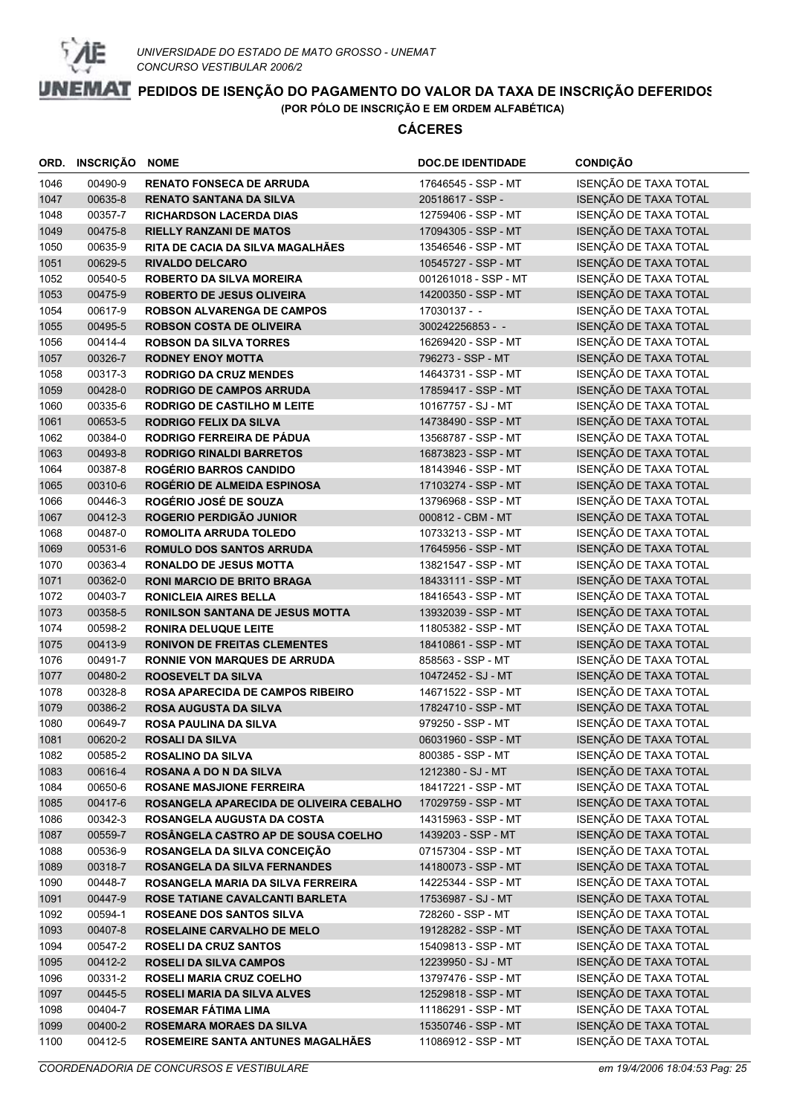

| ORD. | <b>INSCRIÇÃO</b> | <b>NOME</b>                             | <b>DOC.DE IDENTIDADE</b> | <b>CONDIÇÃO</b>       |
|------|------------------|-----------------------------------------|--------------------------|-----------------------|
| 1046 | 00490-9          | <b>RENATO FONSECA DE ARRUDA</b>         | 17646545 - SSP - MT      | ISENÇÃO DE TAXA TOTAL |
| 1047 | 00635-8          | <b>RENATO SANTANA DA SILVA</b>          | 20518617 - SSP -         | ISENÇÃO DE TAXA TOTAL |
| 1048 | 00357-7          | <b>RICHARDSON LACERDA DIAS</b>          | 12759406 - SSP - MT      | ISENÇÃO DE TAXA TOTAL |
| 1049 | 00475-8          | <b>RIELLY RANZANI DE MATOS</b>          | 17094305 - SSP - MT      | ISENÇÃO DE TAXA TOTAL |
| 1050 | 00635-9          | RITA DE CACIA DA SILVA MAGALHÃES        | 13546546 - SSP - MT      | ISENÇÃO DE TAXA TOTAL |
| 1051 | 00629-5          | <b>RIVALDO DELCARO</b>                  | 10545727 - SSP - MT      | ISENÇÃO DE TAXA TOTAL |
| 1052 | 00540-5          | <b>ROBERTO DA SILVA MOREIRA</b>         | 001261018 - SSP - MT     | ISENÇÃO DE TAXA TOTAL |
| 1053 | 00475-9          | <b>ROBERTO DE JESUS OLIVEIRA</b>        | 14200350 - SSP - MT      | ISENÇÃO DE TAXA TOTAL |
| 1054 | 00617-9          | <b>ROBSON ALVARENGA DE CAMPOS</b>       | 17030137 - -             | ISENÇÃO DE TAXA TOTAL |
| 1055 | 00495-5          | <b>ROBSON COSTA DE OLIVEIRA</b>         | 300242256853 - -         | ISENÇÃO DE TAXA TOTAL |
| 1056 | 00414-4          | <b>ROBSON DA SILVA TORRES</b>           | 16269420 - SSP - MT      | ISENÇÃO DE TAXA TOTAL |
| 1057 | 00326-7          | <b>RODNEY ENOY MOTTA</b>                | 796273 - SSP - MT        | ISENÇÃO DE TAXA TOTAL |
| 1058 | 00317-3          | <b>RODRIGO DA CRUZ MENDES</b>           | 14643731 - SSP - MT      | ISENÇÃO DE TAXA TOTAL |
| 1059 | 00428-0          | <b>RODRIGO DE CAMPOS ARRUDA</b>         | 17859417 - SSP - MT      | ISENÇÃO DE TAXA TOTAL |
| 1060 | 00335-6          | <b>RODRIGO DE CASTILHO M LEITE</b>      | 10167757 - SJ - MT       | ISENÇÃO DE TAXA TOTAL |
| 1061 | 00653-5          | <b>RODRIGO FELIX DA SILVA</b>           | 14738490 - SSP - MT      | ISENÇÃO DE TAXA TOTAL |
| 1062 | 00384-0          | RODRIGO FERREIRA DE PÁDUA               | 13568787 - SSP - MT      | ISENÇÃO DE TAXA TOTAL |
| 1063 | 00493-8          | <b>RODRIGO RINALDI BARRETOS</b>         | 16873823 - SSP - MT      | ISENÇÃO DE TAXA TOTAL |
| 1064 | 00387-8          | <b>ROGÉRIO BARROS CANDIDO</b>           | 18143946 - SSP - MT      | ISENÇÃO DE TAXA TOTAL |
| 1065 | 00310-6          | ROGÉRIO DE ALMEIDA ESPINOSA             | 17103274 - SSP - MT      | ISENÇÃO DE TAXA TOTAL |
| 1066 | 00446-3          | ROGÉRIO JOSÉ DE SOUZA                   | 13796968 - SSP - MT      | ISENÇÃO DE TAXA TOTAL |
| 1067 | 00412-3          | ROGERIO PERDIGÃO JUNIOR                 | 000812 - CBM - MT        | ISENÇÃO DE TAXA TOTAL |
| 1068 | 00487-0          | ROMOLITA ARRUDA TOLEDO                  | 10733213 - SSP - MT      | ISENÇÃO DE TAXA TOTAL |
| 1069 | 00531-6          | <b>ROMULO DOS SANTOS ARRUDA</b>         | 17645956 - SSP - MT      | ISENÇÃO DE TAXA TOTAL |
| 1070 | 00363-4          | <b>RONALDO DE JESUS MOTTA</b>           | 13821547 - SSP - MT      | ISENÇÃO DE TAXA TOTAL |
| 1071 | 00362-0          | <b>RONI MARCIO DE BRITO BRAGA</b>       | 18433111 - SSP - MT      | ISENÇÃO DE TAXA TOTAL |
| 1072 | 00403-7          | <b>RONICLEIA AIRES BELLA</b>            | 18416543 - SSP - MT      | ISENÇÃO DE TAXA TOTAL |
| 1073 | 00358-5          | <b>RONILSON SANTANA DE JESUS MOTTA</b>  | 13932039 - SSP - MT      | ISENÇÃO DE TAXA TOTAL |
| 1074 | 00598-2          | <b>RONIRA DELUQUE LEITE</b>             | 11805382 - SSP - MT      | ISENÇÃO DE TAXA TOTAL |
| 1075 | 00413-9          | <b>RONIVON DE FREITAS CLEMENTES</b>     | 18410861 - SSP - MT      | ISENÇÃO DE TAXA TOTAL |
| 1076 | 00491-7          | <b>RONNIE VON MARQUES DE ARRUDA</b>     | 858563 - SSP - MT        | ISENÇÃO DE TAXA TOTAL |
| 1077 | 00480-2          | <b>ROOSEVELT DA SILVA</b>               | 10472452 - SJ - MT       | ISENÇÃO DE TAXA TOTAL |
| 1078 | 00328-8          | <b>ROSA APARECIDA DE CAMPOS RIBEIRO</b> | 14671522 - SSP - MT      | ISENÇÃO DE TAXA TOTAL |
| 1079 | 00386-2          | <b>ROSA AUGUSTA DA SILVA</b>            | 17824710 - SSP - MT      | ISENÇÃO DE TAXA TOTAL |
| 1080 | 00649-7          | <b>ROSA PAULINA DA SILVA</b>            | 979250 - SSP - MT        | ISENÇÃO DE TAXA TOTAL |
| 1081 | 00620-2          | <b>ROSALI DA SILVA</b>                  | 06031960 - SSP - MT      | ISENÇÃO DE TAXA TOTAL |
| 1082 | 00585-2          | <b>ROSALINO DA SILVA</b>                | 800385 - SSP - MT        | ISENÇÃO DE TAXA TOTAL |
| 1083 | 00616-4          | <b>ROSANA A DO N DA SILVA</b>           | 1212380 - SJ - MT        | ISENÇÃO DE TAXA TOTAL |
| 1084 | 00650-6          | <b>ROSANE MASJIONE FERREIRA</b>         | 18417221 - SSP - MT      | ISENÇÃO DE TAXA TOTAL |
| 1085 | 00417-6          | ROSANGELA APARECIDA DE OLIVEIRA CEBALHO | 17029759 - SSP - MT      | ISENÇÃO DE TAXA TOTAL |
| 1086 | 00342-3          | ROSANGELA AUGUSTA DA COSTA              | 14315963 - SSP - MT      | ISENÇÃO DE TAXA TOTAL |
| 1087 | 00559-7          | ROSÂNGELA CASTRO AP DE SOUSA COELHO     | 1439203 - SSP - MT       | ISENÇÃO DE TAXA TOTAL |
| 1088 | 00536-9          | ROSANGELA DA SILVA CONCEIÇÃO            | 07157304 - SSP - MT      | ISENÇÃO DE TAXA TOTAL |
| 1089 | 00318-7          | <b>ROSANGELA DA SILVA FERNANDES</b>     | 14180073 - SSP - MT      | ISENÇÃO DE TAXA TOTAL |
| 1090 | 00448-7          | ROSANGELA MARIA DA SILVA FERREIRA       | 14225344 - SSP - MT      | ISENÇÃO DE TAXA TOTAL |
| 1091 | 00447-9          | ROSE TATIANE CAVALCANTI BARLETA         | 17536987 - SJ - MT       | ISENÇÃO DE TAXA TOTAL |
| 1092 | 00594-1          | ROSEANE DOS SANTOS SILVA                | 728260 - SSP - MT        | ISENÇÃO DE TAXA TOTAL |
| 1093 | 00407-8          | ROSELAINE CARVALHO DE MELO              | 19128282 - SSP - MT      | ISENÇÃO DE TAXA TOTAL |
| 1094 | 00547-2          | <b>ROSELI DA CRUZ SANTOS</b>            | 15409813 - SSP - MT      | ISENÇÃO DE TAXA TOTAL |
| 1095 | 00412-2          | <b>ROSELI DA SILVA CAMPOS</b>           | 12239950 - SJ - MT       | ISENÇÃO DE TAXA TOTAL |
| 1096 | 00331-2          | <b>ROSELI MARIA CRUZ COELHO</b>         | 13797476 - SSP - MT      | ISENÇÃO DE TAXA TOTAL |
| 1097 | 00445-5          | <b>ROSELI MARIA DA SILVA ALVES</b>      | 12529818 - SSP - MT      | ISENÇÃO DE TAXA TOTAL |
| 1098 | 00404-7          | <b>ROSEMAR FATIMA LIMA</b>              | 11186291 - SSP - MT      | ISENÇÃO DE TAXA TOTAL |
| 1099 | 00400-2          | ROSEMARA MORAES DA SILVA                | 15350746 - SSP - MT      | ISENÇÃO DE TAXA TOTAL |
| 1100 | 00412-5          | ROSEMEIRE SANTA ANTUNES MAGALHÃES       | 11086912 - SSP - MT      | ISENÇÃO DE TAXA TOTAL |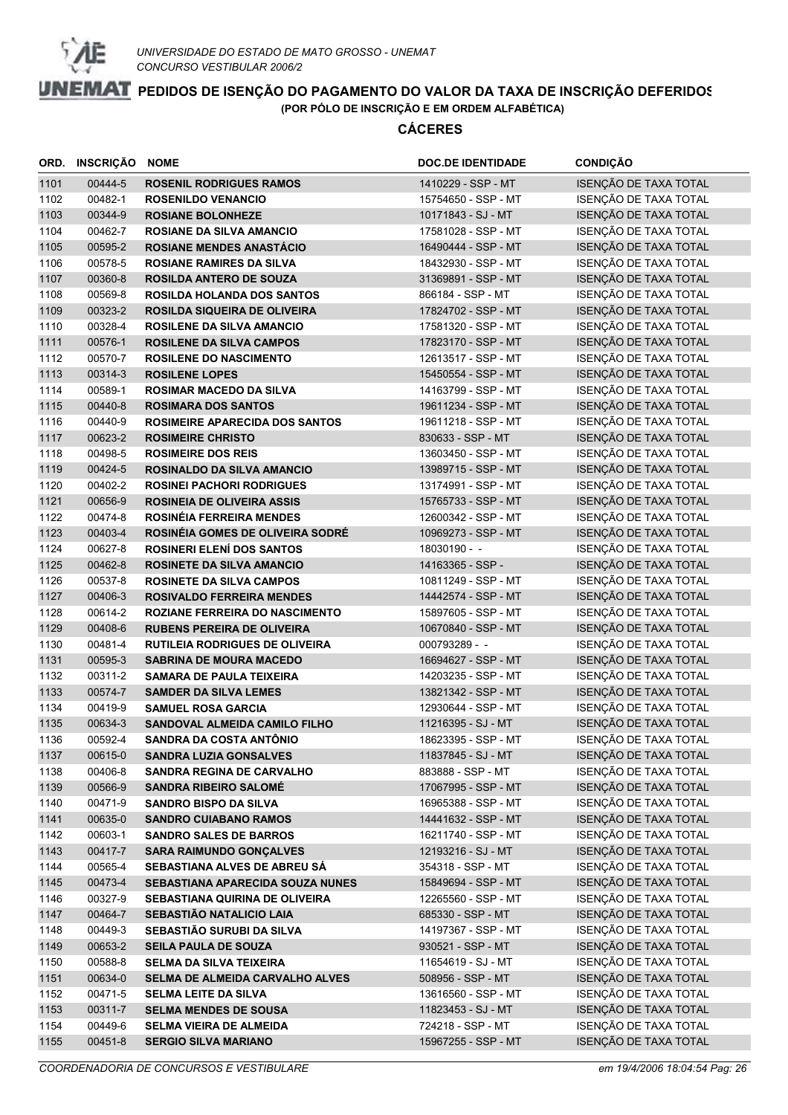

| ORD.         | INSCRIÇÃO          | <b>NOME</b>                                                         | <b>DOC.DE IDENTIDADE</b>                   | <b>CONDIÇÃO</b>                                |
|--------------|--------------------|---------------------------------------------------------------------|--------------------------------------------|------------------------------------------------|
| 1101         | 00444-5            | <b>ROSENIL RODRIGUES RAMOS</b>                                      | 1410229 - SSP - MT                         | ISENÇÃO DE TAXA TOTAL                          |
| 1102         | 00482-1            | <b>ROSENILDO VENANCIO</b>                                           | 15754650 - SSP - MT                        | ISENÇÃO DE TAXA TOTAL                          |
| 1103         | 00344-9            | <b>ROSIANE BOLONHEZE</b>                                            | 10171843 - SJ - MT                         | ISENÇÃO DE TAXA TOTAL                          |
| 1104         | 00462-7            | <b>ROSIANE DA SILVA AMANCIO</b>                                     | 17581028 - SSP - MT                        | ISENÇÃO DE TAXA TOTAL                          |
| 1105         | 00595-2            | <b>ROSIANE MENDES ANASTÁCIO</b>                                     | 16490444 - SSP - MT                        | ISENÇÃO DE TAXA TOTAL                          |
| 1106         | 00578-5            | <b>ROSIANE RAMIRES DA SILVA</b>                                     | 18432930 - SSP - MT                        | ISENÇÃO DE TAXA TOTAL                          |
| 1107         | 00360-8            | <b>ROSILDA ANTERO DE SOUZA</b>                                      | 31369891 - SSP - MT                        | ISENÇÃO DE TAXA TOTAL                          |
| 1108         | 00569-8            | <b>ROSILDA HOLANDA DOS SANTOS</b>                                   | 866184 - SSP - MT                          | ISENÇÃO DE TAXA TOTAL                          |
| 1109         | 00323-2            | <b>ROSILDA SIQUEIRA DE OLIVEIRA</b>                                 | 17824702 - SSP - MT                        | ISENÇÃO DE TAXA TOTAL                          |
| 1110         | 00328-4            | <b>ROSILENE DA SILVA AMANCIO</b>                                    | 17581320 - SSP - MT                        | ISENÇÃO DE TAXA TOTAL                          |
| 1111         | 00576-1            | <b>ROSILENE DA SILVA CAMPOS</b>                                     | 17823170 - SSP - MT                        | ISENÇÃO DE TAXA TOTAL                          |
| 1112         | 00570-7            | <b>ROSILENE DO NASCIMENTO</b>                                       | 12613517 - SSP - MT                        | ISENÇÃO DE TAXA TOTAL                          |
| 1113         | 00314-3            | <b>ROSILENE LOPES</b>                                               | 15450554 - SSP - MT                        | ISENÇÃO DE TAXA TOTAL                          |
| 1114         | 00589-1            | <b>ROSIMAR MACEDO DA SILVA</b>                                      | 14163799 - SSP - MT                        | ISENÇÃO DE TAXA TOTAL                          |
| 1115         | 00440-8            | <b>ROSIMARA DOS SANTOS</b>                                          | 19611234 - SSP - MT                        | ISENÇÃO DE TAXA TOTAL                          |
| 1116         | 00440-9            | <b>ROSIMEIRE APARECIDA DOS SANTOS</b>                               | 19611218 - SSP - MT                        | ISENÇÃO DE TAXA TOTAL                          |
| 1117         | 00623-2            | <b>ROSIMEIRE CHRISTO</b>                                            | 830633 - SSP - MT                          | ISENÇÃO DE TAXA TOTAL                          |
| 1118         | 00498-5            | <b>ROSIMEIRE DOS REIS</b>                                           | 13603450 - SSP - MT                        | ISENÇÃO DE TAXA TOTAL                          |
| 1119         | 00424-5            | <b>ROSINALDO DA SILVA AMANCIO</b>                                   | 13989715 - SSP - MT                        | ISENÇÃO DE TAXA TOTAL                          |
| 1120         | 00402-2            | <b>ROSINEI PACHORI RODRIGUES</b>                                    | 13174991 - SSP - MT                        | ISENÇÃO DE TAXA TOTAL                          |
| 1121         | 00656-9            | <b>ROSINEIA DE OLIVEIRA ASSIS</b>                                   | 15765733 - SSP - MT                        | ISENÇÃO DE TAXA TOTAL                          |
| 1122         | 00474-8            | <b>ROSINÉIA FERREIRA MENDES</b>                                     | 12600342 - SSP - MT                        | ISENÇÃO DE TAXA TOTAL                          |
| 1123         | 00403-4            | ROSINÉIA GOMES DE OLIVEIRA SODRÉ                                    | 10969273 - SSP - MT                        | ISENÇÃO DE TAXA TOTAL                          |
| 1124         | 00627-8            | <b>ROSINERI ELENÍ DOS SANTOS</b>                                    | 18030190 - -                               | ISENÇÃO DE TAXA TOTAL                          |
| 1125         | 00462-8            | <b>ROSINETE DA SILVA AMANCIO</b>                                    | 14163365 - SSP -                           | ISENÇÃO DE TAXA TOTAL                          |
| 1126         | 00537-8            | <b>ROSINETE DA SILVA CAMPOS</b><br><b>ROSIVALDO FERREIRA MENDES</b> | 10811249 - SSP - MT                        | ISENÇÃO DE TAXA TOTAL                          |
| 1127<br>1128 | 00406-3<br>00614-2 | ROZIANE FERREIRA DO NASCIMENTO                                      | 14442574 - SSP - MT<br>15897605 - SSP - MT | ISENÇÃO DE TAXA TOTAL<br>ISENÇÃO DE TAXA TOTAL |
| 1129         | 00408-6            | <b>RUBENS PEREIRA DE OLIVEIRA</b>                                   | 10670840 - SSP - MT                        | ISENÇÃO DE TAXA TOTAL                          |
| 1130         | 00481-4            | <b>RUTILEIA RODRIGUES DE OLIVEIRA</b>                               | 000793289 - -                              | ISENÇÃO DE TAXA TOTAL                          |
| 1131         | 00595-3            | <b>SABRINA DE MOURA MACEDO</b>                                      | 16694627 - SSP - MT                        | ISENÇÃO DE TAXA TOTAL                          |
| 1132         | 00311-2            | <b>SAMARA DE PAULA TEIXEIRA</b>                                     | 14203235 - SSP - MT                        | ISENÇÃO DE TAXA TOTAL                          |
| 1133         | 00574-7            | <b>SAMDER DA SILVA LEMES</b>                                        | 13821342 - SSP - MT                        | ISENÇÃO DE TAXA TOTAL                          |
| 1134         | 00419-9            | <b>SAMUEL ROSA GARCIA</b>                                           | 12930644 - SSP - MT                        | ISENÇÃO DE TAXA TOTAL                          |
| 1135         | 00634-3            | <b>SANDOVAL ALMEIDA CAMILO FILHO</b>                                | 11216395 - SJ - MT                         | ISENÇÃO DE TAXA TOTAL                          |
| 1136         | 00592-4            | SANDRA DA COSTA ANTÔNIO                                             | 18623395 - SSP - MT                        | ISENÇÃO DE TAXA TOTAL                          |
| 1137         | 00615-0            | <b>SANDRA LUZIA GONSALVES</b>                                       | 11837845 - SJ - MT                         | ISENÇÃO DE TAXA TOTAL                          |
| 1138         | 00406-8            | <b>SANDRA REGINA DE CARVALHO</b>                                    | 883888 - SSP - MT                          | ISENÇÃO DE TAXA TOTAL                          |
| 1139         | 00566-9            | <b>SANDRA RIBEIRO SALOMÉ</b>                                        | 17067995 - SSP - MT                        | ISENÇÃO DE TAXA TOTAL                          |
| 1140         | 00471-9            | <b>SANDRO BISPO DA SILVA</b>                                        | 16965388 - SSP - MT                        | ISENÇÃO DE TAXA TOTAL                          |
| 1141         | 00635-0            | <b>SANDRO CUIABANO RAMOS</b>                                        | 14441632 - SSP - MT                        | ISENÇÃO DE TAXA TOTAL                          |
| 1142         | 00603-1            | <b>SANDRO SALES DE BARROS</b>                                       | 16211740 - SSP - MT                        | ISENÇÃO DE TAXA TOTAL                          |
| 1143         | 00417-7            | <b>SARA RAIMUNDO GONÇALVES</b>                                      | 12193216 - SJ - MT                         | ISENÇÃO DE TAXA TOTAL                          |
| 1144         | 00565-4            | SEBASTIANA ALVES DE ABREU SÁ                                        | 354318 - SSP - MT                          | ISENÇÃO DE TAXA TOTAL                          |
| 1145         | 00473-4            | SEBASTIANA APARECIDA SOUZA NUNES                                    | 15849694 - SSP - MT                        | ISENÇÃO DE TAXA TOTAL                          |
| 1146         | 00327-9            | <b>SEBASTIANA QUIRINA DE OLIVEIRA</b>                               | 12265560 - SSP - MT                        | ISENÇÃO DE TAXA TOTAL                          |
| 1147         | 00464-7            | <b>SEBASTIÃO NATALICIO LAIA</b>                                     | 685330 - SSP - MT                          | ISENÇÃO DE TAXA TOTAL                          |
| 1148         | 00449-3            | SEBASTIÃO SURUBI DA SILVA                                           | 14197367 - SSP - MT                        | ISENÇÃO DE TAXA TOTAL                          |
| 1149         | 00653-2            | SEILA PAULA DE SOUZA                                                | 930521 - SSP - MT                          | ISENÇÃO DE TAXA TOTAL                          |
| 1150         | 00588-8            | <b>SELMA DA SILVA TEIXEIRA</b>                                      | 11654619 - SJ - MT                         | ISENÇÃO DE TAXA TOTAL                          |
| 1151         | 00634-0            | SELMA DE ALMEIDA CARVALHO ALVES                                     | 508956 - SSP - MT                          | ISENÇÃO DE TAXA TOTAL                          |
| 1152         | 00471-5            | <b>SELMA LEITE DA SILVA</b>                                         | 13616560 - SSP - MT                        | ISENÇÃO DE TAXA TOTAL                          |
| 1153         | 00311-7            | <b>SELMA MENDES DE SOUSA</b>                                        | 11823453 - SJ - MT                         | ISENÇÃO DE TAXA TOTAL                          |
| 1154         | 00449-6            | <b>SELMA VIEIRA DE ALMEIDA</b>                                      | 724218 - SSP - MT                          | ISENÇÃO DE TAXA TOTAL                          |
| 1155         | 00451-8            | <b>SERGIO SILVA MARIANO</b>                                         | 15967255 - SSP - MT                        | ISENÇÃO DE TAXA TOTAL                          |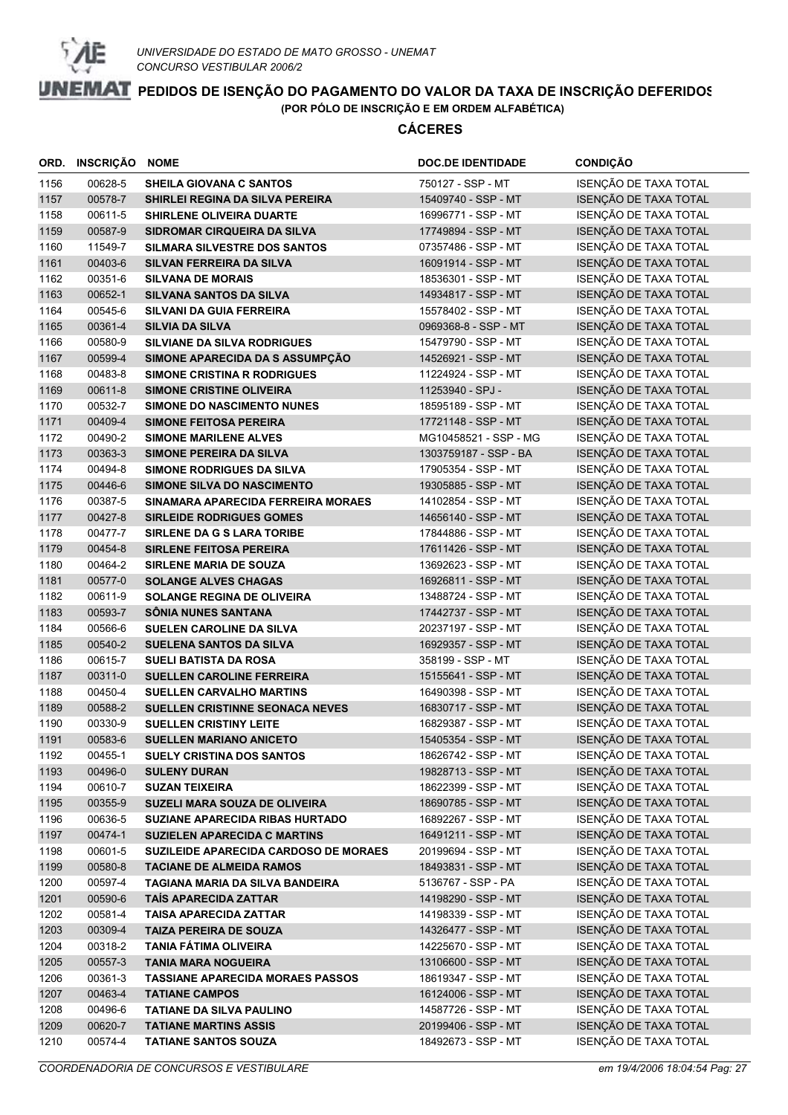

|      | ORD. INSCRIÇÃO NOME |                                         | <b>DOC.DE IDENTIDADE</b> | <b>CONDIÇÃO</b>       |
|------|---------------------|-----------------------------------------|--------------------------|-----------------------|
| 1156 | 00628-5             | SHEILA GIOVANA C SANTOS                 | 750127 - SSP - MT        | ISENÇÃO DE TAXA TOTAL |
| 1157 | 00578-7             | <b>SHIRLEI REGINA DA SILVA PEREIRA</b>  | 15409740 - SSP - MT      | ISENÇÃO DE TAXA TOTAL |
| 1158 | 00611-5             | <b>SHIRLENE OLIVEIRA DUARTE</b>         | 16996771 - SSP - MT      | ISENÇÃO DE TAXA TOTAL |
| 1159 | 00587-9             | SIDROMAR CIRQUEIRA DA SILVA             | 17749894 - SSP - MT      | ISENÇÃO DE TAXA TOTAL |
| 1160 | 11549-7             | <b>SILMARA SILVESTRE DOS SANTOS</b>     | 07357486 - SSP - MT      | ISENÇÃO DE TAXA TOTAL |
| 1161 | 00403-6             | <b>SILVAN FERREIRA DA SILVA</b>         | 16091914 - SSP - MT      | ISENÇÃO DE TAXA TOTAL |
| 1162 | 00351-6             | <b>SILVANA DE MORAIS</b>                | 18536301 - SSP - MT      | ISENÇÃO DE TAXA TOTAL |
| 1163 | 00652-1             | SILVANA SANTOS DA SILVA                 | 14934817 - SSP - MT      | ISENÇÃO DE TAXA TOTAL |
| 1164 | 00545-6             | <b>SILVANI DA GUIA FERREIRA</b>         | 15578402 - SSP - MT      | ISENÇÃO DE TAXA TOTAL |
| 1165 | 00361-4             | <b>SILVIA DA SILVA</b>                  | 0969368-8 - SSP - MT     | ISENÇÃO DE TAXA TOTAL |
| 1166 | 00580-9             | <b>SILVIANE DA SILVA RODRIGUES</b>      | 15479790 - SSP - MT      | ISENÇÃO DE TAXA TOTAL |
| 1167 | 00599-4             | SIMONE APARECIDA DA S ASSUMPÇÃO         | 14526921 - SSP - MT      | ISENÇÃO DE TAXA TOTAL |
| 1168 | 00483-8             | <b>SIMONE CRISTINA R RODRIGUES</b>      | 11224924 - SSP - MT      | ISENÇÃO DE TAXA TOTAL |
| 1169 | 00611-8             | <b>SIMONE CRISTINE OLIVEIRA</b>         | 11253940 - SPJ -         | ISENÇÃO DE TAXA TOTAL |
| 1170 | 00532-7             | <b>SIMONE DO NASCIMENTO NUNES</b>       | 18595189 - SSP - MT      | ISENÇÃO DE TAXA TOTAL |
| 1171 | 00409-4             | <b>SIMONE FEITOSA PEREIRA</b>           | 17721148 - SSP - MT      | ISENÇÃO DE TAXA TOTAL |
| 1172 | 00490-2             | <b>SIMONE MARILENE ALVES</b>            | MG10458521 - SSP - MG    | ISENÇÃO DE TAXA TOTAL |
| 1173 | 00363-3             | <b>SIMONE PEREIRA DA SILVA</b>          | 1303759187 - SSP - BA    | ISENÇÃO DE TAXA TOTAL |
| 1174 | 00494-8             | SIMONE RODRIGUES DA SILVA               | 17905354 - SSP - MT      | ISENÇÃO DE TAXA TOTAL |
| 1175 | 00446-6             | <b>SIMONE SILVA DO NASCIMENTO</b>       | 19305885 - SSP - MT      | ISENÇÃO DE TAXA TOTAL |
| 1176 | 00387-5             | SINAMARA APARECIDA FERREIRA MORAES      | 14102854 - SSP - MT      | ISENÇÃO DE TAXA TOTAL |
| 1177 | 00427-8             | <b>SIRLEIDE RODRIGUES GOMES</b>         | 14656140 - SSP - MT      | ISENÇÃO DE TAXA TOTAL |
| 1178 | 00477-7             | SIRLENE DA G S LARA TORIBE              | 17844886 - SSP - MT      | ISENÇÃO DE TAXA TOTAL |
| 1179 | 00454-8             | <b>SIRLENE FEITOSA PEREIRA</b>          | 17611426 - SSP - MT      | ISENÇÃO DE TAXA TOTAL |
| 1180 | 00464-2             | <b>SIRLENE MARIA DE SOUZA</b>           | 13692623 - SSP - MT      | ISENÇÃO DE TAXA TOTAL |
| 1181 | 00577-0             | <b>SOLANGE ALVES CHAGAS</b>             | 16926811 - SSP - MT      | ISENÇÃO DE TAXA TOTAL |
| 1182 | 00611-9             | <b>SOLANGE REGINA DE OLIVEIRA</b>       | 13488724 - SSP - MT      | ISENÇÃO DE TAXA TOTAL |
| 1183 | 00593-7             | SÔNIA NUNES SANTANA                     | 17442737 - SSP - MT      | ISENÇÃO DE TAXA TOTAL |
| 1184 | 00566-6             | SUELEN CAROLINE DA SILVA                | 20237197 - SSP - MT      | ISENÇÃO DE TAXA TOTAL |
| 1185 | 00540-2             | <b>SUELENA SANTOS DA SILVA</b>          | 16929357 - SSP - MT      | ISENÇÃO DE TAXA TOTAL |
| 1186 | 00615-7             | <b>SUELI BATISTA DA ROSA</b>            | 358199 - SSP - MT        | ISENÇÃO DE TAXA TOTAL |
| 1187 | 00311-0             | <b>SUELLEN CAROLINE FERREIRA</b>        | 15155641 - SSP - MT      | ISENÇÃO DE TAXA TOTAL |
| 1188 | 00450-4             | <b>SUELLEN CARVALHO MARTINS</b>         | 16490398 - SSP - MT      | ISENÇÃO DE TAXA TOTAL |
| 1189 | 00588-2             | SUELLEN CRISTINNE SEONACA NEVES         | 16830717 - SSP - MT      | ISENÇÃO DE TAXA TOTAL |
| 1190 | 00330-9             | <b>SUELLEN CRISTINY LEITE</b>           | 16829387 - SSP - MT      | ISENÇÃO DE TAXA TOTAL |
| 1191 | 00583-6             | <b>SUELLEN MARIANO ANICETO</b>          | 15405354 - SSP - MT      | ISENÇÃO DE TAXA TOTAL |
| 1192 | 00455-1             | <b>SUELY CRISTINA DOS SANTOS</b>        | 18626742 - SSP - MT      | ISENÇÃO DE TAXA TOTAL |
| 1193 | 00496-0             | <b>SULENY DURAN</b>                     | 19828713 - SSP - MT      | ISENÇÃO DE TAXA TOTAL |
| 1194 | 00610-7             | <b>SUZAN TEIXEIRA</b>                   | 18622399 - SSP - MT      | ISENÇÃO DE TAXA TOTAL |
| 1195 | 00355-9             | SUZELI MARA SOUZA DE OLIVEIRA           | 18690785 - SSP - MT      | ISENÇÃO DE TAXA TOTAL |
| 1196 | 00636-5             | SUZIANE APARECIDA RIBAS HURTADO         | 16892267 - SSP - MT      | ISENÇÃO DE TAXA TOTAL |
| 1197 | 00474-1             | <b>SUZIELEN APARECIDA C MARTINS</b>     | 16491211 - SSP - MT      | ISENÇÃO DE TAXA TOTAL |
| 1198 | 00601-5             | SUZILEIDE APARECIDA CARDOSO DE MORAES   | 20199694 - SSP - MT      | ISENÇÃO DE TAXA TOTAL |
| 1199 | 00580-8             | <b>TACIANE DE ALMEIDA RAMOS</b>         | 18493831 - SSP - MT      | ISENÇÃO DE TAXA TOTAL |
| 1200 | 00597-4             | TAGIANA MARIA DA SILVA BANDEIRA         | 5136767 - SSP - PA       | ISENÇÃO DE TAXA TOTAL |
| 1201 | 00590-6             | <b>TAIS APARECIDA ZATTAR</b>            | 14198290 - SSP - MT      | ISENÇÃO DE TAXA TOTAL |
| 1202 | 00581-4             | <b>TAISA APARECIDA ZATTAR</b>           | 14198339 - SSP - MT      | ISENÇÃO DE TAXA TOTAL |
| 1203 | 00309-4             | <b>TAIZA PEREIRA DE SOUZA</b>           | 14326477 - SSP - MT      | ISENÇÃO DE TAXA TOTAL |
| 1204 | 00318-2             | <b>TANIA FÁTIMA OLIVEIRA</b>            | 14225670 - SSP - MT      | ISENÇÃO DE TAXA TOTAL |
| 1205 | 00557-3             | <b>TANIA MARA NOGUEIRA</b>              | 13106600 - SSP - MT      | ISENÇÃO DE TAXA TOTAL |
| 1206 | 00361-3             | <b>TASSIANE APARECIDA MORAES PASSOS</b> | 18619347 - SSP - MT      | ISENÇÃO DE TAXA TOTAL |
| 1207 | 00463-4             | <b>TATIANE CAMPOS</b>                   | 16124006 - SSP - MT      | ISENÇÃO DE TAXA TOTAL |
| 1208 | 00496-6             | <b>TATIANE DA SILVA PAULINO</b>         | 14587726 - SSP - MT      | ISENÇÃO DE TAXA TOTAL |
| 1209 | 00620-7             | <b>TATIANE MARTINS ASSIS</b>            | 20199406 - SSP - MT      | ISENÇÃO DE TAXA TOTAL |
| 1210 | 00574-4             | <b>TATIANE SANTOS SOUZA</b>             | 18492673 - SSP - MT      | ISENÇÃO DE TAXA TOTAL |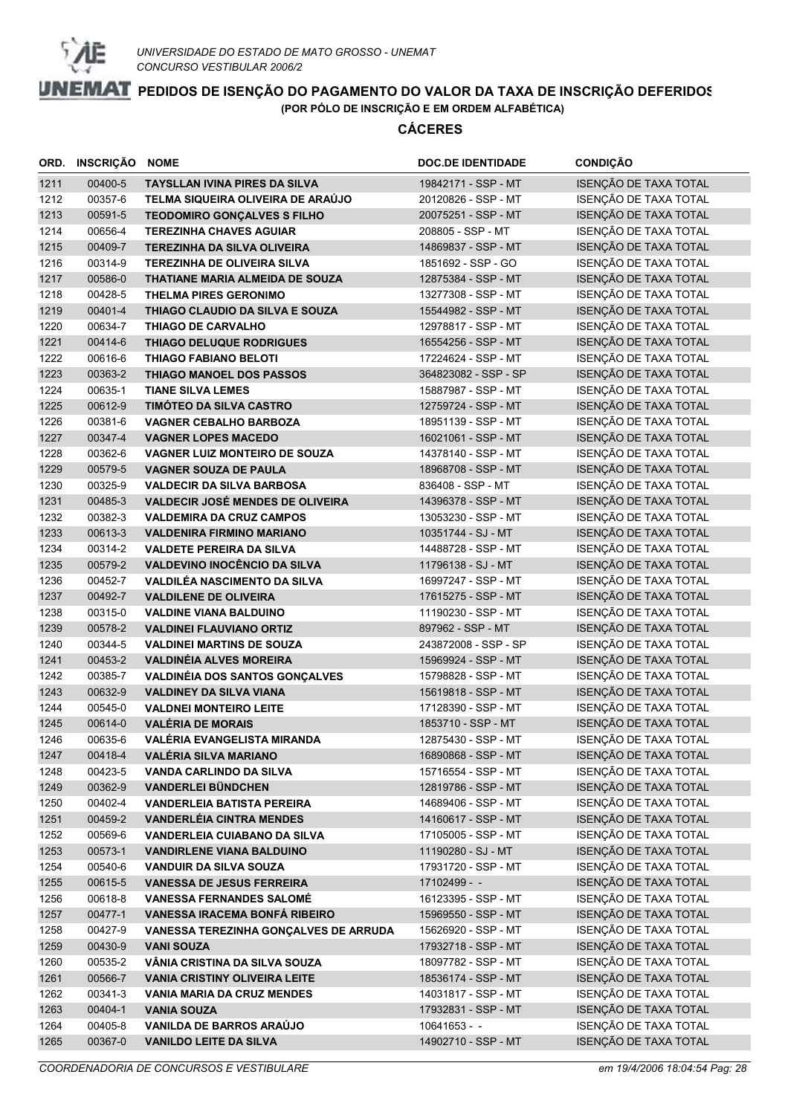

| ORD.         | INSCRIÇÃO          | <b>NOME</b>                                                         | <b>DOC.DE IDENTIDADE</b>                  | <b>CONDIÇÃO</b>                                |
|--------------|--------------------|---------------------------------------------------------------------|-------------------------------------------|------------------------------------------------|
| 1211         | 00400-5            | <b>TAYSLLAN IVINA PIRES DA SILVA</b>                                | 19842171 - SSP - MT                       | ISENÇÃO DE TAXA TOTAL                          |
| 1212         | 00357-6            | TELMA SIQUEIRA OLIVEIRA DE ARAÚJO                                   | 20120826 - SSP - MT                       | ISENÇÃO DE TAXA TOTAL                          |
| 1213         | 00591-5            | <b>TEODOMIRO GONÇALVES S FILHO</b>                                  | 20075251 - SSP - MT                       | ISENÇÃO DE TAXA TOTAL                          |
| 1214         | 00656-4            | <b>TEREZINHA CHAVES AGUIAR</b>                                      | 208805 - SSP - MT                         | <b>ISENÇÃO DE TAXA TOTAL</b>                   |
| 1215         | 00409-7            | <b>TEREZINHA DA SILVA OLIVEIRA</b>                                  | 14869837 - SSP - MT                       | ISENÇÃO DE TAXA TOTAL                          |
| 1216         | 00314-9            | <b>TEREZINHA DE OLIVEIRA SILVA</b>                                  | 1851692 - SSP - GO                        | ISENÇÃO DE TAXA TOTAL                          |
| 1217         | 00586-0            | THATIANE MARIA ALMEIDA DE SOUZA                                     | 12875384 - SSP - MT                       | ISENÇÃO DE TAXA TOTAL                          |
| 1218         | 00428-5            | <b>THELMA PIRES GERONIMO</b>                                        | 13277308 - SSP - MT                       | ISENÇÃO DE TAXA TOTAL                          |
| 1219         | 00401-4            | THIAGO CLAUDIO DA SILVA E SOUZA                                     | 15544982 - SSP - MT                       | ISENÇÃO DE TAXA TOTAL                          |
| 1220         | 00634-7            | THIAGO DE CARVALHO                                                  | 12978817 - SSP - MT                       | ISENÇÃO DE TAXA TOTAL                          |
| 1221         | 00414-6            | <b>THIAGO DELUQUE RODRIGUES</b>                                     | 16554256 - SSP - MT                       | ISENÇÃO DE TAXA TOTAL                          |
| 1222         | 00616-6            | <b>THIAGO FABIANO BELOTI</b>                                        | 17224624 - SSP - MT                       | ISENÇÃO DE TAXA TOTAL                          |
| 1223         | 00363-2            | THIAGO MANOEL DOS PASSOS                                            | 364823082 - SSP - SP                      | ISENÇÃO DE TAXA TOTAL                          |
| 1224         | 00635-1            | <b>TIANE SILVA LEMES</b>                                            | 15887987 - SSP - MT                       | ISENÇÃO DE TAXA TOTAL                          |
| 1225         | 00612-9            | TIMÓTEO DA SILVA CASTRO                                             | 12759724 - SSP - MT                       | ISENÇÃO DE TAXA TOTAL                          |
| 1226         | 00381-6            | <b>VAGNER CEBALHO BARBOZA</b>                                       | 18951139 - SSP - MT                       | ISENÇÃO DE TAXA TOTAL                          |
| 1227         | 00347-4            | <b>VAGNER LOPES MACEDO</b>                                          | 16021061 - SSP - MT                       | ISENÇÃO DE TAXA TOTAL                          |
| 1228         | 00362-6            | <b>VAGNER LUIZ MONTEIRO DE SOUZA</b>                                | 14378140 - SSP - MT                       | ISENÇÃO DE TAXA TOTAL                          |
| 1229         | 00579-5            | <b>VAGNER SOUZA DE PAULA</b>                                        | 18968708 - SSP - MT                       | ISENÇÃO DE TAXA TOTAL                          |
| 1230         | 00325-9            | <b>VALDECIR DA SILVA BARBOSA</b>                                    | 836408 - SSP - MT                         | ISENÇÃO DE TAXA TOTAL                          |
| 1231         | 00485-3            | VALDECIR JOSÉ MENDES DE OLIVEIRA                                    | 14396378 - SSP - MT                       | ISENÇÃO DE TAXA TOTAL                          |
| 1232         | 00382-3            | <b>VALDEMIRA DA CRUZ CAMPOS</b>                                     | 13053230 - SSP - MT                       | ISENÇÃO DE TAXA TOTAL                          |
| 1233         | 00613-3            | <b>VALDENIRA FIRMINO MARIANO</b>                                    | 10351744 - SJ - MT                        | ISENÇÃO DE TAXA TOTAL                          |
| 1234         | 00314-2            | <b>VALDETE PEREIRA DA SILVA</b>                                     | 14488728 - SSP - MT                       | ISENÇÃO DE TAXA TOTAL                          |
| 1235         | 00579-2<br>00452-7 | <b>VALDEVINO INOCÊNCIO DA SILVA</b><br>VALDILÉA NASCIMENTO DA SILVA | 11796138 - SJ - MT<br>16997247 - SSP - MT | ISENÇÃO DE TAXA TOTAL<br>ISENÇÃO DE TAXA TOTAL |
| 1236<br>1237 | 00492-7            | <b>VALDILENE DE OLIVEIRA</b>                                        | 17615275 - SSP - MT                       | ISENÇÃO DE TAXA TOTAL                          |
| 1238         | 00315-0            | <b>VALDINE VIANA BALDUINO</b>                                       | 11190230 - SSP - MT                       | ISENÇÃO DE TAXA TOTAL                          |
| 1239         | 00578-2            | <b>VALDINEI FLAUVIANO ORTIZ</b>                                     | 897962 - SSP - MT                         | ISENÇÃO DE TAXA TOTAL                          |
| 1240         | 00344-5            | <b>VALDINEI MARTINS DE SOUZA</b>                                    | 243872008 - SSP - SP                      | ISENÇÃO DE TAXA TOTAL                          |
| 1241         | 00453-2            | <b>VALDINÉIA ALVES MOREIRA</b>                                      | 15969924 - SSP - MT                       | ISENÇÃO DE TAXA TOTAL                          |
| 1242         | 00385-7            | <b>VALDINÉIA DOS SANTOS GONÇALVES</b>                               | 15798828 - SSP - MT                       | ISENÇÃO DE TAXA TOTAL                          |
| 1243         | 00632-9            | <b>VALDINEY DA SILVA VIANA</b>                                      | 15619818 - SSP - MT                       | ISENÇÃO DE TAXA TOTAL                          |
| 1244         | 00545-0            | <b>VALDNEI MONTEIRO LEITE</b>                                       | 17128390 - SSP - MT                       | ISENÇÃO DE TAXA TOTAL                          |
| 1245         | 00614-0            | <b>VALÉRIA DE MORAIS</b>                                            | 1853710 - SSP - MT                        | ISENÇÃO DE TAXA TOTAL                          |
| 1246         | 00635-6            | VALÉRIA EVANGELISTA MIRANDA                                         | 12875430 - SSP - MT                       | ISENÇÃO DE TAXA TOTAL                          |
| 1247         | 00418-4            | <b>VALÉRIA SILVA MARIANO</b>                                        | 16890868 - SSP - MT                       | ISENÇÃO DE TAXA TOTAL                          |
| 1248         | 00423-5            | VANDA CARLINDO DA SILVA                                             | 15716554 - SSP - MT                       | ISENÇÃO DE TAXA TOTAL                          |
| 1249         | 00362-9            | <b>VANDERLEI BÜNDCHEN</b>                                           | 12819786 - SSP - MT                       | ISENÇÃO DE TAXA TOTAL                          |
| 1250         | 00402-4            | <b>VANDERLEIA BATISTA PEREIRA</b>                                   | 14689406 - SSP - MT                       | ISENÇÃO DE TAXA TOTAL                          |
| 1251         | 00459-2            | <b>VANDERLÉIA CINTRA MENDES</b>                                     | 14160617 - SSP - MT                       | ISENÇÃO DE TAXA TOTAL                          |
| 1252         | 00569-6            | <b>VANDERLEIA CUIABANO DA SILVA</b>                                 | 17105005 - SSP - MT                       | ISENÇÃO DE TAXA TOTAL                          |
| 1253         | 00573-1            | <b>VANDIRLENE VIANA BALDUINO</b>                                    | 11190280 - SJ - MT                        | ISENÇÃO DE TAXA TOTAL                          |
| 1254         | 00540-6            | <b>VANDUIR DA SILVA SOUZA</b>                                       | 17931720 - SSP - MT                       | ISENÇÃO DE TAXA TOTAL                          |
| 1255         | 00615-5            | <b>VANESSA DE JESUS FERREIRA</b>                                    | 17102499 - -                              | ISENÇÃO DE TAXA TOTAL                          |
| 1256         | 00618-8            | <b>VANESSA FERNANDES SALOMÉ</b>                                     | 16123395 - SSP - MT                       | ISENÇÃO DE TAXA TOTAL                          |
| 1257         | 00477-1            | <b>VANESSA IRACEMA BONFÁ RIBEIRO</b>                                | 15969550 - SSP - MT                       | ISENÇÃO DE TAXA TOTAL                          |
| 1258         | 00427-9            | VANESSA TEREZINHA GONÇALVES DE ARRUDA                               | 15626920 - SSP - MT                       | ISENÇÃO DE TAXA TOTAL                          |
| 1259         | 00430-9            | <b>VANI SOUZA</b>                                                   | 17932718 - SSP - MT                       | ISENÇÃO DE TAXA TOTAL                          |
| 1260         | 00535-2            | VÂNIA CRISTINA DA SILVA SOUZA                                       | 18097782 - SSP - MT                       | ISENÇÃO DE TAXA TOTAL                          |
| 1261         | 00566-7            | <b>VANIA CRISTINY OLIVEIRA LEITE</b>                                | 18536174 - SSP - MT                       | ISENÇÃO DE TAXA TOTAL                          |
| 1262         | 00341-3            | <b>VANIA MARIA DA CRUZ MENDES</b>                                   | 14031817 - SSP - MT                       | ISENÇÃO DE TAXA TOTAL                          |
| 1263         | 00404-1            | <b>VANIA SOUZA</b>                                                  | 17932831 - SSP - MT                       | ISENÇÃO DE TAXA TOTAL                          |
| 1264         | 00405-8            | VANILDA DE BARROS ARAÚJO                                            | $10641653 -$                              | ISENÇÃO DE TAXA TOTAL                          |
| 1265         | 00367-0            | <b>VANILDO LEITE DA SILVA</b>                                       | 14902710 - SSP - MT                       | ISENÇÃO DE TAXA TOTAL                          |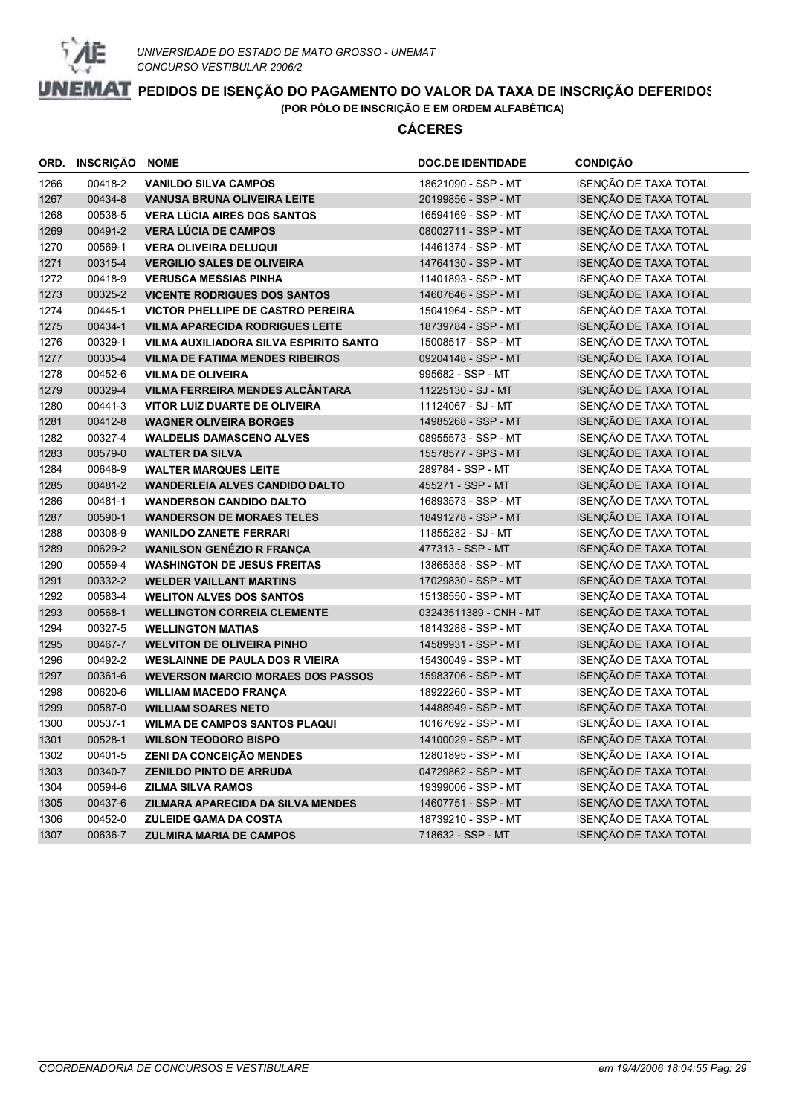

|      | ORD. INSCRIÇÃO NOME |                                          | <b>DOC.DE IDENTIDADE</b> | <b>CONDIÇÃO</b>              |
|------|---------------------|------------------------------------------|--------------------------|------------------------------|
| 1266 | 00418-2             | <b>VANILDO SILVA CAMPOS</b>              | 18621090 - SSP - MT      | ISENÇÃO DE TAXA TOTAL        |
| 1267 | 00434-8             | <b>VANUSA BRUNA OLIVEIRA LEITE</b>       | 20199856 - SSP - MT      | ISENÇÃO DE TAXA TOTAL        |
| 1268 | 00538-5             | <b>VERA LÚCIA AIRES DOS SANTOS</b>       | 16594169 - SSP - MT      | ISENÇÃO DE TAXA TOTAL        |
| 1269 | 00491-2             | <b>VERA LÚCIA DE CAMPOS</b>              | 08002711 - SSP - MT      | ISENÇÃO DE TAXA TOTAL        |
| 1270 | 00569-1             | <b>VERA OLIVEIRA DELUQUI</b>             | 14461374 - SSP - MT      | ISENÇÃO DE TAXA TOTAL        |
| 1271 | 00315-4             | <b>VERGILIO SALES DE OLIVEIRA</b>        | 14764130 - SSP - MT      | ISENÇÃO DE TAXA TOTAL        |
| 1272 | 00418-9             | <b>VERUSCA MESSIAS PINHA</b>             | 11401893 - SSP - MT      | ISENÇÃO DE TAXA TOTAL        |
| 1273 | 00325-2             | <b>VICENTE RODRIGUES DOS SANTOS</b>      | 14607646 - SSP - MT      | ISENÇÃO DE TAXA TOTAL        |
| 1274 | 00445-1             | <b>VICTOR PHELLIPE DE CASTRO PEREIRA</b> | 15041964 - SSP - MT      | ISENÇÃO DE TAXA TOTAL        |
| 1275 | 00434-1             | <b>VILMA APARECIDA RODRIGUES LEITE</b>   | 18739784 - SSP - MT      | ISENÇÃO DE TAXA TOTAL        |
| 1276 | 00329-1             | VILMA AUXILIADORA SILVA ESPIRITO SANTO   | 15008517 - SSP - MT      | ISENÇÃO DE TAXA TOTAL        |
| 1277 | 00335-4             | <b>VILMA DE FATIMA MENDES RIBEIROS</b>   | 09204148 - SSP - MT      | ISENÇÃO DE TAXA TOTAL        |
| 1278 | 00452-6             | <b>VILMA DE OLIVEIRA</b>                 | 995682 - SSP - MT        | ISENÇÃO DE TAXA TOTAL        |
| 1279 | 00329-4             | VILMA FERREIRA MENDES ALCÂNTARA          | 11225130 - SJ - MT       | ISENÇÃO DE TAXA TOTAL        |
| 1280 | 00441-3             | <b>VITOR LUIZ DUARTE DE OLIVEIRA</b>     | 11124067 - SJ - MT       | ISENÇÃO DE TAXA TOTAL        |
| 1281 | 00412-8             | <b>WAGNER OLIVEIRA BORGES</b>            | 14985268 - SSP - MT      | ISENÇÃO DE TAXA TOTAL        |
| 1282 | 00327-4             | <b>WALDELIS DAMASCENO ALVES</b>          | 08955573 - SSP - MT      | ISENÇÃO DE TAXA TOTAL        |
| 1283 | 00579-0             | <b>WALTER DA SILVA</b>                   | 15578577 - SPS - MT      | ISENÇÃO DE TAXA TOTAL        |
| 1284 | 00648-9             | <b>WALTER MARQUES LEITE</b>              | 289784 - SSP - MT        | ISENÇÃO DE TAXA TOTAL        |
| 1285 | 00481-2             | <b>WANDERLEIA ALVES CANDIDO DALTO</b>    | 455271 - SSP - MT        | ISENÇÃO DE TAXA TOTAL        |
| 1286 | 00481-1             | <b>WANDERSON CANDIDO DALTO</b>           | 16893573 - SSP - MT      | ISENÇÃO DE TAXA TOTAL        |
| 1287 | 00590-1             | <b>WANDERSON DE MORAES TELES</b>         | 18491278 - SSP - MT      | ISENÇÃO DE TAXA TOTAL        |
| 1288 | 00308-9             | <b>WANILDO ZANETE FERRARI</b>            | 11855282 - SJ - MT       | ISENÇÃO DE TAXA TOTAL        |
| 1289 | 00629-2             | <b>WANILSON GENÉZIO R FRANÇA</b>         | 477313 - SSP - MT        | ISENÇÃO DE TAXA TOTAL        |
| 1290 | 00559-4             | <b>WASHINGTON DE JESUS FREITAS</b>       | 13865358 - SSP - MT      | ISENÇÃO DE TAXA TOTAL        |
| 1291 | 00332-2             | <b>WELDER VAILLANT MARTINS</b>           | 17029830 - SSP - MT      | ISENÇÃO DE TAXA TOTAL        |
| 1292 | 00583-4             | <b>WELITON ALVES DOS SANTOS</b>          | 15138550 - SSP - MT      | ISENÇÃO DE TAXA TOTAL        |
| 1293 | 00568-1             | <b>WELLINGTON CORREIA CLEMENTE</b>       | 03243511389 - CNH - MT   | ISENÇÃO DE TAXA TOTAL        |
| 1294 | 00327-5             | <b>WELLINGTON MATIAS</b>                 | 18143288 - SSP - MT      | ISENÇÃO DE TAXA TOTAL        |
| 1295 | 00467-7             | <b>WELVITON DE OLIVEIRA PINHO</b>        | 14589931 - SSP - MT      | ISENÇÃO DE TAXA TOTAL        |
| 1296 | 00492-2             | <b>WESLAINNE DE PAULA DOS R VIEIRA</b>   | 15430049 - SSP - MT      | ISENÇÃO DE TAXA TOTAL        |
| 1297 | 00361-6             | <b>WEVERSON MARCIO MORAES DOS PASSOS</b> | 15983706 - SSP - MT      | ISENÇÃO DE TAXA TOTAL        |
| 1298 | 00620-6             | <b>WILLIAM MACEDO FRANÇA</b>             | 18922260 - SSP - MT      | ISENÇÃO DE TAXA TOTAL        |
| 1299 | 00587-0             | <b>WILLIAM SOARES NETO</b>               | 14488949 - SSP - MT      | ISENÇÃO DE TAXA TOTAL        |
| 1300 | 00537-1             | <b>WILMA DE CAMPOS SANTOS PLAQUI</b>     | 10167692 - SSP - MT      | ISENÇÃO DE TAXA TOTAL        |
| 1301 | 00528-1             | <b>WILSON TEODORO BISPO</b>              | 14100029 - SSP - MT      | ISENÇÃO DE TAXA TOTAL        |
| 1302 | 00401-5             | ZENI DA CONCEIÇÃO MENDES                 | 12801895 - SSP - MT      | ISENÇÃO DE TAXA TOTAL        |
| 1303 | 00340-7             | <b>ZENILDO PINTO DE ARRUDA</b>           | 04729862 - SSP - MT      | ISENÇÃO DE TAXA TOTAL        |
| 1304 | 00594-6             | <b>ZILMA SILVA RAMOS</b>                 | 19399006 - SSP - MT      | ISENÇÃO DE TAXA TOTAL        |
| 1305 | 00437-6             | <b>ZILMARA APARECIDA DA SILVA MENDES</b> | 14607751 - SSP - MT      | ISENÇÃO DE TAXA TOTAL        |
| 1306 | 00452-0             | <b>ZULEIDE GAMA DA COSTA</b>             | 18739210 - SSP - MT      | ISENÇÃO DE TAXA TOTAL        |
| 1307 | 00636-7             | <b>ZULMIRA MARIA DE CAMPOS</b>           | 718632 - SSP - MT        | <b>ISENÇÃO DE TAXA TOTAL</b> |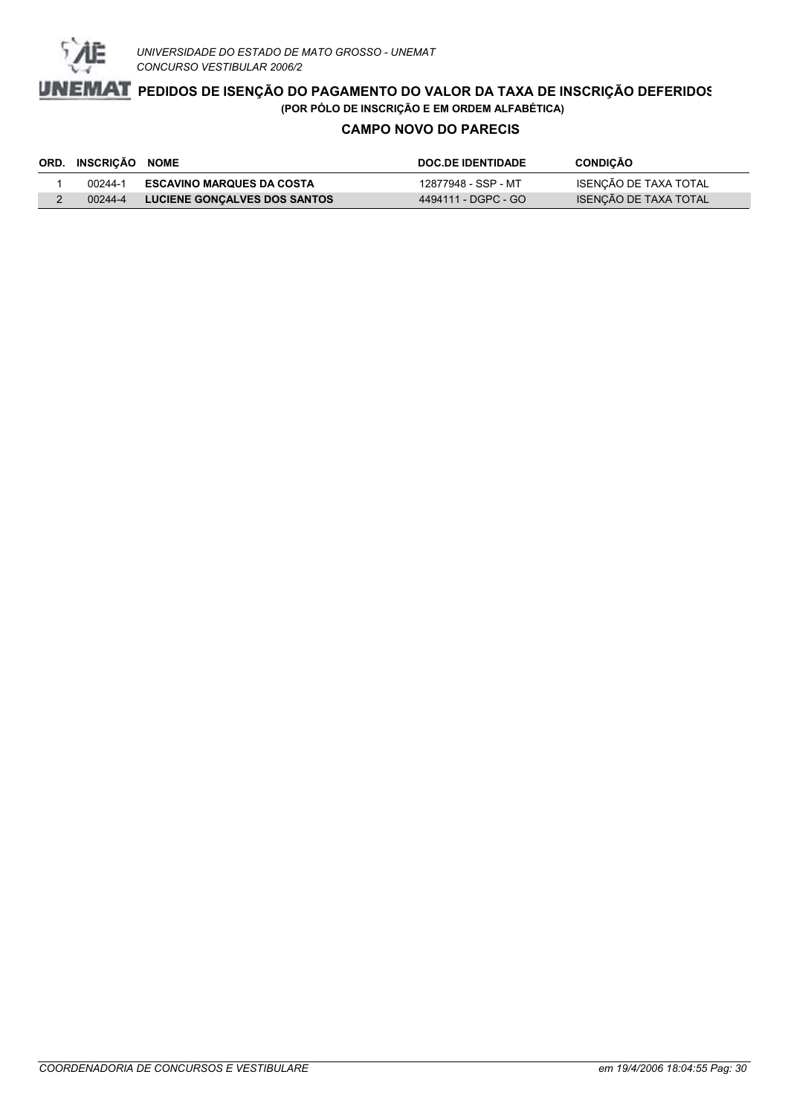

### **CAMPO NOVO DO PARECIS**

| ORD. INSCRIÇÃO NOME |                                     | <b>DOC.DE IDENTIDADE</b> | <b>CONDIÇÃO</b>       |
|---------------------|-------------------------------------|--------------------------|-----------------------|
| 00244-1             | <b>ESCAVINO MARQUES DA COSTA</b>    | 12877948 - SSP - MT      | ISENÇÃO DE TAXA TOTAL |
| 00244-4             | <b>LUCIENE GONCALVES DOS SANTOS</b> | 4494111 - DGPC - GO      | ISENCÃO DE TAXA TOTAL |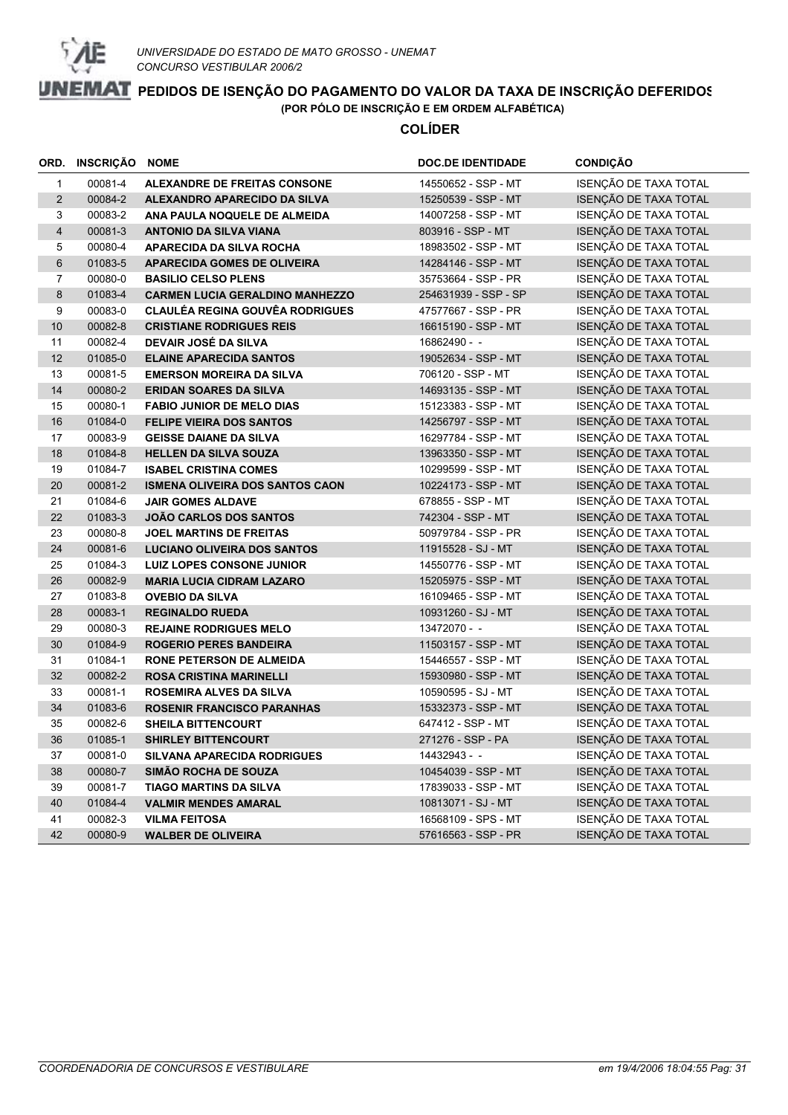

#### **COLÍDER**

|                | ORD. INSCRIÇÃO NOME |                                        | <b>DOC.DE IDENTIDADE</b> | <b>CONDIÇÃO</b>              |
|----------------|---------------------|----------------------------------------|--------------------------|------------------------------|
| $\mathbf{1}$   | 00081-4             | <b>ALEXANDRE DE FREITAS CONSONE</b>    | 14550652 - SSP - MT      | ISENÇÃO DE TAXA TOTAL        |
| 2              | 00084-2             | ALEXANDRO APARECIDO DA SILVA           | 15250539 - SSP - MT      | ISENÇÃO DE TAXA TOTAL        |
| 3              | 00083-2             | ANA PAULA NOQUELE DE ALMEIDA           | 14007258 - SSP - MT      | ISENÇÃO DE TAXA TOTAL        |
| $\overline{4}$ | 00081-3             | <b>ANTONIO DA SILVA VIANA</b>          | 803916 - SSP - MT        | ISENÇÃO DE TAXA TOTAL        |
| 5              | 00080-4             | <b>APARECIDA DA SILVA ROCHA</b>        | 18983502 - SSP - MT      | ISENÇÃO DE TAXA TOTAL        |
| $6\phantom{1}$ | 01083-5             | <b>APARECIDA GOMES DE OLIVEIRA</b>     | 14284146 - SSP - MT      | ISENÇÃO DE TAXA TOTAL        |
| $\overline{7}$ | 00080-0             | <b>BASILIO CELSO PLENS</b>             | 35753664 - SSP - PR      | ISENÇÃO DE TAXA TOTAL        |
| 8              | 01083-4             | <b>CARMEN LUCIA GERALDINO MANHEZZO</b> | 254631939 - SSP - SP     | <b>ISENÇÃO DE TAXA TOTAL</b> |
| 9              | 00083-0             | <b>CLAULÉA REGINA GOUVÊA RODRIGUES</b> | 47577667 - SSP - PR      | ISENÇÃO DE TAXA TOTAL        |
| 10             | 00082-8             | <b>CRISTIANE RODRIGUES REIS</b>        | 16615190 - SSP - MT      | ISENÇÃO DE TAXA TOTAL        |
| 11             | 00082-4             | DEVAIR JOSÉ DA SILVA                   | 16862490 - -             | ISENÇÃO DE TAXA TOTAL        |
| 12             | 01085-0             | <b>ELAINE APARECIDA SANTOS</b>         | 19052634 - SSP - MT      | ISENÇÃO DE TAXA TOTAL        |
| 13             | 00081-5             | <b>EMERSON MOREIRA DA SILVA</b>        | 706120 - SSP - MT        | ISENÇÃO DE TAXA TOTAL        |
| 14             | 00080-2             | <b>ERIDAN SOARES DA SILVA</b>          | 14693135 - SSP - MT      | ISENÇÃO DE TAXA TOTAL        |
| 15             | 00080-1             | <b>FABIO JUNIOR DE MELO DIAS</b>       | 15123383 - SSP - MT      | ISENÇÃO DE TAXA TOTAL        |
| 16             | 01084-0             | <b>FELIPE VIEIRA DOS SANTOS</b>        | 14256797 - SSP - MT      | ISENÇÃO DE TAXA TOTAL        |
| 17             | 00083-9             | <b>GEISSE DAIANE DA SILVA</b>          | 16297784 - SSP - MT      | ISENÇÃO DE TAXA TOTAL        |
| 18             | 01084-8             | <b>HELLEN DA SILVA SOUZA</b>           | 13963350 - SSP - MT      | ISENÇÃO DE TAXA TOTAL        |
| 19             | 01084-7             | <b>ISABEL CRISTINA COMES</b>           | 10299599 - SSP - MT      | ISENÇÃO DE TAXA TOTAL        |
| 20             | 00081-2             | <b>ISMENA OLIVEIRA DOS SANTOS CAON</b> | 10224173 - SSP - MT      | ISENÇÃO DE TAXA TOTAL        |
| 21             | 01084-6             | <b>JAIR GOMES ALDAVE</b>               | 678855 - SSP - MT        | ISENÇÃO DE TAXA TOTAL        |
| 22             | 01083-3             | <b>JOÃO CARLOS DOS SANTOS</b>          | 742304 - SSP - MT        | ISENÇÃO DE TAXA TOTAL        |
| 23             | 00080-8             | <b>JOEL MARTINS DE FREITAS</b>         | 50979784 - SSP - PR      | ISENÇÃO DE TAXA TOTAL        |
| 24             | 00081-6             | <b>LUCIANO OLIVEIRA DOS SANTOS</b>     | 11915528 - SJ - MT       | ISENÇÃO DE TAXA TOTAL        |
| 25             | 01084-3             | <b>LUIZ LOPES CONSONE JUNIOR</b>       | 14550776 - SSP - MT      | ISENÇÃO DE TAXA TOTAL        |
| 26             | 00082-9             | <b>MARIA LUCIA CIDRAM LAZARO</b>       | 15205975 - SSP - MT      | ISENÇÃO DE TAXA TOTAL        |
| 27             | 01083-8             | <b>OVEBIO DA SILVA</b>                 | 16109465 - SSP - MT      | ISENÇÃO DE TAXA TOTAL        |
| 28             | 00083-1             | <b>REGINALDO RUEDA</b>                 | 10931260 - SJ - MT       | ISENÇÃO DE TAXA TOTAL        |
| 29             | 00080-3             | <b>REJAINE RODRIGUES MELO</b>          | 13472070 - -             | ISENÇÃO DE TAXA TOTAL        |
| 30             | 01084-9             | <b>ROGERIO PERES BANDEIRA</b>          | 11503157 - SSP - MT      | ISENÇÃO DE TAXA TOTAL        |
| 31             | 01084-1             | <b>RONE PETERSON DE ALMEIDA</b>        | 15446557 - SSP - MT      | ISENÇÃO DE TAXA TOTAL        |
| 32             | 00082-2             | <b>ROSA CRISTINA MARINELLI</b>         | 15930980 - SSP - MT      | ISENÇÃO DE TAXA TOTAL        |
| 33             | 00081-1             | <b>ROSEMIRA ALVES DA SILVA</b>         | 10590595 - SJ - MT       | ISENÇÃO DE TAXA TOTAL        |
| 34             | 01083-6             | <b>ROSENIR FRANCISCO PARANHAS</b>      | 15332373 - SSP - MT      | ISENÇÃO DE TAXA TOTAL        |
| 35             | 00082-6             | <b>SHEILA BITTENCOURT</b>              | 647412 - SSP - MT        | ISENÇÃO DE TAXA TOTAL        |
| 36             | 01085-1             | <b>SHIRLEY BITTENCOURT</b>             | 271276 - SSP - PA        | ISENÇÃO DE TAXA TOTAL        |
| 37             | 00081-0             | <b>SILVANA APARECIDA RODRIGUES</b>     | 14432943 - -             | ISENÇÃO DE TAXA TOTAL        |
| 38             | 00080-7             | <b>SIMÃO ROCHA DE SOUZA</b>            | 10454039 - SSP - MT      | ISENÇÃO DE TAXA TOTAL        |
| 39             | 00081-7             | <b>TIAGO MARTINS DA SILVA</b>          | 17839033 - SSP - MT      | ISENÇÃO DE TAXA TOTAL        |
| 40             | 01084-4             | <b>VALMIR MENDES AMARAL</b>            | 10813071 - SJ - MT       | ISENÇÃO DE TAXA TOTAL        |
| 41             | 00082-3             | <b>VILMA FEITOSA</b>                   | 16568109 - SPS - MT      | ISENÇÃO DE TAXA TOTAL        |
| 42             | 00080-9             | <b>WALBER DE OLIVEIRA</b>              | 57616563 - SSP - PR      | ISENÇÃO DE TAXA TOTAL        |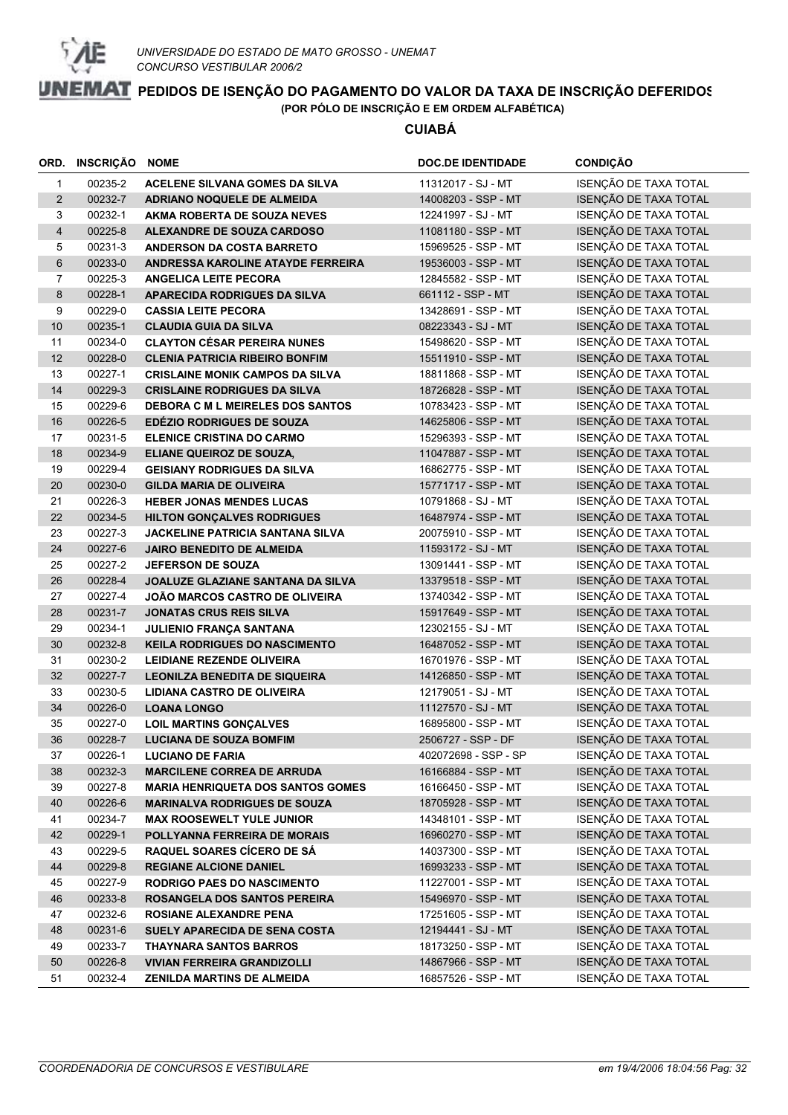

**CUIABÁ**

|                         | ORD. INSCRIÇÃO | <b>NOME</b>                              | <b>DOC.DE IDENTIDADE</b> | <b>CONDIÇÃO</b>       |
|-------------------------|----------------|------------------------------------------|--------------------------|-----------------------|
| $\mathbf{1}$            | 00235-2        | ACELENE SILVANA GOMES DA SILVA           | 11312017 - SJ - MT       | ISENÇÃO DE TAXA TOTAL |
| $\overline{2}$          | 00232-7        | ADRIANO NOQUELE DE ALMEIDA               | 14008203 - SSP - MT      | ISENÇÃO DE TAXA TOTAL |
| 3                       | 00232-1        | AKMA ROBERTA DE SOUZA NEVES              | 12241997 - SJ - MT       | ISENÇÃO DE TAXA TOTAL |
| $\overline{\mathbf{4}}$ | 00225-8        | ALEXANDRE DE SOUZA CARDOSO               | 11081180 - SSP - MT      | ISENÇÃO DE TAXA TOTAL |
| 5                       | 00231-3        | <b>ANDERSON DA COSTA BARRETO</b>         | 15969525 - SSP - MT      | ISENÇÃO DE TAXA TOTAL |
| 6                       | 00233-0        | ANDRESSA KAROLINE ATAYDE FERREIRA        | 19536003 - SSP - MT      | ISENÇÃO DE TAXA TOTAL |
| 7                       | 00225-3        | <b>ANGELICA LEITE PECORA</b>             | 12845582 - SSP - MT      | ISENÇÃO DE TAXA TOTAL |
| 8                       | 00228-1        | APARECIDA RODRIGUES DA SILVA             | 661112 - SSP - MT        | ISENÇÃO DE TAXA TOTAL |
| 9                       | 00229-0        | <b>CASSIA LEITE PECORA</b>               | 13428691 - SSP - MT      | ISENÇÃO DE TAXA TOTAL |
| $10$                    | 00235-1        | <b>CLAUDIA GUIA DA SILVA</b>             | 08223343 - SJ - MT       | ISENÇÃO DE TAXA TOTAL |
| 11                      | 00234-0        | <b>CLAYTON CÉSAR PEREIRA NUNES</b>       | 15498620 - SSP - MT      | ISENÇÃO DE TAXA TOTAL |
| 12                      | 00228-0        | <b>CLENIA PATRICIA RIBEIRO BONFIM</b>    | 15511910 - SSP - MT      | ISENÇÃO DE TAXA TOTAL |
| 13                      | 00227-1        | <b>CRISLAINE MONIK CAMPOS DA SILVA</b>   | 18811868 - SSP - MT      | ISENÇÃO DE TAXA TOTAL |
| 14                      | 00229-3        | <b>CRISLAINE RODRIGUES DA SILVA</b>      | 18726828 - SSP - MT      | ISENÇÃO DE TAXA TOTAL |
| 15                      | 00229-6        | <b>DEBORA C M L MEIRELES DOS SANTOS</b>  | 10783423 - SSP - MT      | ISENÇÃO DE TAXA TOTAL |
| 16                      | 00226-5        | <b>EDEZIO RODRIGUES DE SOUZA</b>         | 14625806 - SSP - MT      | ISENÇÃO DE TAXA TOTAL |
| 17                      | 00231-5        | <b>ELENICE CRISTINA DO CARMO</b>         | 15296393 - SSP - MT      | ISENÇÃO DE TAXA TOTAL |
| 18                      | 00234-9        | <b>ELIANE QUEIROZ DE SOUZA,</b>          | 11047887 - SSP - MT      | ISENÇÃO DE TAXA TOTAL |
| 19                      | 00229-4        | <b>GEISIANY RODRIGUES DA SILVA</b>       | 16862775 - SSP - MT      | ISENÇÃO DE TAXA TOTAL |
| 20                      | 00230-0        | <b>GILDA MARIA DE OLIVEIRA</b>           | 15771717 - SSP - MT      | ISENÇÃO DE TAXA TOTAL |
| 21                      | 00226-3        | <b>HEBER JONAS MENDES LUCAS</b>          | 10791868 - SJ - MT       | ISENÇÃO DE TAXA TOTAL |
| 22                      | 00234-5        | <b>HILTON GONÇALVES RODRIGUES</b>        | 16487974 - SSP - MT      | ISENÇÃO DE TAXA TOTAL |
| 23                      | 00227-3        | <b>JACKELINE PATRICIA SANTANA SILVA</b>  | 20075910 - SSP - MT      | ISENÇÃO DE TAXA TOTAL |
| 24                      | 00227-6        | <b>JAIRO BENEDITO DE ALMEIDA</b>         | 11593172 - SJ - MT       | ISENÇÃO DE TAXA TOTAL |
| 25                      | 00227-2        | <b>JEFERSON DE SOUZA</b>                 | 13091441 - SSP - MT      | ISENÇÃO DE TAXA TOTAL |
| 26                      | 00228-4        | JOALUZE GLAZIANE SANTANA DA SILVA        | 13379518 - SSP - MT      | ISENÇÃO DE TAXA TOTAL |
| 27                      | 00227-4        | <b>JOÃO MARCOS CASTRO DE OLIVEIRA</b>    | 13740342 - SSP - MT      | ISENÇÃO DE TAXA TOTAL |
| 28                      | 00231-7        | <b>JONATAS CRUS REIS SILVA</b>           | 15917649 - SSP - MT      | ISENÇÃO DE TAXA TOTAL |
| 29                      | 00234-1        | <b>JULIENIO FRANÇA SANTANA</b>           | 12302155 - SJ - MT       | ISENÇÃO DE TAXA TOTAL |
| 30                      | 00232-8        | <b>KEILA RODRIGUES DO NASCIMENTO</b>     | 16487052 - SSP - MT      | ISENÇÃO DE TAXA TOTAL |
| 31                      | 00230-2        | LEIDIANE REZENDE OLIVEIRA                | 16701976 - SSP - MT      | ISENÇÃO DE TAXA TOTAL |
| 32                      | 00227-7        | <b>LEONILZA BENEDITA DE SIQUEIRA</b>     | 14126850 - SSP - MT      | ISENÇÃO DE TAXA TOTAL |
| 33                      | 00230-5        | LIDIANA CASTRO DE OLIVEIRA               | 12179051 - SJ - MT       | ISENÇÃO DE TAXA TOTAL |
| 34                      | 00226-0        | <b>LOANA LONGO</b>                       | 11127570 - SJ - MT       | ISENÇÃO DE TAXA TOTAL |
| 35                      | 00227-0        | <b>LOIL MARTINS GONÇALVES</b>            | 16895800 - SSP - MT      | ISENÇÃO DE TAXA TOTAL |
| 36                      | 00228-7        | <b>LUCIANA DE SOUZA BOMFIM</b>           | 2506727 - SSP - DF       | ISENÇÃO DE TAXA TOTAL |
| 37                      | 00226-1        | <b>LUCIANO DE FARIA</b>                  | 402072698 - SSP - SP     | ISENÇÃO DE TAXA TOTAL |
| 38                      | 00232-3        | <b>MARCILENE CORREA DE ARRUDA</b>        | 16166884 - SSP - MT      | ISENÇÃO DE TAXA TOTAL |
| 39                      | 00227-8        | <b>MARIA HENRIQUETA DOS SANTOS GOMES</b> | 16166450 - SSP - MT      | ISENÇÃO DE TAXA TOTAL |
| 40                      | 00226-6        | <b>MARINALVA RODRIGUES DE SOUZA</b>      | 18705928 - SSP - MT      | ISENÇÃO DE TAXA TOTAL |
| 41                      | 00234-7        | <b>MAX ROOSEWELT YULE JUNIOR</b>         | 14348101 - SSP - MT      | ISENÇÃO DE TAXA TOTAL |
| 42                      | 00229-1        | POLLYANNA FERREIRA DE MORAIS             | 16960270 - SSP - MT      | ISENÇÃO DE TAXA TOTAL |
| 43                      | 00229-5        | RAQUEL SOARES CÍCERO DE SÁ               | 14037300 - SSP - MT      | ISENÇÃO DE TAXA TOTAL |
| 44                      | 00229-8        | <b>REGIANE ALCIONE DANIEL</b>            | 16993233 - SSP - MT      | ISENÇÃO DE TAXA TOTAL |
| 45                      | 00227-9        | <b>RODRIGO PAES DO NASCIMENTO</b>        | 11227001 - SSP - MT      | ISENÇÃO DE TAXA TOTAL |
| 46                      | 00233-8        | ROSANGELA DOS SANTOS PEREIRA             | 15496970 - SSP - MT      | ISENÇÃO DE TAXA TOTAL |
| 47                      | 00232-6        | ROSIANE ALEXANDRE PENA                   | 17251605 - SSP - MT      | ISENÇÃO DE TAXA TOTAL |
| 48                      | 00231-6        | SUELY APARECIDA DE SENA COSTA            | 12194441 - SJ - MT       | ISENÇÃO DE TAXA TOTAL |
| 49                      | 00233-7        | <b>THAYNARA SANTOS BARROS</b>            | 18173250 - SSP - MT      | ISENÇÃO DE TAXA TOTAL |
| 50                      | 00226-8        | <b>VIVIAN FERREIRA GRANDIZOLLI</b>       | 14867966 - SSP - MT      | ISENÇÃO DE TAXA TOTAL |
| 51                      | 00232-4        | ZENILDA MARTINS DE ALMEIDA               | 16857526 - SSP - MT      | ISENÇÃO DE TAXA TOTAL |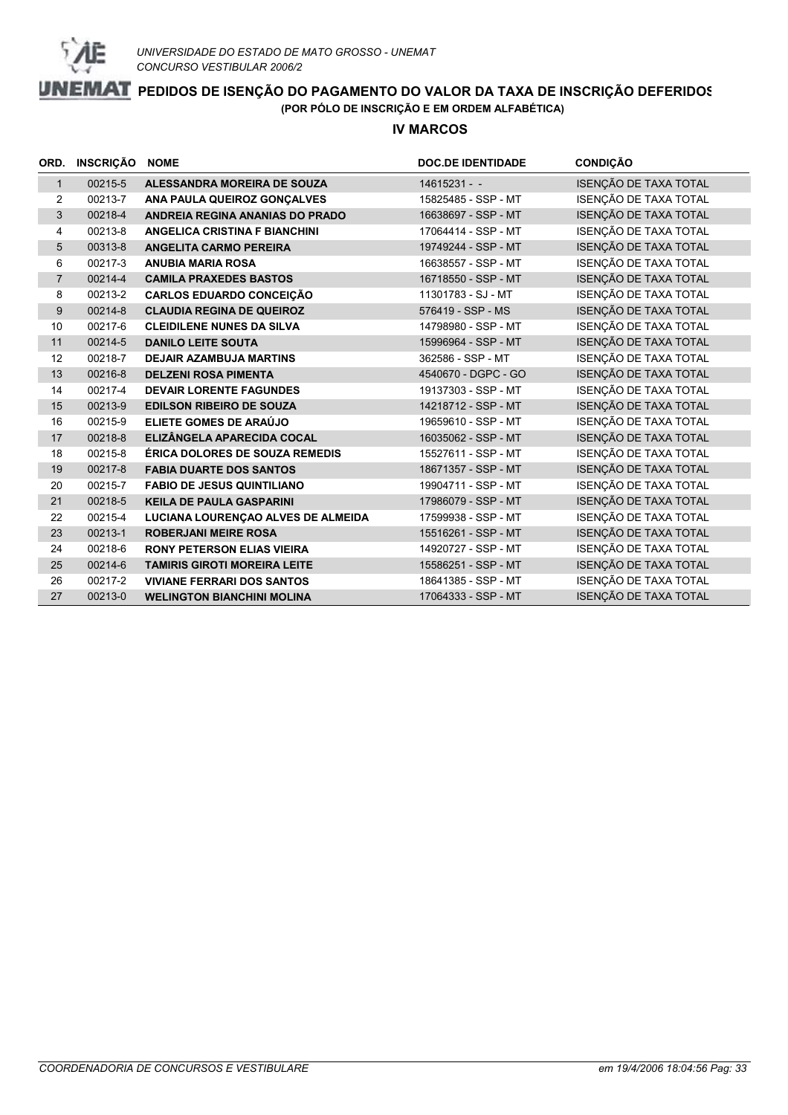

#### **IV MARCOS**

|                | ORD. INSCRIÇÃO | <b>NOME</b>                           | <b>DOC.DE IDENTIDADE</b> | <b>CONDIÇÃO</b>       |
|----------------|----------------|---------------------------------------|--------------------------|-----------------------|
| $\mathbf{1}$   | 00215-5        | ALESSANDRA MOREIRA DE SOUZA           | $14615231 - -$           | ISENÇÃO DE TAXA TOTAL |
| 2              | 00213-7        | ANA PAULA QUEIROZ GONÇALVES           | 15825485 - SSP - MT      | ISENÇÃO DE TAXA TOTAL |
| 3              | 00218-4        | ANDREIA REGINA ANANIAS DO PRADO       | 16638697 - SSP - MT      | ISENÇÃO DE TAXA TOTAL |
| 4              | 00213-8        | ANGELICA CRISTINA F BIANCHINI         | 17064414 - SSP - MT      | ISENÇÃO DE TAXA TOTAL |
| 5              | 00313-8        | <b>ANGELITA CARMO PEREIRA</b>         | 19749244 - SSP - MT      | ISENÇÃO DE TAXA TOTAL |
| 6              | 00217-3        | <b>ANUBIA MARIA ROSA</b>              | 16638557 - SSP - MT      | ISENÇÃO DE TAXA TOTAL |
| $\overline{7}$ | 00214-4        | <b>CAMILA PRAXEDES BASTOS</b>         | 16718550 - SSP - MT      | ISENÇÃO DE TAXA TOTAL |
| 8              | 00213-2        | <b>CARLOS EDUARDO CONCEIÇÃO</b>       | 11301783 - SJ - MT       | ISENÇÃO DE TAXA TOTAL |
| 9              | 00214-8        | <b>CLAUDIA REGINA DE QUEIROZ</b>      | 576419 - SSP - MS        | ISENÇÃO DE TAXA TOTAL |
| 10             | 00217-6        | <b>CLEIDILENE NUNES DA SILVA</b>      | 14798980 - SSP - MT      | ISENÇÃO DE TAXA TOTAL |
| 11             | 00214-5        | <b>DANILO LEITE SOUTA</b>             | 15996964 - SSP - MT      | ISENÇÃO DE TAXA TOTAL |
| 12             | 00218-7        | <b>DEJAIR AZAMBUJA MARTINS</b>        | 362586 - SSP - MT        | ISENÇÃO DE TAXA TOTAL |
| 13             | 00216-8        | <b>DELZENI ROSA PIMENTA</b>           | 4540670 - DGPC - GO      | ISENÇÃO DE TAXA TOTAL |
| 14             | 00217-4        | <b>DEVAIR LORENTE FAGUNDES</b>        | 19137303 - SSP - MT      | ISENÇÃO DE TAXA TOTAL |
| 15             | 00213-9        | <b>EDILSON RIBEIRO DE SOUZA</b>       | 14218712 - SSP - MT      | ISENÇÃO DE TAXA TOTAL |
| 16             | 00215-9        | ELIETE GOMES DE ARAÚJO                | 19659610 - SSP - MT      | ISENÇÃO DE TAXA TOTAL |
| 17             | 00218-8        | ELIZÂNGELA APARECIDA COCAL            | 16035062 - SSP - MT      | ISENÇÃO DE TAXA TOTAL |
| 18             | 00215-8        | <b>ÉRICA DOLORES DE SOUZA REMEDIS</b> | 15527611 - SSP - MT      | ISENÇÃO DE TAXA TOTAL |
| 19             | 00217-8        | <b>FABIA DUARTE DOS SANTOS</b>        | 18671357 - SSP - MT      | ISENÇÃO DE TAXA TOTAL |
| 20             | 00215-7        | <b>FABIO DE JESUS QUINTILIANO</b>     | 19904711 - SSP - MT      | ISENÇÃO DE TAXA TOTAL |
| 21             | 00218-5        | <b>KEILA DE PAULA GASPARINI</b>       | 17986079 - SSP - MT      | ISENÇÃO DE TAXA TOTAL |
| 22             | 00215-4        | LUCIANA LOURENÇAO ALVES DE ALMEIDA    | 17599938 - SSP - MT      | ISENÇÃO DE TAXA TOTAL |
| 23             | 00213-1        | <b>ROBERJANI MEIRE ROSA</b>           | 15516261 - SSP - MT      | ISENÇÃO DE TAXA TOTAL |
| 24             | 00218-6        | <b>RONY PETERSON ELIAS VIEIRA</b>     | 14920727 - SSP - MT      | ISENÇÃO DE TAXA TOTAL |
| 25             | 00214-6        | <b>TAMIRIS GIROTI MOREIRA LEITE</b>   | 15586251 - SSP - MT      | ISENÇÃO DE TAXA TOTAL |
| 26             | 00217-2        | <b>VIVIANE FERRARI DOS SANTOS</b>     | 18641385 - SSP - MT      | ISENÇÃO DE TAXA TOTAL |
| 27             | 00213-0        | <b>WELINGTON BIANCHINI MOLINA</b>     | 17064333 - SSP - MT      | ISENÇÃO DE TAXA TOTAL |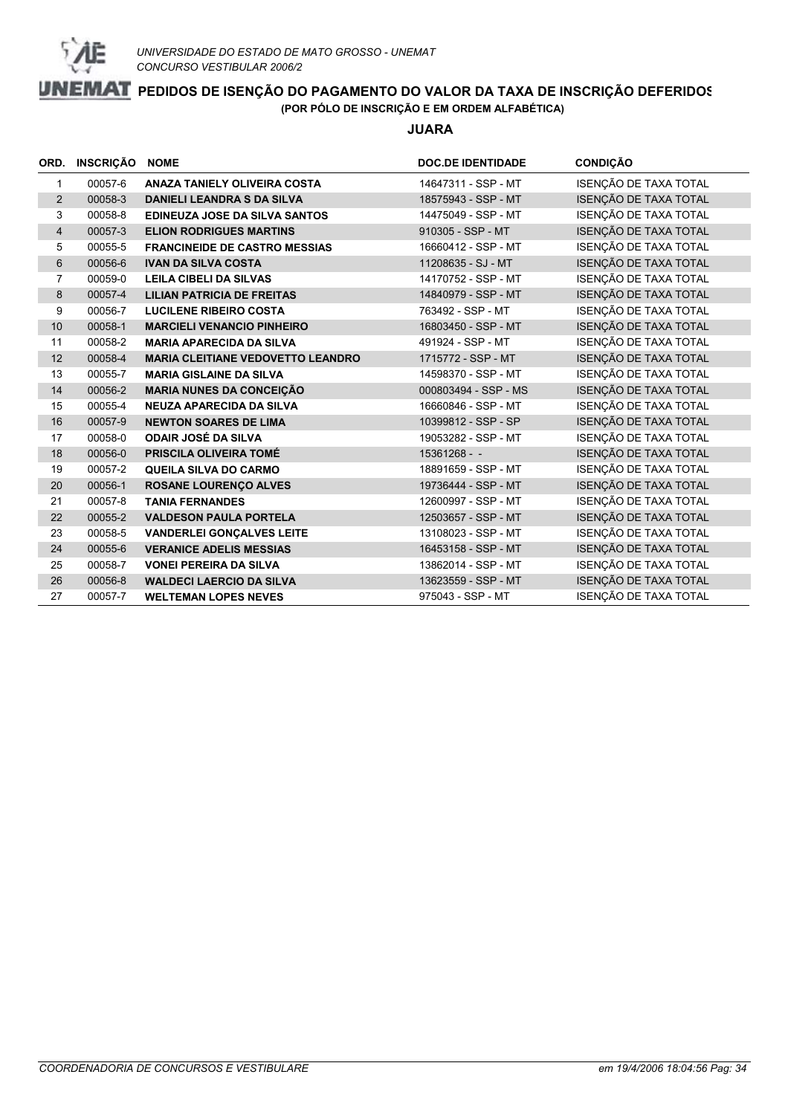

**JUARA**

| ORD.           | INSCRIÇÃO | <b>NOME</b>                              | <b>DOC.DE IDENTIDADE</b> | <b>CONDIÇÃO</b>       |
|----------------|-----------|------------------------------------------|--------------------------|-----------------------|
| $\mathbf 1$    | 00057-6   | <b>ANAZA TANIELY OLIVEIRA COSTA</b>      | 14647311 - SSP - MT      | ISENÇÃO DE TAXA TOTAL |
| 2              | 00058-3   | <b>DANIELI LEANDRA S DA SILVA</b>        | 18575943 - SSP - MT      | ISENÇÃO DE TAXA TOTAL |
| 3              | 00058-8   | <b>EDINEUZA JOSE DA SILVA SANTOS</b>     | 14475049 - SSP - MT      | ISENÇÃO DE TAXA TOTAL |
| $\overline{4}$ | 00057-3   | <b>ELION RODRIGUES MARTINS</b>           | 910305 - SSP - MT        | ISENÇÃO DE TAXA TOTAL |
| 5              | 00055-5   | <b>FRANCINEIDE DE CASTRO MESSIAS</b>     | 16660412 - SSP - MT      | ISENÇÃO DE TAXA TOTAL |
| 6              | 00056-6   | <b>IVAN DA SILVA COSTA</b>               | 11208635 - SJ - MT       | ISENÇÃO DE TAXA TOTAL |
| $\overline{7}$ | 00059-0   | <b>LEILA CIBELI DA SILVAS</b>            | 14170752 - SSP - MT      | ISENÇÃO DE TAXA TOTAL |
| 8              | 00057-4   | <b>LILIAN PATRICIA DE FREITAS</b>        | 14840979 - SSP - MT      | ISENÇÃO DE TAXA TOTAL |
| 9              | 00056-7   | <b>LUCILENE RIBEIRO COSTA</b>            | 763492 - SSP - MT        | ISENÇÃO DE TAXA TOTAL |
| 10             | 00058-1   | <b>MARCIELI VENANCIO PINHEIRO</b>        | 16803450 - SSP - MT      | ISENÇÃO DE TAXA TOTAL |
| 11             | 00058-2   | <b>MARIA APARECIDA DA SILVA</b>          | 491924 - SSP - MT        | ISENÇÃO DE TAXA TOTAL |
| 12             | 00058-4   | <b>MARIA CLEITIANE VEDOVETTO LEANDRO</b> | 1715772 - SSP - MT       | ISENÇÃO DE TAXA TOTAL |
| 13             | 00055-7   | <b>MARIA GISLAINE DA SILVA</b>           | 14598370 - SSP - MT      | ISENÇÃO DE TAXA TOTAL |
| 14             | 00056-2   | <b>MARIA NUNES DA CONCEIÇÃO</b>          | 000803494 - SSP - MS     | ISENÇÃO DE TAXA TOTAL |
| 15             | 00055-4   | <b>NEUZA APARECIDA DA SILVA</b>          | 16660846 - SSP - MT      | ISENÇÃO DE TAXA TOTAL |
| 16             | 00057-9   | <b>NEWTON SOARES DE LIMA</b>             | 10399812 - SSP - SP      | ISENÇÃO DE TAXA TOTAL |
| 17             | 00058-0   | <b>ODAIR JOSÉ DA SILVA</b>               | 19053282 - SSP - MT      | ISENÇÃO DE TAXA TOTAL |
| 18             | 00056-0   | PRISCILA OLIVEIRA TOMÉ                   | $15361268 - -$           | ISENÇÃO DE TAXA TOTAL |
| 19             | 00057-2   | <b>QUEILA SILVA DO CARMO</b>             | 18891659 - SSP - MT      | ISENÇÃO DE TAXA TOTAL |
| 20             | 00056-1   | <b>ROSANE LOURENÇO ALVES</b>             | 19736444 - SSP - MT      | ISENÇÃO DE TAXA TOTAL |
| 21             | 00057-8   | <b>TANIA FERNANDES</b>                   | 12600997 - SSP - MT      | ISENÇÃO DE TAXA TOTAL |
| 22             | 00055-2   | <b>VALDESON PAULA PORTELA</b>            | 12503657 - SSP - MT      | ISENÇÃO DE TAXA TOTAL |
| 23             | 00058-5   | <b>VANDERLEI GONÇALVES LEITE</b>         | 13108023 - SSP - MT      | ISENÇÃO DE TAXA TOTAL |
| 24             | 00055-6   | <b>VERANICE ADELIS MESSIAS</b>           | 16453158 - SSP - MT      | ISENÇÃO DE TAXA TOTAL |
| 25             | 00058-7   | <b>VONEI PEREIRA DA SILVA</b>            | 13862014 - SSP - MT      | ISENÇÃO DE TAXA TOTAL |
| 26             | 00056-8   | <b>WALDECI LAERCIO DA SILVA</b>          | 13623559 - SSP - MT      | ISENÇÃO DE TAXA TOTAL |
| 27             | 00057-7   | <b>WELTEMAN LOPES NEVES</b>              | 975043 - SSP - MT        | ISENÇÃO DE TAXA TOTAL |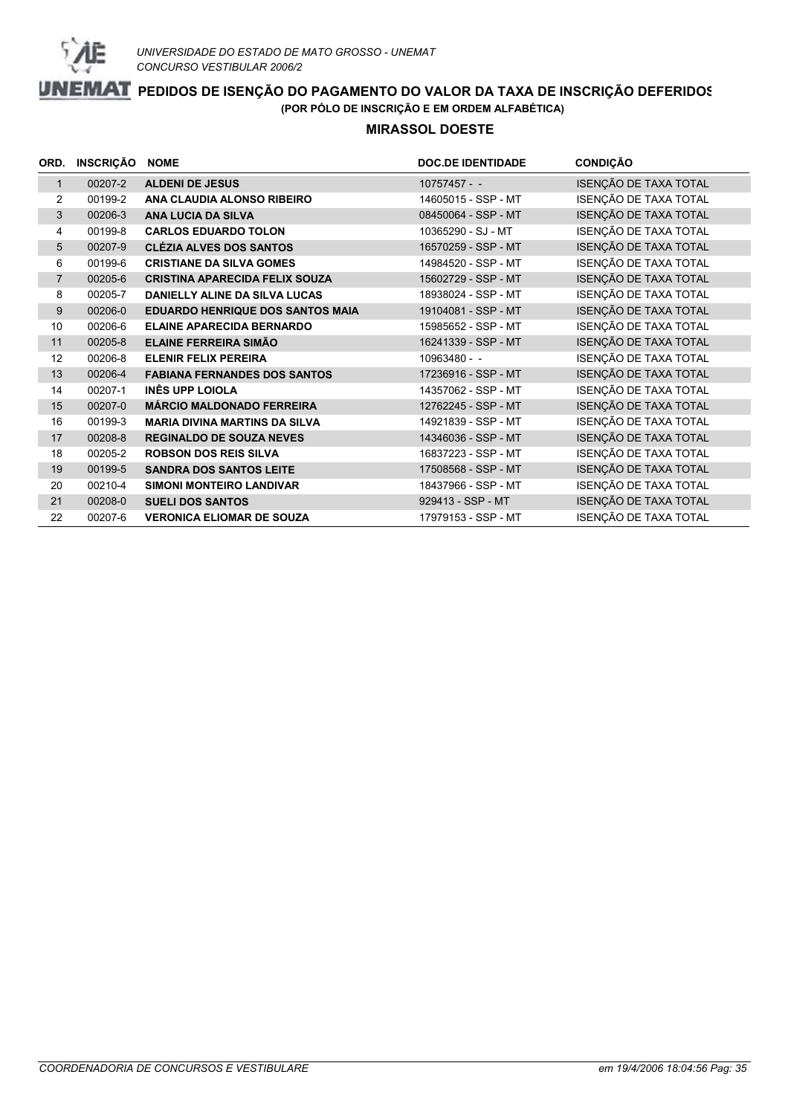

#### **MIRASSOL DOESTE**

|                | ORD. INSCRIÇÃO | <b>NOME</b>                             | <b>DOC.DE IDENTIDADE</b> | <b>CONDIÇÃO</b>       |
|----------------|----------------|-----------------------------------------|--------------------------|-----------------------|
| $\mathbf{1}$   | 00207-2        | <b>ALDENI DE JESUS</b>                  | $10757457 -$             | ISENÇÃO DE TAXA TOTAL |
| 2              | 00199-2        | ANA CLAUDIA ALONSO RIBEIRO              | 14605015 - SSP - MT      | ISENÇÃO DE TAXA TOTAL |
| 3              | 00206-3        | <b>ANA LUCIA DA SILVA</b>               | 08450064 - SSP - MT      | ISENÇÃO DE TAXA TOTAL |
| 4              | 00199-8        | <b>CARLOS EDUARDO TOLON</b>             | 10365290 - SJ - MT       | ISENÇÃO DE TAXA TOTAL |
| 5              | 00207-9        | <b>CLÉZIA ALVES DOS SANTOS</b>          | 16570259 - SSP - MT      | ISENÇÃO DE TAXA TOTAL |
| 6              | 00199-6        | <b>CRISTIANE DA SILVA GOMES</b>         | 14984520 - SSP - MT      | ISENÇÃO DE TAXA TOTAL |
| $\overline{7}$ | 00205-6        | <b>CRISTINA APARECIDA FELIX SOUZA</b>   | 15602729 - SSP - MT      | ISENÇÃO DE TAXA TOTAL |
| 8              | 00205-7        | <b>DANIELLY ALINE DA SILVA LUCAS</b>    | 18938024 - SSP - MT      | ISENÇÃO DE TAXA TOTAL |
| 9              | 00206-0        | <b>EDUARDO HENRIQUE DOS SANTOS MAIA</b> | 19104081 - SSP - MT      | ISENÇÃO DE TAXA TOTAL |
| 10             | 00206-6        | <b>ELAINE APARECIDA BERNARDO</b>        | 15985652 - SSP - MT      | ISENÇÃO DE TAXA TOTAL |
| 11             | 00205-8        | <b>ELAINE FERREIRA SIMÃO</b>            | 16241339 - SSP - MT      | ISENÇÃO DE TAXA TOTAL |
| 12             | 00206-8        | <b>ELENIR FELIX PEREIRA</b>             | 10963480 - -             | ISENÇÃO DE TAXA TOTAL |
| 13             | 00206-4        | <b>FABIANA FERNANDES DOS SANTOS</b>     | 17236916 - SSP - MT      | ISENÇÃO DE TAXA TOTAL |
| 14             | 00207-1        | INÊS UPP LOIOLA                         | 14357062 - SSP - MT      | ISENÇÃO DE TAXA TOTAL |
| 15             | 00207-0        | <b>MÁRCIO MALDONADO FERREIRA</b>        | 12762245 - SSP - MT      | ISENÇÃO DE TAXA TOTAL |
| 16             | 00199-3        | <b>MARIA DIVINA MARTINS DA SILVA</b>    | 14921839 - SSP - MT      | ISENÇÃO DE TAXA TOTAL |
| 17             | 00208-8        | <b>REGINALDO DE SOUZA NEVES</b>         | 14346036 - SSP - MT      | ISENÇÃO DE TAXA TOTAL |
| 18             | 00205-2        | <b>ROBSON DOS REIS SILVA</b>            | 16837223 - SSP - MT      | ISENÇÃO DE TAXA TOTAL |
| 19             | 00199-5        | <b>SANDRA DOS SANTOS LEITE</b>          | 17508568 - SSP - MT      | ISENÇÃO DE TAXA TOTAL |
| 20             | 00210-4        | SIMONI MONTEIRO LANDIVAR                | 18437966 - SSP - MT      | ISENÇÃO DE TAXA TOTAL |
| 21             | 00208-0        | <b>SUELI DOS SANTOS</b>                 | 929413 - SSP - MT        | ISENÇÃO DE TAXA TOTAL |
| 22             | 00207-6        | <b>VERONICA ELIOMAR DE SOUZA</b>        | 17979153 - SSP - MT      | ISENÇÃO DE TAXA TOTAL |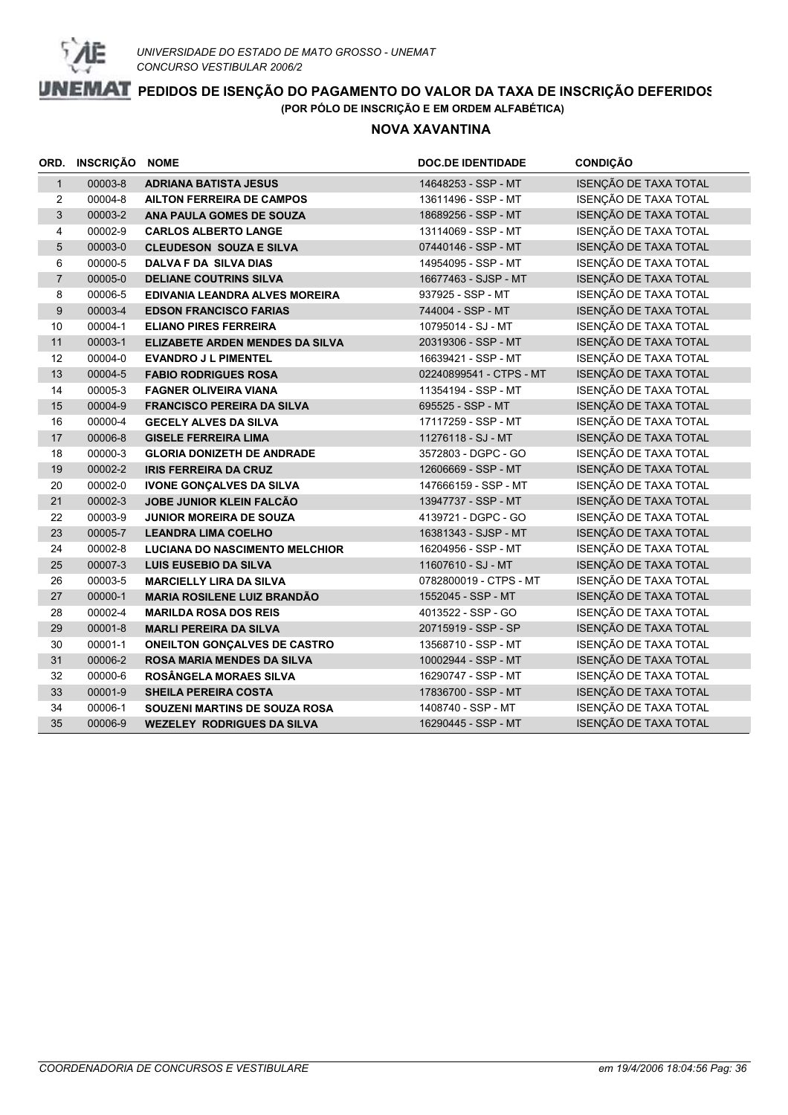

#### **NOVA XAVANTINA**

|                | ORD. INSCRIÇÃO NOME |                                        | <b>DOC.DE IDENTIDADE</b> | <b>CONDIÇÃO</b>       |
|----------------|---------------------|----------------------------------------|--------------------------|-----------------------|
| $\mathbf{1}$   | 00003-8             | <b>ADRIANA BATISTA JESUS</b>           | 14648253 - SSP - MT      | ISENÇÃO DE TAXA TOTAL |
| 2              | 00004-8             | <b>AILTON FERREIRA DE CAMPOS</b>       | 13611496 - SSP - MT      | ISENÇÃO DE TAXA TOTAL |
| 3              | 00003-2             | ANA PAULA GOMES DE SOUZA               | 18689256 - SSP - MT      | ISENÇÃO DE TAXA TOTAL |
| $\overline{4}$ | 00002-9             | <b>CARLOS ALBERTO LANGE</b>            | 13114069 - SSP - MT      | ISENÇÃO DE TAXA TOTAL |
| 5              | 00003-0             | <b>CLEUDESON SOUZA E SILVA</b>         | 07440146 - SSP - MT      | ISENÇÃO DE TAXA TOTAL |
| 6              | 00000-5             | <b>DALVA F DA SILVA DIAS</b>           | 14954095 - SSP - MT      | ISENÇÃO DE TAXA TOTAL |
| $\overline{7}$ | 00005-0             | <b>DELIANE COUTRINS SILVA</b>          | 16677463 - SJSP - MT     | ISENÇÃO DE TAXA TOTAL |
| 8              | 00006-5             | <b>EDIVANIA LEANDRA ALVES MOREIRA</b>  | 937925 - SSP - MT        | ISENÇÃO DE TAXA TOTAL |
| 9              | 00003-4             | <b>EDSON FRANCISCO FARIAS</b>          | 744004 - SSP - MT        | ISENÇÃO DE TAXA TOTAL |
| 10             | 00004-1             | <b>ELIANO PIRES FERREIRA</b>           | 10795014 - SJ - MT       | ISENÇÃO DE TAXA TOTAL |
| 11             | 00003-1             | <b>ELIZABETE ARDEN MENDES DA SILVA</b> | 20319306 - SSP - MT      | ISENÇÃO DE TAXA TOTAL |
| 12             | 00004-0             | <b>EVANDRO J L PIMENTEL</b>            | 16639421 - SSP - MT      | ISENÇÃO DE TAXA TOTAL |
| 13             | 00004-5             | <b>FABIO RODRIGUES ROSA</b>            | 02240899541 - CTPS - MT  | ISENÇÃO DE TAXA TOTAL |
| 14             | 00005-3             | <b>FAGNER OLIVEIRA VIANA</b>           | 11354194 - SSP - MT      | ISENÇÃO DE TAXA TOTAL |
| 15             | 00004-9             | <b>FRANCISCO PEREIRA DA SILVA</b>      | 695525 - SSP - MT        | ISENÇÃO DE TAXA TOTAL |
| 16             | 00000-4             | <b>GECELY ALVES DA SILVA</b>           | 17117259 - SSP - MT      | ISENÇÃO DE TAXA TOTAL |
| 17             | 00006-8             | <b>GISELE FERREIRA LIMA</b>            | 11276118 - SJ - MT       | ISENÇÃO DE TAXA TOTAL |
| 18             | 00000-3             | <b>GLORIA DONIZETH DE ANDRADE</b>      | 3572803 - DGPC - GO      | ISENÇÃO DE TAXA TOTAL |
| 19             | 00002-2             | <b>IRIS FERREIRA DA CRUZ</b>           | 12606669 - SSP - MT      | ISENÇÃO DE TAXA TOTAL |
| 20             | 00002-0             | <b>IVONE GONÇALVES DA SILVA</b>        | 147666159 - SSP - MT     | ISENÇÃO DE TAXA TOTAL |
| 21             | 00002-3             | JOBE JUNIOR KLEIN FALCÃO               | 13947737 - SSP - MT      | ISENÇÃO DE TAXA TOTAL |
| 22             | 00003-9             | <b>JUNIOR MOREIRA DE SOUZA</b>         | 4139721 - DGPC - GO      | ISENÇÃO DE TAXA TOTAL |
| 23             | 00005-7             | <b>LEANDRA LIMA COELHO</b>             | 16381343 - SJSP - MT     | ISENÇÃO DE TAXA TOTAL |
| 24             | 00002-8             | <b>LUCIANA DO NASCIMENTO MELCHIOR</b>  | 16204956 - SSP - MT      | ISENÇÃO DE TAXA TOTAL |
| 25             | 00007-3             | <b>LUIS EUSEBIO DA SILVA</b>           | 11607610 - SJ - MT       | ISENÇÃO DE TAXA TOTAL |
| 26             | 00003-5             | <b>MARCIELLY LIRA DA SILVA</b>         | 0782800019 - CTPS - MT   | ISENÇÃO DE TAXA TOTAL |
| 27             | 00000-1             | <b>MARIA ROSILENE LUIZ BRANDÃO</b>     | 1552045 - SSP - MT       | ISENÇÃO DE TAXA TOTAL |
| 28             | 00002-4             | <b>MARILDA ROSA DOS REIS</b>           | 4013522 - SSP - GO       | ISENÇÃO DE TAXA TOTAL |
| 29             | 00001-8             | <b>MARLI PEREIRA DA SILVA</b>          | 20715919 - SSP - SP      | ISENÇÃO DE TAXA TOTAL |
| 30             | 00001-1             | <b>ONEILTON GONÇALVES DE CASTRO</b>    | 13568710 - SSP - MT      | ISENÇÃO DE TAXA TOTAL |
| 31             | 00006-2             | ROSA MARIA MENDES DA SILVA             | 10002944 - SSP - MT      | ISENÇÃO DE TAXA TOTAL |
| 32             | 00000-6             | ROSÂNGELA MORAES SILVA                 | 16290747 - SSP - MT      | ISENÇÃO DE TAXA TOTAL |
| 33             | 00001-9             | <b>SHEILA PEREIRA COSTA</b>            | 17836700 - SSP - MT      | ISENÇÃO DE TAXA TOTAL |
| 34             | 00006-1             | SOUZENI MARTINS DE SOUZA ROSA          | 1408740 - SSP - MT       | ISENÇÃO DE TAXA TOTAL |
| 35             | 00006-9             | <b>WEZELEY RODRIGUES DA SILVA</b>      | 16290445 - SSP - MT      | ISENÇÃO DE TAXA TOTAL |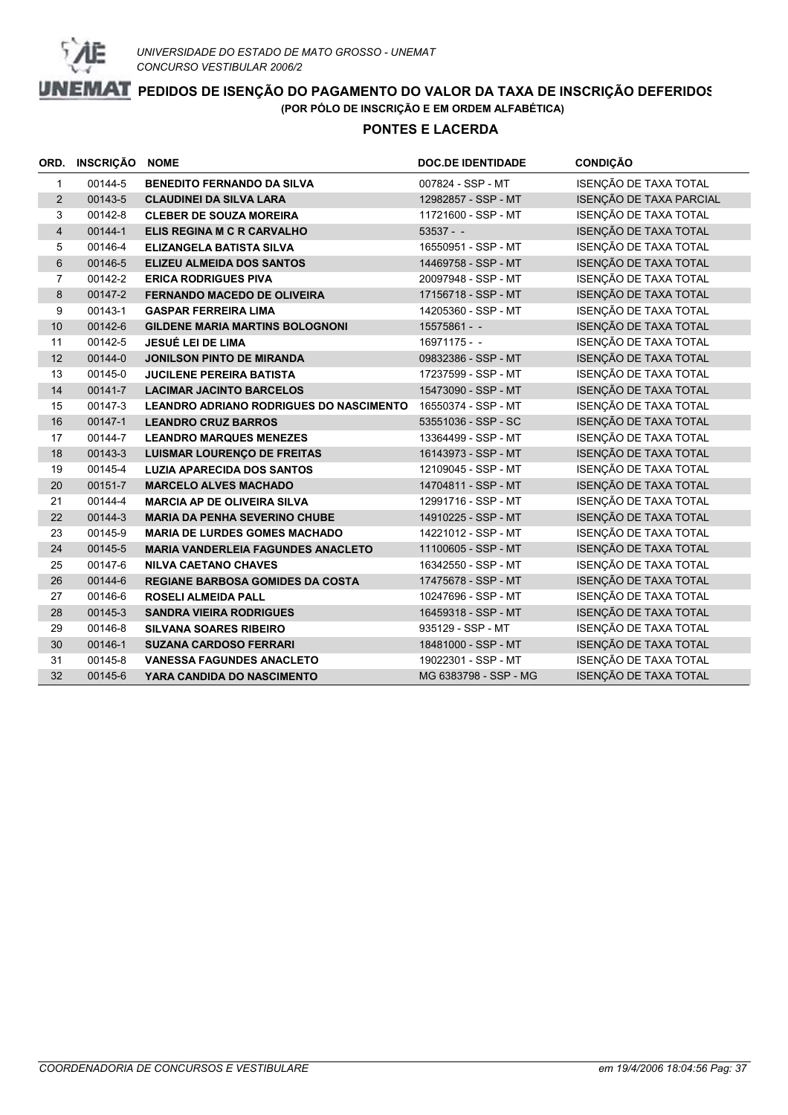

#### **PONTES E LACERDA**

|                | ORD. INSCRIÇÃO | <b>NOME</b>                                    | <b>DOC.DE IDENTIDADE</b> | <b>CONDIÇÃO</b>         |
|----------------|----------------|------------------------------------------------|--------------------------|-------------------------|
| $\mathbf{1}$   | 00144-5        | <b>BENEDITO FERNANDO DA SILVA</b>              | 007824 - SSP - MT        | ISENÇÃO DE TAXA TOTAL   |
| $\overline{2}$ | 00143-5        | <b>CLAUDINEI DA SILVA LARA</b>                 | 12982857 - SSP - MT      | ISENÇÃO DE TAXA PARCIAL |
| 3              | 00142-8        | <b>CLEBER DE SOUZA MOREIRA</b>                 | 11721600 - SSP - MT      | ISENÇÃO DE TAXA TOTAL   |
| $\overline{4}$ | 00144-1        | ELIS REGINA M C R CARVALHO                     | $53537 - -$              | ISENÇÃO DE TAXA TOTAL   |
| 5              | 00146-4        | <b>ELIZANGELA BATISTA SILVA</b>                | 16550951 - SSP - MT      | ISENÇÃO DE TAXA TOTAL   |
| 6              | 00146-5        | <b>ELIZEU ALMEIDA DOS SANTOS</b>               | 14469758 - SSP - MT      | ISENÇÃO DE TAXA TOTAL   |
| $\overline{7}$ | 00142-2        | <b>ERICA RODRIGUES PIVA</b>                    | 20097948 - SSP - MT      | ISENÇÃO DE TAXA TOTAL   |
| 8              | 00147-2        | <b>FERNANDO MACEDO DE OLIVEIRA</b>             | 17156718 - SSP - MT      | ISENÇÃO DE TAXA TOTAL   |
| 9              | 00143-1        | <b>GASPAR FERREIRA LIMA</b>                    | 14205360 - SSP - MT      | ISENÇÃO DE TAXA TOTAL   |
| $10$           | 00142-6        | <b>GILDENE MARIA MARTINS BOLOGNONI</b>         | $15575861 - -$           | ISENÇÃO DE TAXA TOTAL   |
| 11             | 00142-5        | JESUÉ LEI DE LIMA                              | $16971175 - -$           | ISENÇÃO DE TAXA TOTAL   |
| 12             | 00144-0        | <b>JONILSON PINTO DE MIRANDA</b>               | 09832386 - SSP - MT      | ISENÇÃO DE TAXA TOTAL   |
| 13             | 00145-0        | <b>JUCILENE PEREIRA BATISTA</b>                | 17237599 - SSP - MT      | ISENÇÃO DE TAXA TOTAL   |
| 14             | 00141-7        | <b>LACIMAR JACINTO BARCELOS</b>                | 15473090 - SSP - MT      | ISENÇÃO DE TAXA TOTAL   |
| 15             | 00147-3        | <b>LEANDRO ADRIANO RODRIGUES DO NASCIMENTO</b> | 16550374 - SSP - MT      | ISENÇÃO DE TAXA TOTAL   |
| 16             | 00147-1        | <b>LEANDRO CRUZ BARROS</b>                     | 53551036 - SSP - SC      | ISENÇÃO DE TAXA TOTAL   |
| 17             | 00144-7        | <b>LEANDRO MARQUES MENEZES</b>                 | 13364499 - SSP - MT      | ISENÇÃO DE TAXA TOTAL   |
| 18             | 00143-3        | <b>LUISMAR LOURENÇO DE FREITAS</b>             | 16143973 - SSP - MT      | ISENÇÃO DE TAXA TOTAL   |
| 19             | 00145-4        | <b>LUZIA APARECIDA DOS SANTOS</b>              | 12109045 - SSP - MT      | ISENÇÃO DE TAXA TOTAL   |
| 20             | 00151-7        | <b>MARCELO ALVES MACHADO</b>                   | 14704811 - SSP - MT      | ISENÇÃO DE TAXA TOTAL   |
| 21             | 00144-4        | <b>MARCIA AP DE OLIVEIRA SILVA</b>             | 12991716 - SSP - MT      | ISENÇÃO DE TAXA TOTAL   |
| 22             | 00144-3        | <b>MARIA DA PENHA SEVERINO CHUBE</b>           | 14910225 - SSP - MT      | ISENÇÃO DE TAXA TOTAL   |
| 23             | 00145-9        | <b>MARIA DE LURDES GOMES MACHADO</b>           | 14221012 - SSP - MT      | ISENÇÃO DE TAXA TOTAL   |
| 24             | 00145-5        | <b>MARIA VANDERLEIA FAGUNDES ANACLETO</b>      | 11100605 - SSP - MT      | ISENÇÃO DE TAXA TOTAL   |
| 25             | 00147-6        | <b>NILVA CAETANO CHAVES</b>                    | 16342550 - SSP - MT      | ISENÇÃO DE TAXA TOTAL   |
| 26             | 00144-6        | <b>REGIANE BARBOSA GOMIDES DA COSTA</b>        | 17475678 - SSP - MT      | ISENÇÃO DE TAXA TOTAL   |
| 27             | 00146-6        | <b>ROSELI ALMEIDA PALL</b>                     | 10247696 - SSP - MT      | ISENÇÃO DE TAXA TOTAL   |
| 28             | 00145-3        | <b>SANDRA VIEIRA RODRIGUES</b>                 | 16459318 - SSP - MT      | ISENÇÃO DE TAXA TOTAL   |
| 29             | 00146-8        | <b>SILVANA SOARES RIBEIRO</b>                  | 935129 - SSP - MT        | ISENÇÃO DE TAXA TOTAL   |
| 30             | 00146-1        | <b>SUZANA CARDOSO FERRARI</b>                  | 18481000 - SSP - MT      | ISENÇÃO DE TAXA TOTAL   |
| 31             | 00145-8        | <b>VANESSA FAGUNDES ANACLETO</b>               | 19022301 - SSP - MT      | ISENÇÃO DE TAXA TOTAL   |
| 32             | 00145-6        | YARA CANDIDA DO NASCIMENTO                     | MG 6383798 - SSP - MG    | ISENÇÃO DE TAXA TOTAL   |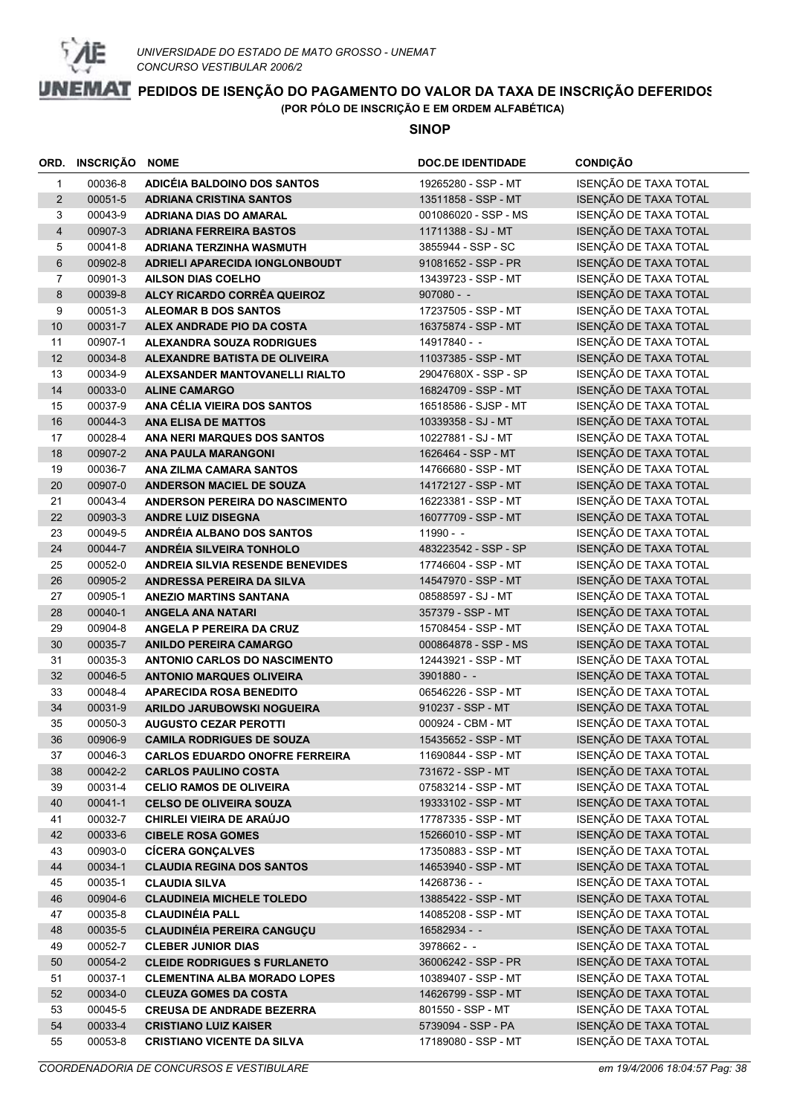

|                | ORD. INSCRIÇÃO NOME |                                                                  | <b>DOC.DE IDENTIDADE</b>                 | <b>CONDIÇÃO</b>                                |
|----------------|---------------------|------------------------------------------------------------------|------------------------------------------|------------------------------------------------|
| $\mathbf{1}$   | 00036-8             | ADICÉIA BALDOINO DOS SANTOS                                      | 19265280 - SSP - MT                      | ISENÇÃO DE TAXA TOTAL                          |
| $\overline{2}$ | 00051-5             | <b>ADRIANA CRISTINA SANTOS</b>                                   | 13511858 - SSP - MT                      | ISENÇÃO DE TAXA TOTAL                          |
| 3              | 00043-9             | <b>ADRIANA DIAS DO AMARAL</b>                                    | 001086020 - SSP - MS                     | ISENÇÃO DE TAXA TOTAL                          |
| 4              | 00907-3             | <b>ADRIANA FERREIRA BASTOS</b>                                   | 11711388 - SJ - MT                       | ISENÇÃO DE TAXA TOTAL                          |
| 5              | 00041-8             | ADRIANA TERZINHA WASMUTH                                         | 3855944 - SSP - SC                       | ISENÇÃO DE TAXA TOTAL                          |
| 6              | 00902-8             | ADRIELI APARECIDA IONGLONBOUDT                                   | 91081652 - SSP - PR                      | ISENÇÃO DE TAXA TOTAL                          |
| 7              | 00901-3             | <b>AILSON DIAS COELHO</b>                                        | 13439723 - SSP - MT                      | ISENÇÃO DE TAXA TOTAL                          |
| 8              | 00039-8             | ALCY RICARDO CORRÊA QUEIROZ                                      | $907080 - -$                             | ISENÇÃO DE TAXA TOTAL                          |
| 9              | 00051-3             | <b>ALEOMAR B DOS SANTOS</b>                                      | 17237505 - SSP - MT                      | ISENÇÃO DE TAXA TOTAL                          |
| $10$           | 00031-7             | ALEX ANDRADE PIO DA COSTA                                        | 16375874 - SSP - MT                      | ISENÇÃO DE TAXA TOTAL                          |
| 11             | 00907-1             | <b>ALEXANDRA SOUZA RODRIGUES</b>                                 | 14917840 - -                             | ISENÇÃO DE TAXA TOTAL                          |
| 12             | 00034-8             | ALEXANDRE BATISTA DE OLIVEIRA                                    | 11037385 - SSP - MT                      | ISENÇÃO DE TAXA TOTAL                          |
| 13             | 00034-9             | ALEXSANDER MANTOVANELLI RIALTO                                   | 29047680X - SSP - SP                     | ISENÇÃO DE TAXA TOTAL                          |
| 14             | 00033-0             | <b>ALINE CAMARGO</b>                                             | 16824709 - SSP - MT                      | ISENÇÃO DE TAXA TOTAL                          |
| 15             | 00037-9             | ANA CÉLIA VIEIRA DOS SANTOS                                      | 16518586 - SJSP - MT                     | ISENÇÃO DE TAXA TOTAL                          |
| 16             | 00044-3             | <b>ANA ELISA DE MATTOS</b>                                       | 10339358 - SJ - MT                       | ISENÇÃO DE TAXA TOTAL                          |
| 17             | 00028-4             | ANA NERI MARQUES DOS SANTOS                                      | 10227881 - SJ - MT                       | ISENÇÃO DE TAXA TOTAL                          |
| 18             | 00907-2             | <b>ANA PAULA MARANGONI</b>                                       | 1626464 - SSP - MT                       | ISENÇÃO DE TAXA TOTAL                          |
| 19             | 00036-7             | ANA ZILMA CAMARA SANTOS                                          | 14766680 - SSP - MT                      | ISENÇÃO DE TAXA TOTAL                          |
| 20             | 00907-0             | <b>ANDERSON MACIEL DE SOUZA</b>                                  | 14172127 - SSP - MT                      | ISENÇÃO DE TAXA TOTAL                          |
| 21             | 00043-4             | <b>ANDERSON PEREIRA DO NASCIMENTO</b>                            | 16223381 - SSP - MT                      | ISENÇÃO DE TAXA TOTAL                          |
| 22             | 00903-3             | <b>ANDRE LUIZ DISEGNA</b>                                        | 16077709 - SSP - MT                      | ISENÇÃO DE TAXA TOTAL                          |
| 23             | 00049-5             | ANDRÉIA ALBANO DOS SANTOS                                        | $11990 - -$                              | ISENÇÃO DE TAXA TOTAL                          |
| 24             | 00044-7             | ANDRÉIA SILVEIRA TONHOLO                                         | 483223542 - SSP - SP                     | ISENÇÃO DE TAXA TOTAL                          |
| 25             | 00052-0             | <b>ANDREIA SILVIA RESENDE BENEVIDES</b>                          | 17746604 - SSP - MT                      | ISENÇÃO DE TAXA TOTAL                          |
| 26             | 00905-2             | ANDRESSA PEREIRA DA SILVA                                        | 14547970 - SSP - MT                      | ISENÇÃO DE TAXA TOTAL                          |
| 27             | 00905-1             | <b>ANEZIO MARTINS SANTANA</b>                                    | 08588597 - SJ - MT                       | ISENÇÃO DE TAXA TOTAL                          |
| 28             | 00040-1             | <b>ANGELA ANA NATARI</b>                                         | 357379 - SSP - MT                        | ISENÇÃO DE TAXA TOTAL                          |
| 29             | 00904-8             | ANGELA P PEREIRA DA CRUZ                                         | 15708454 - SSP - MT                      | ISENÇÃO DE TAXA TOTAL                          |
| 30             | 00035-7             | <b>ANILDO PEREIRA CAMARGO</b>                                    | 000864878 - SSP - MS                     | ISENÇÃO DE TAXA TOTAL                          |
| 31             | 00035-3             | <b>ANTONIO CARLOS DO NASCIMENTO</b>                              | 12443921 - SSP - MT                      | ISENÇÃO DE TAXA TOTAL                          |
| 32             | 00046-5             | <b>ANTONIO MARQUES OLIVEIRA</b>                                  | $3901880 - -$                            | ISENÇÃO DE TAXA TOTAL                          |
| 33             | 00048-4             | <b>APARECIDA ROSA BENEDITO</b>                                   | 06546226 - SSP - MT                      | ISENÇÃO DE TAXA TOTAL                          |
| 34             | 00031-9             | ARILDO JARUBOWSKI NOGUEIRA                                       | 910237 - SSP - MT                        | ISENÇÃO DE TAXA TOTAL                          |
| 35             | 00050-3             | <b>AUGUSTO CEZAR PEROTTI</b>                                     | 000924 - CBM - MT                        | ISENÇÃO DE TAXA TOTAL                          |
| 36             | 00906-9             | <b>CAMILA RODRIGUES DE SOUZA</b>                                 | 15435652 - SSP - MT                      | ISENÇÃO DE TAXA TOTAL                          |
| 37             | 00046-3             | <b>CARLOS EDUARDO ONOFRE FERREIRA</b>                            | 11690844 - SSP - MT<br>731672 - SSP - MT | ISENÇÃO DE TAXA TOTAL<br>ISENÇÃO DE TAXA TOTAL |
| 38<br>39       | 00042-2<br>00031-4  | <b>CARLOS PAULINO COSTA</b>                                      | 07583214 - SSP - MT                      | ISENÇÃO DE TAXA TOTAL                          |
| 40             | 00041-1             | <b>CELIO RAMOS DE OLIVEIRA</b><br><b>CELSO DE OLIVEIRA SOUZA</b> | 19333102 - SSP - MT                      | ISENÇÃO DE TAXA TOTAL                          |
| 41             | 00032-7             | CHIRLEI VIEIRA DE ARAÚJO                                         | 17787335 - SSP - MT                      | ISENÇÃO DE TAXA TOTAL                          |
| 42             | 00033-6             | <b>CIBELE ROSA GOMES</b>                                         | 15266010 - SSP - MT                      | ISENÇÃO DE TAXA TOTAL                          |
| 43             | 00903-0             | <b>CÍCERA GONÇALVES</b>                                          | 17350883 - SSP - MT                      | ISENÇÃO DE TAXA TOTAL                          |
| 44             | 00034-1             | <b>CLAUDIA REGINA DOS SANTOS</b>                                 | 14653940 - SSP - MT                      | ISENÇÃO DE TAXA TOTAL                          |
| 45             | 00035-1             | <b>CLAUDIA SILVA</b>                                             | 14268736 - -                             | ISENÇÃO DE TAXA TOTAL                          |
| 46             | 00904-6             | <b>CLAUDINEIA MICHELE TOLEDO</b>                                 | 13885422 - SSP - MT                      | ISENÇÃO DE TAXA TOTAL                          |
| 47             | 00035-8             | <b>CLAUDINÉIA PALL</b>                                           | 14085208 - SSP - MT                      | ISENÇÃO DE TAXA TOTAL                          |
| 48             | 00035-5             | <b>CLAUDINÉIA PEREIRA CANGUÇU</b>                                | 16582934 - -                             | ISENÇÃO DE TAXA TOTAL                          |
| 49             | 00052-7             | <b>CLEBER JUNIOR DIAS</b>                                        | 3978662 - -                              | ISENÇÃO DE TAXA TOTAL                          |
| 50             | 00054-2             | <b>CLEIDE RODRIGUES S FURLANETO</b>                              | 36006242 - SSP - PR                      | ISENÇÃO DE TAXA TOTAL                          |
| 51             | 00037-1             | <b>CLEMENTINA ALBA MORADO LOPES</b>                              | 10389407 - SSP - MT                      | ISENÇÃO DE TAXA TOTAL                          |
| 52             | 00034-0             | <b>CLEUZA GOMES DA COSTA</b>                                     | 14626799 - SSP - MT                      | ISENÇÃO DE TAXA TOTAL                          |
| 53             | 00045-5             | <b>CREUSA DE ANDRADE BEZERRA</b>                                 | 801550 - SSP - MT                        | ISENÇÃO DE TAXA TOTAL                          |
| 54             | 00033-4             | <b>CRISTIANO LUIZ KAISER</b>                                     | 5739094 - SSP - PA                       | ISENÇÃO DE TAXA TOTAL                          |
| 55             | 00053-8             | <b>CRISTIANO VICENTE DA SILVA</b>                                | 17189080 - SSP - MT                      | ISENÇÃO DE TAXA TOTAL                          |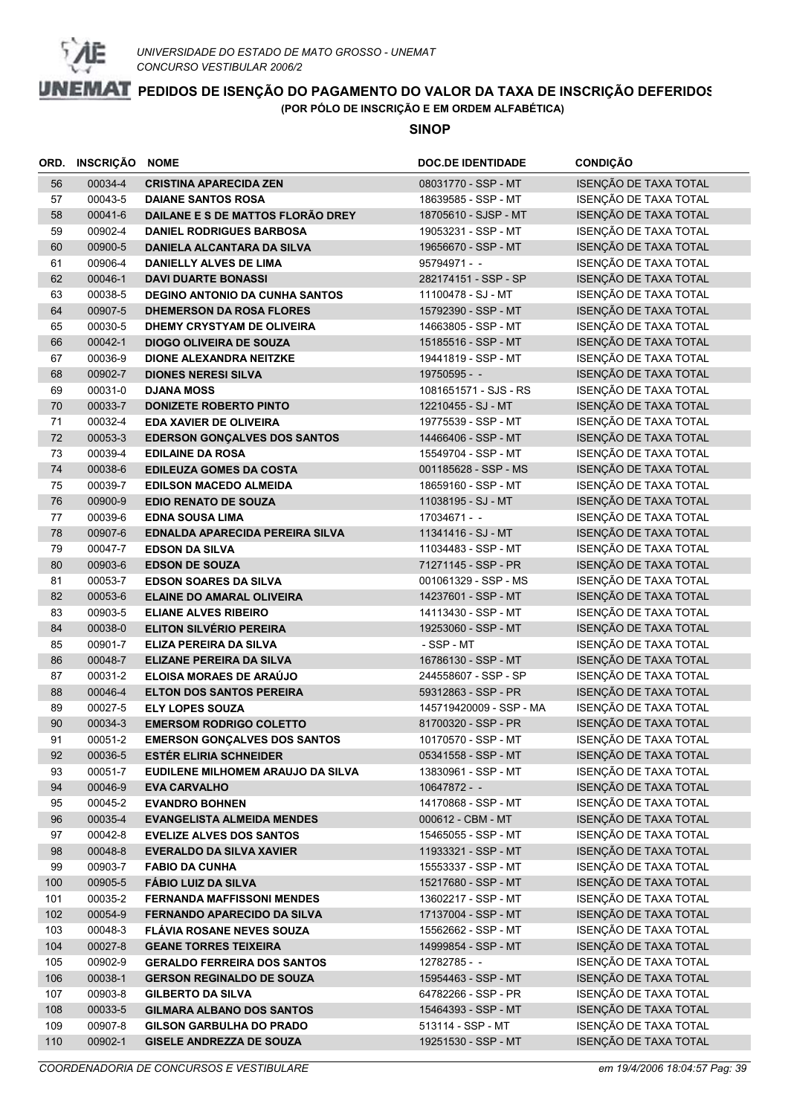

|     | ORD. INSCRIÇÃO NOME |                                       | <b>DOC.DE IDENTIDADE</b> | <b>CONDIÇÃO</b>       |
|-----|---------------------|---------------------------------------|--------------------------|-----------------------|
| 56  | 00034-4             | <b>CRISTINA APARECIDA ZEN</b>         | 08031770 - SSP - MT      | ISENÇÃO DE TAXA TOTAL |
| 57  | 00043-5             | <b>DAIANE SANTOS ROSA</b>             | 18639585 - SSP - MT      | ISENÇÃO DE TAXA TOTAL |
| 58  | 00041-6             | DAILANE E S DE MATTOS FLORÃO DREY     | 18705610 - SJSP - MT     | ISENÇÃO DE TAXA TOTAL |
| 59  | 00902-4             | <b>DANIEL RODRIGUES BARBOSA</b>       | 19053231 - SSP - MT      | ISENÇÃO DE TAXA TOTAL |
| 60  | 00900-5             | DANIELA ALCANTARA DA SILVA            | 19656670 - SSP - MT      | ISENÇÃO DE TAXA TOTAL |
| 61  | 00906-4             | DANIELLY ALVES DE LIMA                | $95794971 - -$           | ISENÇÃO DE TAXA TOTAL |
| 62  | 00046-1             | <b>DAVI DUARTE BONASSI</b>            | 282174151 - SSP - SP     | ISENÇÃO DE TAXA TOTAL |
| 63  | 00038-5             | <b>DEGINO ANTONIO DA CUNHA SANTOS</b> | 11100478 - SJ - MT       | ISENÇÃO DE TAXA TOTAL |
| 64  | 00907-5             | <b>DHEMERSON DA ROSA FLORES</b>       | 15792390 - SSP - MT      | ISENÇÃO DE TAXA TOTAL |
| 65  | 00030-5             | DHEMY CRYSTYAM DE OLIVEIRA            | 14663805 - SSP - MT      | ISENÇÃO DE TAXA TOTAL |
| 66  | 00042-1             | <b>DIOGO OLIVEIRA DE SOUZA</b>        | 15185516 - SSP - MT      | ISENÇÃO DE TAXA TOTAL |
| 67  | 00036-9             | DIONE ALEXANDRA NEITZKE               | 19441819 - SSP - MT      | ISENÇÃO DE TAXA TOTAL |
| 68  | 00902-7             | <b>DIONES NERESI SILVA</b>            | 19750595 - -             | ISENÇÃO DE TAXA TOTAL |
| 69  | 00031-0             | <b>DJANA MOSS</b>                     | 1081651571 - SJS - RS    | ISENÇÃO DE TAXA TOTAL |
| 70  | 00033-7             | <b>DONIZETE ROBERTO PINTO</b>         | 12210455 - SJ - MT       | ISENÇÃO DE TAXA TOTAL |
| 71  | 00032-4             | <b>EDA XAVIER DE OLIVEIRA</b>         | 19775539 - SSP - MT      | ISENÇÃO DE TAXA TOTAL |
| 72  | 00053-3             | <b>EDERSON GONÇALVES DOS SANTOS</b>   | 14466406 - SSP - MT      | ISENÇÃO DE TAXA TOTAL |
| 73  | 00039-4             | <b>EDILAINE DA ROSA</b>               | 15549704 - SSP - MT      | ISENÇÃO DE TAXA TOTAL |
| 74  | 00038-6             | <b>EDILEUZA GOMES DA COSTA</b>        | 001185628 - SSP - MS     | ISENÇÃO DE TAXA TOTAL |
| 75  | 00039-7             | <b>EDILSON MACEDO ALMEIDA</b>         | 18659160 - SSP - MT      | ISENÇÃO DE TAXA TOTAL |
| 76  | 00900-9             | <b>EDIO RENATO DE SOUZA</b>           | 11038195 - SJ - MT       | ISENÇÃO DE TAXA TOTAL |
| 77  | 00039-6             | <b>EDNA SOUSA LIMA</b>                | 17034671 - -             | ISENÇÃO DE TAXA TOTAL |
| 78  | 00907-6             | EDNALDA APARECIDA PEREIRA SILVA       | 11341416 - SJ - MT       | ISENÇÃO DE TAXA TOTAL |
| 79  | 00047-7             | <b>EDSON DA SILVA</b>                 | 11034483 - SSP - MT      | ISENÇÃO DE TAXA TOTAL |
| 80  | 00903-6             | <b>EDSON DE SOUZA</b>                 | 71271145 - SSP - PR      | ISENÇÃO DE TAXA TOTAL |
| 81  | 00053-7             | <b>EDSON SOARES DA SILVA</b>          | 001061329 - SSP - MS     | ISENÇÃO DE TAXA TOTAL |
| 82  | 00053-6             | <b>ELAINE DO AMARAL OLIVEIRA</b>      | 14237601 - SSP - MT      | ISENÇÃO DE TAXA TOTAL |
| 83  | 00903-5             | <b>ELIANE ALVES RIBEIRO</b>           | 14113430 - SSP - MT      | ISENÇÃO DE TAXA TOTAL |
| 84  | 00038-0             | <b>ELITON SILVÉRIO PEREIRA</b>        | 19253060 - SSP - MT      | ISENÇÃO DE TAXA TOTAL |
| 85  | 00901-7             | ELIZA PEREIRA DA SILVA                | - SSP - MT               | ISENÇÃO DE TAXA TOTAL |
| 86  | 00048-7             | <b>ELIZANE PEREIRA DA SILVA</b>       | 16786130 - SSP - MT      | ISENÇÃO DE TAXA TOTAL |
| 87  | 00031-2             | <b>ELOISA MORAES DE ARAÚJO</b>        | 244558607 - SSP - SP     | ISENÇÃO DE TAXA TOTAL |
| 88  | 00046-4             | <b>ELTON DOS SANTOS PEREIRA</b>       | 59312863 - SSP - PR      | ISENÇÃO DE TAXA TOTAL |
| 89  | 00027-5             | <b>ELY LOPES SOUZA</b>                | 145719420009 - SSP - MA  | ISENÇÃO DE TAXA TOTAL |
| 90  | 00034-3             | <b>EMERSOM RODRIGO COLETTO</b>        | 81700320 - SSP - PR      | ISENÇÃO DE TAXA TOTAL |
| 91  | 00051-2             | <b>EMERSON GONÇALVES DOS SANTOS</b>   | 10170570 - SSP - MT      | ISENÇÃO DE TAXA TOTAL |
| 92  | 00036-5             | <b>ESTÉR ELIRIA SCHNEIDER</b>         | 05341558 - SSP - MT      | ISENÇÃO DE TAXA TOTAL |
| 93  | 00051-7             | EUDILENE MILHOMEM ARAUJO DA SILVA     | 13830961 - SSP - MT      | ISENÇÃO DE TAXA TOTAL |
| 94  | 00046-9             | <b>EVA CARVALHO</b>                   | $10647872 -$             | ISENÇÃO DE TAXA TOTAL |
| 95  | 00045-2             | <b>EVANDRO BOHNEN</b>                 | 14170868 - SSP - MT      | ISENÇÃO DE TAXA TOTAL |
| 96  | 00035-4             | <b>EVANGELISTA ALMEIDA MENDES</b>     | 000612 - CBM - MT        | ISENÇÃO DE TAXA TOTAL |
| 97  | 00042-8             | <b>EVELIZE ALVES DOS SANTOS</b>       | 15465055 - SSP - MT      | ISENÇÃO DE TAXA TOTAL |
| 98  | 00048-8             | <b>EVERALDO DA SILVA XAVIER</b>       | 11933321 - SSP - MT      | ISENÇÃO DE TAXA TOTAL |
| 99  | 00903-7             | <b>FABIO DA CUNHA</b>                 | 15553337 - SSP - MT      | ISENÇÃO DE TAXA TOTAL |
| 100 | 00905-5             | <b>FÁBIO LUIZ DA SILVA</b>            | 15217680 - SSP - MT      | ISENÇÃO DE TAXA TOTAL |
| 101 | 00035-2             | <b>FERNANDA MAFFISSONI MENDES</b>     | 13602217 - SSP - MT      | ISENÇÃO DE TAXA TOTAL |
| 102 | 00054-9             | <b>FERNANDO APARECIDO DA SILVA</b>    | 17137004 - SSP - MT      | ISENÇÃO DE TAXA TOTAL |
| 103 | 00048-3             | <b>FLÁVIA ROSANE NEVES SOUZA</b>      | 15562662 - SSP - MT      | ISENÇÃO DE TAXA TOTAL |
| 104 | 00027-8             | <b>GEANE TORRES TEIXEIRA</b>          | 14999854 - SSP - MT      | ISENÇÃO DE TAXA TOTAL |
| 105 | 00902-9             | <b>GERALDO FERREIRA DOS SANTOS</b>    | 12782785 - -             | ISENÇÃO DE TAXA TOTAL |
| 106 | 00038-1             | <b>GERSON REGINALDO DE SOUZA</b>      | 15954463 - SSP - MT      | ISENÇÃO DE TAXA TOTAL |
| 107 | 00903-8             | <b>GILBERTO DA SILVA</b>              | 64782266 - SSP - PR      | ISENÇÃO DE TAXA TOTAL |
| 108 | 00033-5             | <b>GILMARA ALBANO DOS SANTOS</b>      | 15464393 - SSP - MT      | ISENÇÃO DE TAXA TOTAL |
| 109 | 00907-8             | <b>GILSON GARBULHA DO PRADO</b>       | 513114 - SSP - MT        | ISENÇÃO DE TAXA TOTAL |
| 110 | 00902-1             | <b>GISELE ANDREZZA DE SOUZA</b>       | 19251530 - SSP - MT      | ISENÇÃO DE TAXA TOTAL |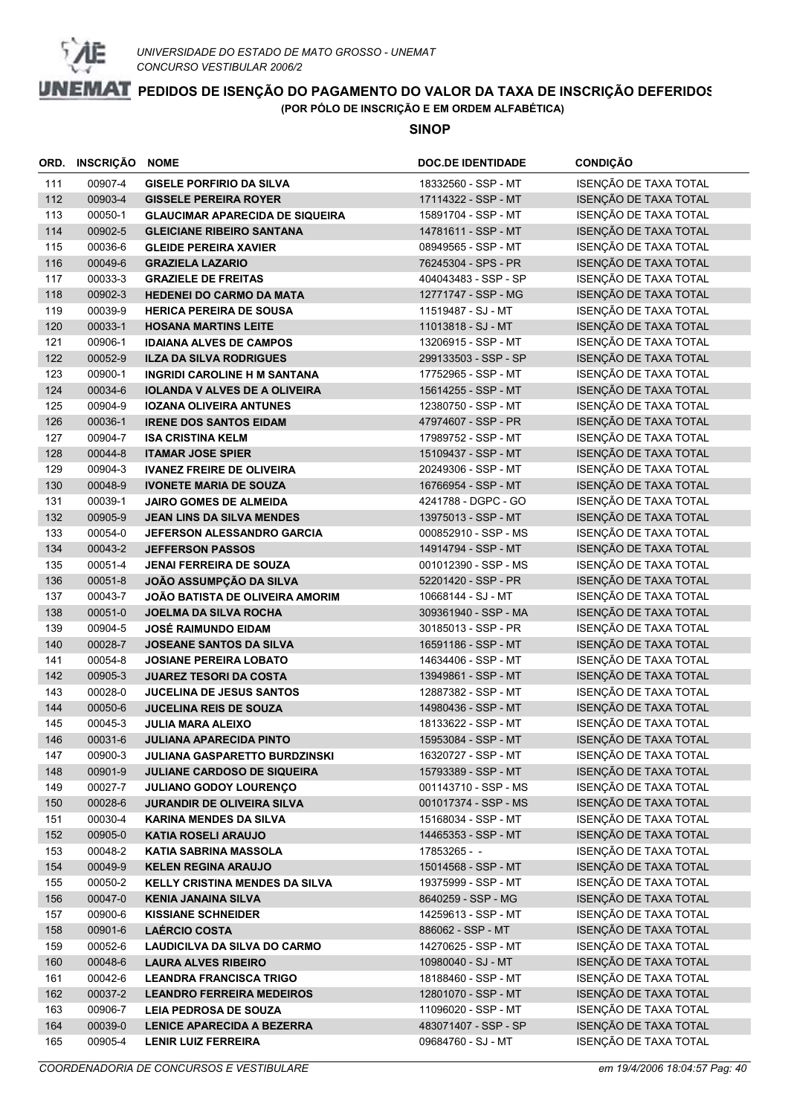

|     | ORD. INSCRIÇÃO | <b>NOME</b>                            | <b>DOC.DE IDENTIDADE</b> | <b>CONDIÇÃO</b>       |
|-----|----------------|----------------------------------------|--------------------------|-----------------------|
| 111 | 00907-4        | <b>GISELE PORFIRIO DA SILVA</b>        | 18332560 - SSP - MT      | ISENÇÃO DE TAXA TOTAL |
| 112 | 00903-4        | <b>GISSELE PEREIRA ROYER</b>           | 17114322 - SSP - MT      | ISENÇÃO DE TAXA TOTAL |
| 113 | 00050-1        | <b>GLAUCIMAR APARECIDA DE SIQUEIRA</b> | 15891704 - SSP - MT      | ISENÇÃO DE TAXA TOTAL |
| 114 | 00902-5        | <b>GLEICIANE RIBEIRO SANTANA</b>       | 14781611 - SSP - MT      | ISENÇÃO DE TAXA TOTAL |
| 115 | 00036-6        | <b>GLEIDE PEREIRA XAVIER</b>           | 08949565 - SSP - MT      | ISENÇÃO DE TAXA TOTAL |
| 116 | 00049-6        | <b>GRAZIELA LAZARIO</b>                | 76245304 - SPS - PR      | ISENÇÃO DE TAXA TOTAL |
| 117 | 00033-3        | <b>GRAZIELE DE FREITAS</b>             | 404043483 - SSP - SP     | ISENÇÃO DE TAXA TOTAL |
| 118 | 00902-3        | <b>HEDENEI DO CARMO DA MATA</b>        | 12771747 - SSP - MG      | ISENÇÃO DE TAXA TOTAL |
| 119 | 00039-9        | <b>HERICA PEREIRA DE SOUSA</b>         | 11519487 - SJ - MT       | ISENÇÃO DE TAXA TOTAL |
| 120 | 00033-1        | <b>HOSANA MARTINS LEITE</b>            | 11013818 - SJ - MT       | ISENÇÃO DE TAXA TOTAL |
| 121 | 00906-1        | <b>IDAIANA ALVES DE CAMPOS</b>         | 13206915 - SSP - MT      | ISENÇÃO DE TAXA TOTAL |
| 122 | 00052-9        | <b>ILZA DA SILVA RODRIGUES</b>         | 299133503 - SSP - SP     | ISENÇÃO DE TAXA TOTAL |
| 123 | 00900-1        | <b>INGRIDI CAROLINE H M SANTANA</b>    | 17752965 - SSP - MT      | ISENÇÃO DE TAXA TOTAL |
| 124 | 00034-6        | <b>IOLANDA V ALVES DE A OLIVEIRA</b>   | 15614255 - SSP - MT      | ISENÇÃO DE TAXA TOTAL |
| 125 | 00904-9        | <b>IOZANA OLIVEIRA ANTUNES</b>         | 12380750 - SSP - MT      | ISENÇÃO DE TAXA TOTAL |
| 126 | 00036-1        | <b>IRENE DOS SANTOS EIDAM</b>          | 47974607 - SSP - PR      | ISENÇÃO DE TAXA TOTAL |
| 127 | 00904-7        | <b>ISA CRISTINA KELM</b>               | 17989752 - SSP - MT      | ISENÇÃO DE TAXA TOTAL |
| 128 | 00044-8        | <b>ITAMAR JOSE SPIER</b>               | 15109437 - SSP - MT      | ISENÇÃO DE TAXA TOTAL |
| 129 | 00904-3        | <b>IVANEZ FREIRE DE OLIVEIRA</b>       | 20249306 - SSP - MT      | ISENÇÃO DE TAXA TOTAL |
| 130 | 00048-9        | <b>IVONETE MARIA DE SOUZA</b>          | 16766954 - SSP - MT      | ISENÇÃO DE TAXA TOTAL |
| 131 | 00039-1        | <b>JAIRO GOMES DE ALMEIDA</b>          | 4241788 - DGPC - GO      | ISENÇÃO DE TAXA TOTAL |
| 132 | 00905-9        | <b>JEAN LINS DA SILVA MENDES</b>       | 13975013 - SSP - MT      | ISENÇÃO DE TAXA TOTAL |
| 133 | 00054-0        | <b>JEFERSON ALESSANDRO GARCIA</b>      | 000852910 - SSP - MS     | ISENÇÃO DE TAXA TOTAL |
| 134 | 00043-2        | <b>JEFFERSON PASSOS</b>                | 14914794 - SSP - MT      | ISENÇÃO DE TAXA TOTAL |
| 135 | 00051-4        | <b>JENAI FERREIRA DE SOUZA</b>         | 001012390 - SSP - MS     | ISENÇÃO DE TAXA TOTAL |
| 136 | 00051-8        | JOÃO ASSUMPÇÃO DA SILVA                | 52201420 - SSP - PR      | ISENÇÃO DE TAXA TOTAL |
| 137 | 00043-7        | <b>JOÃO BATISTA DE OLIVEIRA AMORIM</b> | 10668144 - SJ - MT       | ISENÇÃO DE TAXA TOTAL |
| 138 | 00051-0        | <b>JOELMA DA SILVA ROCHA</b>           | 309361940 - SSP - MA     | ISENÇÃO DE TAXA TOTAL |
| 139 | 00904-5        | <b>JOSÉ RAIMUNDO EIDAM</b>             | 30185013 - SSP - PR      | ISENÇÃO DE TAXA TOTAL |
| 140 | 00028-7        | <b>JOSEANE SANTOS DA SILVA</b>         | 16591186 - SSP - MT      | ISENÇÃO DE TAXA TOTAL |
| 141 | 00054-8        | <b>JOSIANE PEREIRA LOBATO</b>          | 14634406 - SSP - MT      | ISENÇÃO DE TAXA TOTAL |
| 142 | 00905-3        | <b>JUAREZ TESORI DA COSTA</b>          | 13949861 - SSP - MT      | ISENÇÃO DE TAXA TOTAL |
| 143 | 00028-0        | <b>JUCELINA DE JESUS SANTOS</b>        | 12887382 - SSP - MT      | ISENÇÃO DE TAXA TOTAL |
| 144 | 00050-6        | <b>JUCELINA REIS DE SOUZA</b>          | 14980436 - SSP - MT      | ISENÇÃO DE TAXA TOTAL |
| 145 | 00045-3        | <b>JULIA MARA ALEIXO</b>               | 18133622 - SSP - MT      | ISENÇÃO DE TAXA TOTAL |
| 146 | 00031-6        | <b>JULIANA APARECIDA PINTO</b>         | 15953084 - SSP - MT      | ISENÇÃO DE TAXA TOTAL |
| 147 | 00900-3        | JULIANA GASPARETTO BURDZINSKI          | 16320727 - SSP - MT      | ISENÇÃO DE TAXA TOTAL |
| 148 | 00901-9        | <b>JULIANE CARDOSO DE SIQUEIRA</b>     | 15793389 - SSP - MT      | ISENÇÃO DE TAXA TOTAL |
| 149 | 00027-7        | <b>JULIANO GODOY LOURENÇO</b>          | 001143710 - SSP - MS     | ISENÇÃO DE TAXA TOTAL |
| 150 | 00028-6        | <b>JURANDIR DE OLIVEIRA SILVA</b>      | 001017374 - SSP - MS     | ISENÇÃO DE TAXA TOTAL |
| 151 | 00030-4        | <b>KARINA MENDES DA SILVA</b>          | 15168034 - SSP - MT      | ISENÇÃO DE TAXA TOTAL |
| 152 | 00905-0        | <b>KATIA ROSELI ARAUJO</b>             | 14465353 - SSP - MT      | ISENÇÃO DE TAXA TOTAL |
| 153 | 00048-2        | <b>KATIA SABRINA MASSOLA</b>           | 17853265 - -             | ISENÇÃO DE TAXA TOTAL |
| 154 | 00049-9        | <b>KELEN REGINA ARAUJO</b>             | 15014568 - SSP - MT      | ISENÇÃO DE TAXA TOTAL |
| 155 | 00050-2        | <b>KELLY CRISTINA MENDES DA SILVA</b>  | 19375999 - SSP - MT      | ISENÇÃO DE TAXA TOTAL |
| 156 | 00047-0        | <b>KENIA JANAINA SILVA</b>             | 8640259 - SSP - MG       | ISENÇÃO DE TAXA TOTAL |
| 157 | 00900-6        | <b>KISSIANE SCHNEIDER</b>              | 14259613 - SSP - MT      | ISENÇÃO DE TAXA TOTAL |
| 158 | 00901-6        | <b>LAÉRCIO COSTA</b>                   | 886062 - SSP - MT        | ISENÇÃO DE TAXA TOTAL |
| 159 | 00052-6        | <b>LAUDICILVA DA SILVA DO CARMO</b>    | 14270625 - SSP - MT      | ISENÇÃO DE TAXA TOTAL |
| 160 | 00048-6        | <b>LAURA ALVES RIBEIRO</b>             | 10980040 - SJ - MT       | ISENÇÃO DE TAXA TOTAL |
| 161 | 00042-6        | <b>LEANDRA FRANCISCA TRIGO</b>         | 18188460 - SSP - MT      | ISENÇÃO DE TAXA TOTAL |
| 162 | 00037-2        | <b>LEANDRO FERREIRA MEDEIROS</b>       | 12801070 - SSP - MT      | ISENÇÃO DE TAXA TOTAL |
| 163 | 00906-7        | <b>LEIA PEDROSA DE SOUZA</b>           | 11096020 - SSP - MT      | ISENÇÃO DE TAXA TOTAL |
| 164 | 00039-0        | <b>LENICE APARECIDA A BEZERRA</b>      | 483071407 - SSP - SP     | ISENÇÃO DE TAXA TOTAL |
| 165 | 00905-4        | <b>LENIR LUIZ FERREIRA</b>             | 09684760 - SJ - MT       | ISENÇÃO DE TAXA TOTAL |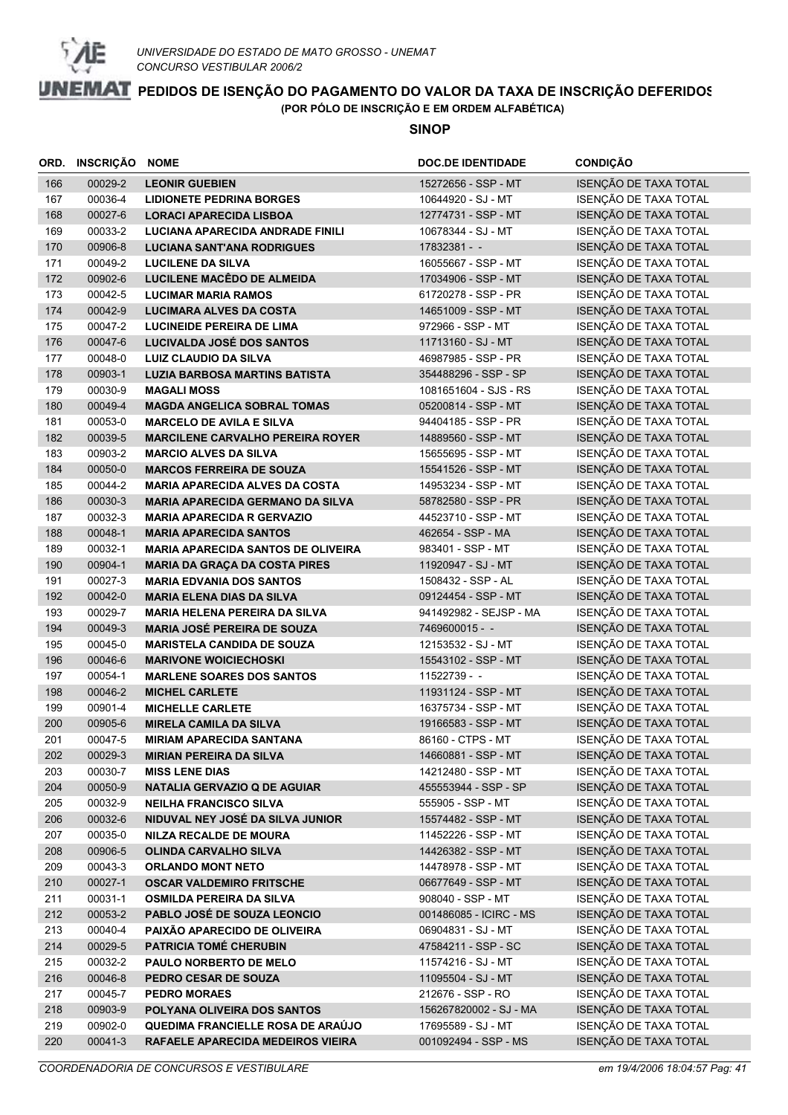

|            | ORD. INSCRIÇÃO NOME |                                                       | <b>DOC.DE IDENTIDADE</b>                 | <b>CONDIÇÃO</b>                                |
|------------|---------------------|-------------------------------------------------------|------------------------------------------|------------------------------------------------|
| 166        | 00029-2             | <b>LEONIR GUEBIEN</b>                                 | 15272656 - SSP - MT                      | ISENÇÃO DE TAXA TOTAL                          |
| 167        | 00036-4             | <b>LIDIONETE PEDRINA BORGES</b>                       | 10644920 - SJ - MT                       | ISENÇÃO DE TAXA TOTAL                          |
| 168        | 00027-6             | <b>LORACI APARECIDA LISBOA</b>                        | 12774731 - SSP - MT                      | ISENÇÃO DE TAXA TOTAL                          |
| 169        | 00033-2             | LUCIANA APARECIDA ANDRADE FINILI                      | 10678344 - SJ - MT                       | ISENÇÃO DE TAXA TOTAL                          |
| 170        | 00906-8             | <b>LUCIANA SANT'ANA RODRIGUES</b>                     | 17832381 - -                             | ISENÇÃO DE TAXA TOTAL                          |
| 171        | 00049-2             | <b>LUCILENE DA SILVA</b>                              | 16055667 - SSP - MT                      | ISENÇÃO DE TAXA TOTAL                          |
| 172        | 00902-6             | LUCILENE MACÊDO DE ALMEIDA                            | 17034906 - SSP - MT                      | ISENÇÃO DE TAXA TOTAL                          |
| 173        | 00042-5             | <b>LUCIMAR MARIA RAMOS</b>                            | 61720278 - SSP - PR                      | ISENÇÃO DE TAXA TOTAL                          |
| 174        | 00042-9             | <b>LUCIMARA ALVES DA COSTA</b>                        | 14651009 - SSP - MT                      | ISENÇÃO DE TAXA TOTAL                          |
| 175        | 00047-2             | <b>LUCINEIDE PEREIRA DE LIMA</b>                      | 972966 - SSP - MT                        | ISENÇÃO DE TAXA TOTAL                          |
| 176        | 00047-6             | LUCIVALDA JOSÉ DOS SANTOS                             | 11713160 - SJ - MT                       | ISENÇÃO DE TAXA TOTAL                          |
| 177        | 00048-0             | LUIZ CLAUDIO DA SILVA                                 | 46987985 - SSP - PR                      | ISENÇÃO DE TAXA TOTAL                          |
| 178        | 00903-1             | <b>LUZIA BARBOSA MARTINS BATISTA</b>                  | 354488296 - SSP - SP                     | ISENÇÃO DE TAXA TOTAL                          |
| 179        | 00030-9             | <b>MAGALI MOSS</b>                                    | 1081651604 - SJS - RS                    | ISENÇÃO DE TAXA TOTAL                          |
| 180        | 00049-4             | <b>MAGDA ANGELICA SOBRAL TOMAS</b>                    | 05200814 - SSP - MT                      | ISENÇÃO DE TAXA TOTAL                          |
| 181        | 00053-0             | <b>MARCELO DE AVILA E SILVA</b>                       | 94404185 - SSP - PR                      | ISENÇÃO DE TAXA TOTAL                          |
| 182        | 00039-5             | <b>MARCILENE CARVALHO PEREIRA ROYER</b>               | 14889560 - SSP - MT                      | ISENÇÃO DE TAXA TOTAL                          |
| 183        | 00903-2             | <b>MARCIO ALVES DA SILVA</b>                          | 15655695 - SSP - MT                      | ISENÇÃO DE TAXA TOTAL                          |
| 184        | 00050-0             | <b>MARCOS FERREIRA DE SOUZA</b>                       | 15541526 - SSP - MT                      | ISENÇÃO DE TAXA TOTAL                          |
| 185        | 00044-2             | <b>MARIA APARECIDA ALVES DA COSTA</b>                 | 14953234 - SSP - MT                      | ISENÇÃO DE TAXA TOTAL                          |
| 186        | 00030-3             | <b>MARIA APARECIDA GERMANO DA SILVA</b>               | 58782580 - SSP - PR                      | ISENÇÃO DE TAXA TOTAL                          |
| 187        | 00032-3             | <b>MARIA APARECIDA R GERVAZIO</b>                     | 44523710 - SSP - MT                      | ISENÇÃO DE TAXA TOTAL                          |
| 188        | 00048-1             | <b>MARIA APARECIDA SANTOS</b>                         | 462654 - SSP - MA                        | ISENÇÃO DE TAXA TOTAL                          |
| 189        | 00032-1             | <b>MARIA APARECIDA SANTOS DE OLIVEIRA</b>             | 983401 - SSP - MT                        | ISENÇÃO DE TAXA TOTAL                          |
| 190        | 00904-1             | <b>MARIA DA GRAÇA DA COSTA PIRES</b>                  | 11920947 - SJ - MT                       | ISENÇÃO DE TAXA TOTAL                          |
| 191        | 00027-3             | <b>MARIA EDVANIA DOS SANTOS</b>                       | 1508432 - SSP - AL                       | ISENÇÃO DE TAXA TOTAL                          |
| 192        | 00042-0             | <b>MARIA ELENA DIAS DA SILVA</b>                      | 09124454 - SSP - MT                      | ISENÇÃO DE TAXA TOTAL                          |
| 193        | 00029-7             | <b>MARIA HELENA PEREIRA DA SILVA</b>                  | 941492982 - SEJSP - MA                   | ISENÇÃO DE TAXA TOTAL                          |
| 194        | 00049-3             | <b>MARIA JOSÉ PEREIRA DE SOUZA</b>                    | 7469600015 - -                           | ISENÇÃO DE TAXA TOTAL                          |
| 195        | 00045-0             | <b>MARISTELA CANDIDA DE SOUZA</b>                     | 12153532 - SJ - MT                       | ISENÇÃO DE TAXA TOTAL                          |
| 196        | 00046-6             | <b>MARIVONE WOICIECHOSKI</b>                          | 15543102 - SSP - MT                      | ISENÇÃO DE TAXA TOTAL                          |
| 197        | 00054-1             | <b>MARLENE SOARES DOS SANTOS</b>                      | 11522739 - -                             | ISENÇÃO DE TAXA TOTAL                          |
| 198        | 00046-2             | <b>MICHEL CARLETE</b>                                 | 11931124 - SSP - MT                      | ISENÇÃO DE TAXA TOTAL                          |
| 199        | 00901-4             | <b>MICHELLE CARLETE</b>                               | 16375734 - SSP - MT                      | ISENÇÃO DE TAXA TOTAL                          |
| 200        | 00905-6             | <b>MIRELA CAMILA DA SILVA</b>                         | 19166583 - SSP - MT                      | ISENÇÃO DE TAXA TOTAL<br>ISENÇÃO DE TAXA TOTAL |
| 201        | 00047-5             | <b>MIRIAM APARECIDA SANTANA</b>                       | 86160 - CTPS - MT<br>14660881 - SSP - MT | ISENÇÃO DE TAXA TOTAL                          |
| 202<br>203 | 00029-3<br>00030-7  | <b>MIRIAN PEREIRA DA SILVA</b>                        | 14212480 - SSP - MT                      | ISENÇÃO DE TAXA TOTAL                          |
| 204        | 00050-9             | <b>MISS LENE DIAS</b><br>NATALIA GERVAZIO Q DE AGUIAR | 455553944 - SSP - SP                     | ISENÇÃO DE TAXA TOTAL                          |
| 205        | 00032-9             | <b>NEILHA FRANCISCO SILVA</b>                         | 555905 - SSP - MT                        | ISENÇÃO DE TAXA TOTAL                          |
| 206        | 00032-6             | NIDUVAL NEY JOSÉ DA SILVA JUNIOR                      | 15574482 - SSP - MT                      | ISENÇÃO DE TAXA TOTAL                          |
| 207        | 00035-0             | <b>NILZA RECALDE DE MOURA</b>                         | 11452226 - SSP - MT                      | ISENÇÃO DE TAXA TOTAL                          |
| 208        | 00906-5             | OLINDA CARVALHO SILVA                                 | 14426382 - SSP - MT                      | ISENÇÃO DE TAXA TOTAL                          |
| 209        | 00043-3             | <b>ORLANDO MONT NETO</b>                              | 14478978 - SSP - MT                      | ISENÇÃO DE TAXA TOTAL                          |
| 210        | 00027-1             | <b>OSCAR VALDEMIRO FRITSCHE</b>                       | 06677649 - SSP - MT                      | ISENÇÃO DE TAXA TOTAL                          |
| 211        | 00031-1             | OSMILDA PEREIRA DA SILVA                              | 908040 - SSP - MT                        | ISENÇÃO DE TAXA TOTAL                          |
| 212        | 00053-2             | PABLO JOSÉ DE SOUZA LEONCIO                           | 001486085 - ICIRC - MS                   | ISENÇÃO DE TAXA TOTAL                          |
| 213        | 00040-4             | PAIXÃO APARECIDO DE OLIVEIRA                          | 06904831 - SJ - MT                       | ISENÇÃO DE TAXA TOTAL                          |
| 214        | 00029-5             | PATRICIA TOMÉ CHERUBIN                                | 47584211 - SSP - SC                      | ISENÇÃO DE TAXA TOTAL                          |
| 215        | 00032-2             | PAULO NORBERTO DE MELO                                | 11574216 - SJ - MT                       | ISENÇÃO DE TAXA TOTAL                          |
| 216        | 00046-8             | PEDRO CESAR DE SOUZA                                  | 11095504 - SJ - MT                       | ISENÇÃO DE TAXA TOTAL                          |
| 217        | 00045-7             | <b>PEDRO MORAES</b>                                   | 212676 - SSP - RO                        | ISENÇÃO DE TAXA TOTAL                          |
| 218        | 00903-9             | POLYANA OLIVEIRA DOS SANTOS                           | 156267820002 - SJ - MA                   | ISENÇÃO DE TAXA TOTAL                          |
| 219        | 00902-0             | QUEDIMA FRANCIELLE ROSA DE ARAÚJO                     | 17695589 - SJ - MT                       | ISENÇÃO DE TAXA TOTAL                          |
| 220        | 00041-3             | RAFAELE APARECIDA MEDEIROS VIEIRA                     | 001092494 - SSP - MS                     | ISENÇÃO DE TAXA TOTAL                          |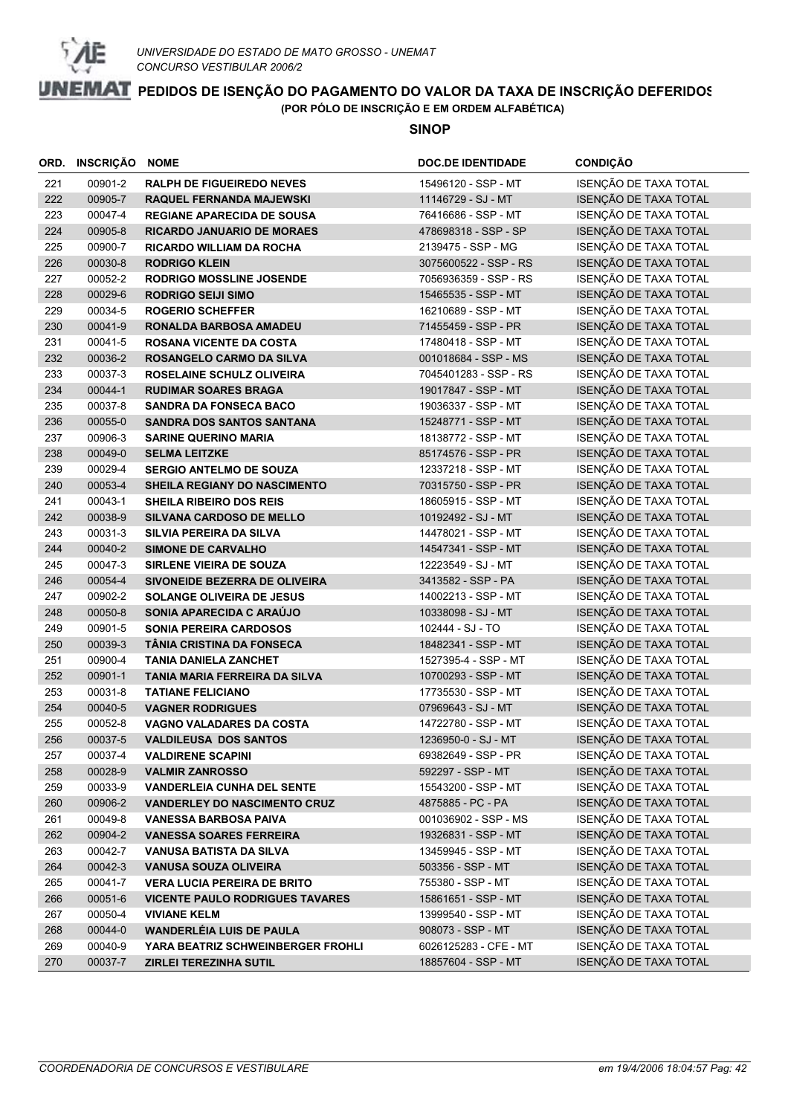

|            | ORD. INSCRIÇÃO NOME |                                                            | <b>DOC.DE IDENTIDADE</b>                    | <b>CONDIÇÃO</b>                                |
|------------|---------------------|------------------------------------------------------------|---------------------------------------------|------------------------------------------------|
| 221        | 00901-2             | <b>RALPH DE FIGUEIREDO NEVES</b>                           | 15496120 - SSP - MT                         | ISENÇÃO DE TAXA TOTAL                          |
| 222        | 00905-7             | <b>RAQUEL FERNANDA MAJEWSKI</b>                            | 11146729 - SJ - MT                          | ISENÇÃO DE TAXA TOTAL                          |
| 223        | 00047-4             | <b>REGIANE APARECIDA DE SOUSA</b>                          | 76416686 - SSP - MT                         | ISENÇÃO DE TAXA TOTAL                          |
| 224        | 00905-8             | <b>RICARDO JANUARIO DE MORAES</b>                          | 478698318 - SSP - SP                        | ISENÇÃO DE TAXA TOTAL                          |
| 225        | 00900-7             | <b>RICARDO WILLIAM DA ROCHA</b>                            | 2139475 - SSP - MG                          | ISENÇÃO DE TAXA TOTAL                          |
| 226        | 00030-8             | <b>RODRIGO KLEIN</b>                                       | 3075600522 - SSP - RS                       | ISENÇÃO DE TAXA TOTAL                          |
| 227        | 00052-2             | <b>RODRIGO MOSSLINE JOSENDE</b>                            | 7056936359 - SSP - RS                       | ISENÇÃO DE TAXA TOTAL                          |
| 228        | 00029-6             | <b>RODRIGO SEIJI SIMO</b>                                  | 15465535 - SSP - MT                         | ISENÇÃO DE TAXA TOTAL                          |
| 229        | 00034-5             | <b>ROGERIO SCHEFFER</b>                                    | 16210689 - SSP - MT                         | ISENÇÃO DE TAXA TOTAL                          |
| 230        | 00041-9             | RONALDA BARBOSA AMADEU                                     | 71455459 - SSP - PR                         | ISENÇÃO DE TAXA TOTAL                          |
| 231        | 00041-5             | <b>ROSANA VICENTE DA COSTA</b>                             | 17480418 - SSP - MT                         | ISENÇÃO DE TAXA TOTAL                          |
| 232        | 00036-2             | ROSANGELO CARMO DA SILVA                                   | 001018684 - SSP - MS                        | ISENÇÃO DE TAXA TOTAL                          |
| 233        | 00037-3             | ROSELAINE SCHULZ OLIVEIRA                                  | 7045401283 - SSP - RS                       | ISENÇÃO DE TAXA TOTAL                          |
| 234        | 00044-1             | <b>RUDIMAR SOARES BRAGA</b>                                | 19017847 - SSP - MT                         | ISENÇÃO DE TAXA TOTAL                          |
| 235        | 00037-8             | <b>SANDRA DA FONSECA BACO</b>                              | 19036337 - SSP - MT                         | ISENÇÃO DE TAXA TOTAL                          |
| 236        | 00055-0             | <b>SANDRA DOS SANTOS SANTANA</b>                           | 15248771 - SSP - MT                         | ISENÇÃO DE TAXA TOTAL                          |
| 237        | 00906-3             | <b>SARINE QUERINO MARIA</b>                                | 18138772 - SSP - MT                         | ISENÇÃO DE TAXA TOTAL                          |
| 238        | 00049-0             | <b>SELMA LEITZKE</b>                                       | 85174576 - SSP - PR                         | ISENÇÃO DE TAXA TOTAL                          |
| 239        | 00029-4             | <b>SERGIO ANTELMO DE SOUZA</b>                             | 12337218 - SSP - MT                         | ISENÇÃO DE TAXA TOTAL                          |
| 240        | 00053-4             | <b>SHEILA REGIANY DO NASCIMENTO</b>                        | 70315750 - SSP - PR                         | ISENÇÃO DE TAXA TOTAL                          |
| 241        | 00043-1             | <b>SHEILA RIBEIRO DOS REIS</b>                             | 18605915 - SSP - MT                         | ISENÇÃO DE TAXA TOTAL                          |
| 242        | 00038-9             | <b>SILVANA CARDOSO DE MELLO</b>                            | 10192492 - SJ - MT                          | ISENÇÃO DE TAXA TOTAL                          |
| 243        | 00031-3             | SILVIA PEREIRA DA SILVA                                    | 14478021 - SSP - MT                         | ISENÇÃO DE TAXA TOTAL                          |
| 244        | 00040-2             | <b>SIMONE DE CARVALHO</b>                                  | 14547341 - SSP - MT                         | ISENÇÃO DE TAXA TOTAL                          |
| 245        | 00047-3             | SIRLENE VIEIRA DE SOUZA                                    | 12223549 - SJ - MT                          | ISENÇÃO DE TAXA TOTAL                          |
| 246        | 00054-4             | SIVONEIDE BEZERRA DE OLIVEIRA                              | 3413582 - SSP - PA                          | ISENÇÃO DE TAXA TOTAL                          |
| 247        | 00902-2             | <b>SOLANGE OLIVEIRA DE JESUS</b>                           | 14002213 - SSP - MT                         | ISENÇÃO DE TAXA TOTAL                          |
| 248        | 00050-8             | SONIA APARECIDA C ARAÚJO                                   | 10338098 - SJ - MT                          | ISENÇÃO DE TAXA TOTAL                          |
| 249        | 00901-5             | <b>SONIA PEREIRA CARDOSOS</b><br>TÂNIA CRISTINA DA FONSECA | 102444 - SJ - TO                            | ISENÇÃO DE TAXA TOTAL<br>ISENÇÃO DE TAXA TOTAL |
| 250<br>251 | 00039-3<br>00900-4  | <b>TANIA DANIELA ZANCHET</b>                               | 18482341 - SSP - MT<br>1527395-4 - SSP - MT | ISENÇÃO DE TAXA TOTAL                          |
| 252        | 00901-1             | TANIA MARIA FERREIRA DA SILVA                              | 10700293 - SSP - MT                         | ISENÇÃO DE TAXA TOTAL                          |
| 253        | 00031-8             | <b>TATIANE FELICIANO</b>                                   | 17735530 - SSP - MT                         | ISENÇÃO DE TAXA TOTAL                          |
| 254        | 00040-5             | <b>VAGNER RODRIGUES</b>                                    | 07969643 - SJ - MT                          | ISENÇÃO DE TAXA TOTAL                          |
| 255        | 00052-8             | <b>VAGNO VALADARES DA COSTA</b>                            | 14722780 - SSP - MT                         | ISENÇÃO DE TAXA TOTAL                          |
| 256        | 00037-5             | <b>VALDILEUSA DOS SANTOS</b>                               | 1236950-0 - SJ - MT                         | ISENÇÃO DE TAXA TOTAL                          |
| 257        | 00037-4             | <b>VALDIRENE SCAPINI</b>                                   | 69382649 - SSP - PR                         | ISENÇÃO DE TAXA TOTAL                          |
| 258        | 00028-9             | <b>VALMIR ZANROSSO</b>                                     | 592297 - SSP - MT                           | ISENÇÃO DE TAXA TOTAL                          |
| 259        | 00033-9             | <b>VANDERLEIA CUNHA DEL SENTE</b>                          | 15543200 - SSP - MT                         | ISENÇÃO DE TAXA TOTAL                          |
| 260        | 00906-2             | <b>VANDERLEY DO NASCIMENTO CRUZ</b>                        | 4875885 - PC - PA                           | ISENÇÃO DE TAXA TOTAL                          |
| 261        | 00049-8             | <b>VANESSA BARBOSA PAIVA</b>                               | 001036902 - SSP - MS                        | ISENÇÃO DE TAXA TOTAL                          |
| 262        | 00904-2             | <b>VANESSA SOARES FERREIRA</b>                             | 19326831 - SSP - MT                         | ISENÇÃO DE TAXA TOTAL                          |
| 263        | 00042-7             | VANUSA BATISTA DA SILVA                                    | 13459945 - SSP - MT                         | ISENÇÃO DE TAXA TOTAL                          |
| 264        | 00042-3             | <b>VANUSA SOUZA OLIVEIRA</b>                               | 503356 - SSP - MT                           | ISENÇÃO DE TAXA TOTAL                          |
| 265        | 00041-7             | <b>VERA LUCIA PEREIRA DE BRITO</b>                         | 755380 - SSP - MT                           | ISENÇÃO DE TAXA TOTAL                          |
| 266        | 00051-6             | <b>VICENTE PAULO RODRIGUES TAVARES</b>                     | 15861651 - SSP - MT                         | ISENÇÃO DE TAXA TOTAL                          |
| 267        | 00050-4             | <b>VIVIANE KELM</b>                                        | 13999540 - SSP - MT                         | ISENÇÃO DE TAXA TOTAL                          |
| 268        | 00044-0             | <b>WANDERLÉIA LUIS DE PAULA</b>                            | 908073 - SSP - MT                           | ISENÇÃO DE TAXA TOTAL                          |
| 269        | 00040-9             | <b>YARA BEATRIZ SCHWEINBERGER FROHLI</b>                   | 6026125283 - CFE - MT                       | ISENÇÃO DE TAXA TOTAL                          |
| 270        | 00037-7             | <b>ZIRLEI TEREZINHA SUTIL</b>                              | 18857604 - SSP - MT                         | ISENÇÃO DE TAXA TOTAL                          |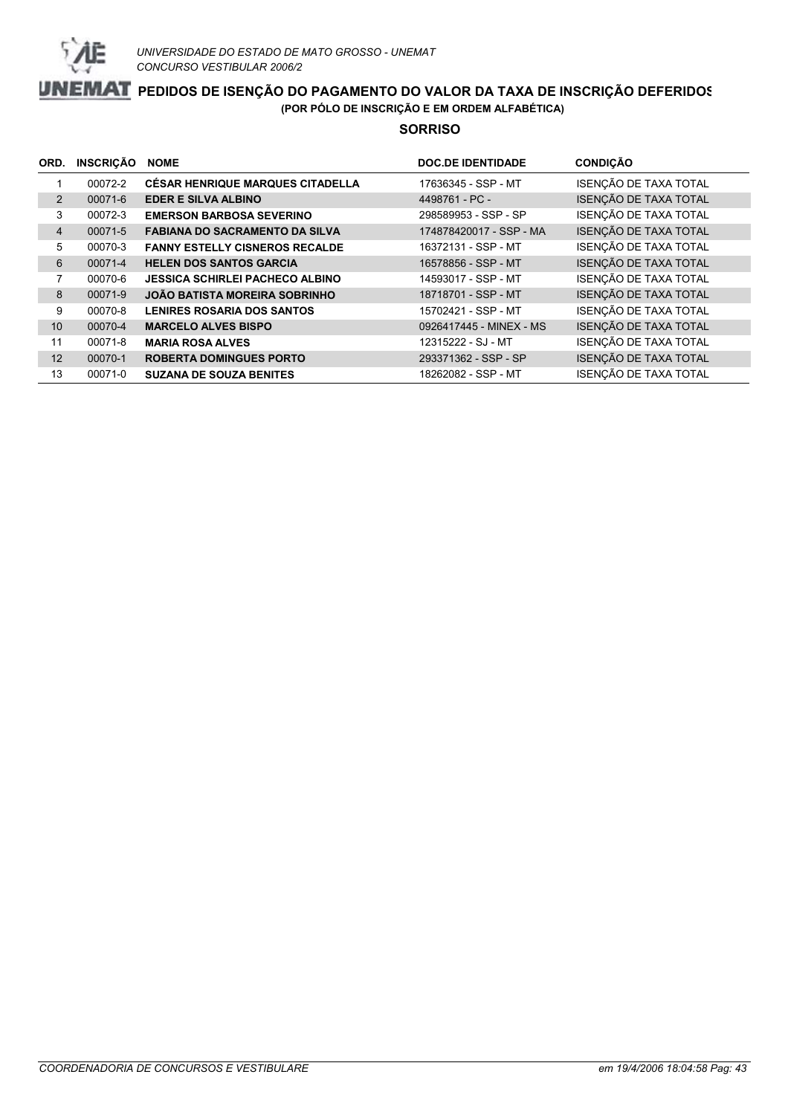

#### **SORRISO**

| ORD.           | <b>INSCRIÇÃO</b> | <b>NOME</b>                             | <b>DOC.DE IDENTIDADE</b> | <b>CONDIÇÃO</b>       |
|----------------|------------------|-----------------------------------------|--------------------------|-----------------------|
|                | 00072-2          | <b>CÉSAR HENRIQUE MARQUES CITADELLA</b> | 17636345 - SSP - MT      | ISENÇÃO DE TAXA TOTAL |
| 2              | 00071-6          | <b>EDER E SILVA ALBINO</b>              | 4498761 - PC -           | ISENÇÃO DE TAXA TOTAL |
| 3              | 00072-3          | <b>EMERSON BARBOSA SEVERINO</b>         | 298589953 - SSP - SP     | ISENÇÃO DE TAXA TOTAL |
| $\overline{4}$ | 00071-5          | <b>FABIANA DO SACRAMENTO DA SILVA</b>   | 174878420017 - SSP - MA  | ISENÇÃO DE TAXA TOTAL |
| 5              | 00070-3          | <b>FANNY ESTELLY CISNEROS RECALDE</b>   | 16372131 - SSP - MT      | ISENÇÃO DE TAXA TOTAL |
| 6              | 00071-4          | <b>HELEN DOS SANTOS GARCIA</b>          | 16578856 - SSP - MT      | ISENÇÃO DE TAXA TOTAL |
| 7              | 00070-6          | <b>JESSICA SCHIRLEI PACHECO ALBINO</b>  | 14593017 - SSP - MT      | ISENÇÃO DE TAXA TOTAL |
| 8              | 00071-9          | <b>JOÃO BATISTA MOREIRA SOBRINHO</b>    | 18718701 - SSP - MT      | ISENÇÃO DE TAXA TOTAL |
| 9              | 00070-8          | <b>LENIRES ROSARIA DOS SANTOS</b>       | 15702421 - SSP - MT      | ISENÇÃO DE TAXA TOTAL |
| 10             | 00070-4          | <b>MARCELO ALVES BISPO</b>              | 0926417445 - MINEX - MS  | ISENÇÃO DE TAXA TOTAL |
| 11             | 00071-8          | <b>MARIA ROSA ALVES</b>                 | 12315222 - SJ - MT       | ISENÇÃO DE TAXA TOTAL |
| 12             | 00070-1          | <b>ROBERTA DOMINGUES PORTO</b>          | 293371362 - SSP - SP     | ISENÇÃO DE TAXA TOTAL |
| 13             | 00071-0          | <b>SUZANA DE SOUZA BENITES</b>          | 18262082 - SSP - MT      | ISENÇÃO DE TAXA TOTAL |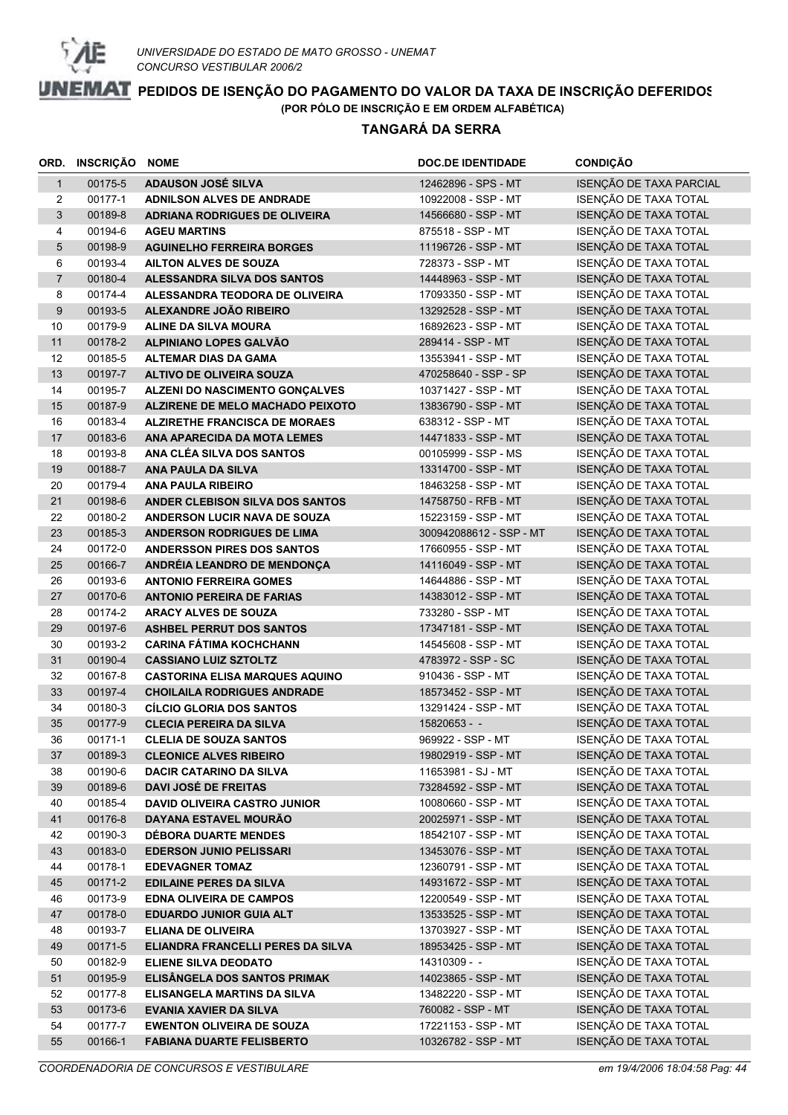

|                | ORD. INSCRIÇÃO NOME |                                                                  | <b>DOC.DE IDENTIDADE</b>                   | <b>CONDIÇÃO</b>                                |
|----------------|---------------------|------------------------------------------------------------------|--------------------------------------------|------------------------------------------------|
| $\mathbf{1}$   | 00175-5             | <b>ADAUSON JOSÉ SILVA</b>                                        | 12462896 - SPS - MT                        | ISENÇÃO DE TAXA PARCIAL                        |
| $\overline{2}$ | 00177-1             | <b>ADNILSON ALVES DE ANDRADE</b>                                 | 10922008 - SSP - MT                        | ISENÇÃO DE TAXA TOTAL                          |
| 3              | 00189-8             | ADRIANA RODRIGUES DE OLIVEIRA                                    | 14566680 - SSP - MT                        | ISENÇÃO DE TAXA TOTAL                          |
| 4              | 00194-6             | <b>AGEU MARTINS</b>                                              | 875518 - SSP - MT                          | ISENÇÃO DE TAXA TOTAL                          |
| 5              | 00198-9             | <b>AGUINELHO FERREIRA BORGES</b>                                 | 11196726 - SSP - MT                        | ISENÇÃO DE TAXA TOTAL                          |
| 6              | 00193-4             | AILTON ALVES DE SOUZA                                            | 728373 - SSP - MT                          | ISENÇÃO DE TAXA TOTAL                          |
| $\overline{7}$ | 00180-4             | ALESSANDRA SILVA DOS SANTOS                                      | 14448963 - SSP - MT                        | ISENÇÃO DE TAXA TOTAL                          |
| 8              | 00174-4             | ALESSANDRA TEODORA DE OLIVEIRA                                   | 17093350 - SSP - MT                        | ISENÇÃO DE TAXA TOTAL                          |
| 9              | 00193-5             | ALEXANDRE JOÃO RIBEIRO                                           | 13292528 - SSP - MT                        | ISENÇÃO DE TAXA TOTAL                          |
| 10             | 00179-9             | <b>ALINE DA SILVA MOURA</b>                                      | 16892623 - SSP - MT                        | ISENÇÃO DE TAXA TOTAL                          |
| 11             | 00178-2             | ALPINIANO LOPES GALVÃO                                           | 289414 - SSP - MT                          | ISENÇÃO DE TAXA TOTAL                          |
| 12             | 00185-5             | <b>ALTEMAR DIAS DA GAMA</b>                                      | 13553941 - SSP - MT                        | ISENÇÃO DE TAXA TOTAL                          |
| 13             | 00197-7             | ALTIVO DE OLIVEIRA SOUZA                                         | 470258640 - SSP - SP                       | ISENÇÃO DE TAXA TOTAL                          |
| 14             | 00195-7             | ALZENI DO NASCIMENTO GONÇALVES                                   | 10371427 - SSP - MT                        | ISENÇÃO DE TAXA TOTAL                          |
| 15             | 00187-9             | ALZIRENE DE MELO MACHADO PEIXOTO                                 | 13836790 - SSP - MT                        | ISENÇÃO DE TAXA TOTAL                          |
| 16             | 00183-4             | <b>ALZIRETHE FRANCISCA DE MORAES</b>                             | 638312 - SSP - MT                          | ISENÇÃO DE TAXA TOTAL                          |
| 17             | 00183-6             | ANA APARECIDA DA MOTA LEMES                                      | 14471833 - SSP - MT                        | ISENÇÃO DE TAXA TOTAL                          |
| 18             | 00193-8             | ANA CLÉA SILVA DOS SANTOS                                        | 00105999 - SSP - MS                        | ISENÇÃO DE TAXA TOTAL                          |
| 19             | 00188-7             | <b>ANA PAULA DA SILVA</b>                                        | 13314700 - SSP - MT                        | ISENÇÃO DE TAXA TOTAL                          |
| 20             | 00179-4             | <b>ANA PAULA RIBEIRO</b>                                         | 18463258 - SSP - MT                        | ISENÇÃO DE TAXA TOTAL                          |
| 21             | 00198-6             | ANDER CLEBISON SILVA DOS SANTOS                                  | 14758750 - RFB - MT                        | ISENÇÃO DE TAXA TOTAL                          |
| 22             | 00180-2             | ANDERSON LUCIR NAVA DE SOUZA                                     | 15223159 - SSP - MT                        | ISENÇÃO DE TAXA TOTAL                          |
| 23             | 00185-3             | ANDERSON RODRIGUES DE LIMA                                       | 300942088612 - SSP - MT                    | ISENÇÃO DE TAXA TOTAL                          |
| 24             | 00172-0             | <b>ANDERSSON PIRES DOS SANTOS</b>                                | 17660955 - SSP - MT                        | ISENÇÃO DE TAXA TOTAL                          |
| 25             | 00166-7             | ANDRÉIA LEANDRO DE MENDONÇA                                      | 14116049 - SSP - MT                        | ISENÇÃO DE TAXA TOTAL                          |
| 26             | 00193-6             | <b>ANTONIO FERREIRA GOMES</b>                                    | 14644886 - SSP - MT                        | ISENÇÃO DE TAXA TOTAL                          |
| 27             | 00170-6             | <b>ANTONIO PEREIRA DE FARIAS</b>                                 | 14383012 - SSP - MT                        | ISENÇÃO DE TAXA TOTAL                          |
| 28             | 00174-2             | ARACY ALVES DE SOUZA                                             | 733280 - SSP - MT                          | ISENÇÃO DE TAXA TOTAL                          |
| 29             | 00197-6             | <b>ASHBEL PERRUT DOS SANTOS</b>                                  | 17347181 - SSP - MT                        | ISENÇÃO DE TAXA TOTAL                          |
| 30             | 00193-2             | <b>CARINA FÁTIMA KOCHCHANN</b>                                   | 14545608 - SSP - MT                        | ISENÇÃO DE TAXA TOTAL                          |
| 31             | 00190-4             | <b>CASSIANO LUIZ SZTOLTZ</b>                                     | 4783972 - SSP - SC                         | ISENÇÃO DE TAXA TOTAL                          |
| 32             | 00167-8             | <b>CASTORINA ELISA MARQUES AQUINO</b>                            | 910436 - SSP - MT                          | ISENÇÃO DE TAXA TOTAL                          |
| 33             | 00197-4             | <b>CHOILAILA RODRIGUES ANDRADE</b>                               | 18573452 - SSP - MT                        | ISENÇÃO DE TAXA TOTAL                          |
| 34             | 00180-3             | <b>CÍLCIO GLORIA DOS SANTOS</b>                                  | 13291424 - SSP - MT                        | ISENÇÃO DE TAXA TOTAL                          |
| 35             | 00177-9             | <b>CLECIA PEREIRA DA SILVA</b>                                   | $15820653 - -$                             | ISENÇÃO DE TAXA TOTAL                          |
| 36             | 00171-1             | <b>CLELIA DE SOUZA SANTOS</b>                                    | 969922 - SSP - MT                          | ISENÇÃO DE TAXA TOTAL                          |
| 37             | 00189-3             | <b>CLEONICE ALVES RIBEIRO</b>                                    | 19802919 - SSP - MT                        | ISENÇÃO DE TAXA TOTAL                          |
| 38             | 00190-6             | DACIR CATARINO DA SILVA                                          | 11653981 - SJ - MT                         | ISENÇÃO DE TAXA TOTAL                          |
| 39             | 00189-6             | DAVI JOSÉ DE FREITAS                                             | 73284592 - SSP - MT                        | ISENÇÃO DE TAXA TOTAL                          |
| 40             | 00185-4             | <b>DAVID OLIVEIRA CASTRO JUNIOR</b>                              | 10080660 - SSP - MT                        | ISENÇÃO DE TAXA TOTAL                          |
| 41             | 00176-8             | DAYANA ESTAVEL MOURÃO                                            | 20025971 - SSP - MT                        | ISENÇÃO DE TAXA TOTAL                          |
| 42             | 00190-3             | <b>DÉBORA DUARTE MENDES</b>                                      | 18542107 - SSP - MT                        | ISENÇÃO DE TAXA TOTAL                          |
| 43             | 00183-0             | <b>EDERSON JUNIO PELISSARI</b>                                   | 13453076 - SSP - MT                        | ISENÇÃO DE TAXA TOTAL                          |
| 44             | 00178-1             | <b>EDEVAGNER TOMAZ</b>                                           | 12360791 - SSP - MT                        | ISENÇÃO DE TAXA TOTAL                          |
| 45             | 00171-2             | <b>EDILAINE PERES DA SILVA</b><br><b>EDNA OLIVEIRA DE CAMPOS</b> | 14931672 - SSP - MT<br>12200549 - SSP - MT | ISENÇÃO DE TAXA TOTAL                          |
| 46             | 00173-9             |                                                                  |                                            | ISENÇÃO DE TAXA TOTAL                          |
| 47<br>48       | 00178-0<br>00193-7  | EDUARDO JUNIOR GUIA ALT                                          | 13533525 - SSP - MT<br>13703927 - SSP - MT | ISENÇÃO DE TAXA TOTAL<br>ISENÇÃO DE TAXA TOTAL |
| 49             |                     | ELIANA DE OLIVEIRA<br>ELIANDRA FRANCELLI PERES DA SILVA          | 18953425 - SSP - MT                        | ISENÇÃO DE TAXA TOTAL                          |
| 50             | 00171-5<br>00182-9  | <b>ELIENE SILVA DEODATO</b>                                      | 14310309 - -                               | ISENÇÃO DE TAXA TOTAL                          |
|                | 00195-9             | ELISÂNGELA DOS SANTOS PRIMAK                                     |                                            | ISENÇÃO DE TAXA TOTAL                          |
| 51<br>52       | 00177-8             | ELISANGELA MARTINS DA SILVA                                      | 14023865 - SSP - MT<br>13482220 - SSP - MT | ISENÇÃO DE TAXA TOTAL                          |
| 53             | 00173-6             | <b>EVANIA XAVIER DA SILVA</b>                                    | 760082 - SSP - MT                          | ISENÇÃO DE TAXA TOTAL                          |
| 54             | 00177-7             | <b>EWENTON OLIVEIRA DE SOUZA</b>                                 | 17221153 - SSP - MT                        | ISENÇÃO DE TAXA TOTAL                          |
| 55             | 00166-1             | <b>FABIANA DUARTE FELISBERTO</b>                                 | 10326782 - SSP - MT                        | ISENÇÃO DE TAXA TOTAL                          |
|                |                     |                                                                  |                                            |                                                |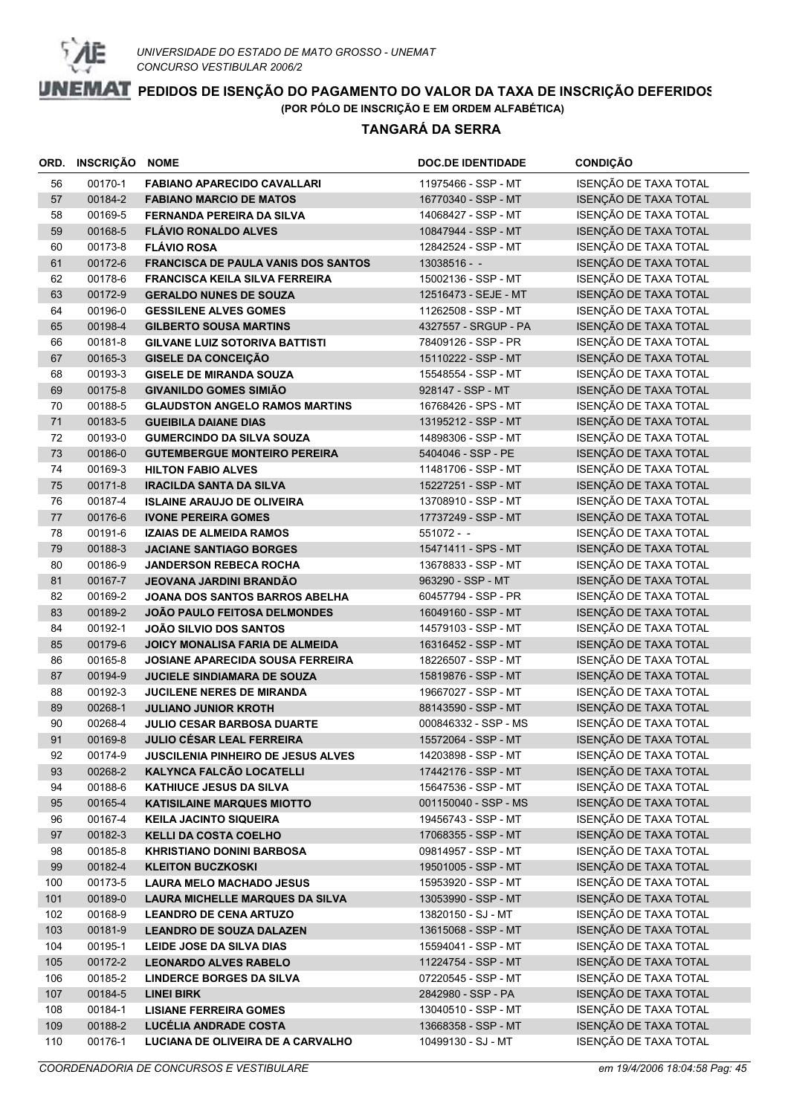

|     | ORD. INSCRIÇÃO NOME |                                            | <b>DOC.DE IDENTIDADE</b> | <b>CONDIÇÃO</b>       |
|-----|---------------------|--------------------------------------------|--------------------------|-----------------------|
| 56  | 00170-1             | <b>FABIANO APARECIDO CAVALLARI</b>         | 11975466 - SSP - MT      | ISENÇÃO DE TAXA TOTAL |
| 57  | 00184-2             | <b>FABIANO MARCIO DE MATOS</b>             | 16770340 - SSP - MT      | ISENÇÃO DE TAXA TOTAL |
| 58  | 00169-5             | <b>FERNANDA PEREIRA DA SILVA</b>           | 14068427 - SSP - MT      | ISENÇÃO DE TAXA TOTAL |
| 59  | 00168-5             | <b>FLÁVIO RONALDO ALVES</b>                | 10847944 - SSP - MT      | ISENÇÃO DE TAXA TOTAL |
| 60  | 00173-8             | <b>FLÁVIO ROSA</b>                         | 12842524 - SSP - MT      | ISENÇÃO DE TAXA TOTAL |
| 61  | 00172-6             | <b>FRANCISCA DE PAULA VANIS DOS SANTOS</b> | 13038516 - -             | ISENÇÃO DE TAXA TOTAL |
| 62  | 00178-6             | <b>FRANCISCA KEILA SILVA FERREIRA</b>      | 15002136 - SSP - MT      | ISENÇÃO DE TAXA TOTAL |
| 63  | 00172-9             | <b>GERALDO NUNES DE SOUZA</b>              | 12516473 - SEJE - MT     | ISENÇÃO DE TAXA TOTAL |
| 64  | 00196-0             | <b>GESSILENE ALVES GOMES</b>               | 11262508 - SSP - MT      | ISENÇÃO DE TAXA TOTAL |
| 65  | 00198-4             | <b>GILBERTO SOUSA MARTINS</b>              | 4327557 - SRGUP - PA     | ISENÇÃO DE TAXA TOTAL |
| 66  | 00181-8             | <b>GILVANE LUIZ SOTORIVA BATTISTI</b>      | 78409126 - SSP - PR      | ISENÇÃO DE TAXA TOTAL |
| 67  | 00165-3             | <b>GISELE DA CONCEIÇÃO</b>                 | 15110222 - SSP - MT      | ISENÇÃO DE TAXA TOTAL |
| 68  | 00193-3             | <b>GISELE DE MIRANDA SOUZA</b>             | 15548554 - SSP - MT      | ISENÇÃO DE TAXA TOTAL |
| 69  | 00175-8             | <b>GIVANILDO GOMES SIMIÃO</b>              | 928147 - SSP - MT        | ISENÇÃO DE TAXA TOTAL |
| 70  | 00188-5             | <b>GLAUDSTON ANGELO RAMOS MARTINS</b>      | 16768426 - SPS - MT      | ISENÇÃO DE TAXA TOTAL |
| 71  | 00183-5             | <b>GUEIBILA DAIANE DIAS</b>                | 13195212 - SSP - MT      | ISENÇÃO DE TAXA TOTAL |
| 72  | 00193-0             | <b>GUMERCINDO DA SILVA SOUZA</b>           | 14898306 - SSP - MT      | ISENÇÃO DE TAXA TOTAL |
| 73  | 00186-0             | <b>GUTEMBERGUE MONTEIRO PEREIRA</b>        | 5404046 - SSP - PE       | ISENÇÃO DE TAXA TOTAL |
| 74  | 00169-3             | <b>HILTON FABIO ALVES</b>                  | 11481706 - SSP - MT      | ISENÇÃO DE TAXA TOTAL |
| 75  | 00171-8             | <b>IRACILDA SANTA DA SILVA</b>             | 15227251 - SSP - MT      | ISENÇÃO DE TAXA TOTAL |
| 76  | 00187-4             | <b>ISLAINE ARAUJO DE OLIVEIRA</b>          | 13708910 - SSP - MT      | ISENÇÃO DE TAXA TOTAL |
| 77  | 00176-6             | <b>IVONE PEREIRA GOMES</b>                 | 17737249 - SSP - MT      | ISENÇÃO DE TAXA TOTAL |
| 78  | 00191-6             | <b>IZAIAS DE ALMEIDA RAMOS</b>             | 551072 - -               | ISENÇÃO DE TAXA TOTAL |
| 79  | 00188-3             | <b>JACIANE SANTIAGO BORGES</b>             | 15471411 - SPS - MT      | ISENÇÃO DE TAXA TOTAL |
| 80  | 00186-9             | <b>JANDERSON REBECA ROCHA</b>              | 13678833 - SSP - MT      | ISENÇÃO DE TAXA TOTAL |
| 81  | 00167-7             | <b>JEOVANA JARDINI BRANDÃO</b>             | 963290 - SSP - MT        | ISENÇÃO DE TAXA TOTAL |
| 82  | 00169-2             | JOANA DOS SANTOS BARROS ABELHA             | 60457794 - SSP - PR      | ISENÇÃO DE TAXA TOTAL |
| 83  | 00189-2             | JOÃO PAULO FEITOSA DELMONDES               | 16049160 - SSP - MT      | ISENÇÃO DE TAXA TOTAL |
| 84  | 00192-1             | <b>JOÃO SILVIO DOS SANTOS</b>              | 14579103 - SSP - MT      | ISENÇÃO DE TAXA TOTAL |
| 85  | 00179-6             | JOICY MONALISA FARIA DE ALMEIDA            | 16316452 - SSP - MT      | ISENÇÃO DE TAXA TOTAL |
| 86  | 00165-8             | <b>JOSIANE APARECIDA SOUSA FERREIRA</b>    | 18226507 - SSP - MT      | ISENÇÃO DE TAXA TOTAL |
| 87  | 00194-9             | <b>JUCIELE SINDIAMARA DE SOUZA</b>         | 15819876 - SSP - MT      | ISENÇÃO DE TAXA TOTAL |
| 88  | 00192-3             | <b>JUCILENE NERES DE MIRANDA</b>           | 19667027 - SSP - MT      | ISENÇÃO DE TAXA TOTAL |
| 89  | 00268-1             | <b>JULIANO JUNIOR KROTH</b>                | 88143590 - SSP - MT      | ISENÇÃO DE TAXA TOTAL |
| 90  | 00268-4             | <b>JULIO CESAR BARBOSA DUARTE</b>          | 000846332 - SSP - MS     | ISENÇÃO DE TAXA TOTAL |
| 91  | 00169-8             | JULIO CÉSAR LEAL FERREIRA                  | 15572064 - SSP - MT      | ISENÇÃO DE TAXA TOTAL |
| 92  | 00174-9             | <b>JUSCILENIA PINHEIRO DE JESUS ALVES</b>  | 14203898 - SSP - MT      | ISENÇÃO DE TAXA TOTAL |
| 93  | 00268-2             | KALYNCA FALCÃO LOCATELLI                   | 17442176 - SSP - MT      | ISENÇÃO DE TAXA TOTAL |
| 94  | 00188-6             | <b>KATHIUCE JESUS DA SILVA</b>             | 15647536 - SSP - MT      | ISENÇÃO DE TAXA TOTAL |
| 95  | 00165-4             | <b>KATISILAINE MARQUES MIOTTO</b>          | 001150040 - SSP - MS     | ISENÇÃO DE TAXA TOTAL |
| 96  | 00167-4             | <b>KEILA JACINTO SIQUEIRA</b>              | 19456743 - SSP - MT      | ISENÇÃO DE TAXA TOTAL |
| 97  | 00182-3             | <b>KELLI DA COSTA COELHO</b>               | 17068355 - SSP - MT      | ISENÇÃO DE TAXA TOTAL |
| 98  | 00185-8             | <b>KHRISTIANO DONINI BARBOSA</b>           | 09814957 - SSP - MT      | ISENÇÃO DE TAXA TOTAL |
| 99  | 00182-4             | <b>KLEITON BUCZKOSKI</b>                   | 19501005 - SSP - MT      | ISENÇÃO DE TAXA TOTAL |
| 100 | 00173-5             | <b>LAURA MELO MACHADO JESUS</b>            | 15953920 - SSP - MT      | ISENÇÃO DE TAXA TOTAL |
| 101 | 00189-0             | <b>LAURA MICHELLE MARQUES DA SILVA</b>     | 13053990 - SSP - MT      | ISENÇÃO DE TAXA TOTAL |
| 102 | 00168-9             | <b>LEANDRO DE CENA ARTUZO</b>              | 13820150 - SJ - MT       | ISENÇÃO DE TAXA TOTAL |
| 103 | 00181-9             | <b>LEANDRO DE SOUZA DALAZEN</b>            | 13615068 - SSP - MT      | ISENÇÃO DE TAXA TOTAL |
| 104 | 00195-1             | LEIDE JOSE DA SILVA DIAS                   | 15594041 - SSP - MT      | ISENÇÃO DE TAXA TOTAL |
| 105 | 00172-2             | <b>LEONARDO ALVES RABELO</b>               | 11224754 - SSP - MT      | ISENÇÃO DE TAXA TOTAL |
| 106 | 00185-2             | <b>LINDERCE BORGES DA SILVA</b>            | 07220545 - SSP - MT      | ISENÇÃO DE TAXA TOTAL |
| 107 | 00184-5             | <b>LINEI BIRK</b>                          | 2842980 - SSP - PA       | ISENÇÃO DE TAXA TOTAL |
| 108 | 00184-1             | <b>LISIANE FERREIRA GOMES</b>              | 13040510 - SSP - MT      | ISENÇÃO DE TAXA TOTAL |
| 109 | 00188-2             | LUCÉLIA ANDRADE COSTA                      | 13668358 - SSP - MT      | ISENÇÃO DE TAXA TOTAL |
| 110 | 00176-1             | LUCIANA DE OLIVEIRA DE A CARVALHO          | 10499130 - SJ - MT       | ISENÇÃO DE TAXA TOTAL |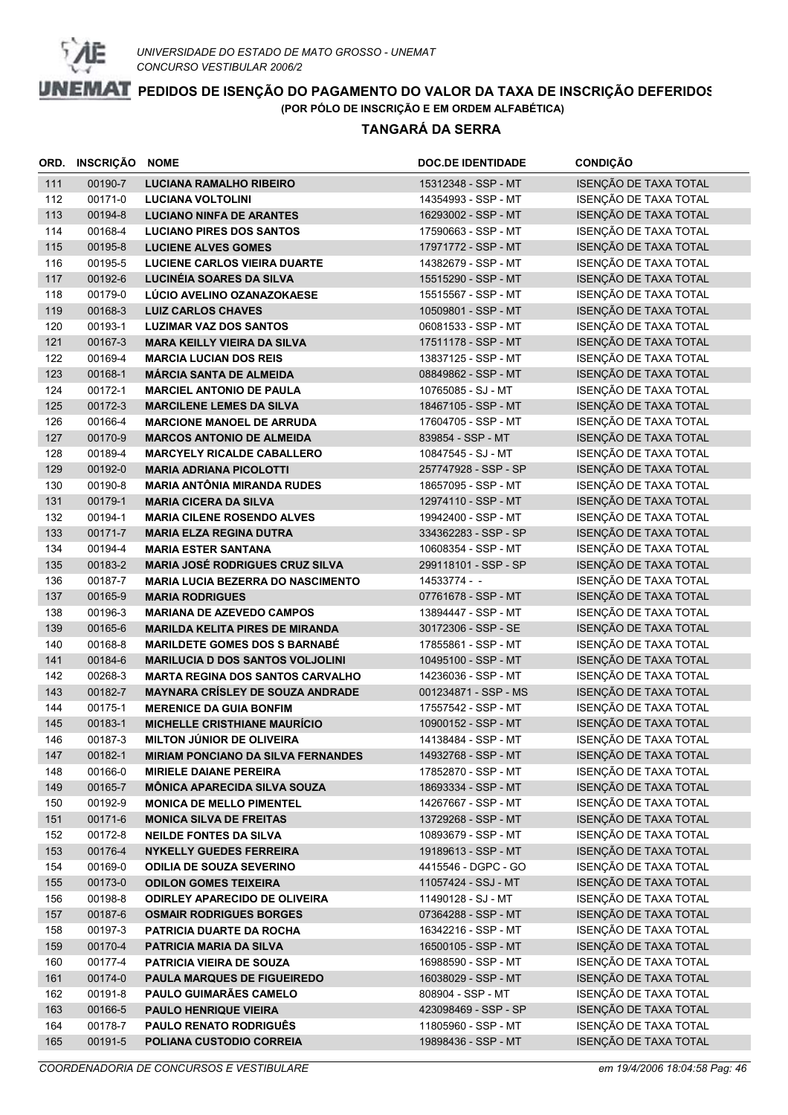

|     | ORD. INSCRIÇÃO | <b>NOME</b>                               | <b>DOC.DE IDENTIDADE</b> | <b>CONDIÇÃO</b>       |
|-----|----------------|-------------------------------------------|--------------------------|-----------------------|
| 111 | 00190-7        | <b>LUCIANA RAMALHO RIBEIRO</b>            | 15312348 - SSP - MT      | ISENÇÃO DE TAXA TOTAL |
| 112 | 00171-0        | <b>LUCIANA VOLTOLINI</b>                  | 14354993 - SSP - MT      | ISENÇÃO DE TAXA TOTAL |
| 113 | 00194-8        | <b>LUCIANO NINFA DE ARANTES</b>           | 16293002 - SSP - MT      | ISENÇÃO DE TAXA TOTAL |
| 114 | 00168-4        | <b>LUCIANO PIRES DOS SANTOS</b>           | 17590663 - SSP - MT      | ISENÇÃO DE TAXA TOTAL |
| 115 | 00195-8        | <b>LUCIENE ALVES GOMES</b>                | 17971772 - SSP - MT      | ISENÇÃO DE TAXA TOTAL |
| 116 | 00195-5        | <b>LUCIENE CARLOS VIEIRA DUARTE</b>       | 14382679 - SSP - MT      | ISENÇÃO DE TAXA TOTAL |
| 117 | 00192-6        | LUCINÉIA SOARES DA SILVA                  | 15515290 - SSP - MT      | ISENÇÃO DE TAXA TOTAL |
| 118 | 00179-0        | LÚCIO AVELINO OZANAZOKAESE                | 15515567 - SSP - MT      | ISENÇÃO DE TAXA TOTAL |
| 119 | 00168-3        | <b>LUIZ CARLOS CHAVES</b>                 | 10509801 - SSP - MT      | ISENÇÃO DE TAXA TOTAL |
| 120 | 00193-1        | <b>LUZIMAR VAZ DOS SANTOS</b>             | 06081533 - SSP - MT      | ISENÇÃO DE TAXA TOTAL |
| 121 | 00167-3        | <b>MARA KEILLY VIEIRA DA SILVA</b>        | 17511178 - SSP - MT      | ISENÇÃO DE TAXA TOTAL |
| 122 | 00169-4        | <b>MARCIA LUCIAN DOS REIS</b>             | 13837125 - SSP - MT      | ISENÇÃO DE TAXA TOTAL |
| 123 | 00168-1        | <b>MÁRCIA SANTA DE ALMEIDA</b>            | 08849862 - SSP - MT      | ISENÇÃO DE TAXA TOTAL |
| 124 | 00172-1        | <b>MARCIEL ANTONIO DE PAULA</b>           | 10765085 - SJ - MT       | ISENÇÃO DE TAXA TOTAL |
| 125 | 00172-3        | <b>MARCILENE LEMES DA SILVA</b>           | 18467105 - SSP - MT      | ISENÇÃO DE TAXA TOTAL |
| 126 | 00166-4        | <b>MARCIONE MANOEL DE ARRUDA</b>          | 17604705 - SSP - MT      | ISENÇÃO DE TAXA TOTAL |
| 127 | 00170-9        | <b>MARCOS ANTONIO DE ALMEIDA</b>          | 839854 - SSP - MT        | ISENÇÃO DE TAXA TOTAL |
| 128 | 00189-4        | <b>MARCYELY RICALDE CABALLERO</b>         | 10847545 - SJ - MT       | ISENÇÃO DE TAXA TOTAL |
| 129 | 00192-0        | <b>MARIA ADRIANA PICOLOTTI</b>            | 257747928 - SSP - SP     | ISENÇÃO DE TAXA TOTAL |
| 130 | 00190-8        | <b>MARIA ANTÔNIA MIRANDA RUDES</b>        | 18657095 - SSP - MT      | ISENÇÃO DE TAXA TOTAL |
| 131 | 00179-1        | <b>MARIA CICERA DA SILVA</b>              | 12974110 - SSP - MT      | ISENÇÃO DE TAXA TOTAL |
| 132 | 00194-1        | <b>MARIA CILENE ROSENDO ALVES</b>         | 19942400 - SSP - MT      | ISENÇÃO DE TAXA TOTAL |
| 133 | 00171-7        | <b>MARIA ELZA REGINA DUTRA</b>            | 334362283 - SSP - SP     | ISENÇÃO DE TAXA TOTAL |
| 134 | 00194-4        | <b>MARIA ESTER SANTANA</b>                | 10608354 - SSP - MT      | ISENÇÃO DE TAXA TOTAL |
| 135 | 00183-2        | <b>MARIA JOSÉ RODRIGUES CRUZ SILVA</b>    | 299118101 - SSP - SP     | ISENÇÃO DE TAXA TOTAL |
| 136 | 00187-7        | <b>MARIA LUCIA BEZERRA DO NASCIMENTO</b>  | 14533774 - -             | ISENÇÃO DE TAXA TOTAL |
| 137 | 00165-9        | <b>MARIA RODRIGUES</b>                    | 07761678 - SSP - MT      | ISENÇÃO DE TAXA TOTAL |
| 138 | 00196-3        | <b>MARIANA DE AZEVEDO CAMPOS</b>          | 13894447 - SSP - MT      | ISENÇÃO DE TAXA TOTAL |
| 139 | 00165-6        | <b>MARILDA KELITA PIRES DE MIRANDA</b>    | 30172306 - SSP - SE      | ISENÇÃO DE TAXA TOTAL |
| 140 | 00168-8        | <b>MARILDETE GOMES DOS S BARNABÉ</b>      | 17855861 - SSP - MT      | ISENÇÃO DE TAXA TOTAL |
| 141 | 00184-6        | <b>MARILUCIA D DOS SANTOS VOLJOLINI</b>   | 10495100 - SSP - MT      | ISENÇÃO DE TAXA TOTAL |
| 142 | 00268-3        | <b>MARTA REGINA DOS SANTOS CARVALHO</b>   | 14236036 - SSP - MT      | ISENÇÃO DE TAXA TOTAL |
| 143 | 00182-7        | <b>MAYNARA CRÍSLEY DE SOUZA ANDRADE</b>   | 001234871 - SSP - MS     | ISENÇÃO DE TAXA TOTAL |
| 144 | 00175-1        | <b>MERENICE DA GUIA BONFIM</b>            | 17557542 - SSP - MT      | ISENÇÃO DE TAXA TOTAL |
| 145 | 00183-1        | <b>MICHELLE CRISTHIANE MAURÍCIO</b>       | 10900152 - SSP - MT      | ISENÇÃO DE TAXA TOTAL |
| 146 | 00187-3        | <b>MILTON JÚNIOR DE OLIVEIRA</b>          | 14138484 - SSP - MT      | ISENÇÃO DE TAXA TOTAL |
| 147 | 00182-1        | <b>MIRIAM PONCIANO DA SILVA FERNANDES</b> | 14932768 - SSP - MT      | ISENÇÃO DE TAXA TOTAL |
| 148 | 00166-0        | <b>MIRIELE DAIANE PEREIRA</b>             | 17852870 - SSP - MT      | ISENÇÃO DE TAXA TOTAL |
| 149 | 00165-7        | <b>MÔNICA APARECIDA SILVA SOUZA</b>       | 18693334 - SSP - MT      | ISENÇÃO DE TAXA TOTAL |
| 150 | 00192-9        | <b>MONICA DE MELLO PIMENTEL</b>           | 14267667 - SSP - MT      | ISENÇÃO DE TAXA TOTAL |
| 151 | 00171-6        | <b>MONICA SILVA DE FREITAS</b>            | 13729268 - SSP - MT      | ISENÇÃO DE TAXA TOTAL |
| 152 | 00172-8        | <b>NEILDE FONTES DA SILVA</b>             | 10893679 - SSP - MT      | ISENÇÃO DE TAXA TOTAL |
| 153 | 00176-4        | <b>NYKELLY GUEDES FERREIRA</b>            | 19189613 - SSP - MT      | ISENÇÃO DE TAXA TOTAL |
| 154 | 00169-0        | <b>ODILIA DE SOUZA SEVERINO</b>           | 4415546 - DGPC - GO      | ISENÇÃO DE TAXA TOTAL |
| 155 | 00173-0        | <b>ODILON GOMES TEIXEIRA</b>              | 11057424 - SSJ - MT      | ISENÇÃO DE TAXA TOTAL |
| 156 | 00198-8        | <b>ODIRLEY APARECIDO DE OLIVEIRA</b>      | 11490128 - SJ - MT       | ISENÇÃO DE TAXA TOTAL |
| 157 | 00187-6        | <b>OSMAIR RODRIGUES BORGES</b>            | 07364288 - SSP - MT      | ISENÇÃO DE TAXA TOTAL |
| 158 | 00197-3        | <b>PATRICIA DUARTE DA ROCHA</b>           | 16342216 - SSP - MT      | ISENÇÃO DE TAXA TOTAL |
| 159 | 00170-4        | PATRICIA MARIA DA SILVA                   | 16500105 - SSP - MT      | ISENÇÃO DE TAXA TOTAL |
| 160 | 00177-4        | <b>PATRICIA VIEIRA DE SOUZA</b>           | 16988590 - SSP - MT      | ISENÇÃO DE TAXA TOTAL |
| 161 | 00174-0        | PAULA MARQUES DE FIGUEIREDO               | 16038029 - SSP - MT      | ISENÇÃO DE TAXA TOTAL |
| 162 | 00191-8        | PAULO GUIMARÃES CAMELO                    | 808904 - SSP - MT        | ISENÇÃO DE TAXA TOTAL |
| 163 | 00166-5        | PAULO HENRIQUE VIEIRA                     | 423098469 - SSP - SP     | ISENÇÃO DE TAXA TOTAL |
| 164 | 00178-7        | PAULO RENATO RODRIGUÊS                    | 11805960 - SSP - MT      | ISENÇÃO DE TAXA TOTAL |
| 165 | 00191-5        | POLIANA CUSTODIO CORREIA                  | 19898436 - SSP - MT      | ISENÇÃO DE TAXA TOTAL |